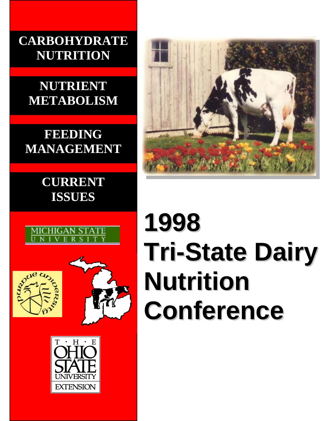

# **NUTRIENT METABOLISM**

# **FEEDING MANAGEMENT**

# **CURRENT ISSUES**









# **1998 Tri-State Dairy Nutrition Conference**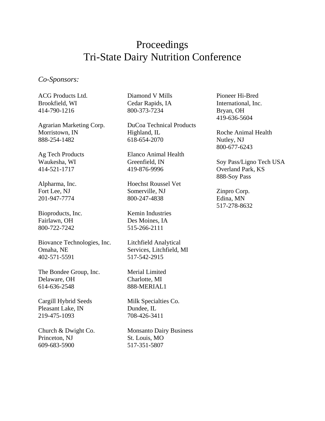# Proceedings Tri-State Dairy Nutrition Conference

*Co-Sponsors:* 

ACG Products Ltd. Brookfield, WI 414-790-1216

Agrarian Marketing Corp. Morristown, IN 888-254-1482

Ag Tech Products Waukesha, WI 414-521-1717

Alpharma, Inc. Fort Lee, NJ 201-947-7774

Bioproducts, Inc. Fairlawn, OH 800-722-7242

Biovance Technologies, Inc. Omaha, NE 402-571-5591

The Bondee Group, Inc. Delaware, OH 614-636-2548

Cargill Hybrid Seeds Pleasant Lake, IN 219-475-1093

Church & Dwight Co. Princeton, NJ 609-683-5900

Diamond V Mills Cedar Rapids, IA 800-373-7234

DuCoa Technical Products Highland, IL 618-654-2070

Elanco Animal Health Greenfield, IN 419-876-9996

Hoechst Roussel Vet Somerville, NJ 800-247-4838

Kemin Industries Des Moines, IA 515-266-2111

Litchfield Analytical Services, Litchfield, MI 517-542-2915

Merial Limited Charlotte, MI 888-MERIAL1

Milk Specialties Co. Dundee, IL 708-426-3411

Monsanto Dairy Business St. Louis, MO 517-351-5807

Pioneer Hi-Bred International, Inc. Bryan, OH 419-636-5604

Roche Animal Health Nutley, NJ 800-677-6243

Soy Pass/Ligno Tech USA Overland Park, KS 888-Soy Pass

Zinpro Corp. Edina, MN 517-278-8632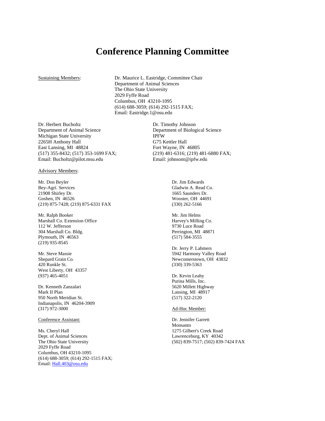# **Conference Planning Committee**

Sustaining Members: Dr. Maurice L. Eastridge, Committee Chair Department of Animal Sciences The Ohio State University 2029 Fyffe Road Columbus, OH 43210-1095 (614) 688-3059; (614) 292-1515 FAX; Email: Eastridge.1@osu.edu

Dr. Herbert Bucholtz Dr. Timothy Johnson Department of Animal Science Department of Biological Science Michigan State University IPFW 2265H Anthony Hall G75 Kettler Hall East Lansing, MI 48824 Fort Wayne, IN 46805 Email: Bucholtz@pilot.msu.edu Email: johnsont@ipfw.edu

Advisory Members:

Mr. Don Beyler Bey-Agri. Services 21908 Shirley Dr. Goshen, IN 46526 (219) 875-7428; (219) 875-6331 FAX

Mr. Ralph Booker Marshall Co. Extension Office 112 W. Jefferson 304 Marshall Co. Bldg. Plymouth, IN 46563 (219) 935-8545

Mr. Steve Massie Shepard Grain Co. 420 Runkle St. West Liberty, OH 43357 (937) 465-4051

Dr. Kenneth Zanzalari Mark II Plan 950 North Meridian St. Indianapolis, IN 46204-3909 (317) 972-3000

#### Conference Assistant:

Ms. Cheryl Hall Dept. of Animal Sciences The Ohio State University 2029 Fyffe Road Columbus, OH 43210-1095 (614) 688-3059; (614) 292-1515 FAX; Email: Hall.403@osu.edu

(517) 355-8432; (517) 353-1699 FAX; (219) 481-6316; (219) 481-6880 FAX;

Dr. Jim Edwards Gladwin A. Read Co. 1665 Saunders Dr. Wooster, OH 44691 (330) 262-5166

Mr. Jim Helms Harvey's Milling Co. 9730 Luce Road Perrington, MI 48871 (517) 584-3555

Dr. Jerry P. Lahmers 5942 Harmony Valley Road Newcomerstown, OH 43832 (330) 339-5363

Dr. Kevin Leahy Purina Mills, Inc. 5620 Millett Highway Lansing, MI 48917 (517) 322-2120

#### Ad-Hoc Member:

Dr. Jennifer Garrett Monsanto 1275 Gilbert's Creek Road Lawrenceburg, KY 40342 (502) 839-7517; (502) 839-7424 FAX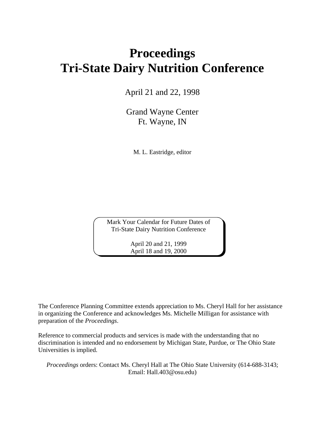# **Proceedings Tri-State Dairy Nutrition Conference**

April 21 and 22, 1998

Grand Wayne Center Ft. Wayne, IN

M. L. Eastridge, editor

Mark Your Calendar for Future Dates of Tri-State Dairy Nutrition Conference

> April 20 and 21, 1999 April 18 and 19, 2000

The Conference Planning Committee extends appreciation to Ms. Cheryl Hall for her assistance in organizing the Conference and acknowledges Ms. Michelle Milligan for assistance with preparation of the *Proceedings*.

Reference to commercial products and services is made with the understanding that no discrimination is intended and no endorsement by Michigan State, Purdue, or The Ohio State Universities is implied.

*Proceedings* orders: Contact Ms. Cheryl Hall at The Ohio State University (614-688-3143; Email: Hall.403@osu.edu)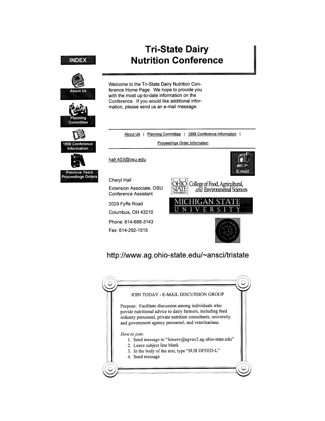

Planning Committee

998 Conference Information

**Proceedings Orders** 



Welcome to the Tri-State Dairy Nutrition Conference Home Page. We hope to provide you with the most up-to-date information on the Conference. If you would like additional information, please send us an e-mail message.

Fax: 614-292-1515

About Us | Planning Committee | 1998 Conference Information |

**Proceedings Order Information** 







# http://www.ag.ohio-state.edu/~ansci/tristate

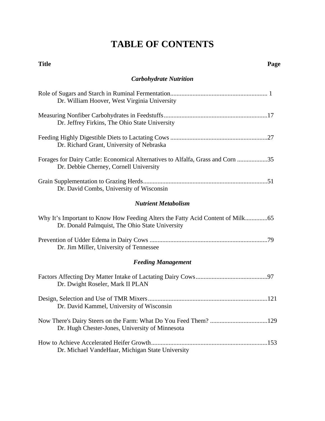# **TABLE OF CONTENTS**

| <b>Title</b> | Page |
|--------------|------|
|--------------|------|

## *Carbohydrate Nutrition*

| Dr. William Hoover, West Virginia University                                                                                    |
|---------------------------------------------------------------------------------------------------------------------------------|
| Dr. Jeffrey Firkins, The Ohio State University                                                                                  |
| Dr. Richard Grant, University of Nebraska                                                                                       |
| Forages for Dairy Cattle: Economical Alternatives to Alfalfa, Grass and Corn 35<br>Dr. Debbie Cherney, Cornell University       |
| Dr. David Combs, University of Wisconsin                                                                                        |
| <b>Nutrient Metabolism</b>                                                                                                      |
| Why It's Important to Know How Feeding Alters the Fatty Acid Content of Milk<br>Dr. Donald Palmquist, The Ohio State University |
| Dr. Jim Miller, University of Tennessee                                                                                         |
| <b>Feeding Management</b>                                                                                                       |
| Dr. Dwight Roseler, Mark II PLAN                                                                                                |
| Dr. David Kammel, University of Wisconsin                                                                                       |
| Dr. Hugh Chester-Jones, University of Minnesota                                                                                 |
| Dr. Michael VandeHaar, Michigan State University                                                                                |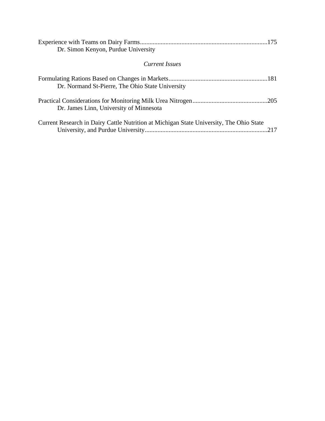| Dr. Simon Kenyon, Purdue University                                                     |  |
|-----------------------------------------------------------------------------------------|--|
| <b>Current Issues</b>                                                                   |  |
| Dr. Normand St-Pierre, The Ohio State University                                        |  |
| Dr. James Linn, University of Minnesota                                                 |  |
| Current Research in Dairy Cattle Nutrition at Michigan State University, The Ohio State |  |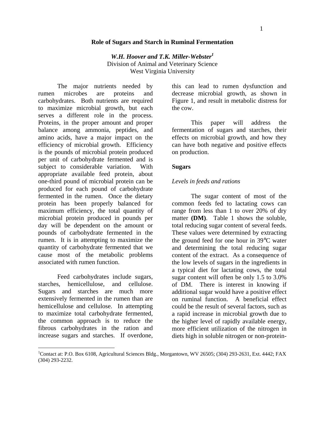#### **Role of Sugars and Starch in Ruminal Fermentation**

*W.H. Hoover and T.K. Miller-Webster*<sup>1</sup> Division of Animal and Veterinary Science West Virginia University

The major nutrients needed by rumen microbes are proteins and carbohydrates. Both nutrients are required to maximize microbial growth, but each serves a different role in the process. Proteins, in the proper amount and proper balance among ammonia, peptides, and amino acids, have a major impact on the efficiency of microbial growth. Efficiency is the pounds of microbial protein produced per unit of carbohydrate fermented and is subject to considerable variation. With appropriate available feed protein, about one-third pound of microbial protein can be produced for each pound of carbohydrate fermented in the rumen. Once the dietary protein has been properly balanced for maximum efficiency, the total quantity of microbial protein produced in pounds per day will be dependent on the amount or pounds of carbohydrate fermented in the rumen. It is in attempting to maximize the quantity of carbohydrate fermented that we cause most of the metabolic problems associated with rumen function.

 Feed carbohydrates include sugars, starches, hemicellulose, and cellulose. Sugars and starches are much more extensively fermented in the rumen than are hemicellulose and cellulose. In attempting to maximize total carbohydrate fermented, the common approach is to reduce the fibrous carbohydrates in the ration and increase sugars and starches. If overdone,

 $\overline{a}$ 

this can lead to rumen dysfunction and decrease microbial growth, as shown in Figure 1, and result in metabolic distress for the cow.

 This paper will address the fermentation of sugars and starches, their effects on microbial growth, and how they can have both negative and positive effects on production.

#### **Sugars**

#### *Levels in feeds and rations*

 The sugar content of most of the common feeds fed to lactating cows can range from less than 1 to over 20% of dry matter **(DM)**. Table 1 shows the soluble, total reducing sugar content of several feeds. These values were determined by extracting the ground feed for one hour in 39°C water and determining the total reducing sugar content of the extract. As a consequence of the low levels of sugars in the ingredients in a typical diet for lactating cows, the total sugar content will often be only 1.5 to 3.0% of DM. There is interest in knowing if additional sugar would have a positive effect on ruminal function. A beneficial effect could be the result of several factors, such as a rapid increase in microbial growth due to the higher level of rapidly available energy, more efficient utilization of the nitrogen in diets high in soluble nitrogen or non-protein-

<sup>&</sup>lt;sup>1</sup>Contact at: P.O. Box 6108, Agricultural Sciences Bldg., Morgantown, WV 26505; (304) 293-2631, Ext. 4442; FAX (304) 293-2232.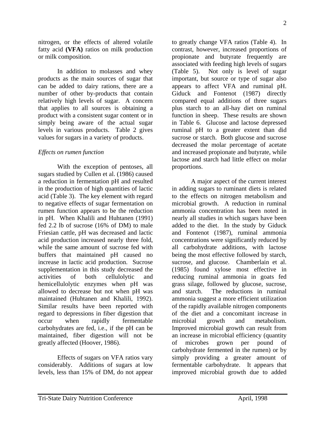nitrogen, or the effects of altered volatile fatty acid **(VFA)** ratios on milk production or milk composition.

 In addition to molasses and whey products as the main sources of sugar that can be added to dairy rations, there are a number of other by-products that contain relatively high levels of sugar. A concern that applies to all sources is obtaining a product with a consistent sugar content or in simply being aware of the actual sugar levels in various products. Table 2 gives values for sugars in a variety of products.

#### *Effects on rumen function*

 With the exception of pentoses, all sugars studied by Cullen et al. (1986) caused a reduction in fermentation pH and resulted in the production of high quantities of lactic acid (Table 3). The key element with regard to negative effects of sugar fermentation on rumen function appears to be the reduction in pH. When Khalili and Huhtanen (1991) fed 2.2 lb of sucrose (16% of DM) to male Friesian cattle, pH was decreased and lactic acid production increased nearly three fold, while the same amount of sucrose fed with buffers that maintained pH caused no increase in lactic acid production. Sucrose supplementation in this study decreased the activities of both cellulolytic and hemicellulolytic enzymes when pH was allowed to decrease but not when pH was maintained (Huhtanen and Khalili, 1992). Similar results have been reported with regard to depressions in fiber digestion that occur when rapidly fermentable carbohydrates are fed, i.e., if the pH can be maintained, fiber digestion will not be greatly affected (Hoover, 1986).

 Effects of sugars on VFA ratios vary considerably. Additions of sugars at low levels, less than 15% of DM, do not appear

to greatly change VFA ratios (Table 4). In contrast, however, increased proportions of propionate and butyrate frequently are associated with feeding high levels of sugars (Table 5). Not only is level of sugar important, but source or type of sugar also appears to affect VFA and ruminal pH. Giduck and Fontenot (1987) directly compared equal additions of three sugars plus starch to an all-hay diet on ruminal function in sheep. These results are shown in Table 6. Glucose and lactose depressed ruminal pH to a greater extent than did sucrose or starch. Both glucose and sucrose decreased the molar percentage of acetate and increased propionate and butyrate, while lactose and starch had little effect on molar proportions.

 A major aspect of the current interest in adding sugars to ruminant diets is related to the effects on nitrogen metabolism and microbial growth. A reduction in ruminal ammonia concentration has been noted in nearly all studies in which sugars have been added to the diet. In the study by Giduck and Fontenot (1987), ruminal ammonia concentrations were significantly reduced by all carbohydrate additions, with lactose being the most effective followed by starch, sucrose, and glucose. Chamberlain et al. (1985) found xylose most effective in reducing ruminal ammonia in goats fed grass silage, followed by glucose, sucrose, and starch. The reductions in ruminal ammonia suggest a more efficient utilization of the rapidly available nitrogen components of the diet and a concomitant increase in microbial growth and metabolism. Improved microbial growth can result from an increase in microbial efficiency (quantity of microbes grown per pound of carbohydrate fermented in the rumen) or by simply providing a greater amount of fermentable carbohydrate. It appears that improved microbial growth due to added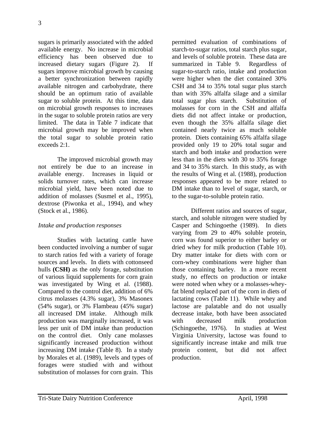sugars is primarily associated with the added available energy. No increase in microbial efficiency has been observed due to increased dietary sugars (Figure 2). If sugars improve microbial growth by causing a better synchronization between rapidly available nitrogen and carbohydrate, there should be an optimum ratio of available sugar to soluble protein. At this time, data on microbial growth responses to increases in the sugar to soluble protein ratios are very limited. The data in Table 7 indicate that microbial growth may be improved when the total sugar to soluble protein ratio exceeds 2:1.

 The improved microbial growth may not entirely be due to an increase in available energy. Increases in liquid or solids turnover rates, which can increase microbial yield, have been noted due to addition of molasses (Susmel et al., 1995), dextrose (Piwonka et al., 1994), and whey (Stock et al., 1986).

#### *Intake and production responses*

 Studies with lactating cattle have been conducted involving a number of sugar to starch ratios fed with a variety of forage sources and levels. In diets with cottonseed hulls **(CSH)** as the only forage, substitution of various liquid supplements for corn grain was investigated by Wing et al. (1988). Compared to the control diet, addition of 6% citrus molasses (4.3% sugar), 3% Masonex (54% sugar), or 3% Flambeau (45% sugar) all increased DM intake. Although milk production was marginally increased, it was less per unit of DM intake than production on the control diet. Only cane molasses significantly increased production without increasing DM intake (Table 8). In a study by Morales et al. (1989), levels and types of forages were studied with and without substitution of molasses for corn grain. This

permitted evaluation of combinations of starch-to-sugar ratios, total starch plus sugar, and levels of soluble protein. These data are summarized in Table 9. Regardless of sugar-to-starch ratio, intake and production were higher when the diet contained 30% CSH and 34 to 35% total sugar plus starch than with 35% alfalfa silage and a similar total sugar plus starch. Substitution of molasses for corn in the CSH and alfalfa diets did not affect intake or production, even though the 35% alfalfa silage diet contained nearly twice as much soluble protein. Diets containing 65% alfalfa silage provided only 19 to 20% total sugar and starch and both intake and production were less than in the diets with 30 to 35% forage and 34 to 35% starch. In this study, as with the results of Wing et al. (1988), production responses appeared to be more related to DM intake than to level of sugar, starch, or to the sugar-to-soluble protein ratio.

 Different ratios and sources of sugar, starch, and soluble nitrogen were studied by Casper and Schingoethe (1989). In diets varying from 29 to 40% soluble protein, corn was found superior to either barley or dried whey for milk production (Table 10). Dry matter intake for diets with corn or corn-whey combinations were higher than those containing barley. In a more recent study, no effects on production or intake were noted when whey or a molasses-wheyfat blend replaced part of the corn in diets of lactating cows (Table 11). While whey and lactose are palatable and do not usually decrease intake, both have been associated with decreased milk production (Schingoethe, 1976). In studies at West Virginia University, lactose was found to significantly increase intake and milk true protein content, but did not affect production.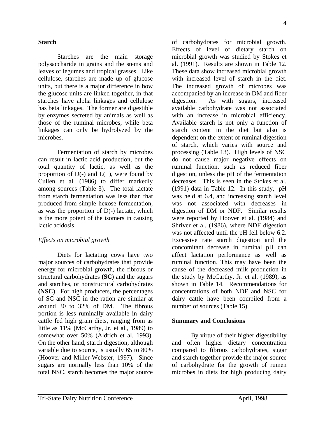#### **Starch**

 Starches are the main storage polysaccharide in grains and the stems and leaves of legumes and tropical grasses. Like cellulose, starches are made up of glucose units, but there is a major difference in how the glucose units are linked together, in that starches have alpha linkages and cellulose has beta linkages. The former are digestible by enzymes secreted by animals as well as those of the ruminal microbes, while beta linkages can only be hydrolyzed by the microbes.

 Fermentation of starch by microbes can result in lactic acid production, but the total quantity of lactic, as well as the proportion of  $D(-)$  and  $L(+)$ , were found by Cullen et al. (1986) to differ markedly among sources (Table 3). The total lactate from starch fermentation was less than that produced from simple hexose fermentation, as was the proportion of D(-) lactate, which is the more potent of the isomers in causing lactic acidosis.

## *Effects on microbial growth*

 Diets for lactating cows have two major sources of carbohydrates that provide energy for microbial growth, the fibrous or structural carbohydrates **(SC)** and the sugars and starches, or nonstructural carbohydrates **(NSC)**. For high producers, the percentages of SC and NSC in the ration are similar at around 30 to 32% of DM. The fibrous portion is less ruminally available in dairy cattle fed high grain diets, ranging from as little as 11% (McCarthy, Jr. et al., 1989) to somewhat over 50% (Aldrich et al. 1993). On the other hand, starch digestion, although variable due to source, is usually 65 to 80% (Hoover and Miller-Webster, 1997). Since sugars are normally less than 10% of the total NSC, starch becomes the major source

of carbohydrates for microbial growth. Effects of level of dietary starch on microbial growth was studied by Stokes et al. (1991). Results are shown in Table 12. These data show increased microbial growth with increased level of starch in the diet. The increased growth of microbes was accompanied by an increase in DM and fiber digestion. As with sugars, increased available carbohydrate was not associated with an increase in microbial efficiency. Available starch is not only a function of starch content in the diet but also is dependent on the extent of ruminal digestion of starch, which varies with source and processing (Table 13). High levels of NSC do not cause major negative effects on ruminal function, such as reduced fiber digestion, unless the pH of the fermentation decreases. This is seen in the Stokes et al. (1991) data in Table 12. In this study, pH was held at 6.4, and increasing starch level was not associated with decreases in digestion of DM or NDF. Similar results were reported by Hoover et al. (1984) and Shriver et al. (1986), where NDF digestion was not affected until the pH fell below 6.2. Excessive rate starch digestion and the concomitant decrease in ruminal pH can affect lactation performance as well as ruminal function. This may have been the cause of the decreased milk production in the study by McCarthy, Jr. et al. (1989), as shown in Table 14. Recommendations for concentrations of both NDF and NSC for dairy cattle have been compiled from a number of sources (Table 15).

## **Summary and Conclusions**

 By virtue of their higher digestibility and often higher dietary concentration compared to fibrous carbohydrates, sugar and starch together provide the major source of carbohydrate for the growth of rumen microbes in diets for high producing dairy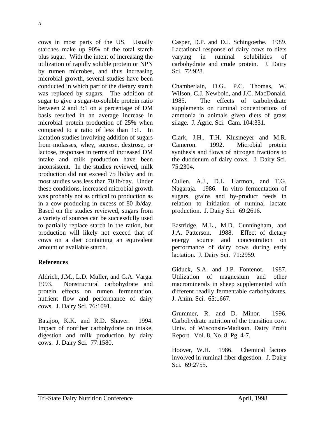cows in most parts of the US. Usually starches make up 90% of the total starch plus sugar. With the intent of increasing the utilization of rapidly soluble protein or NPN by rumen microbes, and thus increasing microbial growth, several studies have been conducted in which part of the dietary starch was replaced by sugars. The addition of sugar to give a sugar-to-soluble protein ratio between 2 and 3:1 on a percentage of DM basis resulted in an average increase in microbial protein production of 25% when compared to a ratio of less than 1:1. In lactation studies involving addition of sugars from molasses, whey, sucrose, dextrose, or lactose, responses in terms of increased DM intake and milk production have been inconsistent. In the studies reviewed, milk production did not exceed 75 lb/day and in most studies was less than 70 lb/day. Under these conditions, increased microbial growth was probably not as critical to production as in a cow producing in excess of 80 lb/day. Based on the studies reviewed, sugars from a variety of sources can be successfully used to partially replace starch in the ration, but production will likely not exceed that of cows on a diet containing an equivalent amount of available starch.

#### **References**

Aldrich, J.M., L.D. Muller, and G.A. Varga. 1993. Nonstructural carbohydrate and protein effects on rumen fermentation, nutrient flow and performance of dairy cows. J. Dairy Sci. 76:1091.

Batajoo, K.K. and R.D. Shaver. 1994. Impact of nonfiber carbohydrate on intake, digestion and milk production by dairy cows. J. Dairy Sci. 77:1580.

Casper, D.P. and D.J. Schingoethe. 1989. Lactational response of dairy cows to diets varying in ruminal solubilities of carbohydrate and crude protein. J. Dairy Sci. 72:928.

Chamberlain, D.G., P.C. Thomas, W. Wilson, C.J. Newbold, and J.C. MacDonald. 1985. The effects of carbohydrate supplements on ruminal concentrations of ammonia in animals given diets of grass silage. J. Agric. Sci. Cam. 104:331.

Clark, J.H., T.H. Klusmeyer and M.R. Cameron. 1992. Microbial protein synthesis and flows of nitrogen fractions to the duodenum of dairy cows. J. Dairy Sci. 75:2304.

Cullen, A.J., D.L. Harmon, and T.G. Nagaraja. 1986. In vitro fermentation of sugars, grains and by-product feeds in relation to initiation of ruminal lactate production. J. Dairy Sci. 69:2616.

Eastridge, M.L., M.D. Cunningham, and J.A. Patterson. 1988. Effect of dietary energy source and concentration on performance of dairy cows during early lactation. J. Dairy Sci. 71:2959.

Giduck, S.A. and J.P. Fontenot. 1987. Utilization of magnesium and other macrominerals in sheep supplemented with different readily fermentable carbohydrates. J. Anim. Sci. 65:1667.

Grummer, R. and D. Minor. 1996. Carbohydrate nutrition of the transition cow. Univ. of Wisconsin-Madison. Dairy Profit Report. Vol. 8, No. 8. Pg. 4-7.

Hoover, W.H. 1986. Chemical factors involved in ruminal fiber digestion. J. Dairy Sci. 69:2755.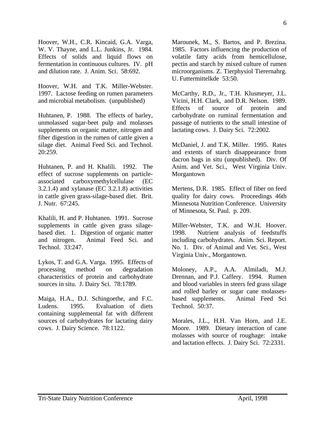Hoover, W.H., C.R. Kincaid, G.A. Varga, W. V. Thayne, and L.L. Junkins, Jr. 1984. Effects of solids and liquid flows on fermentation in continuous cultures. IV. pH and dilution rate. J. Anim. Sci. 58:692.

Hoover, W.H. and T.K. Miller-Webster. 1997. Lactose feeding on rumen parameters and microbial metabolism. (unpublished)

Huhtanen, P. 1988. The effects of barley, unmolassed sugar-beet pulp and molasses supplements on organic matter, nitrogen and fiber digestion in the rumen of cattle given a silage diet. Animal Feed Sci. and Technol. 20:259.

Huhtanen, P. and H. Khalili. 1992. The effect of sucrose supplements on particleassociated carboxymethylcellulase (EC 3.2.1.4) and xylanase (EC 3.2.1.8) activities in cattle given grass-silage-based diet. Brit. J. Nutr. 67:245.

Khalili, H. and P. Huhtanen. 1991. Sucrose supplements in cattle given grass silagebased diet. 1. Digestion of organic matter and nitrogen. Animal Feed Sci. and Technol. 33:247.

Lykos, T. and G.A. Varga. 1995. Effects of processing method on degradation characteristics of protein and carbohydrate sources in situ. J. Dairy Sci. 78:1789.

Maiga, H.A., D.J. Schingoethe, and F.C. Ludens. 1995. Evaluation of diets containing supplemental fat with different sources of carbohydrates for lactating dairy cows. J. Dairy Science. 78:1122.

Marounek, M., S. Bartos, and P. Brezina. 1985. Factors influencing the production of volatile fatty acids from hemicellulose, pectin and starch by mixed culture of rumen microorganisms. Z. Tierphysiol Tierernahrg. U. Futtermittelkde 53:50.

McCarthy, R.D., Jr., T.H. Klusmeyer, J.L. Vicini, H.H. Clark, and D.R. Nelson. 1989. Effects of source of protein and carbohydrate on ruminal fermentation and passage of nutrients to the small intestine of lactating cows. J. Dairy Sci. 72:2002.

McDaniel, J. and T.K. Miller. 1995. Rates and extents of starch disappearance from dacron bags in situ (unpublished). Div. Of Anim. and Vet. Sci., West Virginia Univ. Morgantown

Mertens, D.R. 1985. Effect of fiber on feed quality for dairy cows. Proceedings 46th Minnesota Nutrition Conference. University of Minnesota, St. Paul. p. 209.

Miller-Webster, T.K. and W.H. Hoover. 1998. Nutrient analysis of feedstuffs including carbohydrates. Anim. Sci. Report. No. 1. Div. of Animal and Vet. Sci., West Virginia Univ., Morgantown.

Moloney, A.P., A.A. Almiladi, M.J. Drennan, and P.J. Caffery. 1994. Rumen and blood variables in steers fed grass silage and rolled barley or sugar cane molassesbased supplements. Animal Feed Sci Technol. 50:37.

Morales, J.L., H.H. Van Horn, and J.E. Moore. 1989. Dietary interaction of cane molasses with source of roughage: intake and lactation effects. J. Dairy Sci. 72:2331.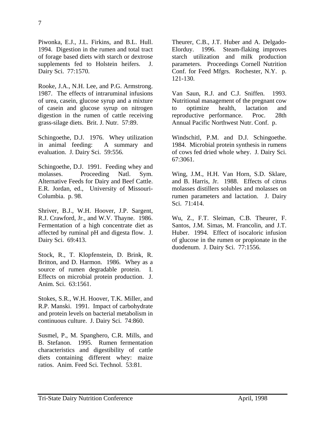Piwonka, E.J., J.L. Firkins, and B.L. Hull. 1994. Digestion in the rumen and total tract of forage based diets with starch or dextrose supplements fed to Holstein heifers. J. Dairy Sci. 77:1570.

Rooke, J.A., N.H. Lee, and P.G. Armstrong. 1987. The effects of intraruminal infusions of urea, casein, glucose syrup and a mixture of casein and glucose syrup on nitrogen digestion in the rumen of cattle receiving grass-silage diets. Brit. J. Nutr. 57:89.

Schingoethe, D.J. 1976. Whey utilization in animal feeding: A summary and evaluation. J. Dairy Sci. 59:556.

Schingoethe, D.J. 1991. Feeding whey and molasses. Proceeding Natl. Sym. Alternative Feeds for Dairy and Beef Cattle. E.R. Jordan, ed., University of Missouri-Columbia. p. 98.

Shriver, B.J., W.H. Hoover, J.P. Sargent, R.J. Crawford, Jr., and W.V. Thayne. 1986. Fermentation of a high concentrate diet as affected by ruminal pH and digesta flow. J. Dairy Sci. 69:413.

Stock, R., T. Klopfenstein, D. Brink, R. Britton, and D. Harmon. 1986. Whey as a source of rumen degradable protein. I. Effects on microbial protein production. J. Anim. Sci. 63:1561.

Stokes, S.R., W.H. Hoover, T.K. Miller, and R.P. Manski. 1991. Impact of carbohydrate and protein levels on bacterial metabolism in continuous culture. J. Dairy Sci. 74:860.

Susmel, P., M. Spanghero, C.R. Mills, and B. Stefanon. 1995. Rumen fermentation characteristics and digestibility of cattle diets containing different whey: maize ratios. Anim. Feed Sci. Technol. 53:81.

Theurer, C.B., J.T. Huber and A. Delgado-Elorduy. 1996. Steam-flaking improves starch utilization and milk production parameters. Proceedings Cornell Nutrition Conf. for Feed Mfgrs. Rochester, N.Y. p. 121-130.

Van Saun, R.J. and C.J. Sniffen. 1993. Nutritional management of the pregnant cow to optimize health, lactation and reproductive performance. Proc. 28th Annual Pacific Northwest Nutr. Conf. p.

Windschitl, P.M. and D.J. Schingoethe. 1984. Microbial protein synthesis in rumens of cows fed dried whole whey. J. Dairy Sci. 67:3061.

Wing, J.M., H.H. Van Horn, S.D. Sklare, and B. Harris, Jr. 1988. Effects of citrus molasses distillers solubles and molasses on rumen parameters and lactation. J. Dairy Sci. 71:414.

Wu, Z., F.T. Sleiman, C.B. Theurer, F. Santos, J.M. Simas, M. Francolin, and J.T. Huber. 1994. Effect of isocaloric infusion of glucose in the rumen or propionate in the duodenum. J. Dairy Sci. 77:1556.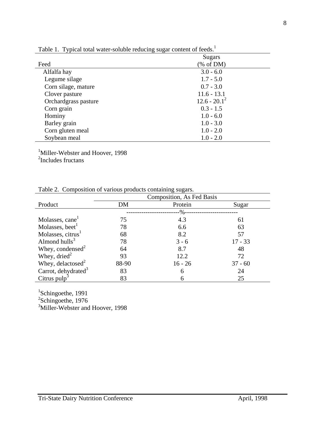|                      | <b>Sugars</b>   |
|----------------------|-----------------|
| Feed                 | % of DM         |
| Alfalfa hay          | $3.0 - 6.0$     |
| Legume silage        | $1.7 - 5.0$     |
| Corn silage, mature  | $0.7 - 3.0$     |
| Clover pasture       | $11.6 - 13.1$   |
| Orchardgrass pasture | $12.6 - 20.1^2$ |
| Corn grain           | $0.3 - 1.5$     |
| Hominy               | $1.0 - 6.0$     |
| Barley grain         | $1.0 - 3.0$     |
| Corn gluten meal     | $1.0 - 2.0$     |
| Soybean meal         | $1.0 - 2.0$     |

Table 1. Typical total water-soluble reducing sugar content of feeds.<sup>1</sup>

<sup>1</sup>Miller-Webster and Hoover, 1998<br><sup>2</sup>Includes fructans

|  | Table 2. Composition of various products containing sugars. |
|--|-------------------------------------------------------------|
|  |                                                             |

| Table 2. Composition of various products containing sugars. |                           |           |           |  |  |  |  |
|-------------------------------------------------------------|---------------------------|-----------|-----------|--|--|--|--|
|                                                             | Composition, As Fed Basis |           |           |  |  |  |  |
| Product                                                     | DM                        | Protein   | Sugar     |  |  |  |  |
|                                                             |                           | --%       |           |  |  |  |  |
| Molasses, cane <sup>1</sup>                                 | 75                        | 4.3       | 61        |  |  |  |  |
| Molasses, beet                                              | 78                        | 6.6       | 63        |  |  |  |  |
| Molasses, citrus <sup>1</sup>                               | 68                        | 8.2       | 57        |  |  |  |  |
| Almond hulls $3$                                            | 78                        | $3 - 6$   | $17 - 33$ |  |  |  |  |
| Whey, condensed <sup>2</sup>                                | 64                        | 8.7       | 48        |  |  |  |  |
| Whey, dried <sup>2</sup>                                    | 93                        | 12.2      | 72        |  |  |  |  |
| Whey, delactosed <sup>2</sup>                               | 88-90                     | $16 - 26$ | $37 - 60$ |  |  |  |  |
| Carrot, dehydrated <sup>3</sup>                             | 83                        | 6         | 24        |  |  |  |  |
| Citrus pulp                                                 | 83                        | 6         | 25        |  |  |  |  |

<sup>1</sup>Schingoethe, 1991

 $\alpha^2$ Schingoethe, 1976<br>  $\beta^3$ Miller-Webster and Hoover, 1998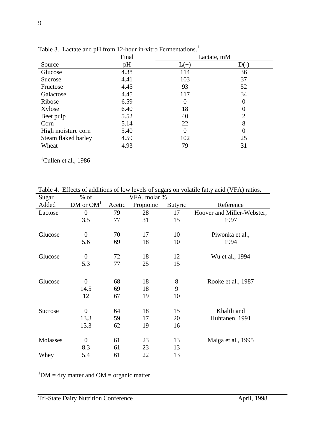|                     | Final | Lactate, mM |                |  |
|---------------------|-------|-------------|----------------|--|
| Source              | pH    | $L(+)$      | $D(-)$         |  |
| Glucose             | 4.38  | 114         | 36             |  |
| Sucrose             | 4.41  | 103         | 37             |  |
| Fructose            | 4.45  | 93          | 52             |  |
| Galactose           | 4.45  | 117         | 34             |  |
| Ribose              | 6.59  | $\Omega$    | 0              |  |
| Xylose              | 6.40  | 18          | 0              |  |
| Beet pulp           | 5.52  | 40          | $\overline{2}$ |  |
| Corn                | 5.14  | 22          | 8              |  |
| High moisture corn  | 5.40  | $\theta$    | 0              |  |
| Steam flaked barley | 4.59  | 102         | 25             |  |
| Wheat               | 4.93  | 79          | 31             |  |

Table 3. Lactate and pH from 12-hour in-vitro Fermentations.<sup>1</sup>

 $<sup>1</sup>$ Cullen et al., 1986</sup>

|  |  |  | Table 4. Effects of additions of low levels of sugars on volatile fatty acid (VFA) ratios. |  |  |
|--|--|--|--------------------------------------------------------------------------------------------|--|--|
|--|--|--|--------------------------------------------------------------------------------------------|--|--|

| Sugar    | $%$ of           | VFA, molar % |           |                |                            |
|----------|------------------|--------------|-----------|----------------|----------------------------|
| Added    | $DM$ or $OM1$    | Acetic       | Propionic | <b>Butyric</b> | Reference                  |
| Lactose  | $\boldsymbol{0}$ | 79           | 28        | 17             | Hoover and Miller-Webster, |
|          | 3.5              | 77           | 31        | 15             | 1997                       |
| Glucose  | $\overline{0}$   | 70           | 17        | 10             | Piwonka et al.,            |
|          | 5.6              | 69           | 18        | 10             | 1994                       |
| Glucose  | $\overline{0}$   | 72           | 18        | 12             | Wu et al., 1994            |
|          | 5.3              | 77           | 25        | 15             |                            |
| Glucose  | $\overline{0}$   | 68           | 18        | 8              | Rooke et al., 1987         |
|          | 14.5             | 69           | 18        | 9              |                            |
|          | 12               | 67           | 19        | 10             |                            |
| Sucrose  | $\boldsymbol{0}$ | 64           | 18        | 15             | Khalili and                |
|          | 13.3             | 59           | 17        | 20             | Huhtanen, 1991             |
|          | 13.3             | 62           | 19        | 16             |                            |
| Molasses | $\overline{0}$   | 61           | 23        | 13             | Maiga et al., 1995         |
|          | 8.3              | 61           | 23        | 13             |                            |
| Whey     | 5.4              | 61           | 22        | 13             |                            |

 ${}^{1}$ DM = dry matter and OM = organic matter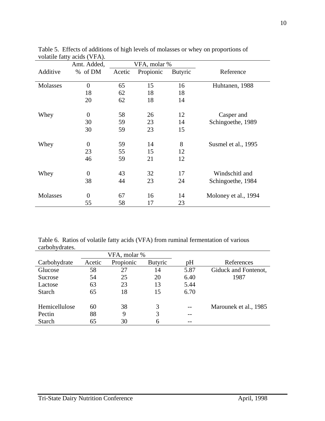|          | Amt. Added,      |        | VFA, molar % |                |                      |
|----------|------------------|--------|--------------|----------------|----------------------|
| Additive | % of DM          | Acetic | Propionic    | <b>Butyric</b> | Reference            |
|          |                  |        |              |                |                      |
| Molasses | $\boldsymbol{0}$ | 65     | 15           | 16             | Huhtanen, 1988       |
|          | 18               | 62     | 18           | 18             |                      |
|          | 20               | 62     | 18           | 14             |                      |
| Whey     | $\overline{0}$   | 58     | 26           | 12             | Casper and           |
|          |                  |        |              |                |                      |
|          | 30               | 59     | 23           | 14             | Schingoethe, 1989    |
|          | 30               | 59     | 23           | 15             |                      |
| Whey     | $\overline{0}$   | 59     | 14           | 8              | Susmel et al., 1995  |
|          | 23               | 55     | 15           | 12             |                      |
|          | 46               | 59     | 21           | 12             |                      |
| Whey     | $\overline{0}$   | 43     | 32           | 17             | Windschitl and       |
|          |                  |        |              |                |                      |
|          | 38               | 44     | 23           | 24             | Schingoethe, 1984    |
| Molasses | $\overline{0}$   | 67     | 16           | 14             | Moloney et al., 1994 |
|          | 55               | 58     | 17           | 23             |                      |

Table 5. Effects of additions of high levels of molasses or whey on proportions of volatile fatty acids (VFA).

|                | Table 6. Ratios of volatile fatty acids (VFA) from ruminal fermentation of various |  |  |  |  |
|----------------|------------------------------------------------------------------------------------|--|--|--|--|
| carbohydrates. |                                                                                    |  |  |  |  |

|               |        | VFA, molar % |                |      |                       |
|---------------|--------|--------------|----------------|------|-----------------------|
| Carbohydrate  | Acetic | Propionic    | <b>Butyric</b> | pH   | References            |
| Glucose       | 58     | 27           | 14             | 5.87 | Giduck and Fontenot,  |
| Sucrose       | 54     | 25           | 20             | 6.40 | 1987                  |
| Lactose       | 63     | 23           | 13             | 5.44 |                       |
| Starch        | 65     | 18           | 15             | 6.70 |                       |
| Hemicellulose | 60     | 38           | 3              |      | Marounek et al., 1985 |
| Pectin        | 88     | 9            | 3              |      |                       |
| <b>Starch</b> | 65     | 30           | 6              | --   |                       |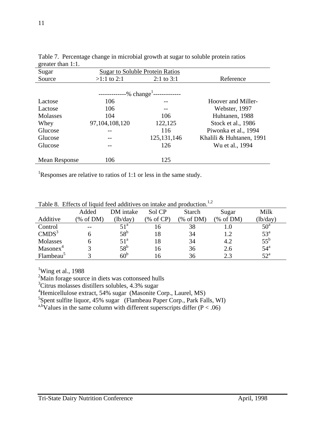| $\sigma$ ------ |                |                                        |                          |
|-----------------|----------------|----------------------------------------|--------------------------|
| Sugar           |                | <b>Sugar to Soluble Protein Ratios</b> |                          |
| Source          | $>1:1$ to 2:1  | $2:1$ to $3:1$                         | Reference                |
|                 |                |                                        |                          |
|                 |                | $-$ % change <sup>1</sup> $-$          |                          |
| Lactose         | 106            |                                        | Hoover and Miller-       |
| Lactose         | 106            |                                        | Webster, 1997            |
| Molasses        | 104            | 106                                    | Huhtanen, 1988           |
| Whey            | 97,104,108,120 | 122,125                                | Stock et al., 1986       |
| Glucose         |                | 116                                    | Piwonka et al., 1994     |
| Glucose         |                | 125, 131, 146                          | Khalili & Huhtanen, 1991 |
| Glucose         |                | 126                                    | Wu et al., 1994          |
|                 |                |                                        |                          |
| Mean Response   | 106            | 125                                    |                          |

Table 7. Percentage change in microbial growth at sugar to soluble protein ratios greater than 1:1.

<sup>1</sup>Responses are relative to ratios of 1:1 or less in the same study.

|                       | Added   | DM intake       | Sol CP  | <b>Starch</b> | Sugar   | Milk              |
|-----------------------|---------|-----------------|---------|---------------|---------|-------------------|
| Additive              | % of DM | 1b/day)         | % of CP | % of DM       | % of DM | 1b/day)           |
| Control               |         | 51 <sup>a</sup> | 16      | 38            |         | $50^{\circ}$      |
| CMDS <sup>3</sup>     | n       | $58^{\rm b}$    | 18      | 34            |         | 53 <sup>a</sup>   |
| Molasses              | n       | 51 <sup>a</sup> | 18      | 34            | 4.2     | $55^{\rm b}$      |
| Masonex <sup>4</sup>  |         | $58^{\rm b}$    | 16      | 36            | 2.6     | $54^{\mathrm{a}}$ |
| Flambeau <sup>3</sup> |         | 60 <sup>b</sup> | ı h     | 36            | 2.3     | $52^{\mathrm{a}}$ |

<sup>1</sup>Wing et al., 1988

 $2^2$ Main forage source in diets was cottonseed hulls

3 Citrus molasses distillers solubles, 4.3% sugar

4 Hemicellulose extract, 54% sugar (Masonite Corp., Laurel, MS)

5 Spent sulfite liquor, 45% sugar (Flambeau Paper Corp., Park Falls, WI)

a,bValues in the same column with different superscripts differ ( $P < .06$ )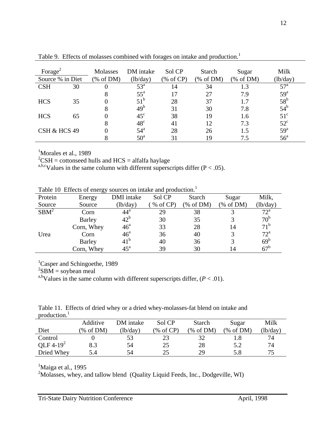| Forage $\epsilon$ |    | Molasses | DM intake       | Sol CP  | <b>Starch</b> | Sugar   | Milk                           |
|-------------------|----|----------|-----------------|---------|---------------|---------|--------------------------------|
| Source % in Diet  |    | % of DM  | (lb/day)        | % of CP | % of DM       | % of DM | $\frac{1}{\text{b}}\text{day}$ |
| <b>CSH</b>        | 30 |          | 53 <sup>a</sup> | 14      | 34            | 1.3     | $57^{\rm a}$                   |
|                   |    | 8        | $55^{\circ}$    | 17      | 27            | 7.9     | $59^{\mathrm{a}}$              |
| <b>HCS</b>        | 35 |          | $51^{\rm b}$    | 28      | 37            | 1.7     | $58^{\rm b}$                   |
|                   |    |          | 49 <sup>b</sup> | 31      | 30            | 7.8     | $54^{\rm b}$                   |
| <b>HCS</b>        | 65 |          | $45^{\circ}$    | 38      | 19            | 1.6     | $51^{\circ}$                   |
|                   |    |          | $48^\circ$      | 41      | 12            | 7.3     | $52^{\circ}$                   |
| CSH & HCS 49      |    |          | $54^{\circ}$    | 28      | 26            | 1.5     | $59^{\mathrm{a}}$              |
|                   |    |          | $50^{\circ}$    | 31      | 19            | 7.5     | 56 <sup>a</sup>                |

Table 9. Effects of molasses combined with forages on intake and production.<sup>1</sup>

<sup>1</sup>Morales et al., 1989

 ${}^{2}$ CSH = cottonseed hulls and HCS = alfalfa haylage

a,b,cValues in the same column with different superscripts differ ( $P < .05$ ).

Table 10 Effects of energy sources on intake and production.<sup>1</sup>

|                  | ວມ            |                 |            |               |         |                   |
|------------------|---------------|-----------------|------------|---------------|---------|-------------------|
| Protein          | Energy        | DMI intake      | Sol CP     | <b>Starch</b> | Sugar   | Milk,             |
| Source           | Source        | (lb/day)        | $%$ of CP) | % of DM       | % of DM | 1b/day)           |
| SBM <sup>2</sup> | Corn          | $44^{\circ}$    | 29         | 38            |         | $72^{\mathrm{a}}$ |
|                  | <b>Barley</b> | $42^b$          | 30         | 35            |         | 70 <sup>b</sup>   |
|                  | Corn, Whey    | 46 <sup>a</sup> | 33         | 28            | 14      | $71^{\rm b}$      |
| Urea             | Corn          | 46 <sup>a</sup> | 36         | 40            | 3       | $72^{\mathrm{a}}$ |
|                  | <b>Barley</b> | 41 <sup>b</sup> | 40         | 36            | 3       | 69 <sup>b</sup>   |
|                  | Corn, Whey    | $45^{\circ}$    | 39         | 30            | 14      | $67^{\rm b}$      |

<sup>1</sup>Casper and Schingoethe, 1989

 ${}^{2}$ SBM = soybean meal

<sup>a,b</sup>Values in the same column with different superscripts differ,  $(P < .01)$ .

|                 |  |  | Table 11. Effects of dried whey or a dried whey-molasses-fat blend on intake and |
|-----------------|--|--|----------------------------------------------------------------------------------|
| production. $1$ |  |  |                                                                                  |

|                       | Additive | DM intake | Sol CP  | <b>Starch</b> | Sugar   | Milk    |
|-----------------------|----------|-----------|---------|---------------|---------|---------|
| Diet                  | % of DM  | (lb/day)  | % of CP | % of DM       | % of DM | 1b/day) |
| Control               |          | 53        | 23      | 32            | 1.8     | 74      |
| QLF 4-19 <sup>2</sup> | 8.3      | 54        | 25      | 28            | 5.2     | 74      |
| Dried Whey            | 5.4      | 54        | 25      | 29            | 5.8     | 75      |

<sup>1</sup>Maiga et al., 1995

<sup>2</sup>Molasses, whey, and tallow blend (Quality Liquid Feeds, Inc., Dodgeville, WI)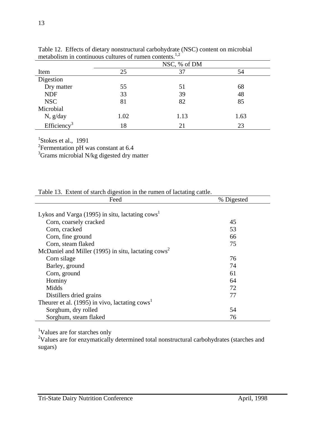|                         |      | NSC, % of DM |      |
|-------------------------|------|--------------|------|
| Item                    | 25   | 37           | 54   |
| Digestion               |      |              |      |
| Dry matter              | 55   | 51           | 68   |
| <b>NDF</b>              | 33   | 39           | 48   |
| <b>NSC</b>              | 81   | 82           | 85   |
| Microbial               |      |              |      |
| $N$ , $g/day$           | 1.02 | 1.13         | 1.63 |
| Efficiency <sup>3</sup> | 18   | 21           | 23   |

Table 12. Effects of dietary nonstructural carbohydrate (NSC) content on microbial metabolism in continuous cultures of rumen contents.<sup>1,2</sup>

<sup>1</sup>Stokes et al., 1991

<sup>2</sup> Fermentation pH was constant at 6.4<br><sup>3</sup> Grams microbial N/kg digested dry matter

| Feed                                                     | % Digested |
|----------------------------------------------------------|------------|
| Lykos and Varga (1995) in situ, lactating ${\rm cows}^1$ |            |
| Corn, coarsely cracked                                   | 45         |
| Corn, cracked                                            | 53         |
| Corn, fine ground                                        | 66         |
| Corn, steam flaked                                       | 75         |
| McDaniel and Miller (1995) in situ, lactating $cos2$     |            |
| Corn silage                                              | 76         |
| Barley, ground                                           | 74         |
| Corn, ground                                             | 61         |
| Hominy                                                   | 64         |
| Midds                                                    | 72         |
| Distillers dried grains                                  | 77         |
| Theurer et al. (1995) in vivo, lactating ${\rm cows}^1$  |            |
| Sorghum, dry rolled                                      | 54         |
| Sorghum, steam flaked                                    | 76         |

<sup>1</sup>Values are for starches only

<sup>2</sup>Values are for enzymatically determined total nonstructural carbohydrates (starches and sugars)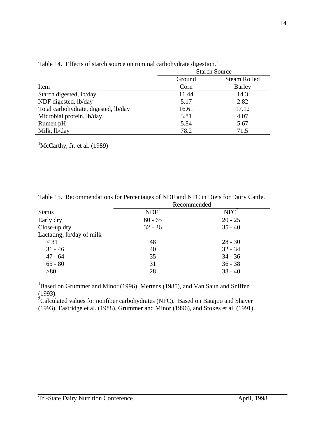|                                      | <b>Starch Source</b> |                     |  |
|--------------------------------------|----------------------|---------------------|--|
|                                      | Ground               | <b>Steam Rolled</b> |  |
| Item                                 | Corn                 | <b>Barley</b>       |  |
| Starch digested, lb/day              | 11.44                | 14.3                |  |
| NDF digested, lb/day                 | 5.17                 | 2.82                |  |
| Total carbohydrate, digested, lb/day | 16.61                | 17.12               |  |
| Microbial protein, lb/day            | 3.81                 | 4.07                |  |
| Rumen pH                             | 5.84                 | 5.67                |  |
| Milk, lb/day                         | 78.2                 | 71.5                |  |

Table 14. Effects of starch source on ruminal carbohydrate digestion.<sup>1</sup>

 ${}^{1}$ McCarthy, Jr. et al. (1989)

|                           | Recommended      |                  |  |
|---------------------------|------------------|------------------|--|
| <b>Status</b>             | NDF <sup>1</sup> | NFC <sup>2</sup> |  |
| Early dry                 | $60 - 65$        | $20 - 25$        |  |
| Close-up dry              | $32 - 36$        | $35 - 40$        |  |
| Lactating, lb/day of milk |                  |                  |  |
| $<$ 31                    | 48               | $28 - 30$        |  |
| $31 - 46$                 | 40               | $32 - 34$        |  |
| $47 - 64$                 | 35               | $34 - 36$        |  |
| $65 - 80$                 | 31               | $36 - 38$        |  |
| >80                       | 28               | $38 - 40$        |  |

Table 15. Recommendations for Percentages of NDF and NFC in Diets for Dairy Cattle.

<sup>1</sup>Based on Grummer and Minor (1996), Mertens (1985), and Van Saun and Sniffen

(1993).<br><sup>2</sup>Calculated values for nonfiber carbohydrates (NFC). Based on Batajoo and Shaver (1993), Eastridge et al. (1988), Grummer and Minor (1996), and Stokes et al. (1991).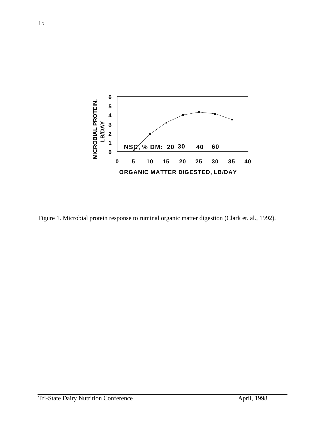

Figure 1. Microbial protein response to ruminal organic matter digestion (Clark et. al., 1992).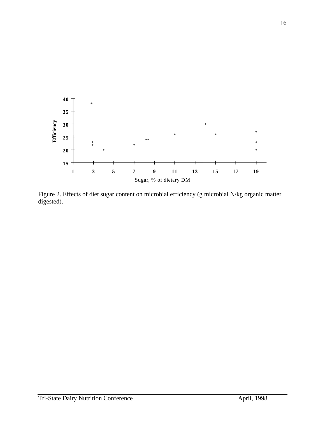

Figure 2. Effects of diet sugar content on microbial efficiency (g microbial N/kg organic matter digested).

Tri-State Dairy Nutrition Conference April, 1998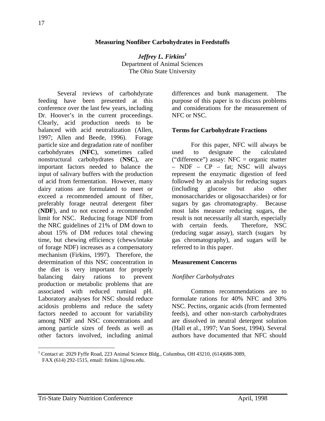#### **Measuring Nonfiber Carbohydrates in Feedstuffs**

*Jeffrey L. Firkins*<sup>1</sup> Department of Animal Sciences The Ohio State University

Several reviews of carbohdyrate feeding have been presented at this conference over the last few years, including Dr. Hoover's in the current proceedings. Clearly, acid production needs to be balanced with acid neutralization (Allen, 1997; Allen and Beede, 1996). Forage particle size and degradation rate of nonfiber carbohdyrates (**NFC**), sometimes called nonstructural carbohydrates (**NSC**), are important factors needed to balance the input of salivary buffers with the production of acid from fermentation. However, many dairy rations are formulated to meet or exceed a recommended amount of fiber, preferably forage neutral detergent fiber (**NDF**), and to not exceed a recommended limit for NSC. Reducing forage NDF from the NRC guidelines of 21% of DM down to about 15% of DM reduces total chewing time, but chewing efficiency (chews/intake of forage NDF) increases as a compensatory mechanism (Firkins, 1997). Therefore, the determination of this NSC concentration in the diet is very important for properly balancing dairy rations to prevent production or metabolic problems that are associated with reduced ruminal pH. Laboratory analyses for NSC should reduce acidosis problems and reduce the safety factors needed to account for variability among NDF and NSC concentrations and among particle sizes of feeds as well as other factors involved, including animal

differences and bunk management. The purpose of this paper is to discuss problems and considerations for the measurement of NFC or NSC.

#### **Terms for Carbohydrate Fractions**

 For this paper, NFC will always be used to designate the calculated ("difference") assay: NFC = organic matter – NDF – CP – fat; NSC will always represent the enzymatic digestion of feed followed by an analysis for reducing sugars (including glucose but also other monosaccharides or oligosaccharides) or for sugars by gas chromatography. Because most labs measure reducing sugars, the result is not necessarily all starch, especially with certain feeds. Therefore, NSC (reducing sugar assay), starch (sugars by gas chromatography), and sugars will be referred to in this paper.

#### **Measurement Concerns**

#### *Nonfiber Carbohydrates*

 Common recommendations are to formulate rations for 40% NFC and 30% NSC. Pectins, organic acids (from fermented feeds), and other non-starch carbohydrates are dissolved in neutral detergent solution (Hall et al., 1997; Van Soest, 1994). Several authors have documented that NFC should

 $\overline{a}$ 

<sup>&</sup>lt;sup>1</sup> Contact at: 2029 Fyffe Road, 223 Animal Science Bldg., Columbus, OH 43210, (614)688-3089, FAX (614) 292-1515, email: firkins.1@osu.edu.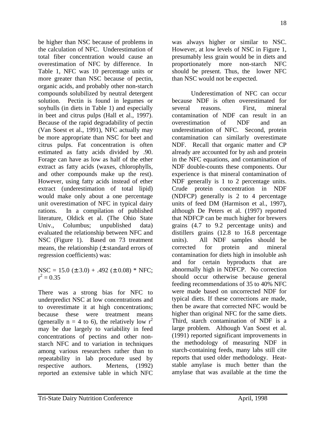be higher than NSC because of problems in the calculation of NFC. Underestimation of total fiber concentration would cause an overestimation of NFC by difference. In Table 1, NFC was 10 percentage units or more greater than NSC because of pectin, organic acids, and probably other non-starch compounds solubilized by neutral detergent solution. Pectin is found in legumes or soyhulls (in diets in Table 1) and especially in beet and citrus pulps (Hall et al., 1997). Because of the rapid degradability of pectin (Van Soest et al., 1991), NFC actually may be more appropriate than NSC for beet and citrus pulps. Fat concentration is often estimated as fatty acids divided by .90. Forage can have as low as half of the ether extract as fatty acids (waxes, chlorophylls, and other compounds make up the rest). However, using fatty acids instead of ether extract (underestimation of total lipid) would make only about a one percentage unit overestimation of NFC in typical dairy rations. In a compilation of published literature, Oldick et al. (The Ohio State Univ., Columbus; unpublished data) evaluated the relationship between NFC and NSC (Figure 1). Based on 73 treatment means, the relationship  $(\pm$  standard errors of regression coefficients) was:

 $NSC = 15.0 \ (\pm 3.0) + .492 \ (\pm 0.08) * NFC;$  $r^2 = 0.35$ 

There was a strong bias for NFC to underpredict NSC at low concentrations and to overestimate it at high concentrations; because these were treatment means (generally  $n = 4$  to 6), the relatively low  $r^2$ may be due largely to variability in feed concentrations of pectins and other nonstarch NFC and to variation in techniques among various researchers rather than to repeatability in lab procedure used by respective authors. Mertens, (1992) reported an extensive table in which NFC

was always higher or similar to NSC. However, at low levels of NSC in Figure 1, presumably less grain would be in diets and proportionately more non-starch NFC should be present. Thus, the lower NFC than NSC would not be expected.

 Underestimation of NFC can occur because NDF is often overestimated for several reasons. First mineral contamination of NDF can result in an overestimation of NDF and an underestimation of NFC. Second, protein contamination can similarly overestimate NDF. Recall that organic matter and CP already are accounted for by ash and protein in the NFC equations, and contamination of NDF double-counts these components. Our experience is that mineral contamination of NDF generally is 1 to 2 percentage units. Crude protein concentration in NDF (NDFCP) generally is 2 to 4 percentage units of feed DM (Harmison et al., 1997), although De Peters et al. (1997) reported that NDFCP can be much higher for brewers grains (4.7 to 9.2 percentage units) and distillers grains (12.8 to 16.8 percentage units). All NDF samples should be corrected for protein and mineral contamination for diets high in insoluble ash and for certain byproducts that are abnormally high in NDFCP. No correction should occur otherwise because general feeding recommendations of 35 to 40% NFC were made based on uncorrected NDF for typical diets. If these corrections are made, then be aware that corrected NFC would be higher than original NFC for the same diets. Third, starch contamination of NDF is a large problem. Although Van Soest et al. (1991) reported significant improvements in the methodology of measuring NDF in starch-containing feeds, many labs still cite reports that used older methodology. Heatstable amylase is much better than the amylase that was available at the time the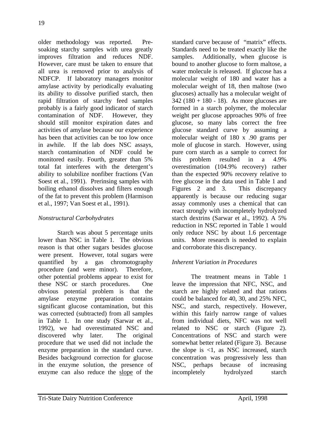older methodology was reported. Presoaking starchy samples with urea greatly improves filtration and reduces NDF. However, care must be taken to ensure that all urea is removed prior to analysis of NDFCP. If laboratory managers monitor amylase activity by periodically evaluating its ability to dissolve purified starch, then rapid filtration of starchy feed samples probably is a fairly good indicator of starch contamination of NDF. However, they should still monitor expiration dates and activities of amylase because our experience has been that activities can be too low once in awhile. If the lab does NSC assays, starch contamination of NDF could be monitored easily. Fourth, greater than 5% total fat interferes with the detergent's ability to solubilize nonfiber fractions (Van Soest et al., 1991). Prerinsing samples with boiling ethanol dissolves and filters enough of the fat to prevent this problem (Harmison et al., 1997; Van Soest et al., 1991).

# *Nonstructural Carbohydrates*

 Starch was about 5 percentage units lower than NSC in Table 1. The obvious reason is that other sugars besides glucose were present. However, total sugars were quantified by a gas chromotography procedure (and were minor). Therefore, other potential problems appear to exist for these NSC or starch procedures. One obvious potential problem is that the amylase enzyme preparation contains significant glucose contamination, but this was corrected (subtracted) from all samples in Table 1. In one study (Sarwar et al., 1992), we had overestimated NSC and discovered why later. The original procedure that we used did not include the enzyme preparation in the standard curve. Besides background correction for glucose in the enzyme solution, the presence of enzyme can also reduce the slope of the

standard curve because of "matrix" effects. Standards need to be treated exactly like the samples. Additionally, when glucose is bound to another glucose to form maltose, a water molecule is released. If glucose has a molecular weight of 180 and water has a molecular weight of 18, then maltose (two glucoses) actually has a molecular weight of  $342 (180 + 180 - 18)$ . As more glucoses are formed in a starch polymer, the molecular weight per glucose approaches 90% of free glucose, so many labs correct the free glucose standard curve by assuming a molecular weight of 180 x .90 grams per mole of glucose in starch. However, using pure corn starch as a sample to correct for this problem resulted in a 4.9% overestimation (104.9% recovery) rather than the expected 90% recovery relative to free glucose in the data used in Table 1 and Figures 2 and 3. This discrepancy apparently is because our reducing sugar assay commonly uses a chemical that can react strongly with incompletely hydrolyzed starch dextrins (Sarwar et al., 1992). A 5% reduction in NSC reported in Table 1 would only reduce NSC by about 1.6 percentage units. More research is needed to explain and corroborate this discrepancy.

# *Inherent Variation in Procedures*

The treatment means in Table 1 leave the impression that NFC, NSC, and starch are highly related and that rations could be balanced for 40, 30, and 25% NFC, NSC, and starch, respectively. However, within this fairly narrow range of values from individual diets, NFC was not well related to NSC or starch (Figure 2). Concentrations of NSC and starch were somewhat better related (Figure 3). Because the slope is  $\leq 1$ , as NSC increased, starch concentration was progressively less than NSC, perhaps because of increasing incompletely hydrolyzed starch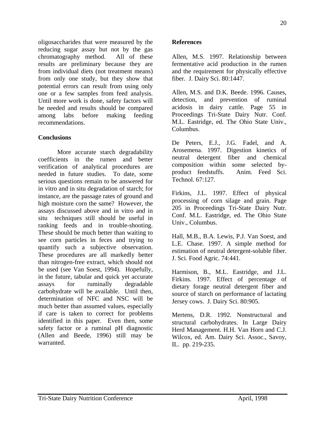oligosaccharides that were measured by the reducing sugar assay but not by the gas chromatography method. All of these results are preliminary because they are from individual diets (not treatment means) from only one study, but they show that potential errors can result from using only one or a few samples from feed analysis. Until more work is done, safety factors will be needed and results should be compared among labs before making feeding recommendations.

## **Conclusions**

 More accurate starch degradability coefficients in the rumen and better verification of analytical procedures are needed in future studies. To date, some serious questions remain to be answered for in vitro and in situ degradation of starch; for instance, are the passage rates of ground and high moisture corn the same? However, the assays discussed above and in vitro and in situ techniques still should be useful in ranking feeds and in trouble-shooting. These should be much better than waiting to see corn particles in feces and trying to quantify such a subjective observation. These procedures are all markedly better than nitrogen-free extract, which should not be used (see Van Soest, 1994). Hopefully, in the future, tabular and quick yet accurate assays for ruminally degradable carbohydrate will be available. Until then, determination of NFC and NSC will be much better than assumed values, especially if care is taken to correct for problems identified in this paper. Even then, some safety factor or a ruminal pH diagnostic (Allen and Beede, 1996) still may be warranted.

## **References**

Allen, M.S. 1997. Relationship between fermentative acid production in the rumen and the requirement for physically effective fiber. J. Dairy Sci. 80:1447.

Allen, M.S. and D.K. Beede. 1996. Causes, detection, and prevention of ruminal acidosis in dairy cattle. Page 55 in Proceedings Tri-State Dairy Nutr. Conf. M.L. Eastridge, ed. The Ohio State Univ., Columbus.

De Peters, E.J., J.G. Fadel, and A. Arosemena. 1997. Digestion kinetics of neutral detergent fiber and chemical composition within some selected byproduct feedstuffs. Anim. Feed Sci. Technol. 67:127.

Firkins, J.L. 1997. Effect of physical processing of corn silage and grain. Page 205 in Proceedings Tri-State Dairy Nutr. Conf. M.L. Eastridge, ed. The Ohio State Univ., Columbus.

Hall, M.B., B.A. Lewis, P.J. Van Soest, and L.E. Chase. 1997. A simple method for estimation of neutral detergent-soluble fiber. J. Sci. Food Agric. 74:441.

Harmison, B., M.L. Eastridge, and J.L. Firkins. 1997. Effect of percentage of dietary forage neutral detergent fiber and source of starch on performance of lactating Jersey cows. J. Dairy Sci. 80:905.

Mertens, D.R. 1992. Nonstructural and structural carbohydrates. In Large Dairy Herd Management. H.H. Van Horn and C.J. Wilcox, ed. Am. Dairy Sci. Assoc., Savoy, IL. pp. 219-235.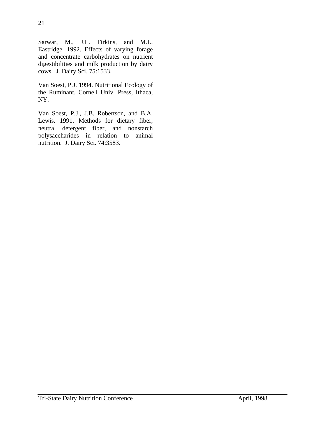Sarwar, M., J.L. Firkins, and M.L. Eastridge. 1992. Effects of varying forage and concentrate carbohydrates on nutrient digestibilities and milk production by dairy cows. J. Dairy Sci. 75:1533.

Van Soest, P.J. 1994. Nutritional Ecology of the Ruminant. Cornell Univ. Press, Ithaca, NY.

Van Soest, P.J., J.B. Robertson, and B.A. Lewis. 1991. Methods for dietary fiber, neutral detergent fiber, and nonstarch polysaccharides in relation to animal nutrition. J. Dairy Sci. 74:3583.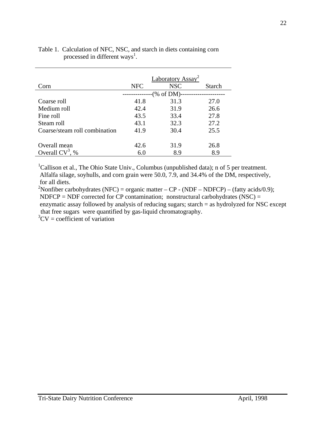|                               | Laboratory Assay <sup>2</sup> |            |               |
|-------------------------------|-------------------------------|------------|---------------|
| Corn                          | <b>NFC</b>                    | <b>NSC</b> | <b>Starch</b> |
|                               | -(% of DM)-                   |            |               |
| Coarse roll                   | 41.8                          | 31.3       | 27.0          |
| Medium roll                   | 42.4                          | 31.9       | 26.6          |
| Fine roll                     | 43.5                          | 33.4       | 27.8          |
| Steam roll                    | 43.1                          | 32.3       | 27.2          |
| Coarse/steam roll combination | 41.9                          | 30.4       | 25.5          |
|                               |                               |            |               |
| Overall mean                  | 42.6                          | 31.9       | 26.8          |
| Overall $CV^3$ , %            | 6.0                           | 8.9        | 8.9           |

## Table 1. Calculation of NFC, NSC, and starch in diets containing corn processed in different ways<sup>1</sup>.

<sup>1</sup>Callison et al., The Ohio State Univ., Columbus (unpublished data); n of 5 per treatment. Alfalfa silage, soyhulls, and corn grain were 50.0, 7.9, and 34.4% of the DM, respectively, for all diets.

<sup>2</sup>Nonfiber carbohydrates (NFC) = organic matter – CP - (NDF – NDFCP) – (fatty acids/0.9);  $NDFCP = NDF$  corrected for CP contamination; nonstructural carbohydrates  $(NSC) =$  enzymatic assay followed by analysis of reducing sugars; starch = as hydrolyzed for NSC except that free sugars were quantified by gas-liquid chromatography.

 ${}^{3}CV = coefficient$  of variation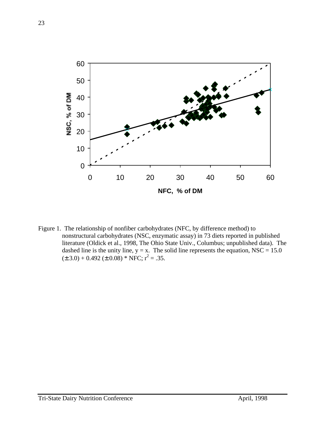

Figure 1. The relationship of nonfiber carbohydrates (NFC, by difference method) to nonstructural carbohydrates (NSC, enzymatic assay) in 73 diets reported in published literature (Oldick et al., 1998, The Ohio State Univ., Columbus; unpublished data). The dashed line is the unity line,  $y = x$ . The solid line represents the equation, NSC = 15.0  $(\pm 3.0) + 0.492 (\pm 0.08) * NFC$ ; r<sup>2</sup> = .35.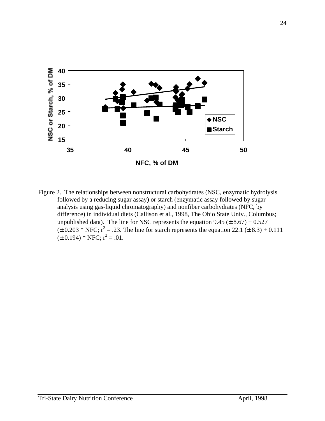

Figure 2. The relationships between nonstructural carbohydrates (NSC, enzymatic hydrolysis followed by a reducing sugar assay) or starch (enzymatic assay followed by sugar analysis using gas-liquid chromatography) and nonfiber carbohydrates (NFC, by difference) in individual diets (Callison et al., 1998, The Ohio State Univ., Columbus; unpublished data). The line for NSC represents the equation  $9.45 (\pm 8.67) + 0.527$  $(\pm 0.203 * \text{NFC}; r^2 = .23)$ . The line for starch represents the equation 22.1 ( $\pm 8.3$ ) + 0.111  $(\pm 0.194)$  \* NFC;  $r^2 = .01$ .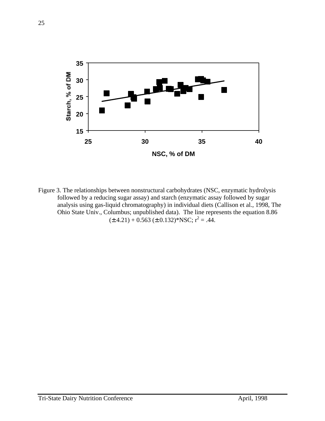

Figure 3. The relationships between nonstructural carbohydrates (NSC, enzymatic hydrolysis followed by a reducing sugar assay) and starch (enzymatic assay followed by sugar analysis using gas-liquid chromatography) in individual diets (Callison et al., 1998, The Ohio State Univ., Columbus; unpublished data). The line represents the equation 8.86  $(\pm 4.21) + 0.563 \ (\pm 0.132)^*$ NSC; r<sup>2</sup> = .44.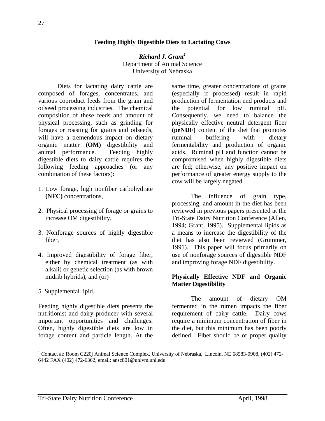#### **Feeding Highly Digestible Diets to Lactating Cows**

*Richard J. Grant<sup>1</sup>* Department of Animal Science University of Nebraska

Diets for lactating dairy cattle are composed of forages, concentrates, and various coproduct feeds from the grain and oilseed processing industries. The chemical composition of these feeds and amount of physical processing, such as grinding for forages or roasting for grains and oilseeds, will have a tremendous impact on dietary organic matter **(OM)** digestibility and animal performance. Feeding highly digestible diets to dairy cattle requires the following feeding approaches (or any combination of these factors):

- 1. Low forage, high nonfiber carbohydrate **(NFC)** concentrations,
- 2. Physical processing of forage or grains to increase OM digestibility,
- 3. Nonforage sources of highly digestible fiber,
- 4. Improved digestibility of forage fiber, either by chemical treatment (as with alkali) or genetic selection (as with brown midrib hybrids), and (or)
- 5. Supplemental lipid.

Feeding highly digestible diets presents the nutritionist and dairy producer with several important opportunities and challenges. Often, highly digestible diets are low in forage content and particle length. At the

same time, greater concentrations of grains (especially if processed) result in rapid production of fermentation end products and the potential for low ruminal pH. Consequently, we need to balance the physically effective neutral detergent fiber **(peNDF)** content of the diet that promotes ruminal buffering with dietary fermentability and production of organic acids. Ruminal pH and function cannot be compromised when highly digestible diets are fed; otherwise, any positive impact on performance of greater energy supply to the cow will be largely negated.

The influence of grain type, processing, and amount in the diet has been reviewed in previous papers presented at the Tri-State Dairy Nutrition Conference (Allen, 1994; Grant, 1995). Supplemental lipids as a means to increase the digestibility of the diet has also been reviewed (Grummer, 1991). This paper will focus primarily on use of nonforage sources of digestible NDF and improving forage NDF digestibility.

#### **Physically Effective NDF and Organic Matter Digestibility**

The amount of dietary OM fermented in the rumen impacts the fiber requirement of dairy cattle. Dairy cows require a minimum concentration of fiber in the diet, but this minimum has been poorly defined. Fiber should be of proper quality

 1 Contact at: Room C220j Animal Science Complex, University of Nebraska, Lincoln, NE 68583-0908, (402) 472- 6442 FAX (402) 472-6362, email: ansc801@unlvm.unl.edu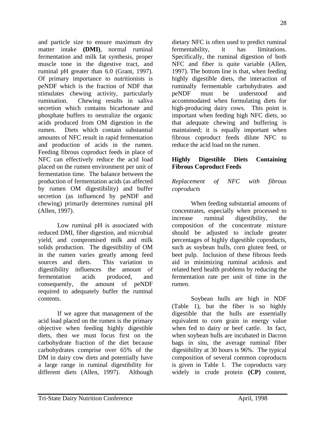and particle size to ensure maximum dry matter intake **(DMI)**, normal ruminal fermentation and milk fat synthesis, proper muscle tone in the digestive tract, and ruminal pH greater than 6.0 (Grant, 1997). Of primary importance to nutritionists is peNDF which is the fraction of NDF that stimulates chewing activity, particularly rumination. Chewing results in saliva secretion which contains bicarbonate and phosphate buffers to neutralize the organic acids produced from OM digestion in the rumen. Diets which contain substantial amounts of NFC result in rapid fermentation and production of acids in the rumen. Feeding fibrous coproduct feeds in place of NFC can effectively reduce the acid load placed on the rumen environment per unit of fermentation time. The balance between the production of fermentation acids (as affected by rumen OM digestibility) and buffer secretion (as influenced by peNDF and chewing) primarily determines ruminal pH (Allen, 1997).

Low ruminal pH is associated with reduced DMI, fiber digestion, and microbial yield, and compromised milk and milk solids production. The digestibility of OM in the rumen varies greatly among feed sources and diets. This variation in digestibility influences the amount of fermentation acids produced, and consequently, the amount of peNDF required to adequately buffer the ruminal contents.

If we agree that management of the acid load placed on the rumen is the primary objective when feeding highly digestible diets, then we must focus first on the carbohydrate fraction of the diet because carbohydrates comprise over 65% of the DM in dairy cow diets and potentially have a large range in ruminal digestibility for different diets (Allen, 1997). Although

dietary NFC is often used to predict ruminal fermentability, it has limitations. Specifically, the ruminal digestion of both NFC and fiber is quite variable (Allen, 1997). The bottom line is that, when feeding highly digestible diets, the interaction of ruminally fermentable carbohydrates and peNDF must be understood and accommodated when formulating diets for high-producing dairy cows. This point is important when feeding high NFC diets, so that adequate chewing and buffering is maintained; it is equally important when fibrous coproduct feeds dilute NFC to reduce the acid load on the rumen.

## **Highly Digestible Diets Containing Fibrous Coproduct Feeds**

*Replacement of NFC with fibrous coproducts* 

When feeding substantial amounts of concentrates, especially when processed to increase ruminal digestibility, the composition of the concentrate mixture should be adjusted to include greater percentages of highly digestible coproducts, such as soybean hulls, corn gluten feed, or beet pulp. Inclusion of these fibrous feeds aid in minimizing ruminal acidosis and related herd health problems by reducing the fermentation rate per unit of time in the rumen.

Soybean hulls are high in NDF (Table 1), but the fiber is so highly digestible that the hulls are essentially equivalent to corn grain in energy value when fed to dairy or beef cattle. In fact, when soybean hulls are incubated in Dacron bags in situ, the average ruminal fiber digestibility at 30 hours is 96%. The typical composition of several common coproducts is given in Table 1. The coproducts vary widely in crude protein **(CP)** content,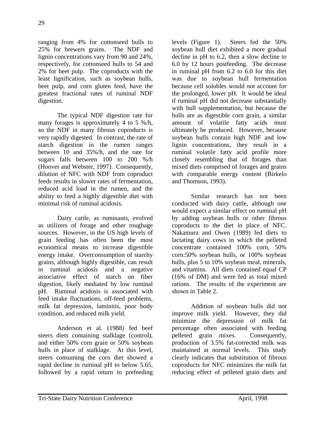ranging from 4% for cottonseed hulls to 25% for brewers grains. The NDF and lignin concentrations vary from 90 and 24%, respectively, for cottonseed hulls to 54 and 2% for beet pulp. The coproducts with the least lignification, such as soybean hulls, beet pulp, and corn gluten feed, have the greatest fractional rates of ruminal NDF digestion.

The typical NDF digestion rate for many forages is approximately 4 to 5 %/h, so the NDF in many fibrous coproducts is very rapidly digested. In contrast, the rate of starch digestion in the rumen ranges between 10 and 35%/h, and the rate for sugars falls between 100 to 200 %/h (Hoover and Webster, 1997). Consequently, dilution of NFC with NDF from coproduct feeds results in slower rates of fermentation, reduced acid load in the rumen, and the ability to feed a highly digestible diet with minimal risk of ruminal acidosis.

Dairy cattle, as ruminants, evolved as utilizers of forage and other roughage sources. However, in the US high levels of grain feeding has often been the most economical means to increase digestible energy intake. Overconsumption of starchy grains, although highly digestible, can result in ruminal acidosis and a negative associative effect of starch on fiber digestion, likely mediated by low ruminal pH. Ruminal acidosis is associated with feed intake fluctuations, off-feed problems, milk fat depression, laminitis, poor body condition, and reduced milk yield.

Anderson et al. (1988) fed beef steers diets containing stalklage (control), and either 50% corn grain or 50% soybean hulls in place of stalklage. At this level, steers consuming the corn diet showed a rapid decline in ruminal pH to below 5.65, followed by a rapid return to prefeeding

levels (Figure 1). Steers fed the 50% soybean hull diet exhibited a more gradual decline in pH to 6.2, then a slow decline to 6.0 by 12 hours postfeeding. The decrease in ruminal pH from 6.2 to 6.0 for this diet was due to soybean hull fermentation because cell solubles would not account for the prolonged, lower pH. It would be ideal if ruminal pH did not decrease substantially with hull supplementation, but because the hulls are as digestible corn grain, a similar amount of volatile fatty acids must ultimately be produced. However, because soybean hulls contain high NDF and low lignin concentrations, they result in a ruminal volatile fatty acid profile more closely resembling that of forages than mixed diets comprised of forages and grains with comparable energy content (Birkelo and Thomson, 1993).

Similar research has not been conducted with dairy cattle, although one would expect a similar effect on ruminal pH by adding soybean hulls or other fibrous coproducts to the diet in place of NFC. Nakamura and Owen (1989) fed diets to lactating dairy cows in which the pelleted concentrate contained 100% corn, 50% corn:50% soybean hulls, or 100% soybean hulls, plus 5 to 10% soybean meal, minerals, and vitamins. All diets contained equal CP (16% of DM) and were fed as total mixed rations. The results of the experiment are shown in Table 2.

Addition of soybean hulls did not improve milk yield. However, they did minimize the depression of milk fat percentage often associated with feeding pelleted grain mixes. Consequently, production of 3.5% fat-corrected milk was maintained at normal levels. This study clearly indicates that substitution of fibrous coproducts for NFC minimizes the milk fat reducing effect of pelleted grain diets and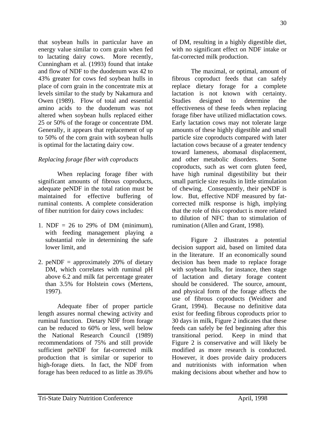that soybean hulls in particular have an energy value similar to corn grain when fed to lactating dairy cows. More recently, Cunningham et al. (1993) found that intake and flow of NDF to the duodenum was 42 to 43% greater for cows fed soybean hulls in place of corn grain in the concentrate mix at levels similar to the study by Nakamura and Owen (1989). Flow of total and essential amino acids to the duodenum was not altered when soybean hulls replaced either 25 or 50% of the forage or concentrate DM. Generally, it appears that replacement of up to 50% of the corn grain with soybean hulls is optimal for the lactating dairy cow.

# *Replacing forage fiber with coproducts*

When replacing forage fiber with significant amounts of fibrous coproducts, adequate peNDF in the total ration must be maintained for effective buffering of ruminal contents. A complete consideration of fiber nutrition for dairy cows includes:

- 1. NDF = 26 to 29% of DM (minimum), with feeding management playing a substantial role in determining the safe lower limit, and
- 2. peNDF = approximately 20% of dietary DM, which correlates with ruminal pH above 6.2 and milk fat percentage greater than 3.5% for Holstein cows (Mertens, 1997).

Adequate fiber of proper particle length assures normal chewing activity and ruminal function. Dietary NDF from forage can be reduced to 60% or less, well below the National Research Council (1989) recommendations of 75% and still provide sufficient peNDF for fat-corrected milk production that is similar or superior to high-forage diets. In fact, the NDF from forage has been reduced to as little as 39.6%

of DM, resulting in a highly digestible diet, with no significant effect on NDF intake or fat-corrected milk production.

The maximal, or optimal, amount of fibrous coproduct feeds that can safely replace dietary forage for a complete lactation is not known with certainty. Studies designed to determine the effectiveness of these feeds when replacing forage fiber have utilized midlactation cows. Early lactation cows may not tolerate large amounts of these highly digestible and small particle size coproducts compared with later lactation cows because of a greater tendency toward lameness, abomasal displacement, and other metabolic disorders. Some coproducts, such as wet corn gluten feed, have high ruminal digestibility but their small particle size results in little stimulation of chewing. Consequently, their peNDF is low. But, effective NDF measured by fatcorrected milk response is high, implying that the role of this coproduct is more related to dilution of NFC than to stimulation of rumination (Allen and Grant, 1998).

Figure 2 illustrates a potential decision support aid, based on limited data in the literature. If an economically sound decision has been made to replace forage with soybean hulls, for instance, then stage of lactation and dietary forage content should be considered. The source, amount, and physical form of the forage affects the use of fibrous coproducts (Weidner and Grant, 1994). Because no definitive data exist for feeding fibrous coproducts prior to 30 days in milk, Figure 2 indicates that these feeds can safely be fed beginning after this transitional period. Keep in mind that Figure 2 is conservative and will likely be modified as more research is conducted. However, it does provide dairy producers and nutritionists with information when making decisions about whether and how to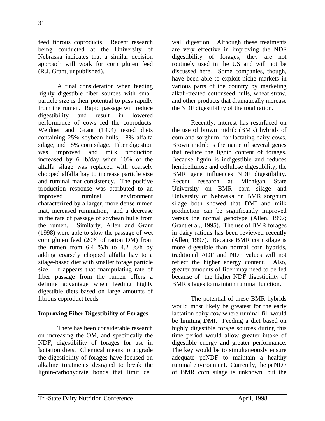feed fibrous coproducts. Recent research being conducted at the University of Nebraska indicates that a similar decision approach will work for corn gluten feed (R.J. Grant, unpublished).

A final consideration when feeding highly digestible fiber sources with small particle size is their potential to pass rapidly from the rumen. Rapid passage will reduce digestibility and result in lowered performance of cows fed the coproducts. Weidner and Grant (1994) tested diets containing 25% soybean hulls, 18% alfalfa silage, and 18% corn silage. Fiber digestion was improved and milk production increased by 6 lb/day when 10% of the alfalfa silage was replaced with coarsely chopped alfalfa hay to increase particle size and ruminal mat consistency. The positive production response was attributed to an improved ruminal environment characterized by a larger, more dense rumen mat, increased rumination, and a decrease in the rate of passage of soybean hulls from the rumen. Similarly, Allen and Grant (1998) were able to slow the passage of wet corn gluten feed (20% of ration DM) from the rumen from  $6.4 \% /h$  to  $4.2 \% /h$  by adding coarsely chopped alfalfa hay to a silage-based diet with smaller forage particle size. It appears that manipulating rate of fiber passage from the rumen offers a definite advantage when feeding highly digestible diets based on large amounts of fibrous coproduct feeds.

# **Improving Fiber Digestibility of Forages**

There has been considerable research on increasing the OM, and specifically the NDF, digestibility of forages for use in lactation diets. Chemical means to upgrade the digestibility of forages have focused on alkaline treatments designed to break the lignin-carbohydrate bonds that limit cell

wall digestion. Although these treatments are very effective in improving the NDF digestibility of forages, they are not routinely used in the US and will not be discussed here. Some companies, though, have been able to exploit niche markets in various parts of the country by marketing alkali-treated cottonseed hulls, wheat straw, and other products that dramatically increase the NDF digestibility of the total ration.

Recently, interest has resurfaced on the use of brown midrib (BMR) hybrids of corn and sorghum for lactating dairy cows. Brown midrib is the name of several genes that reduce the lignin content of forages. Because lignin is indigestible and reduces hemicellulose and cellulose digestibility, the BMR gene influences NDF digestibility. Recent research at Michigan State University on BMR corn silage and University of Nebraska on BMR sorghum silage both showed that DMI and milk production can be significantly improved versus the normal genotype (Allen, 1997; Grant et al., 1995). The use of BMR forages in dairy rations has been reviewed recently (Allen, 1997). Because BMR corn silage is more digestible than normal corn hybrids, traditional ADF and NDF values will not reflect the higher energy content. Also, greater amounts of fiber may need to be fed because of the higher NDF digestibility of BMR silages to maintain ruminal function.

The potential of these BMR hybrids would most likely be greatest for the early lactation dairy cow where ruminal fill would be limiting DMI. Feeding a diet based on highly digestible forage sources during this time period would allow greater intake of digestible energy and greater performance. The key would be to simultaneously ensure adequate peNDF to maintain a healthy ruminal environment. Currently, the peNDF of BMR corn silage is unknown, but the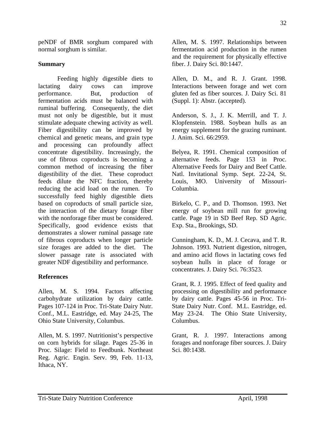peNDF of BMR sorghum compared with normal sorghum is similar.

### **Summary**

Feeding highly digestible diets to lactating dairy cows can improve performance. But, production of fermentation acids must be balanced with ruminal buffering. Consequently, the diet must not only be digestible, but it must stimulate adequate chewing activity as well. Fiber digestibility can be improved by chemical and genetic means, and grain type and processing can profoundly affect concentrate digestibility. Increasingly, the use of fibrous coproducts is becoming a common method of increasing the fiber digestibility of the diet. These coproduct feeds dilute the NFC fraction, thereby reducing the acid load on the rumen. To successfully feed highly digestible diets based on coproducts of small particle size, the interaction of the dietary forage fiber with the nonforage fiber must be considered. Specifically, good evidence exists that demonstrates a slower ruminal passage rate of fibrous coproducts when longer particle size forages are added to the diet. The slower passage rate is associated with greater NDF digestibility and performance.

# **References**

Allen, M. S. 1994. Factors affecting carbohydrate utilization by dairy cattle. Pages 107-124 in Proc. Tri-State Dairy Nutr. Conf., M.L. Eastridge, ed. May 24-25, The Ohio State University, Columbus.

Allen, M. S. 1997. Nutritionist's perspective on corn hybrids for silage. Pages 25-36 in Proc. Silage: Field to Feedbunk. Northeast Reg. Agric. Engin. Serv. 99, Feb. 11-13, Ithaca, NY.

Allen, M. S. 1997. Relationships between fermentation acid production in the rumen and the requirement for physically effective fiber. J. Dairy Sci. 80:1447.

Allen, D. M., and R. J. Grant. 1998. Interactions between forage and wet corn gluten fed as fiber sources. J. Dairy Sci. 81 (Suppl. 1): Abstr. (accepted).

Anderson, S. J., J. K. Merrill, and T. J. Klopfenstein. 1988. Soybean hulls as an energy supplement for the grazing ruminant. J. Anim. Sci. 66:2959.

Belyea, R. 1991. Chemical composition of alternative feeds. Page 153 in Proc. Alternative Feeds for Dairy and Beef Cattle. Natl. Invitational Symp. Sept. 22-24, St. Louis, MO. University of Missouri-Columbia.

Birkelo, C. P., and D. Thomson. 1993. Net energy of soybean mill run for growing cattle. Page 19 in SD Beef Rep. SD Agric. Exp. Sta., Brookings, SD.

Cunningham, K. D., M. J. Cecava, and T. R. Johnson. 1993. Nutrient digestion, nitrogen, and amino acid flows in lactating cows fed soybean hulls in place of forage or concentrates. J. Dairy Sci. 76:3523.

Grant, R. J. 1995. Effect of feed quality and processing on digestibility and performance by dairy cattle. Pages 45-56 in Proc. Tri-State Dairy Nutr. Conf. M.L. Eastridge, ed. May 23-24. The Ohio State University, Columbus.

Grant, R. J. 1997. Interactions among forages and nonforage fiber sources. J. Dairy Sci. 80:1438.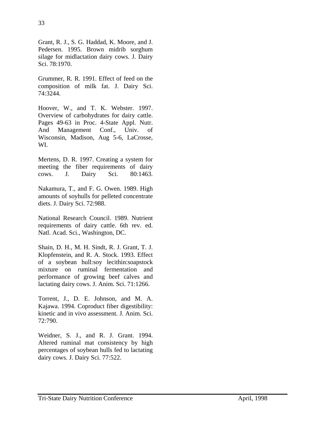Grant, R. J., S. G. Haddad, K. Moore, and J. Pedersen. 1995. Brown midrib sorghum silage for midlactation dairy cows. J. Dairy Sci. 78:1970.

Grummer, R. R. 1991. Effect of feed on the composition of milk fat. J. Dairy Sci. 74:3244.

Hoover, W., and T. K. Webster. 1997. Overview of carbohydrates for dairy cattle. Pages 49-63 in Proc. 4-State Appl. Nutr. And Management Conf., Univ. of Wisconsin, Madison, Aug 5-6, LaCrosse, WI.

Mertens, D. R. 1997. Creating a system for meeting the fiber requirements of dairy cows. J. Dairy Sci. 80:1463.

Nakamura, T., and F. G. Owen. 1989. High amounts of soyhulls for pelleted concentrate diets. J. Dairy Sci. 72:988.

National Research Council. 1989. Nutrient requirements of dairy cattle. 6th rev. ed. Natl. Acad. Sci., Washington, DC.

Shain, D. H., M. H. Sindt, R. J. Grant, T. J. Klopfenstein, and R. A. Stock. 1993. Effect of a soybean hull:soy lecithin:soapstock mixture on ruminal fermentation and performance of growing beef calves and lactating dairy cows. J. Anim. Sci. 71:1266.

Torrent, J., D. E. Johnson, and M. A. Kajawa. 1994. Coproduct fiber digestibility: kinetic and in vivo assessment. J. Anim. Sci. 72:790.

Weidner, S. J., and R. J. Grant. 1994. Altered ruminal mat consistency by high percentages of soybean hulls fed to lactating dairy cows. J. Dairy Sci. 77:522.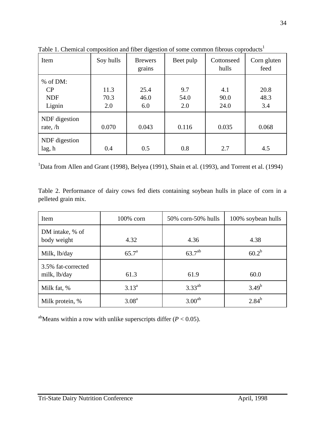| Item                                     | Soy hulls           | <b>Brewers</b><br>grains | Beet pulp          | Cottonseed<br>hulls | Corn gluten<br>feed |
|------------------------------------------|---------------------|--------------------------|--------------------|---------------------|---------------------|
| $%$ of DM:<br>CP<br><b>NDF</b><br>Lignin | 11.3<br>70.3<br>2.0 | 25.4<br>46.0<br>6.0      | 9.7<br>54.0<br>2.0 | 4.1<br>90.0<br>24.0 | 20.8<br>48.3<br>3.4 |
| NDF digestion<br>rate, $/h$              | 0.070               | 0.043                    | 0.116              | 0.035               | 0.068               |
| NDF digestion<br>lag, h                  | 0.4                 | 0.5                      | 0.8                | 2.7                 | 4.5                 |

Table 1. Chemical composition and fiber digestion of some common fibrous coproducts<sup>1</sup>

<sup>1</sup>Data from Allen and Grant (1998), Belyea (1991), Shain et al. (1993), and Torrent et al. (1994)

Table 2. Performance of dairy cows fed diets containing soybean hulls in place of corn in a pelleted grain mix.

| Item                               | 100% corn         | 50% corn-50% hulls | 100% soybean hulls |
|------------------------------------|-------------------|--------------------|--------------------|
| DM intake, % of<br>body weight     | 4.32              | 4.36               | 4.38               |
| Milk, lb/day                       | $65.7^{\rm a}$    | $63.7^{ab}$        | $60.2^{b}$         |
| 3.5% fat-corrected<br>milk, lb/day | 61.3              | 61.9               | 60.0               |
| Milk fat, %                        | $3.13^{a}$        | $3.33^{ab}$        | $3.49^{b}$         |
| Milk protein, %                    | 3.08 <sup>a</sup> | 3.00 <sup>ab</sup> | $2.84^{b}$         |

<sup>ab</sup>Means within a row with unlike superscripts differ  $(P < 0.05)$ .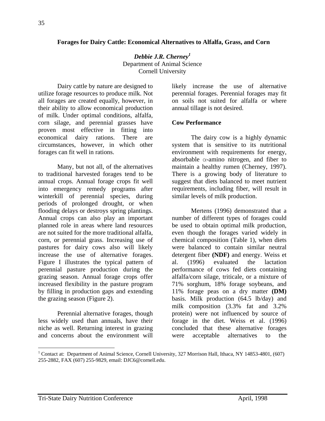35

#### **Forages for Dairy Cattle: Economical Alternatives to Alfalfa, Grass, and Corn**

*Debbie J.R. Cherney1* Department of Animal Science Cornell University

Dairy cattle by nature are designed to utilize forage resources to produce milk. Not all forages are created equally, however, in their ability to allow economical production of milk. Under optimal conditions, alfalfa, corn silage, and perennial grasses have proven most effective in fitting into economical dairy rations. There are circumstances, however, in which other forages can fit well in rations.

 Many, but not all, of the alternatives to traditional harvested forages tend to be annual crops. Annual forage crops fit well into emergency remedy programs after winterkill of perennial species, during periods of prolonged drought, or when flooding delays or destroys spring plantings. Annual crops can also play an important planned role in areas where land resources are not suited for the more traditional alfalfa, corn, or perennial grass. Increasing use of pastures for dairy cows also will likely increase the use of alternative forages. Figure I illustrates the typical pattern of perennial pasture production during the grazing season. Annual forage crops offer increased flexibility in the pasture program by filling in production gaps and extending the grazing season (Figure 2).

Perennial alternative forages, though less widely used than annuals, have their niche as well. Returning interest in grazing and concerns about the environment will

likely increase the use of alternative perennial forages. Perennial forages may fit on soils not suited for alfalfa or where annual tillage is not desired.

#### **Cow Performance**

The dairy cow is a highly dynamic system that is sensitive to its nutritional environment with requirements for energy, absorbable  $\alpha$ -amino nitrogen, and fiber to maintain a healthy rumen (Cherney, 1997). There is a growing body of literature to suggest that diets balanced to meet nutrient requirements, including fiber, will result in similar levels of milk production.

Mertens (1996) demonstrated that a number of different types of forages could be used to obtain optimal milk production, even though the forages varied widely in chemical composition (Table 1), when diets were balanced to contain similar neutral detergent fiber **(NDF)** and energy. Weiss et al. (1996) evaluated the lactation performance of cows fed diets containing alfalfa/corn silage, triticale, or a mixture of 71% sorghum, 18% forage soybeans, and 11% forage peas on a dry matter **(DM)** basis. Milk production (64.5 lb/day) and milk composition (3.3% fat and 3.2% protein) were not influenced by source of forage in the diet. Weiss et al. (1996) concluded that these alternative forages were acceptable alternatives to the

 $\overline{a}$ 

<sup>&</sup>lt;sup>1</sup> Contact at: Department of Animal Science, Cornell University, 327 Morrison Hall, Ithaca, NY 14853-4801, (607) 255-2882, FAX (607) 255-9829, email: DJC6@cornell.edu.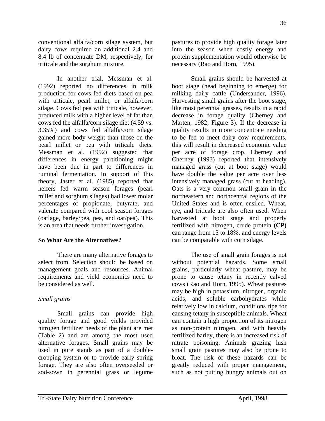conventional alfalfa/corn silage system, but dairy cows required an additional 2.4 and 8.4 lb of concentrate DM, respectively, for triticale and the sorghum mixture.

In another trial, Messman et al. (1992) reported no differences in milk production for cows fed diets based on pea with triticale, pearl millet, or alfalfa/corn silage. Cows fed pea with triticale, however, produced milk with a higher level of fat than cows fed the alfalfa/corn silage diet (4.59 vs. 3.35%) and cows fed alfalfa/corn silage gained more body weight than those on the pearl millet or pea with triticale diets. Messman et al. (1992) suggested that differences in energy partitioning might have been due in part to differences in ruminal fermentation. In support of this theory, Jaster et al. (1985) reported that heifers fed warm season forages (pearl millet and sorghum silages) had lower molar percentages of propionate, butyrate, and valerate compared with cool season forages (oatlage, barley/pea, pea, and oat/pea). This is an area that needs further investigation.

# **So What Are the Alternatives?**

There are many alternative forages to select from. Selection should be based on management goals and resources. Animal requirements and yield economics need to be considered as well.

# *Small grains*

Small grains can provide high quality forage and good yields provided nitrogen fertilizer needs of the plant are met (Table 2) and are among the most used alternative forages. Small grains may be used in pure stands as part of a doublecropping system or to provide early spring forage. They are also often overseeded or sod-sown in perennial grass or legume

pastures to provide high quality forage later into the season when costly energy and protein supplementation would otherwise be necessary (Rao and Horn, 1995).

Small grains should be harvested at boot stage (head beginning to emerge) for milking dairy cattle (Undersander, 1996). Harvesting small grains after the boot stage, like most perennial grasses, results in a rapid decrease in forage quality (Cherney and Marten, 1982; Figure 3). If the decrease in quality results in more concentrate needing to be fed to meet dairy cow requirements, this will result in decreased economic value per acre of forage crop. Cherney and Cherney (1993) reported that intensively managed grass (cut at boot stage) would have double the value per acre over less intensively managed grass (cut at heading). Oats is a very common small grain in the northeastern and northcentral regions of the United States and is often ensiled. Wheat, rye, and triticale are also often used. When harvested at boot stage and properly fertilized with nitrogen, crude protein **(CP)** can range from 15 to 18%, and energy levels can be comparable with corn silage.

The use of small grain forages is not without potential hazards. Some small grains, particularly wheat pasture, may be prone to cause tetany in recently calved cows (Rao and Horn, 1995). Wheat pastures may be high in potassium, nitrogen, organic acids, and soluble carbohydrates while relatively low in calcium, conditions ripe for causing tetany in susceptible animals. Wheat can contain a high proportion of its nitrogen as non-protein nitrogen, and with heavily fertilized barley, there is an increased risk of nitrate poisoning. Animals grazing lush small grain pastures may also be prone to bloat. The risk of these hazards can be greatly reduced with proper management, such as not putting hungry animals out on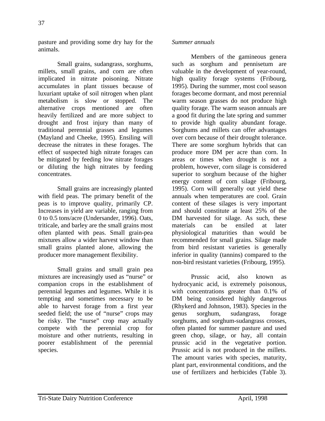pasture and providing some dry hay for the animals.

Small grains, sudangrass, sorghums, millets, small grains, and corn are often implicated in nitrate poisoning. Nitrate accumulates in plant tissues because of luxuriant uptake of soil nitrogen when plant metabolism is slow or stopped. The alternative crops mentioned are often heavily fertilized and are more subject to drought and frost injury than many of traditional perennial grasses and legumes (Mayland and Cheeke, 1995). Ensiling will decrease the nitrates in these forages. The effect of suspected high nitrate forages can be mitigated by feeding low nitrate forages or diluting the high nitrates by feeding concentrates.

Small grains are increasingly planted with field peas. The primary benefit of the peas is to improve quality, primarily CP. Increases in yield are variable, ranging from 0 to 0.5 tons/acre (Undersander, 1996). Oats, triticale, and barley are the small grains most often planted with peas. Small grain-pea mixtures allow a wider harvest window than small grains planted alone, allowing the producer more management flexibility.

Small grains and small grain pea mixtures are increasingly used as "nurse" or companion crops in the establishment of perennial legumes and legumes. While it is tempting and sometimes necessary to be able to harvest forage from a first year seeded field; the use of "nurse" crops may be risky. The "nurse" crop may actually compete with the perennial crop for moisture and other nutrients, resulting in poorer establishment of the perennial species.

# *Summer annuals*

Members of the gamineous genera such as sorghum and pennisetum are valuable in the development of year-round, high quality forage systems (Fribourg, 1995). During the summer, most cool season forages become dormant, and most perennial warm season grasses do not produce high quality forage. The warm season annuals are a good fit during the late spring and summer to provide high quality abundant forage. Sorghums and millets can offer advantages over corn because of their drought tolerance. There are some sorghum hybrids that can produce more DM per acre than corn. In areas or times when drought is not a problem, however, corn silage is considered superior to sorghum because of the higher energy content of corn silage (Fribourg, 1995). Corn will generally out yield these annuals when temperatures are cool. Grain content of these silages is very important and should constitute at least 25% of the DM harvested for silage. As such, these materials can be ensiled at later physiological maturities than would be recommended for small grains. Silage made from bird resistant varieties is generally inferior in quality (tannins) compared to the non-bird resistant varieties (Fribourg, 1995).

Prussic acid, also known as hydrocyanic acid, is extremely poisonous, with concentrations greater than 0.1% of DM being considered highly dangerous (Rhykerd and Johnson, 1983). Species in the genus sorghum, sudangrass, forage sorghums, and sorghum-sudangrass crosses, often planted for summer pasture and used green chop, silage, or hay, all contain prussic acid in the vegetative portion. Prussic acid is not produced in the millets. The amount varies with species, maturity, plant part, environmental conditions, and the use of fertilizers and herbicides (Table 3).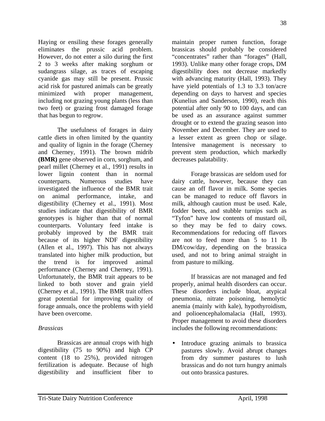Haying or ensiling these forages generally eliminates the prussic acid problem. However, do not enter a silo during the first 2 to 3 weeks after making sorghum or sudangrass silage, as traces of escaping cyanide gas may still be present. Prussic acid risk for pastured animals can be greatly minimized with proper management, including not grazing young plants (less than two feet) or grazing frost damaged forage that has begun to regrow.

The usefulness of forages in dairy cattle diets in often limited by the quantity and quality of lignin in the forage (Cherney and Cherney, 1991). The brown midrib **(BMR)** gene observed in corn, sorghum, and pearl millet (Cherney et al., 1991) results in lower lignin content than in normal counterparts. Numerous studies have investigated the influence of the BMR trait on animal performance, intake, and digestibility (Cherney et al., 1991). Most studies indicate that digestibility of BMR genotypes is higher than that of normal counterparts. Voluntary feed intake is probably improved by the BMR trait because of its higher NDF digestibility (Allen et al., 1997). This has not always translated into higher milk production, but the trend is for improved animal performance (Cherney and Cherney, 1991). Unfortunately, the BMR trait appears to be linked to both stover and grain yield (Cherney et al., 1991). The BMR trait offers great potential for improving quality of forage annuals, once the problems with yield have been overcome.

# *Brassicas*

 Brassicas are annual crops with high digestibility (75 to 90%) and high CP content (18 to 25%), provided nitrogen fertilization is adequate. Because of high digestibility and insufficient fiber to

maintain proper rumen function, forage brassicas should probably be considered "concentrates" rather than "forages" (Hall, 1993). Unlike many other forage crops, DM digestibility does not decrease markedly with advancing maturity (Hall, 1993). They have yield potentials of 1.3 to 3.3 ton/acre depending on days to harvest and species (Kunelius and Sanderson, 1990), reach this potential after only 90 to 100 days, and can be used as an assurance against summer drought or to extend the grazing season into November and December. They are used to a lesser extent as green chop or silage. Intensive management is necessary to prevent stem production, which markedly decreases palatability.

Forage brassicas are seldom used for dairy cattle, however, because they can cause an off flavor in milk. Some species can be managed to reduce off flavors in milk, although caution must be used. Kale, fodder beets, and stubble turnips such as "Tyfon" have low contents of mustard oil, so they may be fed to dairy cows. Recommendations for reducing off flavors are not to feed more than 5 to 11 lb DM/cow/day, depending on the brassica used, and not to bring animal straight in from pasture to milking.

If brassicas are not managed and fed properly, animal health disorders can occur. These disorders include bloat, atypical pneumonia, nitrate poisoning, hemolytic anemia (mainly with kale), hypothyroidism, and polioencephalomalacia (Hall, 1993). Proper management to avoid these disorders includes the following recommendations:

• Introduce grazing animals to brassica pastures slowly. Avoid abrupt changes from dry summer pastures to lush brassicas and do not turn hungry animals out onto brassica pastures.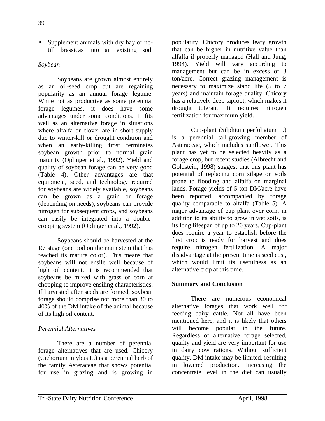• Supplement animals with dry hay or notill brassicas into an existing sod.

#### *Soybean*

Soybeans are grown almost entirely as an oil-seed crop but are regaining popularity as an annual forage legume. While not as productive as some perennial forage legumes, it does have some advantages under some conditions. It fits well as an alternative forage in situations where alfalfa or clover are in short supply due to winter-kill or drought condition and when an early-killing frost terminates soybean growth prior to normal grain maturity (Oplinger et al., 1992). Yield and quality of soybean forage can be very good (Table 4). Other advantages are that equipment, seed, and technology required for soybeans are widely available, soybeans can be grown as a grain or forage (depending on needs), soybeans can provide nitrogen for subsequent crops, and soybeans can easily be integrated into a doublecropping system (Oplinger et al., 1992).

Soybeans should be harvested at the R7 stage (one pod on the main stem that has reached its mature color). This means that soybeans will not ensile well because of high oil content. It is recommended that soybeans be mixed with grass or corn at chopping to improve ensiling characteristics. If harvested after seeds are formed, soybean forage should comprise not more than 30 to 40% of the DM intake of the animal because of its high oil content.

# *Perennial Alternatives*

There are a number of perennial forage alternatives that are used. Chicory (Cichorium intybus L.) is a perennial herb of the family Asteraceae that shows potential for use in grazing and is growing in popularity. Chicory produces leafy growth that can be higher in nutritive value than alfalfa if properly managed (Hall and Jung, 1994). Yield will vary according to management but can be in excess of 3 ton/acre. Correct grazing management is necessary to maximize stand life (5 to 7 years) and maintain forage quality. Chicory has a relatively deep taproot, which makes it drought tolerant. It requires nitrogen fertilization for maximum yield.

Cup-plant (Silphium perfoliatum L.) is a perennial tall-growing member of Asteraceae, which includes sunflower. This plant has yet to be selected heavily as a forage crop, but recent studies (Albrecht and Goldstein, 1998) suggest that this plant has potential of replacing corn silage on soils prone to flooding and alfalfa on marginal lands. Forage yields of 5 ton DM/acre have been reported, accompanied by forage quality comparable to alfalfa (Table 5). A major advantage of cup plant over corn, in addition to its ability to grow in wet soils, is its long lifespan of up to 20 years. Cup-plant does require a year to establish before the first crop is ready for harvest and does require nitrogen fertilization. A major disadvantage at the present time is seed cost, which would limit its usefulness as an alternative crop at this time.

#### **Summary and Conclusion**

There are numerous economical alternative forages that work well for feeding dairy cattle. Not all have been mentioned here, and it is likely that others will become popular in the future. Regardless of alternative forage selected, quality and yield are very important for use in dairy cow rations. Without sufficient quality, DM intake may be limited, resulting in lowered production. Increasing the concentrate level in the diet can usually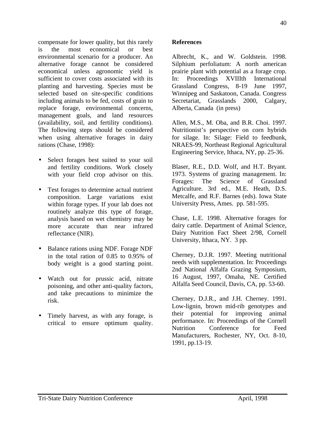compensate for lower quality, but this rarely is the most economical or best environmental scenario for a producer. An alternative forage cannot be considered economical unless agronomic yield is sufficient to cover costs associated with its planting and harvesting. Species must be selected based on site-specific conditions including animals to be fed, costs of grain to replace forage, environmental concerns, management goals, and land resources (availability, soil, and fertility conditions). The following steps should be considered when using alternative forages in dairy rations (Chase, 1998):

- Select forages best suited to your soil and fertility conditions. Work closely with your field crop advisor on this.
- Test forages to determine actual nutrient composition. Large variations exist within forage types. If your lab does not routinely analyze this type of forage, analysis based on wet chemistry may be more accurate than near infrared reflectance (NIR).
- Balance rations using NDF. Forage NDF in the total ration of 0.85 to 0.95% of body weight is a good starting point.
- Watch out for prussic acid, nitrate poisoning, and other anti-quality factors, and take precautions to minimize the risk.
- Timely harvest, as with any forage, is critical to ensure optimum quality.

#### **References**

Albrecht, K., and W. Goldstein. 1998. Silphium perfoliatum: A north american prairie plant with potential as a forage crop. In: Proceedings XVIIIth International Grassland Congress, 8-19 June 1997, Winnipeg and Saskatoon, Canada. Congress Secretariat, Grasslands 2000, Calgary, Alberta, Canada (in press)

Allen, M.S., M. Oba, and B.R. Choi. 1997. Nutritionist's perspective on corn hybrids for silage. In: Silage: Field to feedbunk, NRAES-99, Northeast Regional Agricultural Engineering Service, Ithaca, NY, pp. 25-36.

Blaser, R.E., D.D. Wolf, and H.T. Bryant. 1973. Systems of grazing management. In: Forages: The Science of Grassland Agriculture. 3rd ed., M.E. Heath, D.S. Metcalfe, and R.F. Barnes (eds). Iowa State University Press, Ames. pp. 581-595.

Chase, L.E. 1998. Alternative forages for dairy cattle. Department of Animal Science, Dairy Nutrition Fact Sheet 2/98, Cornell University, Ithaca, NY. 3 pp.

Cherney, D.J.R. 1997. Meeting nutritional needs with supplementation. In: Proceedings 2nd National Alfalfa Grazing Symposium, 16 August, 1997, Omaha, NE. Certified Alfalfa Seed Council, Davis, CA, pp. 53-60.

Cherney, D.J.R., and J.H. Cherney. 1991. Low-lignin, brown mid-rib genotypes and their potential for improving animal performance. In: Proceedings of the Cornell Nutrition Conference for Feed Manufacturers, Rochester, NY, Oct. 8-10, 1991, pp.13-19.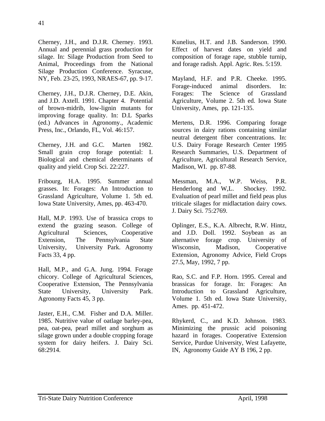Cherney, J.H., and D.J.R. Cherney. 1993. Annual and perennial grass production for silage. In: Silage Production from Seed to Animal, Proceedings from the National Silage Production Conference. Syracuse, NY, Feb. 23-25, 1993, NRAES-67, pp. 9-17.

Cherney, J.H., D.J.R. Cherney, D.E. Akin, and J.D. Axtell. 1991. Chapter 4. Potential of brown-midrib, low-lignin mutants for improving forage quality. In: D.L Sparks (ed.) Advances in Agronomy., Academic Press, Inc., Orlando, FL, Vol. 46:157.

Cherney, J.H. and G.C. Marten 1982. Small grain crop forage potential: I. Biological and chemical determinants of quality and yield. Crop Sci. 22:227.

Fribourg, H.A. 1995. Summer annual grasses. In: Forages: An Introduction to Grassland Agriculture, Volume 1. 5th ed. Iowa State University, Ames, pp. 463-470.

Hall, M.P. 1993. Use of brassica crops to extend the grazing season. College of Agricultural Sciences, Cooperative Extension, The Pennsylvania State University, University Park. Agronomy Facts 33, 4 pp.

Hall, M.P., and G.A. Jung. 1994. Forage chicory. College of Agricultural Sciences, Cooperative Extension, The Pennsylvania State University, University Park. Agronomy Facts 45, 3 pp.

Jaster, E.H., C.M. Fisher and D.A. Miller. 1985. Nutritive value of oatlage barley-pea, pea, oat-pea, pearl millet and sorghum as silage grown under a double cropping forage system for dairy heifers. J. Dairy Sci. 68:2914.

Kunelius, H.T. and J.B. Sanderson. 1990. Effect of harvest dates on yield and composition of forage rape, stubble turnip, and forage radish. Appl. Agric. Res. 5:159.

Mayland, H.F. and P.R. Cheeke. 1995. Forage-induced animal disorders. In: Forages: The Science of Grassland Agriculture, Volume 2. 5th ed. Iowa State University, Ames, pp. 121-135.

Mertens, D.R. 1996. Comparing forage sources in dairy rations containing similar neutral detergent fiber concentrations. In: U.S. Dairy Forage Research Center 1995 Research Summaries, U.S. Department of Agriculture, Agricultural Research Service, Madison, WI. pp. 87-88.

Messman, M.A., W.P. Weiss, P.R. Henderlong and W,L. Shockey. 1992. Evaluation of pearl millet and field peas plus triticale silages for midlactation dairy cows. J. Dairy Sci. 75:2769.

Oplinger, E.S., K.A. Albrecht, R.W. Hintz, and J.D. Doll. 1992. Soybean as an alternative forage crop. University of Wisconsin, Madison, Cooperative Extension, Agronomy Advice, Field Crops 27.5, May, 1992, 7 pp.

Rao, S.C. and F.P. Horn. 1995. Cereal and brassicas for forage. In: Forages: An Introduction to Grassland Agriculture, Volume 1. 5th ed. Iowa State University, Ames. pp. 451-472.

Rhykerd, C., and K.D. Johnson. 1983. Minimizing the prussic acid poisoning hazard in forages. Cooperative Extension Service, Purdue University, West Lafayette, IN, Agronomy Guide AY B 196, 2 pp.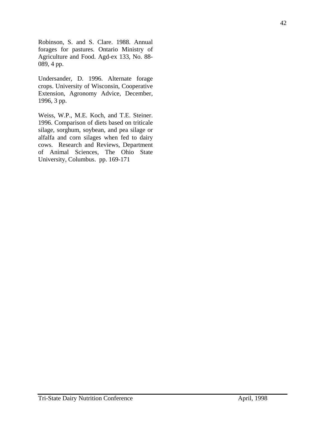Robinson, S. and S. Clare. 1988. Annual forages for pastures. Ontario Ministry of Agriculture and Food. Agd-ex 133, No. 88- 089, 4 pp.

Undersander, D. 1996. Alternate forage crops. University of Wisconsin, Cooperative Extension, Agronomy Advice, December, 1996, 3 pp.

Weiss, W.P., M.E. Koch, and T.E. Steiner. 1996. Comparison of diets based on triticale silage, sorghum, soybean, and pea silage or alfalfa and corn silages when fed to dairy cows. Research and Reviews, Department of Animal Sciences, The Ohio State University, Columbus. pp. 169-171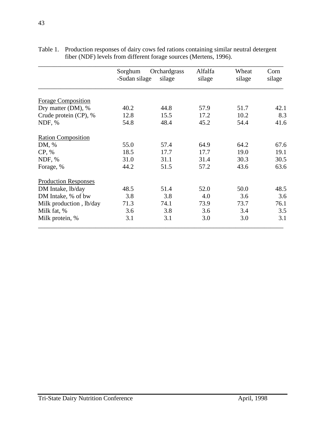|                             | Sorghum<br>-Sudan silage | Orchardgrass<br>silage | Alfalfa<br>silage | Wheat<br>silage | Corn<br>silage |
|-----------------------------|--------------------------|------------------------|-------------------|-----------------|----------------|
|                             |                          |                        |                   |                 |                |
| <b>Forage Composition</b>   |                          |                        |                   |                 |                |
| Dry matter (DM), %          | 40.2                     | 44.8                   | 57.9              | 51.7            | 42.1           |
| Crude protein (CP), %       | 12.8                     | 15.5                   | 17.2              | 10.2            | 8.3            |
| NDF, %                      | 54.8                     | 48.4                   | 45.2              | 54.4            | 41.6           |
| <b>Ration Composition</b>   |                          |                        |                   |                 |                |
| DM, %                       | 55.0                     | 57.4                   | 64.9              | 64.2            | 67.6           |
| CP, %                       | 18.5                     | 17.7                   | 17.7              | 19.0            | 19.1           |
| NDF, %                      | 31.0                     | 31.1                   | 31.4              | 30.3            | 30.5           |
| Forage, %                   | 44.2                     | 51.5                   | 57.2              | 43.6            | 63.6           |
| <b>Production Responses</b> |                          |                        |                   |                 |                |
| DM Intake, lb/day           | 48.5                     | 51.4                   | 52.0              | 50.0            | 48.5           |
| DM Intake, % of bw          | 3.8                      | 3.8                    | 4.0               | 3.6             | 3.6            |
| Milk production, lb/day     | 71.3                     | 74.1                   | 73.9              | 73.7            | 76.1           |
| Milk fat, %                 | 3.6                      | 3.8                    | 3.6               | 3.4             | 3.5            |
| Milk protein, %             | 3.1                      | 3.1                    | 3.0               | 3.0             | 3.1            |

Table 1. Production responses of dairy cows fed rations containing similar neutral detergent fiber (NDF) levels from different forage sources (Mertens, 1996).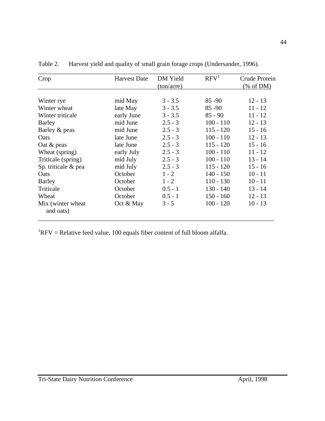| Crop                            | <b>Harvest Date</b> | DM Yield   | RFV <sup>1</sup> | Crude Protein |
|---------------------------------|---------------------|------------|------------------|---------------|
|                                 |                     | (ton/acre) |                  | % of DM       |
| Winter rye                      | mid May             | $3 - 3.5$  | $85 - 90$        | $12 - 13$     |
| Winter wheat                    | late May            | $3 - 3.5$  | $85 - 90$        | $11 - 12$     |
| Winter triticale                | early June          | $3 - 3.5$  | $85 - 90$        | $11 - 12$     |
| Barley                          | mid June            | $2.5 - 3$  | $100 - 110$      | $12 - 13$     |
| Barley & peas                   | mid June            | $2.5 - 3$  | $115 - 120$      | $15 - 16$     |
| Oats                            | late June           | $2.5 - 3$  | $100 - 110$      | $12 - 13$     |
| Oat & peas                      | late June           | $2.5 - 3$  | $115 - 120$      | $15 - 16$     |
| Wheat (spring)                  | early July          | $2.5 - 3$  | $100 - 110$      | $11 - 12$     |
| Triticale (spring)              | mid July            | $2.5 - 3$  | $100 - 110$      | $13 - 14$     |
| Sp. triticale & pea             | mid July            | $2.5 - 3$  | $115 - 120$      | $15 - 16$     |
| Oats                            | October             | $1 - 2$    | $140 - 150$      | $10 - 11$     |
| <b>Barley</b>                   | October             | $1 - 2$    | $110 - 130$      | $10 - 11$     |
| Triticale                       | October             | $0.5 - 1$  | $130 - 140$      | $13 - 14$     |
| Wheat                           | October             | $0.5 - 1$  | $150 - 160$      | $12 - 13$     |
| Mix (winter wheat)<br>and oats) | Oct & May           | $3 - 5$    | $100 - 120$      | $10 - 13$     |

Table 2. Harvest yield and quality of small grain forage crops (Undersander, 1996).

 ${}^{1}$ RFV = Relative feed value, 100 equals fiber content of full bloom alfalfa.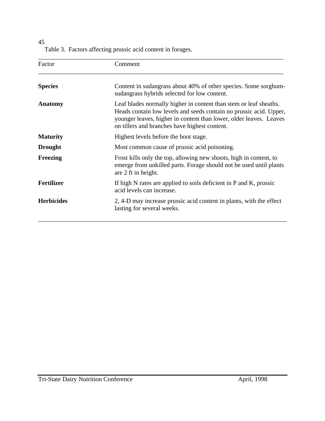45

Table 3. Factors affecting prussic acid content in forages.

| Factor            | Comment                                                                                                                                                                                                                                                        |
|-------------------|----------------------------------------------------------------------------------------------------------------------------------------------------------------------------------------------------------------------------------------------------------------|
| <b>Species</b>    | Content in sudangrass about 40% of other species. Some sorghum-<br>sudangrass hybrids selected for low content.                                                                                                                                                |
| Anatomy           | Leaf blades normally higher in content than stem or leaf sheaths.<br>Heads contain low levels and seeds contain no prussic acid. Upper,<br>younger leaves, higher in content than lower, older leaves. Leaves<br>on tillers and branches have highest content. |
| <b>Maturity</b>   | Highest levels before the boot stage.                                                                                                                                                                                                                          |
| <b>Drought</b>    | Most common cause of prussic acid poisoning.                                                                                                                                                                                                                   |
| <b>Freezing</b>   | Frost kills only the top, allowing new shoots, high in content, to<br>emerge from unkilled parts. Forage should not be used until plants<br>are 2 ft in height.                                                                                                |
| <b>Fertilizer</b> | If high N rates are applied to soils deficient in P and K, prussic<br>acid levels can increase.                                                                                                                                                                |
| <b>Herbicides</b> | 2, 4-D may increase prussic acid content in plants, with the effect<br>lasting for several weeks.                                                                                                                                                              |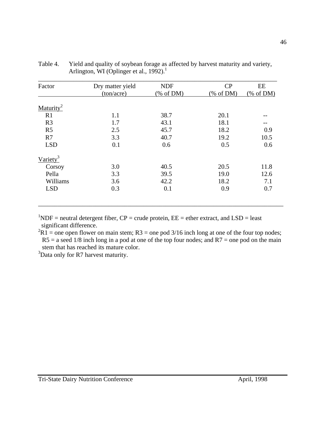| Factor                | Dry matter yield | <b>NDF</b> | CP      | EE      |
|-----------------------|------------------|------------|---------|---------|
|                       | (ton/acre)       | % of DM    | % of DM | % of DM |
|                       |                  |            |         |         |
| Maturity <sup>2</sup> |                  |            |         |         |
| R1                    | 1.1              | 38.7       | 20.1    |         |
| R <sub>3</sub>        | 1.7              | 43.1       | 18.1    | $- -$   |
| R <sub>5</sub>        | 2.5              | 45.7       | 18.2    | 0.9     |
| R7                    | 3.3              | 40.7       | 19.2    | 10.5    |
| <b>LSD</b>            | 0.1              | 0.6        | 0.5     | 0.6     |
| Variety <sup>3</sup>  |                  |            |         |         |
| Corsoy                | 3.0              | 40.5       | 20.5    | 11.8    |
| Pella                 | 3.3              | 39.5       | 19.0    | 12.6    |
| Williams              | 3.6              | 42.2       | 18.2    | 7.1     |
| <b>LSD</b>            | 0.3              | 0.1        | 0.9     | 0.7     |

| Table 4. | Yield and quality of soybean forage as affected by harvest maturity and variety, |
|----------|----------------------------------------------------------------------------------|
|          | Arlington, WI (Oplinger et al., 1992).                                           |

 ${}^{1}$ NDF = neutral detergent fiber, CP = crude protein, EE = ether extract, and LSD = least significant difference.

 ${}^{2}R1$  = one open flower on main stem; R3 = one pod 3/16 inch long at one of the four top nodes;  $R5 = a$  seed 1/8 inch long in a pod at one of the top four nodes; and  $R7 =$  one pod on the main stem that has reached its mature color.

<sup>3</sup>Data only for R7 harvest maturity.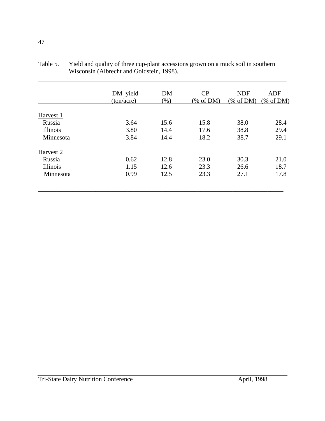|           | DM yield   | <b>DM</b> | CP      | <b>NDF</b> | ADF                  |
|-----------|------------|-----------|---------|------------|----------------------|
|           | (ton/acre) | (% )      | % of DM | % of DM    | $(\% \text{ of DM})$ |
| Harvest 1 |            |           |         |            |                      |
| Russia    | 3.64       | 15.6      | 15.8    | 38.0       | 28.4                 |
| Illinois  | 3.80       | 14.4      | 17.6    | 38.8       | 29.4                 |
| Minnesota | 3.84       | 14.4      | 18.2    | 38.7       | 29.1                 |
| Harvest 2 |            |           |         |            |                      |
| Russia    | 0.62       | 12.8      | 23.0    | 30.3       | 21.0                 |
| Illinois  | 1.15       | 12.6      | 23.3    | 26.6       | 18.7                 |
| Minnesota | 0.99       | 12.5      | 23.3    | 27.1       | 17.8                 |
|           |            |           |         |            |                      |

Table 5. Yield and quality of three cup-plant accessions grown on a muck soil in southern Wisconsin (Albrecht and Goldstein, 1998).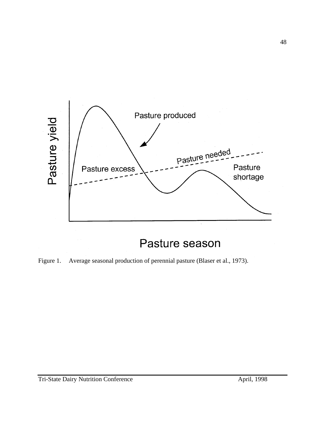

# Figure 1. Average seasonal production of perennial pasture (Blaser et al., 1973).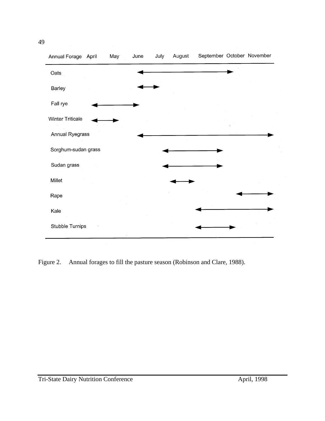



Figure 2. Annual forages to fill the pasture season (Robinson and Clare, 1988).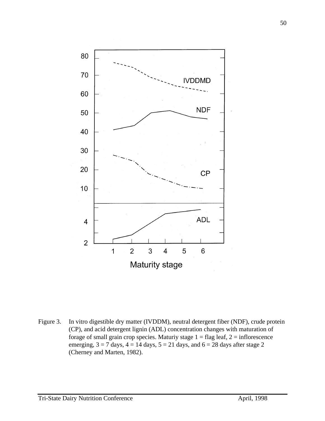

Figure 3. In vitro digestible dry matter (IVDDM), neutral detergent fiber (NDF), crude protein (CP), and acid detergent lignin (ADL) concentration changes with maturation of forage of small grain crop species. Maturiy stage  $1 = flag$  leaf,  $2 = inflorescence$ emerging,  $3 = 7$  days,  $4 = 14$  days,  $5 = 21$  days, and  $6 = 28$  days after stage 2 (Cherney and Marten, 1982).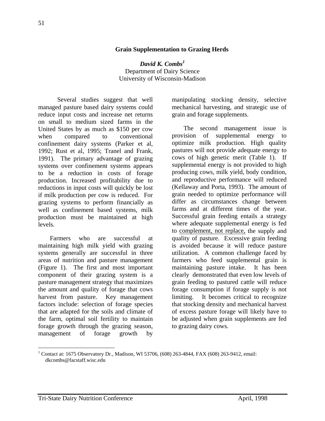#### **Grain Supplementation to Grazing Herds**

*David K. Combs<sup>1</sup>* Department of Dairy Science University of Wisconsin-Madison

 Several studies suggest that well managed pasture based dairy systems could reduce input costs and increase net returns on small to medium sized farms in the United States by as much as \$150 per cow when compared to conventional confinement dairy systems (Parker et al, 1992; Rust et al, 1995; Tranel and Frank, 1991). The primary advantage of grazing systems over confinement systems appears to be a reduction in costs of forage production. Increased profitability due to reductions in input costs will quickly be lost if milk production per cow is reduced. For grazing systems to perform financially as well as confinement based systems, milk production must be maintained at high levels.

 Farmers who are successful at maintaining high milk yield with grazing systems generally are successful in three areas of nutrition and pasture management (Figure 1). The first and most important component of their grazing system is a pasture management strategy that maximizes the amount and quality of forage that cows harvest from pasture. Key management factors include: selection of forage species that are adapted for the soils and climate of the farm, optimal soil fertility to maintain forage growth through the grazing season, management of forage growth by

manipulating stocking density, selective mechanical harvesting, and strategic use of grain and forage supplements.

 The second management issue is provision of supplemental energy to optimize milk production. High quality pastures will not provide adequate energy to cows of high genetic merit (Table 1). If supplemental energy is not provided to high producing cows, milk yield, body condition, and reproductive performance will reduced (Kellaway and Porta, 1993). The amount of grain needed to optimize performance will differ as circumstances change between farms and at different times of the year. Successful grain feeding entails a strategy where adequate supplemental energy is fed to complement, not replace, the supply and quality of pasture. Excessive grain feeding is avoided because it will reduce pasture utilization. A common challenge faced by farmers who feed supplemental grain is maintaining pasture intake. It has been clearly demonstrated that even low levels of grain feeding to pastured cattle will reduce forage consumption if forage supply is not limiting. It becomes critical to recognize that stocking density and mechanical harvest of excess pasture forage will likely have to be adjusted when grain supplements are fed to grazing dairy cows.

1

<sup>&</sup>lt;sup>1</sup> Contact at: 1675 Observatory Dr., Madison, WI 53706, (608) 263-4844, FAX (608) 263-9412, email: dkcombs@facstaff.wisc.edu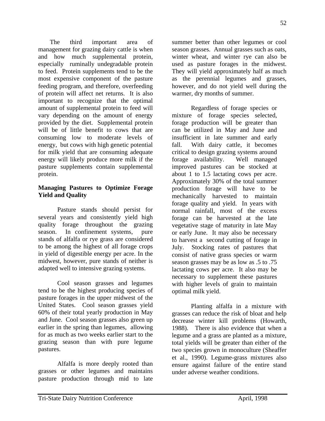The third important area of management for grazing dairy cattle is when and how much supplemental protein, especially ruminally undegradable protein to feed. Protein supplements tend to be the most expensive component of the pasture feeding program, and therefore, overfeeding of protein will affect net returns. It is also important to recognize that the optimal amount of supplemental protein to feed will vary depending on the amount of energy provided by the diet. Supplemental protein will be of little benefit to cows that are consuming low to moderate levels of energy, but cows with high genetic potential for milk yield that are consuming adequate energy will likely produce more milk if the pasture supplements contain supplemental protein.

## **Managing Pastures to Optimize Forage Yield and Quality**

 Pasture stands should persist for several years and consistently yield high quality forage throughout the grazing season. In confinement systems, pure stands of alfalfa or rye grass are considered to be among the highest of all forage crops in yield of digestible energy per acre. In the midwest, however, pure stands of neither is adapted well to intensive grazing systems.

 Cool season grasses and legumes tend to be the highest producing species of pasture forages in the upper midwest of the United States. Cool season grasses yield 60% of their total yearly production in May and June. Cool season grasses also green up earlier in the spring than legumes, allowing for as much as two weeks earlier start to the grazing season than with pure legume pastures.

 Alfalfa is more deeply rooted than grasses or other legumes and maintains pasture production through mid to late

summer better than other legumes or cool season grasses. Annual grasses such as oats, winter wheat, and winter rye can also be used as pasture forages in the midwest. They will yield approximately half as much as the perennial legumes and grasses, however, and do not yield well during the warmer, dry months of summer.

 Regardless of forage species or mixture of forage species selected, forage production will be greater than can be utilized in May and June and insufficient in late summer and early fall. With dairy cattle, it becomes critical to design grazing systems around forage availability. Well managed improved pastures can be stocked at about 1 to 1.5 lactating cows per acre. Approximately 30% of the total summer production forage will have to be mechanically harvested to maintain forage quality and yield. In years with normal rainfall, most of the excess forage can be harvested at the late vegetative stage of maturity in late May or early June. It may also be necessary to harvest a second cutting of forage in July. Stocking rates of pastures that consist of native grass species or warm season grasses may be as low as .5 to .75 lactating cows per acre. It also may be necessary to supplement these pastures with higher levels of grain to maintain optimal milk yield.

 Planting alfalfa in a mixture with grasses can reduce the risk of bloat and help decrease winter kill problems (Howarth, 1988). There is also evidence that when a legume and a grass are planted as a mixture, total yields will be greater than either of the two species grown in monoculture (Sheaffer et al., 1990). Legume-grass mixtures also ensure against failure of the entire stand under adverse weather conditions.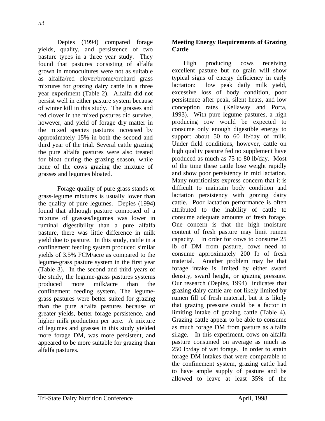Depies (1994) compared forage yields, quality, and persistence of two pasture types in a three year study. They found that pastures consisting of alfalfa grown in monocultures were not as suitable as alfalfa/red clover/brome/orchard grass mixtures for grazing dairy cattle in a three year experiment (Table 2). Alfalfa did not persist well in either pasture system because of winter kill in this study. The grasses and red clover in the mixed pastures did survive, however, and yield of forage dry matter in the mixed species pastures increased by approximately 15% in both the second and third year of the trial. Several cattle grazing the pure alfalfa pastures were also treated for bloat during the grazing season, while none of the cows grazing the mixture of grasses and legumes bloated.

 Forage quality of pure grass stands or grass-legume mixtures is usually lower than the quality of pure legumes.Depies (1994) found that although pasture composed of a mixture of grasses/legumes was lower in ruminal digestibility than a pure alfalfa pasture, there was little difference in milk yield due to pasture. In this study, cattle in a confinement feeding system produced similar yields of 3.5% FCM/acre as compared to the legume-grass pasture system in the first year (Table 3). In the second and third years of the study, the legume-grass pastures systems produced more milk/acre than the confinement feeding system. The legumegrass pastures were better suited for grazing than the pure alfalfa pastures because of greater yields, better forage persistence, and higher milk production per acre. A mixture of legumes and grasses in this study yielded more forage DM, was more persistent, and appeared to be more suitable for grazing than alfalfa pastures.

# **Meeting Energy Requirements of Grazing Cattle**

 High producing cows receiving excellent pasture but no grain will show typical signs of energy deficiency in early lactation: low peak daily milk yield, excessive loss of body condition, poor persistence after peak, silent heats, and low conception rates (Kellaway and Porta, 1993). With pure legume pastures, a high producing cow would be expected to consume only enough digestible energy to support about 50 to 60 lb/day of milk. Under field conditions, however, cattle on high quality pasture fed no supplement have produced as much as 75 to 80 lb/day. Most of the time these cattle lose weight rapidly and show poor persistency in mid lactation. Many nutritionists express concern that it is difficult to maintain body condition and lactation persistency with grazing dairy cattle. Poor lactation performance is often attributed to the inability of cattle to consume adequate amounts of fresh forage. One concern is that the high moisture content of fresh pasture may limit rumen capacity. In order for cows to consume 25 lb of DM from pasture, cows need to consume approximately 200 lb of fresh material. Another problem may be that forage intake is limited by either sward density, sward height, or grazing pressure. Our research (Depies, 1994) indicates that grazing dairy cattle are not likely limited by rumen fill of fresh material, but it is likely that grazing pressure could be a factor in limiting intake of grazing cattle (Table 4). Grazing cattle appear to be able to consume as much forage DM from pasture as alfalfa silage. In this experiment, cows on alfalfa pasture consumed on average as much as 250 lb/day of wet forage. In order to attain forage DM intakes that were comparable to the confinement system, grazing cattle had to have ample supply of pasture and be allowed to leave at least 35% of the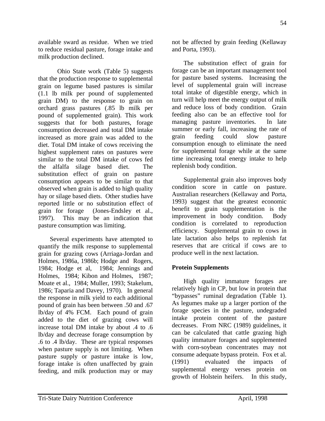available sward as residue. When we tried to reduce residual pasture, forage intake and milk production declined.

 Ohio State work (Table 5) suggests that the production response to supplemental grain on legume based pastures is similar (1.1 lb milk per pound of supplemented grain DM) to the response to grain on orchard grass pastures (.85 lb milk per pound of supplemented grain). This work suggests that for both pastures, forage consumption decreased and total DM intake increased as more grain was added to the diet. Total DM intake of cows receiving the highest supplement rates on pastures were similar to the total DM intake of cows fed the alfalfa silage based diet. The substitution effect of grain on pasture consumption appears to be similar to that observed when grain is added to high quality hay or silage based diets. Other studies have reported little or no substitution effect of grain for forage (Jones-Endsley et al., 1997). This may be an indication that pasture consumption was limiting.

 Several experiments have attempted to quantify the milk response to supplemental grain for grazing cows (Arriaga-Jordan and Holmes, 1986a, 1986b; Hodge and Rogers, 1984; Hodge et al, 1984; Jennings and Holmes, 1984; Kibon and Holmes, 1987; Moate et al., 1984; Muller, 1993; Stakelum, 1986; Taparia and Davey, 1970). In general the response in milk yield to each additional pound of grain has been between .50 and .67 lb/day of 4% FCM. Each pound of grain added to the diet of grazing cows will increase total DM intake by about .4 to .6 lb/day and decrease forage consumption by .6 to .4 lb/day. These are typical responses when pasture supply is not limiting. When pasture supply or pasture intake is low, forage intake is often unaffected by grain feeding, and milk production may or may

not be affected by grain feeding (Kellaway and Porta, 1993).

 The substitution effect of grain for forage can be an important management tool for pasture based systems. Increasing the level of supplemental grain will increase total intake of digestible energy, which in turn will help meet the energy output of milk and reduce loss of body condition. Grain feeding also can be an effective tool for managing pasture inventories. In late summer or early fall, increasing the rate of grain feeding could slow pasture consumption enough to eliminate the need for supplemental forage while at the same time increasing total energy intake to help replenish body condition.

 Supplemental grain also improves body condition score in cattle on pasture. Australian researchers (Kellaway and Porta, 1993) suggest that the greatest economic benefit to grain supplementation is the improvement in body condition. Body condition is correlated to reproduction efficiency. Supplemental grain to cows in late lactation also helps to replenish fat reserves that are critical if cows are to produce well in the next lactation.

# **Protein Supplements**

 High quality immature forages are relatively high in CP, but low in protein that "bypasses" ruminal degradation (Table 1). As legumes make up a larger portion of the forage species in the pasture, undegraded intake protein content of the pasture decreases. From NRC (1989) guidelines, it can be calculated that cattle grazing high quality immature forages and supplemented with corn-soybean concentrates may not consume adequate bypass protein. Fox et al. (1991) evaluated the impacts of supplemental energy verses protein on growth of Holstein heifers. In this study,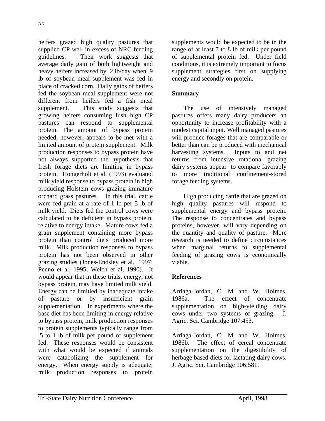heifers grazed high quality pastures that supplied CP well in excess of NRC feeding guidelines. Their work suggests that average daily gain of both lightweight and heavy heifers increased by .2 lb/day when .9 lb of soybean meal supplement was fed in place of cracked corn. Daily gains of heifers fed the soybean meal supplement were not different from heifers fed a fish meal supplement. This study suggests that growing heifers consuming lush high CP pastures can respond to supplemental protein. The amount of bypass protein needed, however, appears to be met with a limited amount of protein supplement. Milk production responses to bypass protein have not always supported the hypothesis that fresh forage diets are limiting in bypass protein. Hongerholt et al. (1993) evaluated milk yield response to bypass protein in high producing Holstein cows grazing immature orchard grass pastures. In this trial, cattle were fed grain at a rate of 1 lb per 5 lb of milk yield. Diets fed the control cows were calculated to be deficient in bypass protein, relative to energy intake. Mature cows fed a grain supplement containing more bypass protein than control diets produced more milk. Milk production responses to bypass protein has not been observed in other grazing studies (Jones-Endsley et al., 1997; Penno et al, 1995; Welch et al, 1990). It would appear that in these trials, energy, not bypass protein, may have limited milk yield. Energy can be limitied by inadequate intake of pasture or by insufficient grain supplementation. In experiments where the base diet has been limiting in energy relative to bypass protein, milk production responses to protein supplements typically range from .5 to 1 lb of milk per pound of supplement fed. These responses would be consistent with what would be expected if animals were catabolizing the supplement for energy. When energy supply is adequate, milk production responses to protein

supplements would be expected to be in the range of at least 7 to 8 lb of milk per pound of supplemental protein fed. Under field conditions, it is extremely important to focus supplement strategies first on supplying energy and secondly on protein.

# **Summary**

 The use of intensively managed pastures offers many dairy producers an opportunity to increase profitability with a modest capital input. Well managed pastures will produce forages that are comparable or better than can be produced with mechanical harvesting systems. Inputs to and net returns from intensive rotational grazing dairy systems appear to compare favorably to more traditional confinement-stored forage feeding systems.

 High producing cattle that are grazed on high quality pastures will respond to supplemental energy and bypass protein. The response to concentrates and bypass proteins, however, will vary depending on the quantity and quality of pasture. More research is needed to define circumstances when marginal returns to supplemental feeding of grazing cows is economically viable.

# **References**

Arriaga-Jordan, C. M and W. Holmes. 1986a. The effect of concentrate supplementation on high-yielding dairy cows under two systems of grazing. J. Agric. Sci. Cambridge 107:453.

Arriaga-Jordan, C. M and W. Holmes. 1986b. The effect of cereal concentrate supplementation on the digestibility of herbage based diets for lactating dairy cows. J. Agric. Sci. Cambridge 106:581.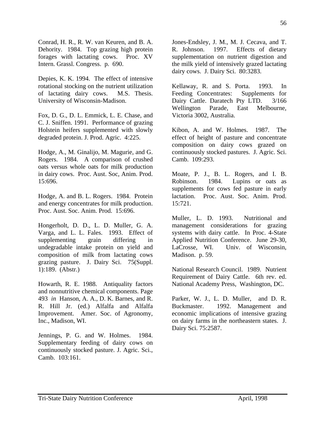Conrad, H. R., R. W. van Keuren, and B. A. Dehority. 1984. Top grazing high protein forages with lactating cows. Proc. XV Intern. Grassl. Congress. p. 690.

Depies, K. K. 1994. The effect of intensive rotational stocking on the nutrient utilization of lactating dairy cows. M.S. Thesis. University of Wisconsin-Madison.

Fox, D. G., D. L. Emmick, L. E. Chase, and C. J. Sniffen. 1991. Performance of grazing Holstein heifers supplemented with slowly degraded protein. J. Prod. Agric. 4:225.

Hodge, A., M. Ginalijo, M. Magurie, and G. Rogers. 1984. A comparison of crushed oats versus whole oats for milk production in dairy cows. Proc. Aust. Soc, Anim. Prod. 15:696.

Hodge, A. and B. L. Rogers. 1984. Protein and energy concentrates for milk production. Proc. Aust. Soc. Anim. Prod. 15:696.

Hongerholt, D. D., L. D. Muller, G. A. Varga, and L. L. Fales. 1993. Effect of supplementing grain differing in undegradable intake protein on yield and composition of milk from lactating cows grazing pasture. J. Dairy Sci. 75(Suppl. 1):189. (Abstr.)

Howarth, R. E. 1988. Antiquality factors and nonnutritive chemical components. Page 493 *in* Hanson, A. A., D. K. Barnes, and R. R. Hill Jr. (ed.) Alfalfa and Alfalfa Improvement. Amer. Soc. of Agronomy, Inc., Madison, WI.

Jennings, P. G. and W. Holmes. 1984. Supplementary feeding of dairy cows on continuously stocked pasture. J. Agric. Sci., Camb. 103:161.

Jones-Endsley, J. M., M. J. Cecava, and T. R. Johnson. 1997. Effects of dietary supplementation on nutrient digestion and the milk yield of intensively grazed lactating dairy cows. J. Dairy Sci. 80:3283.

Kellaway, R. and S. Porta. 1993. In Feeding Concentrates: Supplements for Dairy Cattle. Daratech Pty LTD. 3/166 Wellington Parade, East Melbourne, Victoria 3002, Australia.

Kibon, A. and W. Holmes. 1987. The effect of height of pasture and concentrate composition on dairy cows grazed on continuously stocked pastures. J. Agric. Sci. Camb. 109:293.

Moate, P. J., B. L. Rogers, and I. B. Robinson. 1984. Lupins or oats as supplements for cows fed pasture in early lactation. Proc. Aust. Soc. Anim. Prod. 15:721.

Muller, L. D. 1993. Nutritional and management considerations for grazing systems with dairy cattle. In Proc. 4-State Applied Nutrition Conference. June 29-30, LaCrosse, WI. Univ. of Wisconsin, Madison. p. 59.

National Research Council. 1989. Nutrient Requirement of Dairy Cattle. 6th rev. ed. National Academy Press, Washington, DC.

Parker, W. J., L. D. Muller, and D. R. Buckmaster. 1992. Management and economic implications of intensive grazing on dairy farms in the northeastern states. J. Dairy Sci. 75:2587.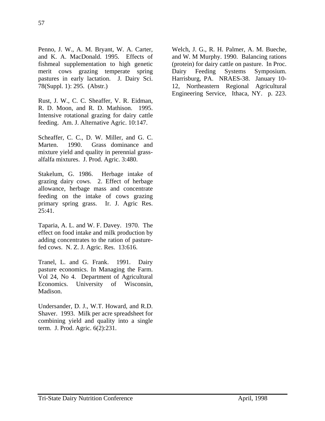Penno, J. W., A. M. Bryant, W. A. Carter, and K. A. MacDonald. 1995. Effects of fishmeal supplementation to high genetic merit cows grazing temperate spring pastures in early lactation. J. Dairy Sci. 78(Suppl. 1): 295. (Abstr.)

Rust, J. W., C. C. Sheaffer, V. R. Eidman, R. D. Moon, and R. D. Mathison. 1995. Intensive rotational grazing for dairy cattle feeding. Am. J. Alternative Agric. 10:147.

Scheaffer, C. C., D. W. Miller, and G. C. Marten. 1990. Grass dominance and mixture yield and quality in perennial grassalfalfa mixtures. J. Prod. Agric. 3:480.

Stakelum, G. 1986. Herbage intake of grazing dairy cows. 2. Effect of herbage allowance, herbage mass and concentrate feeding on the intake of cows grazing primary spring grass. Ir. J. Agric Res. 25:41.

Taparia, A. L. and W. F. Davey. 1970. The effect on food intake and milk production by adding concentrates to the ration of pasturefed cows. N. Z. J. Agric. Res. 13:616.

Tranel, L. and G. Frank. 1991. Dairy pasture economics. In Managing the Farm. Vol 24, No 4. Department of Agricultural Economics. University of Wisconsin, Madison.

Undersander, D. J., W.T. Howard, and R.D. Shaver. 1993. Milk per acre spreadsheet for combining yield and quality into a single term. J. Prod. Agric. 6(2):231.

Welch, J. G., R. H. Palmer, A. M. Bueche, and W. M Murphy. 1990. Balancing rations (protein) for dairy cattle on pasture. In Proc. Dairy Feeding Systems Symposium. Harrisburg, PA. NRAES-38. January 10- 12, Northeastern Regional Agricultural Engineering Service, Ithaca, NY. p. 223.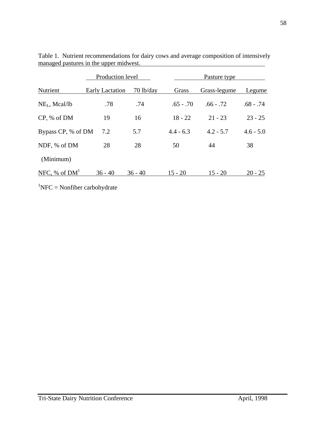|                    | Production level       |             |             | Pasture type |             |  |  |
|--------------------|------------------------|-------------|-------------|--------------|-------------|--|--|
| Nutrient           | <b>Early Lactation</b> | $70$ lb/day | Grass       | Grass-legume | Legume      |  |  |
| $NEL$ , Mcal/lb    | .78                    | .74         | $.65 - .70$ | $.66 - .72$  | $.68 - .74$ |  |  |
| CP, % of DM        | 19                     | 16          | $18 - 22$   | $21 - 23$    | $23 - 25$   |  |  |
| Bypass CP, % of DM | 7.2                    | 5.7         | $4.4 - 6.3$ | $4.2 - 5.7$  | $4.6 - 5.0$ |  |  |
| NDF, % of DM       | 28                     | 28          | 50          | 44           | 38          |  |  |
| (Minimum)          |                        |             |             |              |             |  |  |
| NFC, % of $DM1$    | $36 - 40$              | $36 - 40$   | $15 - 20$   | $15 - 20$    | $20 - 25$   |  |  |

Table 1. Nutrient recommendations for dairy cows and average composition of intensively managed pastures in the upper midwest.

 ${}^{1}$ NFC = Nonfiber carbohydrate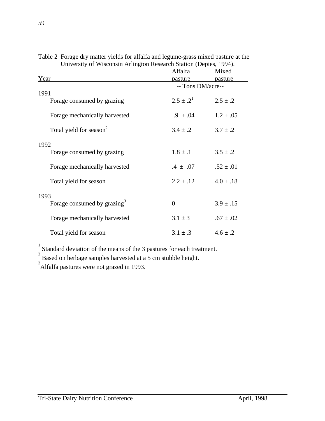|                                     | Alfalfa           | Mixed         |
|-------------------------------------|-------------------|---------------|
| Year                                | pasture           | pasture       |
|                                     | -- Tons DM/acre-- |               |
| 1991                                |                   |               |
| Forage consumed by grazing          | $2.5 \pm .2^1$    | $2.5 \pm .2$  |
| Forage mechanically harvested       | $.9 \pm .04$      | $1.2 \pm .05$ |
| Total yield for season <sup>2</sup> | $3.4 \pm .2$      | $3.7 \pm .2$  |
| 1992                                |                   |               |
| Forage consumed by grazing          | $1.8 \pm .1$      | $3.5 \pm .2$  |
| Forage mechanically harvested       | $.4 \pm .07$      | $.52 \pm .01$ |
| Total yield for season              | $2.2 \pm .12$     | $4.0 \pm .18$ |
| 1993                                |                   |               |
| Forage consumed by $grazing3$       | $\theta$          | $3.9 \pm .15$ |
| Forage mechanically harvested       | $3.1 \pm 3$       | $.67 \pm .02$ |
| Total yield for season              | $3.1 \pm .3$      | $4.6 \pm .2$  |

Table 2 Forage dry matter yields for alfalfa and legume-grass mixed pasture at the University of Wisconsin Arlington Research Station (Depies, 1994).

1 Standard deviation of the means of the 3 pastures for each treatment.

2 Based on herbage samples harvested at a 5 cm stubble height.

<sup>3</sup> Alfalfa pastures were not grazed in 1993.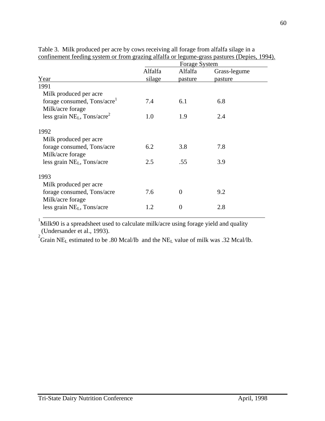|                                           | <b>Forage System</b> |          |              |  |  |
|-------------------------------------------|----------------------|----------|--------------|--|--|
|                                           | Alfalfa              | Alfalfa  | Grass-legume |  |  |
| Year                                      | silage               | pasture  | pasture      |  |  |
| 1991                                      |                      |          |              |  |  |
| Milk produced per acre                    |                      |          |              |  |  |
| forage consumed, Tons/acre <sup>1</sup>   | 7.4                  | 6.1      | 6.8          |  |  |
| Milk/acre forage                          |                      |          |              |  |  |
| less grain $NEL$ , Tons/acre <sup>2</sup> | 1.0                  | 1.9      | 2.4          |  |  |
| 1992                                      |                      |          |              |  |  |
| Milk produced per acre                    |                      |          |              |  |  |
| forage consumed, Tons/acre                | 6.2                  | 3.8      | 7.8          |  |  |
| Milk/acre forage                          |                      |          |              |  |  |
| less grain $NEL$ , Tons/acre              | 2.5                  | .55      | 3.9          |  |  |
| 1993                                      |                      |          |              |  |  |
| Milk produced per acre                    |                      |          |              |  |  |
| forage consumed, Tons/acre                | 7.6                  | $\Omega$ | 9.2          |  |  |
| Milk/acre forage                          |                      |          |              |  |  |
| less grain $NEL$ , Tons/acre              | 1.2                  | $\theta$ | 2.8          |  |  |

Table 3. Milk produced per acre by cows receiving all forage from alfalfa silage in a confinement feeding system or from grazing alfalfa or legume-grass pastures (Depies, 1994).

Milk90 is a spreadsheet used to calculate milk/acre using forage yield and quality

(Undersander et al., 1993).<br>  ${}^{2}_{2}$ Grain NE<sub>L</sub> estimated to be .80 Mcal/lb and the NE<sub>L</sub> value of milk was .32 Mcal/lb.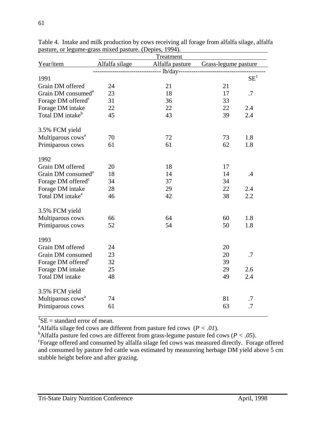|                                | Treatment      |                                      |    |                 |  |  |
|--------------------------------|----------------|--------------------------------------|----|-----------------|--|--|
| Year/item                      | Alfalfa silage | Alfalfa pasture Grass-legume pasture |    |                 |  |  |
|                                |                |                                      |    |                 |  |  |
| 1991                           |                |                                      |    | SE <sup>1</sup> |  |  |
| Grain DM offered               | 24             | 21                                   | 21 |                 |  |  |
| Grain DM consumed <sup>a</sup> | 23             | 18                                   | 17 | .7              |  |  |
| Forage DM offered <sup>c</sup> | 31             | 36                                   | 33 |                 |  |  |
| Forage DM intake               | 22             | 22                                   | 22 | 2.4             |  |  |
| Total DM intake <sup>b</sup>   | 45             | 43                                   | 39 | 2.4             |  |  |
| 3.5% FCM yield                 |                |                                      |    |                 |  |  |
| Multiparous cows <sup>a</sup>  | 70             | 72                                   | 73 | 1.8             |  |  |
| Primiparous cows               | 61             | 61                                   | 62 | 1.8             |  |  |
| 1992                           |                |                                      |    |                 |  |  |
| Grain DM offered               | 20             | 18                                   | 17 |                 |  |  |
| Grain DM consumed <sup>a</sup> | 18             | 14                                   | 14 | .4              |  |  |
| Forage DM offered <sup>c</sup> | 34             | 37                                   | 34 |                 |  |  |
| Forage DM intake               | 28             | 29                                   | 22 | 2.4             |  |  |
| Total DM intake <sup>a</sup>   | 46             | 42                                   | 38 | 2.2             |  |  |
| 3.5% FCM yield                 |                |                                      |    |                 |  |  |
| Multiparous cows               | 66             | 64                                   | 60 | 1.8             |  |  |
| Primiparous cows               | 52             | 54                                   | 50 | 1.8             |  |  |
| 1993                           |                |                                      |    |                 |  |  |
| Grain DM offered               | 24             |                                      | 20 |                 |  |  |
| Grain DM consumed              | 23             |                                      | 20 | .7              |  |  |
| Forage DM offered <sup>c</sup> | 32             |                                      | 39 |                 |  |  |
| Forage DM intake               | 25             |                                      | 29 | 2.6             |  |  |
| Total DM intake                | 48             |                                      | 49 | 2.4             |  |  |
| 3.5% FCM yield                 |                |                                      |    |                 |  |  |
| Multiparous cows <sup>a</sup>  | 74             |                                      | 81 | .7              |  |  |
| Primiparous cows               | 61             |                                      | 63 | .7              |  |  |

Table 4. Intake and milk production by cows receiving all forage from alfalfa silage, alfalfa pasture, or legume-grass mixed pasture. (Depies, 1994).

 ${}^{1}$ SE = standard error of mean.

<sup>a</sup> Alfalfa silage fed cows are different from pasture fed cows  $(P < .01)$ .<br>
<sup>b</sup> Alfalfa pasture fed cows are different from grass-legume pasture fed cows  $(P < .05)$ .

Forage offered and consumed by alfalfa silage fed cows was measured directly. Forage offered and consumed by pasture fed cattle was estimated by measureing herbage DM yield above 5 cm stubble height before and after grazing.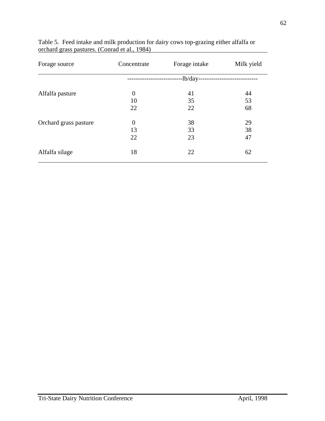| Forage source         | Concentrate    | Forage intake | Milk yield |
|-----------------------|----------------|---------------|------------|
|                       |                | $-lb/day$     |            |
| Alfalfa pasture       | $\theta$       | 41            | 44         |
|                       | 10             | 35            | 53         |
|                       | 22             | 22            | 68         |
| Orchard grass pasture | $\overline{0}$ | 38            | 29         |
|                       | 13             | 33            | 38         |
|                       | 22             | 23            | 47         |
| Alfalfa silage        | 18             | 22            | 62         |

Table 5. Feed intake and milk production for dairy cows top-grazing either alfalfa or orchard grass pastures. (Conrad et al., 1984)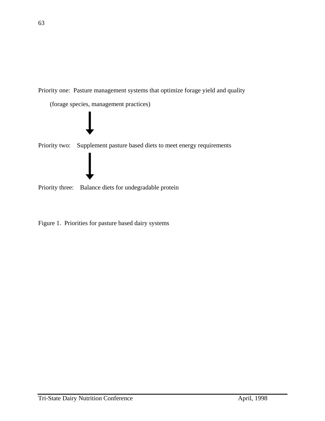



Figure 1. Priorities for pasture based dairy systems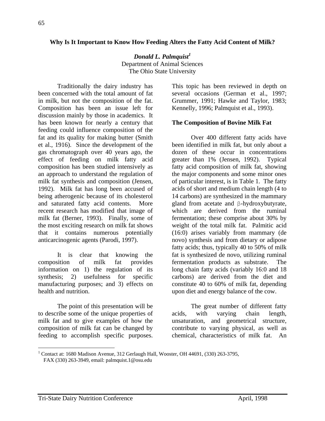#### **Why Is It Important to Know How Feeding Alters the Fatty Acid Content of Milk?**

*Donald L. Palmquist<sup>1</sup>* Department of Animal Sciences The Ohio State University

Traditionally the dairy industry has been concerned with the total amount of fat in milk, but not the composition of the fat. Composition has been an issue left for discussion mainly by those in academics. It has been known for nearly a century that feeding could influence composition of the fat and its quality for making butter (Smith et al., 1916). Since the development of the gas chromatograph over 40 years ago, the effect of feeding on milk fatty acid composition has been studied intensively as an approach to understand the regulation of milk fat synthesis and composition (Jensen, 1992). Milk fat has long been accused of being atherogenic because of its cholesterol and saturated fatty acid contents. More recent research has modified that image of milk fat (Berner, 1993). Finally, some of the most exciting research on milk fat shows that it contains numerous potentially anticarcinogenic agents (Parodi, 1997).

It is clear that knowing the composition of milk fat provides information on 1) the regulation of its synthesis; 2) usefulness for specific manufacturing purposes; and 3) effects on health and nutrition.

The point of this presentation will be to describe some of the unique properties of milk fat and to give examples of how the composition of milk fat can be changed by feeding to accomplish specific purposes.

This topic has been reviewed in depth on several occasions (German et al., 1997; Grummer, 1991; Hawke and Taylor, 1983; Kennelly, 1996; Palmquist et al., 1993).

#### **The Composition of Bovine Milk Fat**

Over 400 different fatty acids have been identified in milk fat, but only about a dozen of these occur in concentrations greater than 1% (Jensen, 1992). Typical fatty acid composition of milk fat, showing the major components and some minor ones of particular interest, is in Table 1. The fatty acids of short and medium chain length (4 to 14 carbons) are synthesized in the mammary gland from acetate and  $\beta$ -hydroxybutyrate, which are derived from the ruminal fermentation; these comprise about 30% by weight of the total milk fat. Palmitic acid (16:0) arises variably from mammary (de novo) synthesis and from dietary or adipose fatty acids; thus, typically 40 to 50% of milk fat is synthesized de novo, utilizing ruminal fermentation products as substrate. The long chain fatty acids (variably 16:0 and 18 carbons) are derived from the diet and constitute 40 to 60% of milk fat, depending upon diet and energy balance of the cow.

The great number of different fatty acids, with varying chain length, unsaturation, and geometrical structure, contribute to varying physical, as well as chemical, characteristics of milk fat. An

 $\overline{a}$ 

<sup>&</sup>lt;sup>1</sup> Contact at: 1680 Madison Avenue, 312 Gerlaugh Hall, Wooster, OH 44691, (330) 263-3795, FAX (330) 263-3949, email: palmquist.1@osu.edu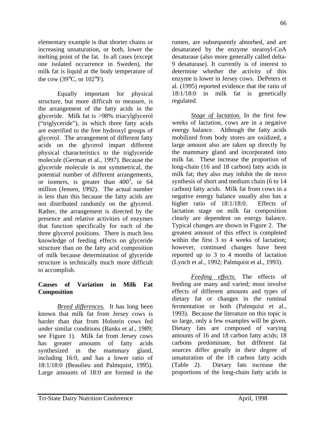elementary example is that shorter chains or increasing unsaturation, or both, lower the melting point of the fat. In all cases (except one isolated occurrence in Sweden), the milk fat is liquid at the body temperature of the cow (39 $\textdegree$ C, or 102 $\textdegree$ F).

Equally important for physical structure, but more difficult to measure, is the arrangement of the fatty acids in the glyceride. Milk fat is >98% triacylglycerol ("triglyceride"), in which three fatty acids are esterified to the free hydroxyl groups of glycerol. The arrangement of different fatty acids on the glycerol impart different physical characteristics to the triglyceride molecule (German et al., 1997). Because the glyceride molecule is not symmetrical, the potential number of different arrangements, or isomers, is greater than  $400^3$ , or 64 million (Jensen, 1992). The actual number is less than this because the fatty acids are not distributed randomly on the glycerol. Rather, the arrangement is directed by the presence and relative activities of enzymes that function specifically for each of the three glycerol positions. There is much less knowledge of feeding effects on glyceride structure than on the fatty acid composition of milk because determination of glyceride structure is technically much more difficult to accomplish.

# **Causes of Variation in Milk Fat Composition**

*Breed differences.* It has long been known that milk fat from Jersey cows is harder than that from Holstein cows fed under similar conditions (Banks et al., 1989; see Figure 1). Milk fat from Jersey cows has greater amounts of fatty acids synthesized in the mammary gland, including 16:0, and has a lower ratio of 18:1/18:0 (Beaulieu and Palmquist, 1995). Large amounts of 18:0 are formed in the

rumen, are subsequently absorbed, and are desaturated by the enzyme stearoyl-CoA desaturase (also more generally called delta-9 desaturase). It currently is of interest to determine whether the activity of this enzyme is lower in Jersey cows. DePeters et al. (1995) reported evidence that the ratio of 18:1/18:0 in milk fat is genetically regulated.

*Stage of lactation.* In the first few weeks of lactation, cows are in a negative energy balance. Although the fatty acids mobilized from body stores are oxidized, a large amount also are taken up directly by the mammary gland and incorporated into milk fat. These increase the proportion of long-chain (16 and 18 carbon) fatty acids in milk fat; they also may inhibit the de novo synthesis of short and medium chain (6 to 14 carbon) fatty acids. Milk fat from cows in a negative energy balance usually also has a higher ratio of 18:1/18:0. Effects of lactation stage on milk fat composition clearly are dependent on energy balance. Typical changes are shown in Figure 2. The greatest amount of this effect is completed within the first 3 to 4 weeks of lactation; however, continued changes have been reported up to 3 to 4 months of lactation (Lynch et al., 1992; Palmquist et al., 1993).

*Feeding effects.* The effects of feeding are many and varied; most involve effects of different amounts and types of dietary fat or changes in the ruminal fermentation or both (Palmquist et al., 1993). Because the literature on this topic is so large, only a few examples will be given. Dietary fats are composed of varying amounts of 16 and 18 carbon fatty acids; 18 carbons predominate, but different fat sources differ greatly in their degree of unsaturation of the 18 carbon fatty acids (Table 2). Dietary fats increase the proportions of the long-chain fatty acids in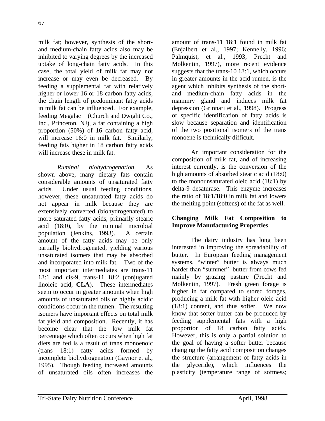milk fat; however, synthesis of the shortand medium-chain fatty acids also may be inhibited to varying degrees by the increased uptake of long-chain fatty acids. In this case, the total yield of milk fat may not increase or may even be decreased. By feeding a supplemental fat with relatively higher or lower 16 or 18 carbon fatty acids, the chain length of predominant fatty acids in milk fat can be influenced. For example, feeding Megalac<sup>®</sup> (Church and Dwight Co., Inc., Princeton, NJ), a fat containing a high proportion (50%) of 16 carbon fatty acid, will increase 16:0 in milk fat. Similarly, feeding fats higher in 18 carbon fatty acids will increase these in milk fat.

*Ruminal biohydrogenation.* As shown above, many dietary fats contain considerable amounts of unsaturated fatty acids. Under usual feeding conditions, however, these unsaturated fatty acids do not appear in milk because they are extensively converted (biohydrogenated) to more saturated fatty acids, primarily stearic acid (18:0), by the ruminal microbial population (Jenkins, 1993). A certain amount of the fatty acids may be only partially biohydrogenated, yielding various unsaturated isomers that may be absorbed and incorporated into milk fat. Two of the most important intermediates are trans-11 18:1 and cis-9, trans-11 18:2 (conjugated linoleic acid, **CLA**). These intermediates seem to occur in greater amounts when high amounts of unsaturated oils or highly acidic conditions occur in the rumen. The resulting isomers have important effects on total milk fat yield and composition. Recently, it has become clear that the low milk fat percentage which often occurs when high fat diets are fed is a result of trans monoenoic (trans 18:1) fatty acids formed by incomplete biohydrogenation (Gaynor et al., 1995). Though feeding increased amounts of unsaturated oils often increases the

amount of trans-11 18:1 found in milk fat (Enjalbert et al., 1997; Kennelly, 1996; Palmquist, et al., 1993; Precht and Molkentin, 1997), more recent evidence suggests that the trans-10 18:1, which occurs in greater amounts in the acid rumen, is the agent which inhibits synthesis of the shortand medium-chain fatty acids in the mammry gland and induces milk fat depression (Grinnari et al., 1998). Progress or specific identification of fatty acids is slow because separation and identification of the two positional isomers of the trans monoene is technically difficult.

An important consideration for the composition of milk fat, and of increasing interest currently, is the conversion of the high amounts of absorbed stearic acid (18:0) to the monounsaturated oleic acid (18:1) by delta-9 desaturase. This enzyme increases the ratio of 18:1/18:0 in milk fat and lowers the melting point (softens) of the fat as well.

# **Changing Milk Fat Composition to Improve Manufacturing Properties**

The dairy industry has long been interested in improving the spreadability of butter. In European feeding management systems, "winter" butter is always much harder than "summer" butter from cows fed mainly by grazing pasture (Precht and Molkentin, 1997). Fresh green forage is higher in fat compared to stored forages, producing a milk fat with higher oleic acid (18:1) content, and thus softer. We now know that softer butter can be produced by feeding supplemental fats with a high proportion of 18 carbon fatty acids. However, this is only a partial solution to the goal of having a softer butter because changing the fatty acid composition changes the structure (arrangement of fatty acids in the glyceride), which influences the plasticity (temperature range of softness;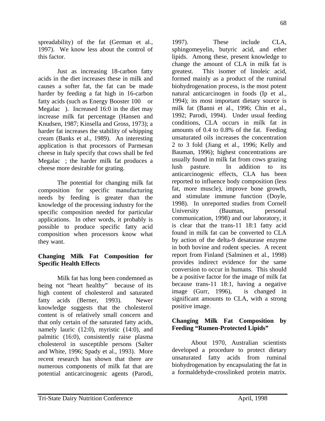spreadability) of the fat (German et al., 1997). We know less about the control of this factor.

Just as increasing 18-carbon fatty acids in the diet increases these in milk and causes a softer fat, the fat can be made harder by feeding a fat high in 16-carbon fatty acids (such as Energy Booster 100<sup>®</sup> or Megalac $\circledR$ ). Increased 16:0 in the diet may increase milk fat percentage (Hansen and Knudsen, 1987; Kinsella and Gross, 1973); a harder fat increases the stability of whipping cream (Banks et al., 1989). An interesting application is that processors of Parmesan cheese in Italy specify that cows shall be fed Megalac $\mathcal{B}$ ; the harder milk fat produces a cheese more desirable for grating.

The potential for changing milk fat composition for specific manufacturing needs by feeding is greater than the knowledge of the processing industry for the specific composition needed for particular applications. In other words, it probably is possible to produce specific fatty acid composition when processors know what they want.

# **Changing Milk Fat Composition for Specific Health Effects**

Milk fat has long been condemned as being not "heart healthy" because of its high content of cholesterol and saturated fatty acids (Berner, 1993). Newer knowledge suggests that the cholesterol content is of relatively small concern and that only certain of the saturated fatty acids, namely lauric (12:0), myristic (14:0), and palmitic (16:0), consistently raise plasma cholesterol in susceptible persons (Salter and White, 1996; Spady et al., 1993). More recent research has shown that there are numerous components of milk fat that are potential anticarcinogenic agents (Parodi,

1997). These include CLA, sphingomeyelin, butyric acid, and ether lipids. Among these, present knowledge to change the amount of CLA in milk fat is greatest. This isomer of linoleic acid, formed mainly as a product of the ruminal biohydrogenation process, is the most potent natural anticarcinogen in foods (Ip et al., 1994); its most important dietary source is milk fat (Banni et al., 1996; Chin et al., 1992; Parodi, 1994). Under usual feeding conditions, CLA occurs in milk fat in amounts of 0.4 to 0.8% of the fat. Feeding unsaturated oils increases the concentration 2 to 3 fold (Jiang et al., 1996; Kelly and Bauman, 1996); highest concentrations are usually found in milk fat from cows grazing lush pasture. In addition to its anticarcinogenic effects, CLA has been reported to influence body composition (less fat, more muscle), improve bone growth, and stimulate immune function (Doyle, 1998). In unreported studies from Cornell University (Bauman, personal communication, 1998) and our laboratory, it is clear that the trans-11 18:1 fatty acid found in milk fat can be converted to CLA by action of the delta-9 desaturase enzyme in both bovine and rodent species. A recent report from Finland (Salminen et al., 1998) provides indirect evidence for the same conversion to occur in humans. This should be a positive factor for the image of milk fat because trans-11 18:1, having a negative image (Gurr, 1996), is changed in significant amounts to CLA, with a strong positive image.

# **Changing Milk Fat Composition by Feeding "Rumen-Protected Lipids"**

About 1970, Australian scientists developed a procedure to protect dietary unsaturated fatty acids from ruminal biohydrogenation by encapsulating the fat in a formaldehyde-crosslinked protein matrix.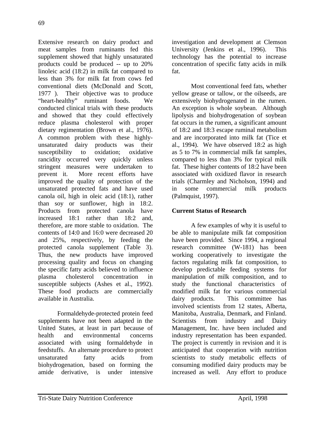Extensive research on dairy product and meat samples from ruminants fed this supplement showed that highly unsaturated products could be produced -- up to 20% linoleic acid (18:2) in milk fat compared to less than 3% for milk fat from cows fed conventional diets (McDonald and Scott, 1977 ). Their objective was to produce "heart-healthy" ruminant foods. We conducted clinical trials with these products and showed that they could effectively reduce plasma cholesterol with proper dietary regimentation (Brown et al., 1976). A common problem with these highlyunsaturated dairy products was their susceptibility to oxidation; oxidative rancidity occurred very quickly unless stringent measures were undertaken to prevent it. More recent efforts have improved the quality of protection of the unsaturated protected fats and have used canola oil, high in oleic acid (18:1), rather than soy or sunflower, high in 18:2. Products from protected canola have increased 18:1 rather than 18:2 and, therefore, are more stable to oxidation. The contents of 14:0 and 16:0 were decreased 20 and 25%, respectively, by feeding the protected canola supplement (Table 3). Thus, the new products have improved processing quality and focus on changing the specific fatty acids believed to influence plasma cholesterol concentration susceptible subjects (Ashes et al., 1992). These food products are commercially available in Australia.

Formaldehyde-protected protein feed supplements have not been adapted in the United States, at least in part because of health and environmental concerns associated with using formaldehyde in feedstuffs. An alternate procedure to protect unsaturated fatty acids from biohydrogenation, based on forming the amide derivative, is under intensive

investigation and development at Clemson University (Jenkins et al., 1996). This technology has the potential to increase concentration of specific fatty acids in milk fat.

Most conventional feed fats, whether yellow grease or tallow, or the oilseeds, are extensively biohydrogenated in the rumen. An exception is whole soybean. Although lipolysis and biohydrogenation of soybean fat occurs in the rumen, a significant amount of 18:2 and 18:3 escape ruminal metabolism and are incorporated into milk fat (Tice et al., 1994). We have observed 18:2 as high as 5 to 7% in commercial milk fat samples, compared to less than 3% for typical milk fat. These higher contents of 18:2 have been associated with oxidized flavor in research trials (Charmley and Nicholson, 1994) and in some commercial milk products (Palmquist, 1997).

# **Current Status of Research**

A few examples of why it is useful to be able to manipulate milk fat composition have been provided. Since 1994, a regional research committee (W-181) has been working cooperatively to investigate the factors regulating milk fat composition, to develop predictable feeding systems for manipulation of milk composition, and to study the functional characteristics of modified milk fat for various commercial dairy products. This committee has involved scientists from 12 states, Alberta, Manitoba, Australia, Denmark, and Finland. Scientists from industry and Dairy Management, Inc. have been included and industry representation has been expanded. The project is currently in revision and it is anticipated that cooperation with nutrition scientists to study metabolic effects of consuming modified dairy products may be increased as well. Any effort to produce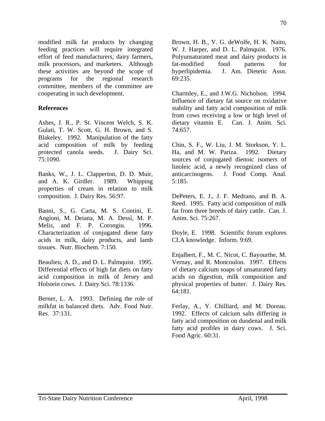modified milk fat products by changing feeding practices will require integrated effort of feed manufacturers, dairy farmers, milk processors, and marketers. Although these activities are beyond the scope of programs for the regional research committee, members of the committee are cooperating in such development.

## **References**

Ashes, J. R., P. St. Vincent Welch, S. K. Gulati, T. W. Scott, G. H. Brown, and S. Blakeley. 1992. Manipulation of the fatty acid composition of milk by feeding protected canola seeds. J. Dairy Sci. 75:1090.

Banks, W., J. L. Clapperton, D. D. Muir, and A. K. Girdler. 1989. Whipping properties of cream in relation to milk composition. J. Dairy Res. 56:97.

Banni, S., G. Carta, M. S. Contini, E. Angioni, M. Deiana, M. A. Dessì, M. P. Melis, and F. P. Corongiu. 1996. Characterization of conjugated diene fatty acids in milk, dairy products, and lamb tissues. Nutr. Biochem. 7:150.

Beaulieu, A. D., and D. L. Palmquist. 1995. Differential effects of high fat diets on fatty acid composition in milk of Jersey and Holstein cows. J. Dairy Sci. 78:1336.

Berner, L. A. 1993. Defining the role of milkfat in balanced diets. Adv. Food Nutr. Res. 37:131.

Brown, H. B., V. G. deWolfe, H. K. Naito, W. J. Harper, and D. L. Palmquist. 1976. Polyunsaturated meat and dairy products in fat-modified food patterns for hyperlipidemia. J. Am. Dietetic Assn. 69:235.

Charmley, E., and J.W.G. Nicholson. 1994. Influence of dietary fat source on oxidative stability and fatty acid composition of milk from cows receiving a low or high level of dietary vitamin E. Can. J. Anim. Sci. 74:657.

Chin, S. F., W. Liu, J. M. Storkson, Y. L. Ha, and M. W. Pariza. 1992. Dietary sources of conjugated dienoic isomers of linoleic acid, a newly recognized class of anticarcinogens. J. Food Comp. Anal. 5:185.

DePeters, E. J., J. F. Medrano, and B. A. Reed. 1995. Fatty acid composition of milk fat from three breeds of dairy cattle. Can. J. Anim. Sci. 75:267.

Doyle, E. 1998. Scientific forum explores CLA knowledge. Inform. 9:69.

Enjalbert, F., M. C. Nicot, C. Bayourthe, M. Vernay, and R. Moncoulon. 1997. Effects of dietary calcium soaps of unsaturated fatty acids on digestion, milk composition and physical properties of butter. J. Dairy Res. 64:181.

Ferlay, A., Y. Chilliard, and M. Doreau. 1992. Effects of calcium salts differing in fatty acid composition on duodenal and milk fatty acid profiles in dairy cows. J. Sci. Food Agric. 60:31.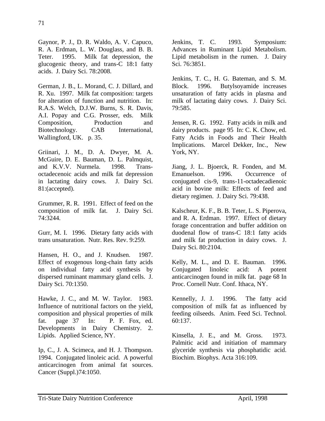Gaynor, P. J., D. R. Waldo, A. V. Capuco, R. A. Erdman, L. W. Douglass, and B. B. Teter. 1995. Milk fat depression, the glucogenic theory, and trans-C 18:1 fatty acids. J. Dairy Sci. 78:2008.

German, J. B., L. Morand, C. J. Dillard, and R. Xu. 1997. Milk fat composition: targets for alteration of function and nutrition. In: R.A.S. Welch, D.J.W. Burns, S. R. Davis, A.I. Popay and C.G. Prosser, eds. Milk Composition, Production and Biotechnology. CAB International, Wallingford, UK. p. 35.

Griinari, J. M., D. A. Dwyer, M. A. McGuire, D. E. Bauman, D. L. Palmquist, and K.V.V. Nurmela. 1998. Transoctadecenoic acids and milk fat depression in lactating dairy cows. J. Dairy Sci. 81:(accepted).

Grummer, R. R. 1991. Effect of feed on the composition of milk fat. J. Dairy Sci. 74:3244.

Gurr, M. I. 1996. Dietary fatty acids with trans unsaturation. Nutr. Res. Rev. 9:259.

Hansen, H. O., and J. Knudsen. 1987. Effect of exogenous long-chain fatty acids on individual fatty acid synthesis by dispersed ruminant mammary gland cells. J. Dairy Sci. 70:1350.

Hawke, J. C., and M. W. Taylor. 1983. Influence of nutritional factors on the yield, composition and physical properties of milk fat. page 37 In: P. F. Fox, ed. Developments in Dairy Chemistry. 2. Lipids. Applied Science, NY.

Ip, C., J. A. Scimeca, and H. J. Thompson. 1994. Conjugated linoleic acid. A powerful anticarcinogen from animal fat sources. Cancer (Suppl.)74:1050.

Jenkins, T. C. 1993. Symposium: Advances in Ruminant Lipid Metabolism. Lipid metabolism in the rumen. J. Dairy Sci. 76:3851.

Jenkins, T. C., H. G. Bateman, and S. M. Block. 1996. Butylsoyamide increases unsaturation of fatty acids in plasma and milk of lactating dairy cows. J. Dairy Sci. 79:585.

Jensen, R. G. 1992. Fatty acids in milk and dairy products. page 95 In: C. K. Chow, ed. Fatty Acids in Foods and Their Health Implications. Marcel Dekker, Inc., New York, NY.

Jiang, J. L. Bjoerck, R. Fonden, and M. Emanuelson. 1996. Occurrence of conjugated cis-9, trans-11-octadecadienoic acid in bovine milk: Effects of feed and dietary regimen. J. Dairy Sci. 79:438.

Kalscheur, K. F., B. B. Teter, L. S. Piperova, and R. A. Erdman. 1997. Effect of dietary forage concentration and buffer addition on duodenal flow of trans-C 18:1 fatty acids and milk fat production in dairy cows. J. Dairy Sci. 80:2104.

Kelly, M. L., and D. E. Bauman. 1996. Conjugated linoleic acid: A potent anticarcinogen found in milk fat. page 68 In Proc. Cornell Nutr. Conf. Ithaca, NY.

Kennelly, J. J. 1996. The fatty acid composition of milk fat as influenced by feeding oilseeds. Anim. Feed Sci. Technol. 60:137.

Kinsella, J. E., and M. Gross. 1973. Palmitic acid and initiation of mammary glyceride synthesis via phosphatidic acid. Biochim. Biophys. Acta 316:109.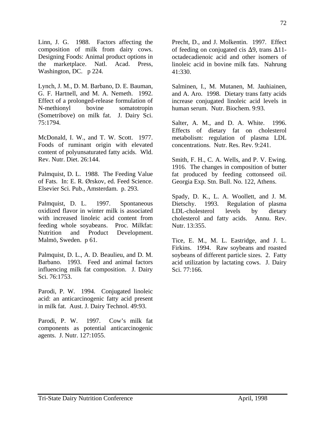Linn, J. G. 1988. Factors affecting the composition of milk from dairy cows. Designing Foods: Animal product options in the marketplace. Natl. Acad. Press, Washington, DC. p 224.

Lynch, J. M., D. M. Barbano, D. E. Bauman, G. F. Hartnell, and M. A. Nemeth. 1992. Effect of a prolonged-release formulation of N-methionyl bovine somatotropin (Sometribove) on milk fat. J. Dairy Sci. 75:1794.

McDonald, I. W., and T. W. Scott. 1977. Foods of ruminant origin with elevated content of polyunsaturated fatty acids. Wld. Rev. Nutr. Diet. 26:144.

Palmquist, D. L. 1988. The Feeding Value of Fats. In: E. R. Ørskov, ed. Feed Science. Elsevier Sci. Pub., Amsterdam. p. 293.

Palmquist, D. L. 1997. Spontaneous oxidized flavor in winter milk is associated with increased linoleic acid content from feeding whole soyabeans. Proc. Milkfat: Nutrition and Product Development. Malmö, Sweden. p 61.

Palmquist, D. L., A. D. Beaulieu, and D. M. Barbano. 1993. Feed and animal factors influencing milk fat composition. J. Dairy Sci. 76:1753.

Parodi, P. W. 1994. Conjugated linoleic acid: an anticarcinogenic fatty acid present in milk fat. Aust. J. Dairy Technol. 49:93.

Parodi, P. W. 1997. Cow's milk fat components as potential anticarcinogenic agents. J. Nutr. 127:1055.

Precht, D., and J. Molkentin. 1997. Effect of feeding on conjugated cis  $\Delta$ 9, trans  $\Delta$ 11octadecadienoic acid and other isomers of linoleic acid in bovine milk fats. Nahrung 41:330.

Salminen, I., M. Mutanen, M. Jauhiainen, and A. Aro. 1998. Dietary trans fatty acids increase conjugated linoleic acid levels in human serum. Nutr. Biochem. 9:93.

Salter, A. M., and D. A. White. 1996. Effects of dietary fat on cholesterol metabolism: regulation of plasma LDL concentrations. Nutr. Res. Rev. 9:241.

Smith, F. H., C. A. Wells, and P. V. Ewing. 1916. The changes in composition of butter fat produced by feeding cottonseed oil. Georgia Exp. Stn. Bull. No. 122, Athens.

Spady, D. K., L. A. Woollett, and J. M. Dietschy. 1993. Regulation of plasma LDL-cholesterol levels by dietary cholesterol and fatty acids. Annu. Rev. Nutr. 13:355.

Tice, E. M., M. L. Eastridge, and J. L. Firkins. 1994. Raw soybeans and roasted soybeans of different particle sizes. 2. Fatty acid utilization by lactating cows. J. Dairy Sci. 77:166.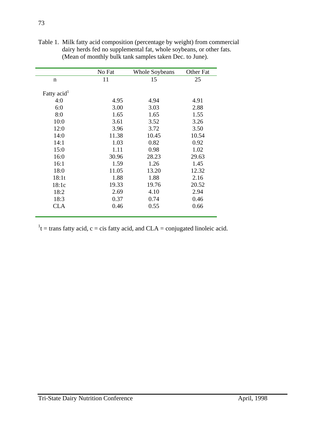|                         | No Fat | <b>Whole Soybeans</b> | Other Fat |
|-------------------------|--------|-----------------------|-----------|
| $\mathbf n$             | 11     | 15                    | 25        |
|                         |        |                       |           |
| Fatty acid <sup>1</sup> |        |                       |           |
| 4:0                     | 4.95   | 4.94                  | 4.91      |
| 6:0                     | 3.00   | 3.03                  | 2.88      |
| 8:0                     | 1.65   | 1.65                  | 1.55      |
| 10:0                    | 3.61   | 3.52                  | 3.26      |
| 12:0                    | 3.96   | 3.72                  | 3.50      |
| 14:0                    | 11.38  | 10.45                 | 10.54     |
| 14:1                    | 1.03   | 0.82                  | 0.92      |
| 15:0                    | 1.11   | 0.98                  | 1.02      |
| 16:0                    | 30.96  | 28.23                 | 29.63     |
| 16:1                    | 1.59   | 1.26                  | 1.45      |
| 18:0                    | 11.05  | 13.20                 | 12.32     |
| 18:1t                   | 1.88   | 1.88                  | 2.16      |
| 18:1c                   | 19.33  | 19.76                 | 20.52     |
| 18:2                    | 2.69   | 4.10                  | 2.94      |
| 18:3                    | 0.37   | 0.74                  | 0.46      |
| <b>CLA</b>              | 0.46   | 0.55                  | 0.66      |
|                         |        |                       |           |

Table 1. Milk fatty acid composition (percentage by weight) from commercial dairy herds fed no supplemental fat, whole soybeans, or other fats. (Mean of monthly bulk tank samples taken Dec. to June).

<sup>1</sup>t = trans fatty acid, c = cis fatty acid, and CLA = conjugated linoleic acid.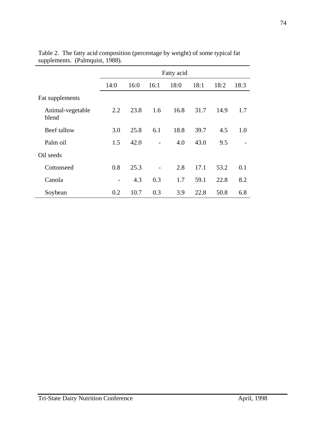|                           | Fatty acid     |      |      |      |      |      |      |
|---------------------------|----------------|------|------|------|------|------|------|
|                           | 14:0           | 16:0 | 16:1 | 18:0 | 18:1 | 18:2 | 18:3 |
| Fat supplements           |                |      |      |      |      |      |      |
| Animal-vegetable<br>blend | 2.2            | 23.8 | 1.6  | 16.8 | 31.7 | 14.9 | 1.7  |
| Beef tallow               | 3.0            | 25.8 | 6.1  | 18.8 | 39.7 | 4.5  | 1.0  |
| Palm oil                  | 1.5            | 42.0 |      | 4.0  | 43.0 | 9.5  |      |
| Oil seeds                 |                |      |      |      |      |      |      |
| Cottonseed                | 0.8            | 25.3 |      | 2.8  | 17.1 | 53.2 | 0.1  |
| Canola                    | $\overline{a}$ | 4.3  | 0.3  | 1.7  | 59.1 | 22.8 | 8.2  |
| Soybean                   | 0.2            | 10.7 | 0.3  | 3.9  | 22.8 | 50.8 | 6.8  |

Table 2. The fatty acid composition (percentage by weight) of some typical fat supplements. (Palmquist, 1988).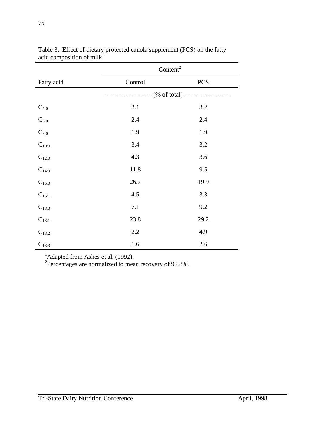|                    | Content <sup>2</sup>                 |            |  |
|--------------------|--------------------------------------|------------|--|
| Fatty acid         | Control                              | <b>PCS</b> |  |
|                    | ------------------- (% of total) --- |            |  |
| $C_{4:0}$          | 3.1                                  | 3.2        |  |
| $C_{6:0}$          | 2.4                                  | 2.4        |  |
| $\mathrm{C}_{8:0}$ | 1.9                                  | 1.9        |  |
| $C_{10:0}$         | 3.4                                  | 3.2        |  |
| $C_{12:0}$         | 4.3                                  | 3.6        |  |
| $C_{14:0}$         | 11.8                                 | 9.5        |  |
| $C_{16:0}$         | 26.7                                 | 19.9       |  |
| $C_{16:1}$         | 4.5                                  | 3.3        |  |
| $C_{18:0}$         | 7.1                                  | 9.2        |  |
| $C_{18:1}$         | 23.8                                 | 29.2       |  |
| $C_{18:2}$         | 2.2                                  | 4.9        |  |
| $C_{18:3}$         | 1.6                                  | 2.6        |  |

Table 3. Effect of dietary protected canola supplement (PCS) on the fatty acid composition of milk $1$ 

<sup>1</sup>Adapted from Ashes et al. (1992).<br><sup>2</sup>Percentages are normalized to mean recovery of 92.8%.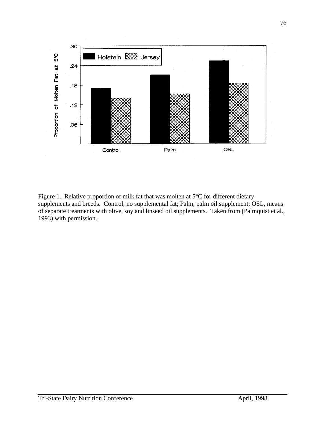

Figure 1. Relative proportion of milk fat that was molten at 5°C for different dietary supplements and breeds. Control, no supplemental fat; Palm, palm oil supplement; OSL, means of separate treatments with olive, soy and linseed oil supplements. Taken from (Palmquist et al., 1993) with permission.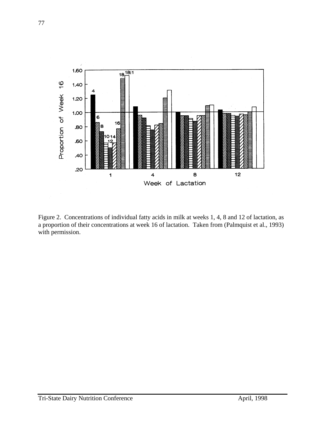

Figure 2. Concentrations of individual fatty acids in milk at weeks 1, 4, 8 and 12 of lactation, as a proportion of their concentrations at week 16 of lactation. Taken from (Palmquist et al., 1993) with permission.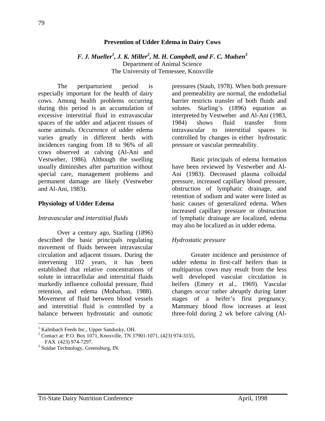#### **Prevention of Udder Edema in Dairy Cows**

*F. J. Mueller<sup>1</sup> , J. K. Miller2 , M. H. Campbell, and F. C. Madsen3* Department of Animal Science The University of Tennessee, Knoxville

The periparturient period is especially important for the health of dairy cows. Among health problems occurring during this period is an accumulation of excessive interstitial fluid in extravascular spaces of the udder and adjacent tissues of some animals. Occurrence of udder edema varies greatly in different herds with incidences ranging from 18 to 96% of all cows observed at calving (Al-Ani and Vestweber, 1986). Although the swelling usually diminishes after parturition without special care, management problems and permanent damage are likely (Vestweber and Al-Ani, 1983).

#### **Physiology of Udder Edema**

#### *Intravascular and interstitial fluids*

Over a century ago, Starling (1896) described the basic principals regulating movement of fluids between intravascular circulation and adjacent tissues. During the intervening 102 years, it has been established that relative concentrations of solute in intracellular and interstitial fluids markedly influence colloidal pressure, fluid retention, and edema (Mobarhan, 1988). Movement of fluid between blood vessels and interstitial fluid is controlled by a balance between hydrostatic and osmotic

pressures (Staub, 1978). When both pressure and premeability are normal, the endothelial barrier restricts transfer of both fluids and solutes. Starling's (1896) equation as interpreted by Vestweber and Al-Ani (1983, 1984) shows fluid transfer from intravascular to interstitial spaces is controlled by changes in either hydrostatic pressure or vascular permeability.

Basic principals of edema formation have been reviewed by Vestweber and Al-Ani (1983). Decreased plasma colloidal pressure, increased capillary blood pressure, obstruction of lymphatic drainage, and retention of sodium and water were listed as basic causes of generalized edema. When increased capillary pressure or obstruction of lymphatic drainage are localized, edema may also be localized as in udder edema.

#### *Hydrostatic pressure*

Greater incidence and persistence of udder edema in first-calf heifers than in multiparous cows may result from the less well developed vascular circulation in heifers (Emery et al., 1969). Vascular changes occur rather abruptly during latter stages of a heifer's first pregnancy. Mammary blood flow increases at least three-fold during 2 wk before calving (Al-

 $\overline{a}$ 

<sup>&</sup>lt;sup>1</sup> Kalmbach Feeds Inc., Upper Sandusky, OH.

<sup>2</sup> Contact at: P.O. Box 1071, Knoxville, TN 37901-1071, (423) 974-3155,

FAX (423) 974-7297.

<sup>3</sup> Suidae Technology, Greensburg, IN.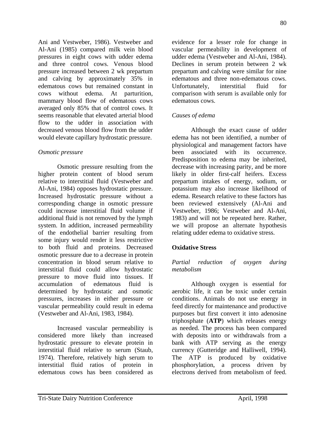Ani and Vestweber, 1986). Vestweber and Al-Ani (1985) compared milk vein blood pressures in eight cows with udder edema and three control cows. Venous blood pressure increased between 2 wk prepartum and calving by approximately 35% in edematous cows but remained constant in cows without edema. At parturition, mammary blood flow of edematous cows averaged only 85% that of control cows. It seems reasonable that elevated arterial blood flow to the udder in association with decreased venous blood flow from the udder would elevate capillary hydrostatic pressure.

## *Osmotic pressure*

Osmotic pressure resulting from the higher protein content of blood serum relative to interstitial fluid (Vestweber and Al-Ani, 1984) opposes hydrostatic pressure. Increased hydrostatic pressure without a corresponding change in osmotic pressure could increase interstitial fluid volume if additional fluid is not removed by the lymph system. In addition, increased permeability of the endothelial barrier resulting from some injury would render it less restrictive to both fluid and proteins. Decreased osmotic pressure due to a decrease in protein concentration in blood serum relative to interstitial fluid could allow hydrostatic pressure to move fluid into tissues. If accumulation of edematous fluid is determined by hydrostatic and osmotic pressures, increases in either pressure or vascular permeability could result in edema (Vestweber and Al-Ani, 1983, 1984).

Increased vascular permeability is considered more likely than increased hydrostatic pressure to elevate protein in interstitial fluid relative to serum (Staub, 1974). Therefore, relatively high serum to interstitial fluid ratios of protein in edematous cows has been considered as

evidence for a lesser role for change in vascular permeability in development of udder edema (Vestweber and Al-Ani, 1984). Declines in serum protein between 2 wk prepartum and calving were similar for nine edematous and three non-edematous cows. Unfortunately, interstitial fluid for comparison with serum is available only for edematous cows.

# *Causes of edema*

Although the exact cause of udder edema has not been identified, a number of physiological and management factors have been associated with its occurrence. Predisposition to edema may be inherited, decrease with increasing parity, and be more likely in older first-calf heifers. Excess prepartum intakes of energy, sodium, or potassium may also increase likelihood of edema. Research relative to these factors has been reviewed extensively (Al-Ani and Vestweber, 1986; Vestweber and Al-Ani, 1983) and will not be repeated here. Rather, we will propose an alternate hypothesis relating udder edema to oxidative stress.

# **Oxidative Stress**

### *Partial reduction of oxygen during metabolism*

Although oxygen is essential for aerobic life, it can be toxic under certain conditions. Animals do not use energy in feed directly for maintenance and productive purposes but first convert it into adenosine triphosphate (**ATP**) which releases energy as needed. The process has been compared with deposits into or withdrawals from a bank with ATP serving as the energy currency (Gutteridge and Halliwell, 1994). The ATP is produced by oxidative phosphorylation, a process driven by electrons derived from metabolism of feed.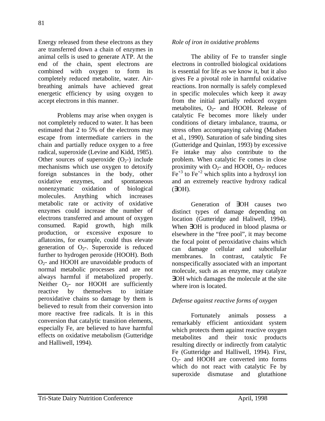Energy released from these electrons as they are transferred down a chain of enzymes in animal cells is used to generate ATP. At the end of the chain, spent electrons are combined with oxygen to form its completely reduced metabolite, water. Airbreathing animals have achieved great energetic efficiency by using oxygen to accept electrons in this manner.

Problems may arise when oxygen is not completely reduced to water. It has been estimated that 2 to 5% of the electrons may escape from intermediate carriers in the chain and partially reduce oxygen to a free radical, superoxide (Levine and Kidd, 1985). Other sources of superoxide  $(O_{2}^-)$  include mechanisms which use oxygen to detoxify foreign substances in the body, other oxidative enzymes, and spontaneous nonenzymatic oxidation of biological molecules. Anything which increases metabolic rate or activity of oxidative enzymes could increase the number of electrons transferred and amount of oxygen consumed. Rapid growth, high milk production, or excessive exposure to aflatoxins, for example, could thus elevate generation of  $O_{2}$ -. Superoxide is reduced further to hydrogen peroxide (HOOH). Both  $O<sub>2</sub>$ - and HOOH are unavoidable products of normal metabolic processes and are not always harmful if metabolized properly. Neither  $O_{2}$ - nor HOOH are sufficiently reactive by themselves to initiate peroxidative chains so damage by them is believed to result from their conversion into more reactive free radicals. It is in this conversion that catalytic transition elements, especially Fe, are believed to have harmful effects on oxidative metabolism (Gutteridge and Halliwell, 1994).

## *Role of iron in oxidative problems*

 The ability of Fe to transfer single electrons in controlled biological oxidations is essential for life as we know it, but it also gives Fe a pivotal role in harmful oxidative reactions. Iron normally is safely complexed in specific molecules which keep it away from the initial partially reduced oxygen metabolites,  $O_2$ - and HOOH. Release of catalytic Fe becomes more likely under conditions of dietary imbalance, trauma, or stress often accompanying calving (Madsen et al., 1990). Saturation of safe binding sites (Gutteridge and Quinlan, 1993) by excessive Fe intake may also contribute to the problem. When catalytic Fe comes in close proximity with  $O_{2}$ - and HOOH,  $O_{2}$ - reduces  $Fe^{+3}$  to  $Fe^{+2}$  which splits into a hydroxyl ion and an extremely reactive hydroxy radical  $(\exists OH)$ .

Generation of ∃OH causes two distinct types of damage depending on location (Gutteridge and Haliwell, 1994). When ∃OH is produced in blood plasma or elsewhere in the "free pool", it may become the focal point of peroxidative chains which can damage cellular and subcellular membranes. In contrast, catalytic Fe nonspecifically associated with an important molecule, such as an enzyme, may catalyze ∃OH which damages the molecule at the site where iron is located.

# *Defense against reactive forms of oxygen*

Fortunately animals possess a remarkably efficient antioxidant system which protects them against reactive oxygen metabolites and their toxic products resulting directly or indirectly from catalytic Fe (Gutteridge and Halliwell, 1994). First,  $O<sub>2</sub>$ - and HOOH are converted into forms which do not react with catalytic Fe by superoxide dismutase and glutathione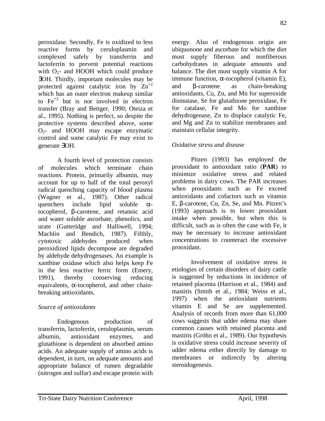peroxidase. Secondly, Fe is oxidized to less reactive forms by ceruloplasmin and complexed safely by transferrin and lactoferrin to prevent potential reactions with  $O<sub>2</sub>$ - and HOOH which could produce ∃OH. Thirdly, important molecules may be protected against catalytic iron by  $\text{Zn}^{+2}$ which has an outer electron makeup similar to  $Fe^{+2}$  but is not involved in electron transfer (Bray and Bettger, 1990; Oteiza et al., 1995). Nothing is perfect, so despite the protective systems described above, some  $O_{2}$ - and HOOH may escape enzymatic control and some catalytic Fe may exist to generate ∃OH.

A fourth level of protection consists of molecules which terminate chain reactions. Protein, primarily albumin, may account for up to half of the total peroxyl radical quenching capacity of blood plasma (Wagner et al., 1987). Other radical quenchers include lipid soluble  $\alpha$ tocopherol, B-carotene, and retanoic acid and water soluble ascorbate, phenolics, and urate (Gutteridge and Halliwell, 1994; Machlin and Bendich, 1987). Fifthly, cytotoxic aldehydes produced when peroxidized lipids decompose are degraded by aldehyde dehydrogenases. An example is xanthine oxidase which also helps keep Fe in the less reactive ferric form (Emery, 1991), thereby conserving reducing equivalents,  $\alpha$ -tocopherol, and other chainbreaking antioxidants.

# *Source of antioxidants*

Endogenous production of transferrin, lactoferrin, ceruloplasmin, serum albumin, antioxidant enzymes, and glutathione is dependent on absorbed amino acids. An adequate supply of amino acids is dependent, in turn, on adequate amounts and appropriate balance of rumen degradable (nitrogen and sulfur) and escape protein with energy. Also of endogenous origin are ubiquonone and ascorbate for which the diet must supply fiberous and nonfiberous carbohydrates in adequate amounts and balance. The diet must supply vitamin A for immune function,  $\alpha$ -tocopherol (vitamin E), and  $\beta$ -carotene as chain-breaking antioxidants, Cu, Zn, and Mn for superoxide dismutase, Se for glutathione peroxidase, Fe for catalase, Fe and Mo for xanthine dehydrogenase, Zn to displace catalytic Fe, and Mg and Zn to stabilize membranes and maintain cellular integrity.

# *Oxidative stress and disease*

Pitzen (1993) has employed the prooxidant to antioxidant ratio (**PAR**) to minimize oxidative stress and related problems in dairy cows. The PAR increases when prooxidants such as Fe exceed antioxidants and cofactors such as vitamin E, β-carotene, Cu, Zn, Se, and Mn. Pitzen's (1993) approach is to lower prooxidant intake when possible, but when this is difficult, such as is often the case with Fe, it may be necessary to increase antioxidant concentrations to counteract the excessive prooxidant.

Involvement of oxidative stress in etiologies of certain disorders of dairy cattle is suggested by reductions in incidence of retained placenta (Harrison et al., 1984) and mastitis (Smith et al., 1984; Weiss et al., 1997) when the antioxidant nutrients vitamin E and Se are supplemented. Analysis of records from more than 61,000 cows suggests that udder edema may share common causes with retained placenta and mastitis (Gröhn et al., 1989). Our hypothesis is oxidative stress could increase severity of udder edema either directly by damage to membranes or indirectly by altering steroidogenesis.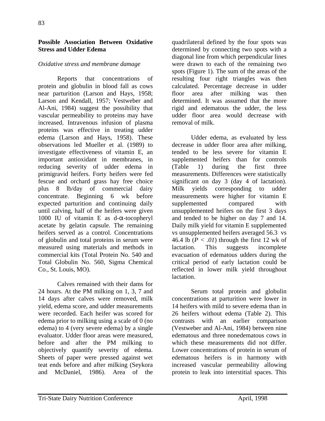### **Possible Association Between Oxidative Stress and Udder Edema**

### *Oxidative stress and membrane damage*

Reports that concentrations of protein and globulin in blood fall as cows near parturition (Larson and Hays, 1958; Larson and Kendall, 1957; Vestweber and Al-Ani, 1984) suggest the possibility that vascular permeability to proteins may have increased. Intravenous infusion of plasma proteins was effective in treating udder edema (Larson and Hays, 1958). These observations led Mueller et al. (1989) to investigate effectiveness of vitamin E, an important antioxidant in membranes, in reducing severity of udder edema in primigravid heifers. Forty heifers were fed fescue and orchard grass hay free choice plus 8 lb/day of commercial dairy concentrate. Beginning 6 wk before expected parturition and continuing daily until calving, half of the heifers were given 1000 IU of vitamin E as  $d-\alpha$ -tocopheryl acetate by gelatin capsule. The remaining heifers served as a control. Concentrations of globulin and total proteins in serum were measured using materials and methods in commercial kits (Total Protein No. 540 and Total Globulin No. 560, Sigma Chemical Co., St. Louis, MO).

Calves remained with their dams for 24 hours. At the PM milking on 1, 3, 7 and 14 days after calves were removed, milk yield, edema score, and udder measurements were recorded. Each heifer was scored for edema prior to milking using a scale of 0 (no edema) to 4 (very severe edema) by a single evaluator. Udder floor areas were measured, before and after the PM milking to objectively quantify severity of edema. Sheets of paper were pressed against wet teat ends before and after milking (Seykora and McDaniel, 1986). Area of the

quadrilateral defined by the four spots was determined by connecting two spots with a diagonal line from which perpendicular lines were drawn to each of the remaining two spots (Figure 1). The sum of the areas of the resulting four right triangles was then calculated. Percentage decrease in udder floor area after milking was then determined. It was assumed that the more rigid and edematous the udder, the less udder floor area would decrease with removal of milk.

Udder edema, as evaluated by less decrease in udder floor area after milking, tended to be less severe for vitamin E supplemented heifers than for controls (Table 1) during the first three measurements. Differences were statistically significant on day 3 (day 4 of lactation). Milk yields corresponding to udder measurements were higher for vitamin E supplemented compared with unsupplemented heifers on the first 3 days and tended to be higher on day 7 and 14. Daily milk yield for vitamin E supplemented vs unsupplemented heifers averaged 56.3 vs 46.4 lb  $(P < .01)$  through the first 12 wk of lactation. This suggests incomplete evacuation of edematous udders during the critical period of early lactation could be reflected in lower milk yield throughout lactation.

Serum total protein and globulin concentrations at parturition were lower in 14 heifers with mild to severe edema than in 26 heifers without edema (Table 2). This contrasts with an earlier comparison (Vestweber and Al-Ani, 1984) between nine edematous and three nonedematous cows in which these measurements did not differ. Lower concentrations of protein in serum of edematous heifers is in harmony with increased vascular permeability allowing protein to leak into interstitial spaces. This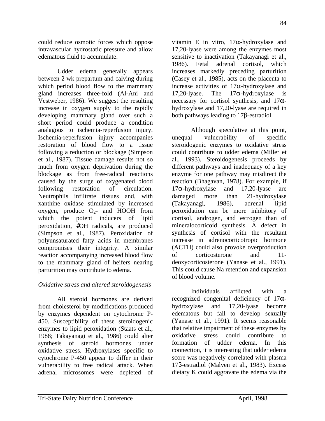could reduce osmotic forces which oppose intravascular hydrostatic pressure and allow edematous fluid to accumulate.

Udder edema generally appears between 2 wk prepartum and calving during which period blood flow to the mammary gland increases three-fold (Al-Ani and Vestweber, 1986). We suggest the resulting increase in oxygen supply to the rapidly developing mammary gland over such a short period could produce a condition analagous to ischemia-reperfusion injury. Ischemia-reperfusion injury accompanies restoration of blood flow to a tissue following a reduction or blockage (Simpson et al., 1987). Tissue damage results not so much from oxygen deprivation during the blockage as from free-radical reactions caused by the surge of oxygenated blood following restoration of circulation. Neutrophils infiltrate tissues and, with xanthine oxidase stimulated by increased oxygen, produce  $O_{2}$ - and HOOH from which the potent inducers of lipid peroxidation, #OH radicals, are produced (Simpson et al., 1987). Peroxidation of polyunsaturated fatty acids in membranes compromises their integrity. A similar reaction accompanying increased blood flow to the mammary gland of heifers nearing parturition may contribute to edema.

# *Oxidative stress and altered steroidogenesis*

All steroid hormones are derived from cholesterol by modifications produced by enzymes dependent on cytochrome P-450. Susceptibility of these steroidogenic enzymes to lipid peroxidation (Staats et al., 1988; Takayanagi et al., 1986) could alter synthesis of steroid hormones under oxidative stress. Hydroxylases specific to cytochrome P-450 appear to differ in their vulnerability to free radical attack. When adrenal microsomes were depleted of

vitamin E in vitro,  $17\alpha$ -hydroxylase and 17,20-lyase were among the enzymes most sensitive to inactivation (Takayanagi et al., 1986). Fetal adrenal cortisol, which increases markedly preceding parturition (Casey et al., 1985), acts on the placenta to increase activities of  $17\alpha$ -hydroxylase and 17,20-lyase. The  $17\alpha$ -hydroxylase is necessary for cortisol synthesis, and  $17\alpha$ hydroxylase and 17,20-lyase are required in both pathways leading to  $17\beta$ -estradiol.

Although speculative at this point, unequal vulnerability of specific steroidogenic enzymes to oxidative stress could contribute to udder edema (Miller et al., 1993). Steroidogenesis proceeds by different pathways and inadequacy of a key enzyme for one pathway may misdirect the reaction (Bhagavan, 1978). For example, if  $17\alpha$ -hydroxylase and  $17,20$ -lyase are damaged more than 21-hydroxylase (Takayanagi, 1986), adrenal lipid peroxidation can be more inhibitory of cortisol, androgen, and estrogen than of mineralocorticoid synthesis. A defect in synthesis of cortisol with the resultant increase in adrenocorticotropic hormone (ACTH) could also provoke overproduction of corticosterone and 11 deoxycorticosterone (Yanase et al., 1991). This could cause Na retention and expansion of blood volume.

Individuals afflicted with a recognized congenital deficiency of  $17\alpha$ hydroxylase and 17,20-lyase become edematous but fail to develop sexually (Yanase et al., 1991). It seems reasonable that relative impairment of these enzymes by oxidative stress could contribute to formation of udder edema. In this connection, it is interesting that udder edema score was negatively correlated with plasma  $17\beta$ -estradiol (Malven et al., 1983). Excess dietary K could aggravate the edema via the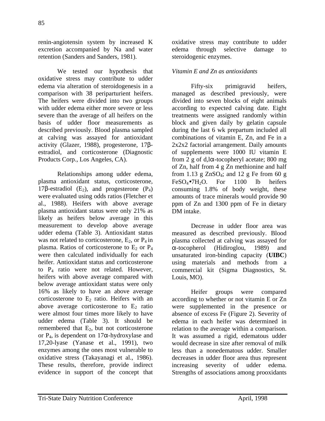renin-angiotensin system by increased K excretion accompanied by Na and water retention (Sanders and Sanders, 1981).

We tested our hypothesis that oxidative stress may contribute to udder edema via alteration of steroidogenesis in a comparison with 38 periparturient heifers. The heifers were divided into two groups with udder edema either more severe or less severe than the average of all heifers on the basis of udder floor measurements as described previously. Blood plasma sampled at calving was assayed for antioxidant activity (Glazer, 1988), progesterone,  $17\beta$ estradiol, and corticosterone (Diagnostic Products Corp., Los Angeles, CA).

Relationships among udder edema, plasma antioxidant status, corticosterone,  $17\beta$ -estradiol (E<sub>2</sub>), and progesterone (P<sub>4</sub>) were evaluated using odds ratios (Fletcher et al., 1988). Heifers with above average plasma antioxidant status were only 21% as likely as heifers below average in this measurement to develop above average udder edema (Table 3). Antioxidant status was not related to corticosterone,  $E_2$ , or  $P_4$  in plasma. Ratios of corticosterone to  $E_2$  or  $P_4$ were then calculated individually for each heifer. Antioxidant status and corticosterone to P4 ratio were not related. However, heifers with above average compared with below average antioxidant status were only 16% as likely to have an above average corticosterone to  $E_2$  ratio. Heifers with an above average corticosterone to  $E_2$  ratio were almost four times more likely to have udder edema (Table 3). It should be remembered that  $E_2$ , but not corticosterone or  $P_4$ , is dependent on  $17\alpha$ -hydroxylase and 17,20-lyase (Yanase et al., 1991), two enzymes among the ones most vulnerable to oxidative stress (Takayanagi et al., 1986). These results, therefore, provide indirect evidence in support of the concept that

oxidative stress may contribute to udder edema through selective damage to steroidogenic enzymes.

# *Vitamin E and Zn as antioxidants*

Fifty-six primigravid heifers, managed as described previously, were divided into seven blocks of eight animals according to expected calving date. Eight treatments were assigned randomly within block and given daily by gelatin capsule during the last 6 wk prepartum included all combinations of vitamin E, Zn, and Fe in a 2x2x2 factorial arrangement. Daily amounts of supplements were 1000 IU vitamin E from 2 g of d,l $\alpha$ -tocopheryl acetate; 800 mg of Zn, half from 4 g Zn methionine and half from 1.13 g  $ZnSO<sub>4</sub>$ ; and 12 g Fe from 60 g  $FeSO<sub>4</sub>•7H<sub>2</sub>O$ . For 1100 lb heifers consuming 1.8% of body weight, these amounts of trace minerals would provide 90 ppm of Zn and 1300 ppm of Fe in dietary DM intake.

Decrease in udder floor area was measured as described previously. Blood plasma collected at calving was assayed for  $\alpha$ -tocopherol (Hidiroglou, 1989) and unsaturated iron-binding capacity (**UIBC**) using materials and methods from a commercial kit (Sigma Diagnostics, St. Louis, MO).

Heifer groups were compared according to whether or not vitamin E or Zn were supplemented in the presence or absence of excess Fe (Figure 2). Severity of edema in each heifer was determined in relation to the average within a comparison. It was assumed a rigid, edematous udder would decrease in size after removal of milk less than a nonedematous udder. Smaller decreases in udder floor area thus represent increasing severity of udder edema. Strengths of associations among prooxidants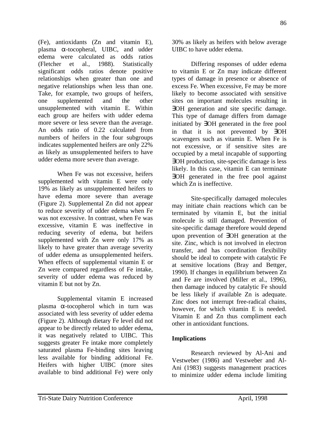(Fe), antioxidants (Zn and vitamin E), plasma  $\alpha$ -tocopheral, UIBC, and udder edema were calculated as odds ratios (Fletcher et al., 1988). Statistically significant odds ratios denote positive relationships when greater than one and negative relationships when less than one. Take, for example, two groups of heifers, one supplemented and the other unsupplemented with vitamin E. Within each group are heifers with udder edema more severe or less severe than the average. An odds ratio of 0.22 calculated from numbers of heifers in the four subgroups indicates supplemented heifers are only 22% as likely as unsupplemented heifers to have udder edema more severe than average.

When Fe was not excessive, heifers supplemented with vitamin E were only 19% as likely as unsupplemented heifers to have edema more severe than average (Figure 2). Supplemental Zn did not appear to reduce severity of udder edema when Fe was not excessive. In contrast, when Fe was excessive, vitamin E was ineffective in reducing severity of edema, but heifers supplemented with Zn were only 17% as likely to have greater than average severity of udder edema as unsupplemented heifers. When effects of supplemental vitamin E or Zn were compared regardless of Fe intake, severity of udder edema was reduced by vitamin E but not by Zn.

Supplemental vitamin E increased plasma  $\alpha$ -tocopherol which in turn was associated with less severity of udder edema (Figure 2). Although dietary Fe level did not appear to be directly related to udder edema, it was negatively related to UIBC. This suggests greater Fe intake more completely saturated plasma Fe-binding sites leaving less available for binding additional Fe. Heifers with higher UIBC (more sites available to bind additional Fe) were only

30% as likely as heifers with below average UIBC to have udder edema.

Differing responses of udder edema to vitamin E or Zn may indicate different types of damage in presence or absence of excess Fe. When excessive, Fe may be more likely to become associated with sensitive sites on important molecules resulting in ∃OH generation and site specific damage. This type of damage differs from damage initiated by ∃OH generated in the free pool in that it is not prevented by ∃OH scavengers such as vitamin E. When Fe is not excessive, or if sensitive sites are occupied by a metal incapable of supporting ∃OH production, site-specific damage is less likely. In this case, vitamin E can terminate ∃OH generated in the free pool against which Zn is ineffective.

Site-specifically damaged molecules may initiate chain reactions which can be terminated by vitamin E, but the initial molecule is still damaged. Prevention of site-specific damage therefore would depend upon prevention of ∃OH generation at the site. Zinc, which is not involved in electron transfer, and has coordination flexibility should be ideal to compete with catalytic Fe at sensitive locations (Bray and Bettger, 1990). If changes in equilibrium between Zn and Fe are involved (Miller et al., 1996), then damage induced by catalytic Fe should be less likely if available Zn is adequate. Zinc does not interrupt free-radical chains, however, for which vitamin E is needed. Vitamin E and Zn thus compliment each other in antioxidant functions.

# **Implications**

Research reviewed by Al-Ani and Vestweber (1986) and Vestweber and Al-Ani (1983) suggests management practices to minimize udder edema include limiting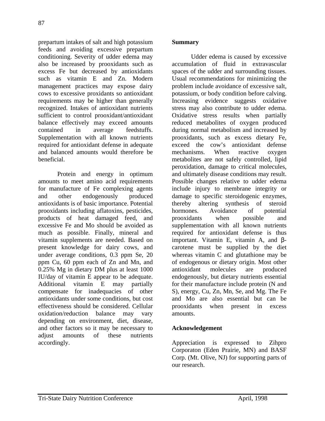prepartum intakes of salt and high potassium feeds and avoiding excessive prepartum conditioning. Severity of udder edema may also be increased by prooxidants such as excess Fe but decreased by antioxidants such as vitamin E and Zn. Modern management practices may expose dairy cows to excessive proxidants so antioxidant requirements may be higher than generally recognized. Intakes of antioxidant nutrients sufficient to control prooxidant/antioxidant balance effectively may exceed amounts contained in average feedstuffs. Supplementation with all known nutrients required for antioxidant defense in adequate and balanced amounts would therefore be beneficial.

Protein and energy in optimum amounts to meet amino acid requirements for manufacture of Fe complexing agents and other endogenously produced antioxidants is of basic importance. Potential prooxidants including aflatoxins, pesticides, products of heat damaged feed, and excessive Fe and Mo should be avoided as much as possible. Finally, mineral and vitamin supplements are needed. Based on present knowledge for dairy cows, and under average conditions, 0.3 ppm Se, 20 ppm Cu, 60 ppm each of Zn and Mn, and 0.25% Mg in dietary DM plus at least 1000 IU/day of vitamin E appear to be adequate. Additional vitamin E may partially compensate for inadequacies of other antioxidants under some conditions, but cost effectiveness should be considered. Cellular oxidation/reduction balance may vary depending on environment, diet, disease, and other factors so it may be necessary to adjust amounts of these nutrients accordingly.

Udder edema is caused by excessive accumulation of fluid in extravascular spaces of the udder and surrounding tissues. Usual recommendations for minimizing the problem include avoidance of excessive salt, potassium, or body condition before calving. Increasing evidence suggests oxidative stress may also contribute to udder edema. Oxidative stress results when partially reduced metabolites of oxygen produced during normal metabolism and increased by prooxidants, such as excess dietary Fe, exceed the cow's antioxidant defense mechanisms. When reactive oxygen metabolites are not safely controlled, lipid peroxidation, damage to critical molecules, and ultimately disease conditions may result. Possible changes relative to udder edema include injury to membrane integrity or damage to specific steroidogenic enzymes, thereby altering synthesis of steroid hormones. Avoidance of potential prooxidants when possible and supplementation with all known nutrients required for antioxidant defense is thus important. Vitamin E, vitamin A, and  $\beta$ carotene must be supplied by the diet whereas vitamin C and glutathione may be of endogenous or dietary origin. Most other antioxidant molecules are produced endogenously, but dietary nutrients essential for their manufacture include protein (N and S), energy, Cu, Zn, Mn, Se, and Mg. The Fe and Mo are also essential but can be prooxidants when present in excess amounts.

# **Acknowledgement**

Appreciation is expressed to Zihpro Corporaton (Eden Prairie, MN) and BASF Corp. (Mt. Olive, NJ) for supporting parts of our research.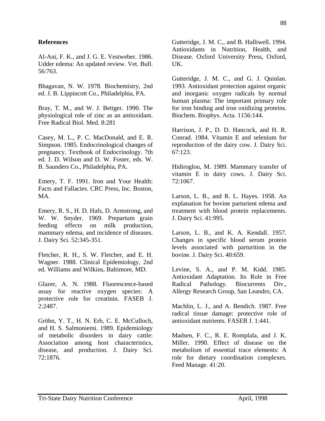### **References**

Al-Ani, F. K., and J. G. E. Vestweber. 1986. Udder edema: An updated review. Vet. Bull. 56:763.

Bhagavan, N. W. 1978. Biochemistry, 2nd ed. J. B. Lippincott Co., Philadelphia, PA.

Bray, T. M., and W. J. Bettger. 1990. The physiological role of zinc as an antioxidant. Free Radical Biol. Med. 8:281

Casey, M. L., P. C. MacDonald, and E. R. Simpson. 1985. Endocrinological changes of pregnancy. Textbook of Endocrinology. 7th ed. J. D. Wilson and D. W. Foster, eds. W. B. Saunders Co., Philadelphia, PA.

Emery, T. F. 1991. Iron and Your Health: Facts and Fallacies. CRC Press, Inc. Boston, MA.

Emery, R. S., H. D. Hafs, D. Armstrong, and W. W. Snyder. 1969. Prepartum grain feeding effects on milk production, mammary edema, and incidence of diseases. J. Dairy Sci. 52:345-351.

Fletcher, R. H., S. W. Fletcher, and E. H. Wagner. 1988. Clinical Epidemiology, 2nd ed. Williams and Wilkins, Baltimore, MD.

Glazer, A. N. 1988. Fluorescence-based assay for reactive oxygen species: A protective role for creatinin. FASEB J. 2:2487.

Gröhn, Y. T., H. N. Erb, C. E. McCulloch, and H. S. Salmoniemi. 1989. Epidemiology of metabolic disorders in dairy cattle: Association among host characteristics, disease, and production. J. Dairy Sci. 72:1876.

Gutteridge, J. M. C., and B. Halliwell. 1994. Antioxidants in Nutrition, Health, and Disease. Oxford University Press, Oxford, UK.

Gutteridge, J. M. C., and G. J. Quinlan. 1993. Antioxidant protection against organic and inorganic oxygen radicals by normal human plasma: The important primary role for iron binding and iron oxidizing proteins. Biochem. Biophys. Acta. 1156:144.

Harrison, J. P., D. D. Hancock, and H. R. Conrad. 1984. Vitamin E and selenium for reproduction of the dairy cow. J. Dairy Sci. 67:123.

Hidiroglou, M. 1989. Mammary transfer of vitamin E in dairy cows. J. Dairy Sci.  $72:1067$ .

Larson, L. B., and R. L. Hayes. 1958. An explanation for bovine parturient edema and treatment with blood protein replacements. J. Dairy Sci. 41:995.

Larson, L. B., and K. A. Kendall. 1957. Changes in specific blood serum protein levels associated with parturition in the bovine. J. Dairy Sci. 40:659.

Levine, S. A., and P. M. Kidd. 1985. Antioxidant Adaptation. Its Role in Free Radical Pathology. Biocurrents Div., Allergy Research Group, San Leandro, CA.

Machlin, L. J., and A. Bendich. 1987. Free radical tissue damage: protective role of antioxidant nutrients. FASEB J. 1:441.

Madsen, F. C., R. E. Romplala, and J. K. Miller. 1990. Effect of disease on the metabolism of essential trace elements: A role for dietary coordination complexes. Feed Manage. 41:20.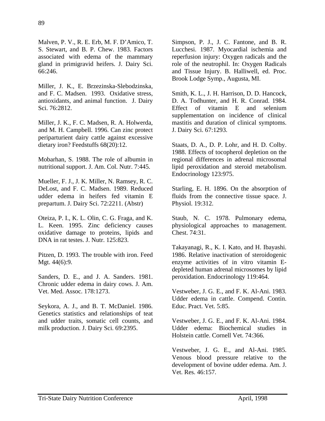89

Malven, P. V., R. E. Erb, M. F. D'Amico, T. S. Stewart, and B. P. Chew. 1983. Factors associated with edema of the mammary gland in primigravid heifers. J. Dairy Sci. 66:246.

Miller, J. K., E. Brzezinska-Slebodzinska, and F. C. Madsen. 1993. Oxidative stress, antioxidants, and animal function. J. Dairy Sci. 76:2812.

Miller, J. K., F. C. Madsen, R. A. Holwerda, and M. H. Campbell. 1996. Can zinc protect periparturient dairy cattle against excessive dietary iron? Feedstuffs 68(20):12.

Mobarhan, S. 1988. The role of albumin in nutritional support. J. Am. Col. Nutr. 7:445.

Mueller, F. J., J. K. Miller, N. Ramsey, R. C. DeLost, and F. C. Madsen. 1989. Reduced udder edema in heifers fed vitamin E prepartum. J. Dairy Sci. 72:2211. (Abstr)

Oteiza, P. I., K. L. Olin, C. G. Fraga, and K. L. Keen. 1995. Zinc deficiency causes oxidative damage to proteins, lipids and DNA in rat testes. J. Nutr. 125:823.

Pitzen, D. 1993. The trouble with iron. Feed Mgt. 44(6):9.

Sanders, D. E., and J. A. Sanders. 1981. Chronic udder edema in dairy cows. J. Am. Vet. Med. Assoc. 178:1273.

Seykora, A. J., and B. T. McDaniel. 1986. Genetics statistics and relationships of teat and udder traits, somatic cell counts, and milk production. J. Dairy Sci. 69:2395.

Simpson, P. J., J. C. Fantone, and B. R. Lucchesi. 1987. Myocardial ischemia and reperfusion injury: Oxygen radicals and the role of the neutrophil. In: Oxygen Radicals and Tissue Injury. B. Halliwell, ed. Proc. Brook Lodge Symp., Augusta, MI.

Smith, K. L., J. H. Harrison, D. D. Hancock, D. A. Todhunter, and H. R. Conrad. 1984. Effect of vitamin E and selenium supplementation on incidence of clinical mastitis and duration of clinical symptoms. J. Dairy Sci. 67:1293.

Staats, D. A., D. P. Lohr, and H. D. Colby. 1988. Effects of tocopherol depletion on the regional differences in adrenal microsomal lipid peroxidation and steroid metabolism. Endocrinology 123:975.

Starling, E. H. 1896. On the absorption of fluids from the connective tissue space. J. Physiol. 19:312.

Staub, N. C. 1978. Pulmonary edema, physiological approaches to management. Chest. 74:31.

Takayanagi, R., K. I. Kato, and H. Ibayashi. 1986. Relative inactivation of steroidogenic enzyme activities of in vitro vitamin Edepleted human adrenal microsomes by lipid peroxidation. Endocrinology 119:464.

Vestweber, J. G. E., and F. K. Al-Ani. 1983. Udder edema in cattle. Compend. Contin. Educ. Pract. Vet. 5:85.

Vestweber, J. G. E., and F. K. Al-Ani. 1984. Udder edema: Biochemical studies in Holstein cattle. Cornell Vet. 74:366.

Vestweber, J. G. E., and Al-Ani. 1985. Venous blood pressure relative to the development of bovine udder edema. Am. J. Vet. Res. 46:157.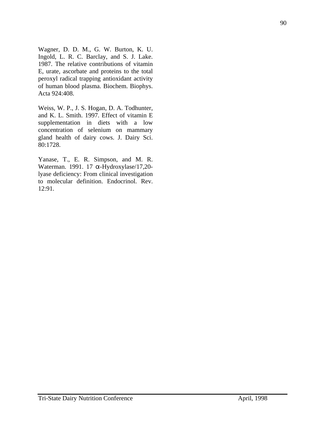Wagner, D. D. M., G. W. Burton, K. U. Ingold, L. R. C. Barclay, and S. J. Lake. 1987. The relative contributions of vitamin E, urate, ascorbate and proteins to the total peroxyl radical trapping antioxidant activity of human blood plasma. Biochem. Biophys. Acta 924:408.

Weiss, W. P., J. S. Hogan, D. A. Todhunter, and K. L. Smith. 1997. Effect of vitamin E supplementation in diets with a low concentration of selenium on mammary gland health of dairy cows. J. Dairy Sci. 80:1728.

Yanase, T., E. R. Simpson, and M. R. Waterman. 1991. 17  $\alpha$ -Hydroxylase/17,20lyase deficiency: From clinical investigation to molecular definition. Endocrinol. Rev. 12:91.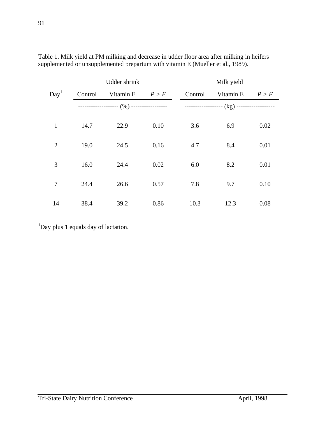|                  | Udder shrink |           |       | Milk yield |           |       |
|------------------|--------------|-----------|-------|------------|-----------|-------|
| Day <sup>1</sup> | Control      | Vitamin E | P > F | Control    | Vitamin E | P > F |
|                  |              |           |       |            |           |       |
| $\mathbf{1}$     | 14.7         | 22.9      | 0.10  | 3.6        | 6.9       | 0.02  |
| $\overline{2}$   | 19.0         | 24.5      | 0.16  | 4.7        | 8.4       | 0.01  |
| 3                | 16.0         | 24.4      | 0.02  | 6.0        | 8.2       | 0.01  |
| $\tau$           | 24.4         | 26.6      | 0.57  | 7.8        | 9.7       | 0.10  |
| 14               | 38.4         | 39.2      | 0.86  | 10.3       | 12.3      | 0.08  |

Table 1. Milk yield at PM milking and decrease in udder floor area after milking in heifers supplemented or unsupplemented prepartum with vitamin E (Mueller et al., 1989).

<sup>1</sup>Day plus 1 equals day of lactation.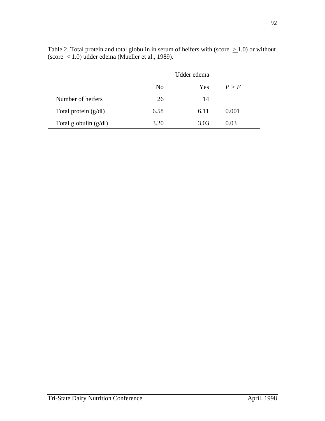|                         | Udder edema |            |       |
|-------------------------|-------------|------------|-------|
|                         | No          | <b>Yes</b> | P > F |
| Number of heifers       | 26          | 14         |       |
| Total protein $(g/dl)$  | 6.58        | 6.11       | 0.001 |
| Total globulin $(g/dl)$ | 3.20        | 3.03       | 0.03  |

Table 2. Total protein and total globulin in serum of heifers with (score  $\geq$  1.0) or without (score < 1.0) udder edema (Mueller et al., 1989).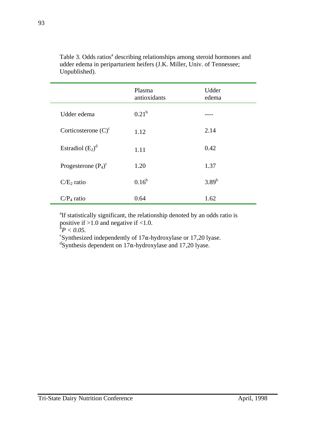|                        | Plasma<br>antioxidants | Udder<br>edema |
|------------------------|------------------------|----------------|
| Udder edema            | $0.21^{b}$             |                |
| Corticosterone $(C)^c$ | 1.12                   | 2.14           |
| Estradiol $(E_2)^d$    | 1.11                   | 0.42           |
| Progesterone $(P_4)^c$ | 1.20                   | 1.37           |
| $C/E_2$ ratio          | $0.16^{b}$             | $3.89^{b}$     |
| $C/P4$ ratio           | 0.64                   | 1.62           |

Table 3. Odds ratios<sup>a</sup> describing relationships among steroid hormones and udder edema in periparturient heifers (J.K. Miller, Univ. of Tennessee; Unpublished).

<sup>a</sup>If statistically significant, the relationship denoted by an odds ratio is positive if  $>1.0$  and negative if  $<1.0$ .<br><sup>*b*</sup>P  $< 0.05$ .

 $\degree$ Synthesized independently of 17 $\alpha$ -hydroxylase or 17,20 lyase.  $d$ Synthesis dependent on 17 $\alpha$ -hydroxylase and 17,20 lyase.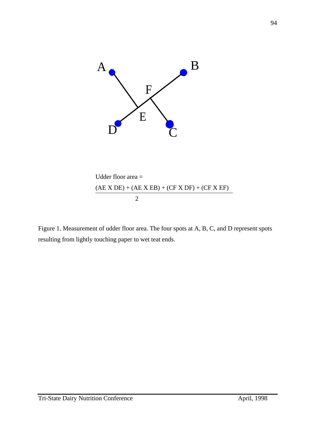



Figure 1. Measurement of udder floor area. The four spots at A, B, C, and D represent spots resulting from lightly touching paper to wet teat ends.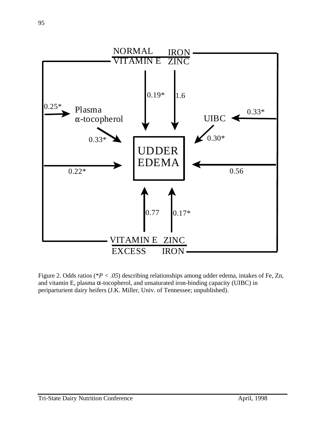

Figure 2. Odds ratios (\**P < .05*) describing relationships among udder edema, intakes of Fe, Zn, and vitamin E, plasma  $\alpha$ -tocopherol, and unsaturated iron-binding capacity (UIBC) in periparturient dairy heifers (J.K. Miller, Univ. of Tennessee; unpublished).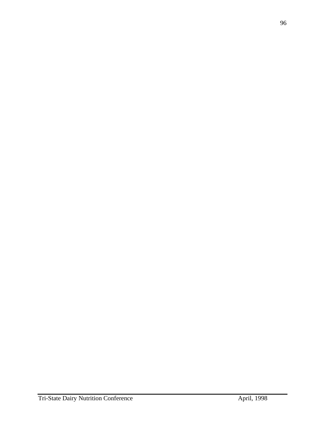96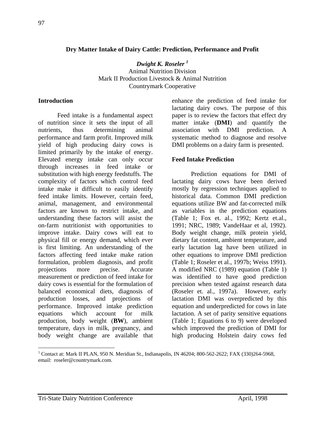### **Dry Matter Intake of Dairy Cattle: Prediction, Performance and Profit**

*Dwight K. Roseler 1* Animal Nutrition Division Mark II Production Livestock & Animal Nutrition Countrymark Cooperative

#### **Introduction**

 Feed intake is a fundamental aspect of nutrition since it sets the input of all nutrients, thus determining animal performance and farm profit. Improved milk yield of high producing dairy cows is limited primarily by the intake of energy. Elevated energy intake can only occur through increases in feed intake or substitution with high energy feedstuffs. The complexity of factors which control feed intake make it difficult to easily identify feed intake limits. However, certain feed, animal, management, and environmental factors are known to restrict intake, and understanding these factors will assist the on-farm nutritionist with opportunities to improve intake. Dairy cows will eat to physical fill or energy demand, which ever is first limiting. An understanding of the factors affecting feed intake make ration formulation, problem diagnosis, and profit projections more precise. Accurate measurement or prediction of feed intake for dairy cows is essential for the formulation of balanced economical diets, diagnosis of production losses, and projections of performance. Improved intake prediction equations which account for milk production, body weight (**BW**), ambient temperature, days in milk, pregnancy, and body weight change are available that

enhance the prediction of feed intake for lactating dairy cows. The purpose of this paper is to review the factors that effect dry matter intake (**DMI**) and quantify the association with DMI prediction. A systematic method to diagnose and resolve DMI problems on a dairy farm is presented.

#### **Feed Intake Prediction**

 Prediction equations for DMI of lactating dairy cows have been derived mostly by regression techniques applied to historical data. Common DMI prediction equations utilize BW and fat-corrected milk as variables in the prediction equations (Table 1; Fox et. al., 1992; Kertz et.al., 1991; NRC, 1989; VandeHaar et al, 1992). Body weight change, milk protein yield, dietary fat content, ambient temperature, and early lactation lag have been utilized in other equations to improve DMI prediction (Table 1; Roseler et al., 1997b; Weiss 1991). A modified NRC (1989) equation (Table 1) was identified to have good prediction precision when tested against research data (Roseler et. al., 1997a). However, early lactation DMI was overpredicted by this equation and underpredicted for cows in late lactation. A set of parity sensitive equations (Table 1; Equations 6 to 9) were developed which improved the prediction of DMI for high producing Holstein dairy cows fed

 $\overline{a}$ 

<sup>&</sup>lt;sup>1</sup> Contact at: Mark II PLAN, 950 N. Meridian St., Indianapolis, IN 46204; 800-562-2622; FAX (330)264-5968, email: roseler@countrymark.com.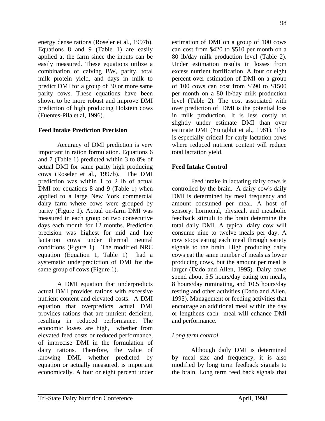energy dense rations (Roseler et al., 1997b). Equations 8 and 9 (Table 1) are easily applied at the farm since the inputs can be easily measured. These equations utilize a combination of calving BW, parity, total milk protein yield, and days in milk to predict DMI for a group of 30 or more same parity cows. These equations have been shown to be more robust and improve DMI prediction of high producing Holstein cows (Fuentes-Pila et al, 1996).

## **Feed Intake Prediction Precision**

 Accuracy of DMI prediction is very important in ration formulation. Equations 6 and 7 (Table 1) predicted within 3 to 8% of actual DMI for same parity high producing cows (Roseler et al., 1997b). The DMI prediction was within 1 to 2 lb of actual DMI for equations 8 and 9 (Table 1) when applied to a large New York commercial dairy farm where cows were grouped by parity (Figure 1). Actual on-farm DMI was measured in each group on two consecutive days each month for 12 months. Prediction precision was highest for mid and late lactation cows under thermal neutral conditions (Figure 1). The modified NRC equation (Equation 1, Table 1) had a systematic underprediction of DMI for the same group of cows (Figure 1).

 A DMI equation that underpredicts actual DMI provides rations with excessive nutrient content and elevated costs. A DMI equation that overpredicts actual DMI provides rations that are nutrient deficient, resulting in reduced performance. The economic losses are high, whether from elevated feed costs or reduced performance, of imprecise DMI in the formulation of dairy rations. Therefore, the value of knowing DMI, whether predicted by equation or actually measured, is important economically. A four or eight percent under

estimation of DMI on a group of 100 cows can cost from \$420 to \$510 per month on a 80 lb/day milk production level (Table 2). Under estimation results in losses from excess nutrient fortification. A four or eight percent over estimation of DMI on a group of 100 cows can cost from \$390 to \$1500 per month on a 80 lb/day milk production level (Table 2). The cost associated with over prediction of DMI is the potential loss in milk production. It is less costly to slightly under estimate DMI than over estimate DMI (Yungblut et al., 1981). This is especially critical for early lactation cows where reduced nutrient content will reduce total lactation yield.

# **Feed Intake Control**

 Feed intake in lactating dairy cows is controlled by the brain. A dairy cow's daily DMI is determined by meal frequency and amount consumed per meal. A host of sensory, hormonal, physical, and metabolic feedback stimuli to the brain determine the total daily DMI. A typical dairy cow will consume nine to twelve meals per day. A cow stops eating each meal through satiety signals to the brain. High producing dairy cows eat the same number of meals as lower producing cows, but the amount per meal is larger (Dado and Allen, 1995). Dairy cows spend about 5.5 hours/day eating ten meals, 8 hours/day ruminating, and 10.5 hours/day resting and other activities (Dado and Allen, 1995). Management or feeding activities that encourage an additional meal within the day or lengthens each meal will enhance DMI and performance.

# *Long term control*

 Although daily DMI is determined by meal size and frequency, it is also modified by long term feedback signals to the brain. Long term feed back signals that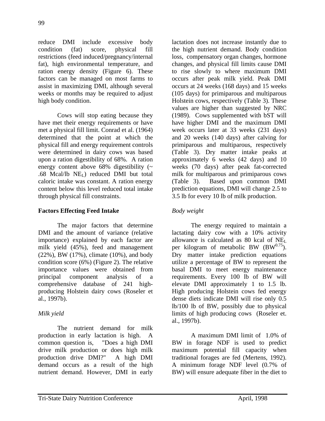reduce DMI include excessive body condition (fat) score, physical fill restrictions (feed induced/pregnancy/internal fat), high environmental temperature, and ration energy density (Figure 6). These factors can be managed on most farms to assist in maximizing DMI, although several weeks or months may be required to adjust high body condition.

 Cows will stop eating because they have met their energy requirements or have met a physical fill limit. Conrad et al. (1964) determined that the point at which the physical fill and energy requirement controls were determined in dairy cows was based upon a ration digestibility of 68%. A ration energy content above  $68\%$  digestibility ( $\sim$ .68 Mcal/lb NEL) reduced DMI but total caloric intake was constant. A ration energy content below this level reduced total intake through physical fill constraints.

# **Factors Effecting Feed Intake**

 The major factors that determine DMI and the amount of variance (relative importance) explained by each factor are milk yield (45%), feed and management (22%), BW (17%), climate (10%), and body condition score (6%) (Figure 2). The relative importance values were obtained from principal component analysis of a comprehensive database of 241 highproducing Holstein dairy cows (Roseler et al., 1997b).

# *Milk yield*

 The nutrient demand for milk production in early lactation is high. A common question is, "Does a high DMI drive milk production or does high milk production drive DMI?" A high DMI demand occurs as a result of the high nutrient demand. However, DMI in early

lactation does not increase instantly due to the high nutrient demand. Body condition loss, compensatory organ changes, hormone changes, and physical fill limits cause DMI to rise slowly to where maximum DMI occurs after peak milk yield. Peak DMI occurs at 24 weeks (168 days) and 15 weeks (105 days) for primiparous and multiparous Holstein cows, respectively (Table 3). These values are higher than suggested by NRC (1989). Cows supplemented with bST will have higher DMI and the maximum DMI week occurs later at 33 weeks (231 days) and 20 weeks (140 days) after calving for primiparous and multiparous, respectively (Table 3). Dry matter intake peaks at approximately 6 weeks (42 days) and 10 weeks (70 days) after peak fat-corrected milk for multiparous and primiparous cows (Table 3). Based upon common DMI prediction equations, DMI will change 2.5 to 3.5 lb for every 10 lb of milk production.

# *Body weight*

 The energy required to maintain a lactating dairy cow with a 10% activity allowance is calculated as 80 kcal of  $NE<sub>L</sub>$ . per kilogram of metabolic BW  $(BW^{0.75})$ . Dry matter intake prediction equations utilize a percentage of BW to represent the basal DMI to meet energy maintenance requirements. Every 100 lb of BW will elevate DMI approximately 1 to 1.5 lb. High producing Holstein cows fed energy dense diets indicate DMI will rise only 0.5 lb/100 lb of BW, possibly due to physical limits of high producing cows (Roseler et. al., 1997b).

 A maximum DMI limit of 1.0% of BW in forage NDF is used to predict maximum potential fill capacity when traditional forages are fed (Mertens, 1992). A minimum forage NDF level (0.7% of BW) will ensure adequate fiber in the diet to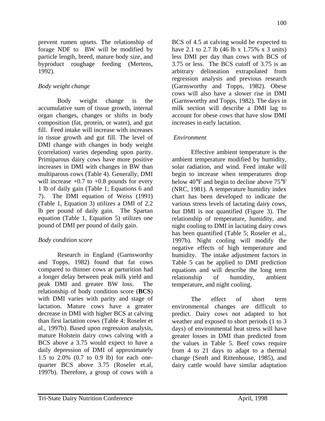prevent rumen upsets. The relationship of forage NDF to BW will be modified by particle length, breed, mature body size, and byproduct roughage feeding (Mertens, 1992).

# *Body weight change*

 Body weight change is the accumulative sum of tissue growth, internal organ changes, changes or shifts in body composition (fat, protein, or water), and gut fill. Feed intake will increase with increases in tissue growth and gut fill. The level of DMI change with changes in body weight (correlation) varies depending upon parity. Primiparous dairy cows have more positive increases in DMI with changes in BW than multiparous cows (Table 4). Generally, DMI will increase  $+0.7$  to  $+0.8$  pounds for every 1 lb of daily gain (Table 1; Equations 6 and 7). The DMI equation of Weiss (1991) (Table 1, Equation 3) utilizes a DMI of 2.2 lb per pound of daily gain. The Spartan equation (Table 1, Equation 5) utilizes one pound of DMI per pound of daily gain.

### *Body condition score*

Research in England (Garnsworthy and Topps, 1982) found that fat cows compared to thinner cows at parturition had a longer delay between peak milk yield and peak DMI and greater BW loss. The relationship of body condition score (**BCS**) with DMI varies with parity and stage of lactation. Mature cows have a greater decrease in DMI with higher BCS at calving than first lactation cows (Table 4; Roseler et al., 1997b). Based upon regression analysis, mature Holstein dairy cows calving with a BCS above a 3.75 would expect to have a daily depression of DMI of approximately 1.5 to 2.0% (0.7 to 0.9 lb) for each onequarter BCS above 3.75 (Roseler et.al, 1997b). Therefore, a group of cows with a

BCS of 4.5 at calving would be expected to have 2.1 to 2.7 lb (46 lb x 1.75% x 3 units) less DMI per day than cows with BCS of 3.75 or less. The BCS cutoff of 3.75 is an arbitrary delineation extrapolated from regression analysis and previous research (Garnsworthy and Topps, 1982). Obese cows will also have a slower rise in DMI (Garnsworthy and Topps, 1982). The days in milk section will describe a DMI lag to account for obese cows that have slow DMI increases in early lactation.

## *Environment*

 Effective ambient temperature is the ambient temperature modified by humidity, solar radiation, and wind. Feed intake will begin to increase when temperatures drop below 40°F and begin to decline above 75°F (NRC, 1981). A temperature humidity index chart has been developed to indicate the various stress levels of lactating dairy cows, but DMI is not quantified (Figure 3). The relationship of temperature, humidity, and night cooling to DMI in lactating dairy cows has been quantified (Table 5; Roseler et al., 1997b). Night cooling will modify the negative effects of high temperature and humidity. The intake adjustment factors in Table 5 can be applied to DMI prediction equations and will describe the long term relationship of humidity, ambient temperature, and night cooling.

 The effect of short term environmental changes are difficult to predict. Dairy cows not adapted to hot weather and exposed to short periods (1 to 3 days) of environmental heat stress will have greater losses in DMI than predicted from the values in Table 5. Beef cows require from 4 to 21 days to adapt to a thermal change (Senft and Rittenhouse, 1985), and dairy cattle would have similar adaptation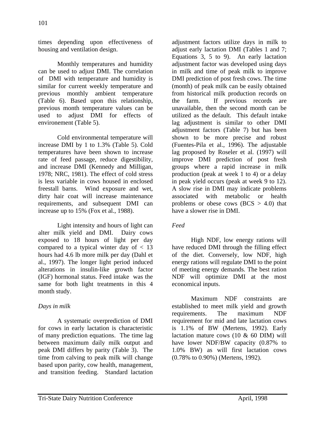times depending upon effectiveness of housing and ventilation design.

 Monthly temperatures and humidity can be used to adjust DMI. The correlation of DMI with temperature and humidity is similar for current weekly temperature and previous monthly ambient temperature (Table 6). Based upon this relationship, previous month temperature values can be used to adjust DMI for effects of environement (Table 5).

 Cold environmental temperature will increase DMI by 1 to 1.3% (Table 5). Cold temperatures have been shown to increase rate of feed passage, reduce digestibility, and increase DMI (Kennedy and Milligan, 1978; NRC, 1981). The effect of cold stress is less variable in cows housed in enclosed freestall barns. Wind exposure and wet, dirty hair coat will increase maintenance requirements, and subsequent DMI can increase up to 15% (Fox et al., 1988).

 Light intensity and hours of light can alter milk yield and DMI. Dairy cows exposed to 18 hours of light per day compared to a typical winter day of  $< 13$ hours had 4.6 lb more milk per day (Dahl et al., 1997). The longer light period induced alterations in insulin-like growth factor (IGF) hormonal status. Feed intake was the same for both light treatments in this 4 month study.

# *Days in milk*

 A systematic overprediction of DMI for cows in early lactation is characteristic of many prediction equations. The time lag between maximum daily milk output and peak DMI differs by parity (Table 3). The time from calving to peak milk will change based upon parity, cow health, management, and transition feeding. Standard lactation

adjustment factors utilize days in milk to adjust early lactation DMI (Tables 1 and 7; Equations 3, 5 to 9). An early lactation adjustment factor was developed using days in milk and time of peak milk to improve DMI prediction of post fresh cows. The time (month) of peak milk can be easily obtained from historical milk production records on the farm. If previous records are unavailable, then the second month can be utilized as the default. This default intake lag adjustment is similar to other DMI adjustment factors (Table 7) but has been shown to be more precise and robust (Fuentes-Pila et al., 1996). The adjustable lag proposed by Roseler et al. (1997) will improve DMI prediction of post fresh groups where a rapid increase in milk production (peak at week 1 to 4) or a delay in peak yield occurs (peak at week 9 to 12). A slow rise in DMI may indicate problems associated with metabolic or health problems or obese cows  $(BCS > 4.0)$  that have a slower rise in DMI.

# *Feed*

 High NDF, low energy rations will have reduced DMI through the filling effect of the diet. Conversely, low NDF, high energy rations will regulate DMI to the point of meeting energy demands. The best ration NDF will optimize DMI at the most economical inputs.

 Maximum NDF constraints are established to meet milk yield and growth requirements. The maximum NDF requirement for mid and late lactation cows is 1.1% of BW (Mertens, 1992). Early lactation mature cows (10 & 60 DIM) will have lower NDF/BW capacity (0.87% to 1.0% BW) as will first lactation cows (0.78% to 0.90%) (Mertens, 1992).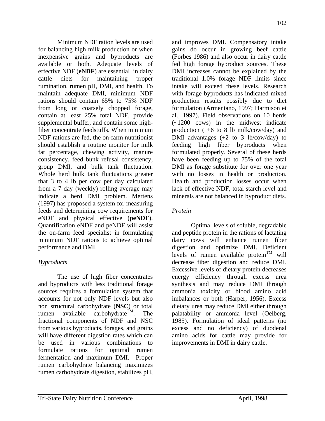Minimum NDF ration levels are used for balancing high milk production or when inexpensive grains and byproducts are available or both. Adequate levels of effective NDF (**eNDF**) are essential in dairy cattle diets for maintaining proper rumination, rumen pH, DMI, and health. To maintain adequate DMI, minimum NDF rations should contain 65% to 75% NDF from long or coarsely chopped forage, contain at least 25% total NDF, provide supplemental buffer, and contain some highfiber concentrate feedstuffs. When minimum NDF rations are fed, the on-farm nutritionist should establish a routine monitor for milk fat percentage, chewing activity, manure consistency, feed bunk refusal consistency, group DMI, and bulk tank fluctuation. Whole herd bulk tank fluctuations greater that 3 to 4 lb per cow per day calculated from a 7 day (weekly) rolling average may indicate a herd DMI problem. Mertens (1997) has proposed a system for measuring feeds and determining cow requirements for eNDF and physical effective (**peNDF**). Quantification eNDF and peNDF will assist the on-farm feed specialist in formulating minimum NDF rations to achieve optimal performance and DMI.

# *Byproducts*

The use of high fiber concentrates and byproducts with less traditional forage sources requires a formulation system that accounts for not only NDF levels but also non structural carbohydrate (**NSC**) or total rumen available carbohydrate<sup>TM</sup>. The fractional components of NDF and NSC from various byproducts, forages, and grains will have different digestion rates which can be used in various combinations to formulate rations for optimal rumen fermentation and maximum DMI. Proper rumen carbohydrate balancing maximizes rumen carbohydrate digestion, stabilizes pH,

and improves DMI. Compensatory intake gains do occur in growing beef cattle (Forbes 1986) and also occur in dairy cattle fed high forage byproduct sources. These DMI increases cannot be explained by the traditional 1.0% forage NDF limits since intake will exceed these levels. Research with forage byproducts has indicated mixed production results possibly due to diet formulation (Armentano, 1997; Harmison et al., 1997). Field observations on 10 herds (~1200 cows) in the midwest indicate production ( +6 to 8 lb milk/cow/day) and DMI advantages  $(+2 \text{ to } 3 \text{ lb/cow/day})$  to feeding high fiber byproducts when formulated properly. Several of these herds have been feeding up to 75% of the total DMI as forage substitute for over one year with no losses in health or production. Health and production losses occur when lack of effective NDF, total starch level and minerals are not balanced in byproduct diets.

# *Protein*

 Optimal levels of soluble, degradable and peptide protein in the rations of lactating dairy cows will enhance rumen fiber digestion and optimize DMI. Deficient levels of rumen available protein<sup>TM</sup> will decrease fiber digestion and reduce DMI. Excessive levels of dietary protein decreases energy efficiency through excess urea synthesis and may reduce DMI through ammonia toxicity or blood amino acid imbalances or both (Harper, 1956). Excess dietary urea may reduce DMI either through palatability or ammonia level (Oelberg, 1985). Formulation of ideal patterns (no excess and no deficiency) of duodenal amino acids for cattle may provide for improvements in DMI in dairy cattle.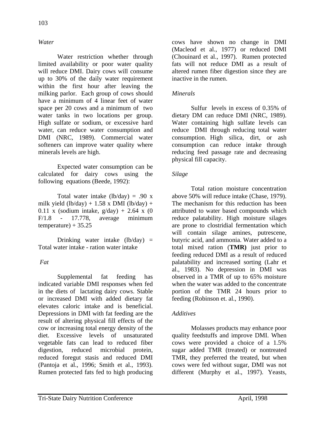# *Water*

 Water restriction whether through limited availability or poor water quality will reduce DMI. Dairy cows will consume up to 30% of the daily water requirement within the first hour after leaving the milking parlor. Each group of cows should have a minimum of 4 linear feet of water space per 20 cows and a minimum of two water tanks in two locations per group. High sulfate or sodium, or excessive hard water, can reduce water consumption and DMI (NRC, 1989). Commercial water softeners can improve water quality where minerals levels are high.

 Expected water consumption can be calculated for dairy cows using the following equations (Beede, 1992):

Total water intake  $(lb/day) = .90 x$ milk yield  $(lb/day) + 1.58$  x DMI  $(lb/day) +$ 0.11 x (sodium intake,  $g/day$ ) + 2.64 x (0) F/1.8 - 17.778, average minimum temperature)  $+35.25$ 

Drinking water intake  $(lb/day)$  = Total water intake - ration water intake

# *Fat*

 Supplemental fat feeding has indicated variable DMI responses when fed in the diets of lactating dairy cows. Stable or increased DMI with added dietary fat elevates caloric intake and is beneficial. Depressions in DMI with fat feeding are the result of altering physical fill effects of the cow or increasing total energy density of the diet. Excessive levels of unsaturated vegetable fats can lead to reduced fiber digestion, reduced microbial protein, reduced foregut stasis and reduced DMI (Pantoja et al., 1996; Smith et al., 1993). Rumen protected fats fed to high producing

cows have shown no change in DMI (Macleod et al., 1977) or reduced DMI (Chouinard et al., 1997). Rumen protected fats will not reduce DMI as a result of altered rumen fiber digestion since they are inactive in the rumen.

# *Minerals*

 Sulfur levels in excess of 0.35% of dietary DM can reduce DMI (NRC, 1989). Water containing high sulfate levels can reduce DMI through reducing total water consumption. High silica, dirt, or ash consumption can reduce intake through reducing feed passage rate and decreasing physical fill capacity.

# *Silage*

 Total ration moisture concentration above 50% will reduce intake (Chase, 1979). The mechanism for this reduction has been attributed to water based compounds which reduce palatability. High moisture silages are prone to clostridial fermentation which will contain silage amines, putrescene, butyric acid, and ammonia. Water added to a total mixed ration (**TMR)** just prior to feeding reduced DMI as a result of reduced palatability and increased sorting (Lahr et al., 1983). No depression in DMI was observed in a TMR of up to 65% moisture when the water was added to the concentrate portion of the TMR 24 hours prior to feeding (Robinson et. al., 1990).

### *Additives*

 Molasses products may enhance poor quality feedstuffs and improve DMI. When cows were provided a choice of a 1.5% sugar added TMR (treated) or nontreated TMR, they preferred the treated, but when cows were fed without sugar, DMI was not different (Murphy et al., 1997). Yeasts,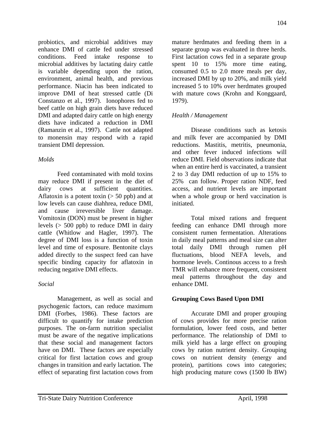probiotics, and microbial additives may enhance DMI of cattle fed under stressed conditions. Feed intake response to microbial additives by lactating dairy cattle is variable depending upon the ration, environment, animal health, and previous performance. Niacin has been indicated to improve DMI of heat stressed cattle (Di Constanzo et al., 1997). Ionophores fed to beef cattle on high grain diets have reduced DMI and adapted dairy cattle on high energy diets have indicated a reduction in DMI (Ramanzin et al., 1997). Cattle not adapted to monensin may respond with a rapid transient DMI depression.

# *Molds*

 Feed contaminated with mold toxins may reduce DMI if present in the diet of dairy cows at sufficient quantities. Aflatoxin is a potent toxin  $(> 50$  ppb) and at low levels can cause diahhrea, reduce DMI, and cause irreversible liver damage. Vomitoxin (DON) must be present in higher levels (> 500 ppb) to reduce DMI in dairy cattle (Whitlow and Hagler, 1997). The degree of DMI loss is a function of toxin level and time of exposure. Bentonite clays added directly to the suspect feed can have specific binding capacity for aflatoxin in reducing negative DMI effects.

# *Social*

 Management, as well as social and psychogenic factors, can reduce maximum DMI (Forbes, 1986). These factors are difficult to quantify for intake prediction purposes. The on-farm nutrition specialist must be aware of the negative implications that these social and management factors have on DMI. These factors are especially critical for first lactation cows and group changes in transition and early lactation. The effect of separating first lactation cows from

mature herdmates and feeding them in a separate group was evaluated in three herds. First lactation cows fed in a separate group spent 10 to 15% more time eating, consumed 0.5 to 2.0 more meals per day, increased DMI by up to 20%, and milk yield increased 5 to 10% over herdmates grouped with mature cows (Krohn and Konggaard, 1979).

# *Health / Management*

 Disease conditions such as ketosis and milk fever are accompanied by DMI reductions. Mastitis, metritis, pneumonia, and other fever induced infections will reduce DMI. Field observations indicate that when an entire herd is vaccinated, a transient 2 to 3 day DMI reduction of up to 15% to 25% can follow. Proper ration NDF, feed access, and nutrient levels are important when a whole group or herd vaccination is initiated.

 Total mixed rations and frequent feeding can enhance DMI through more consistent rumen fermentation. Alterations in daily meal patterns and meal size can alter total daily DMI through rumen pH fluctuations, blood NEFA levels, and hormone levels. Continous access to a fresh TMR will enhance more frequent, consistent meal patterns throughout the day and enhance DMI.

# **Grouping Cows Based Upon DMI**

Accurate DMI and proper grouping of cows provides for more precise ration formulation, lower feed costs, and better performance. The relationship of DMI to milk yield has a large effect on grouping cows by ration nutrient density. Grouping cows on nutrient density (energy and protein), partitions cows into categories; high producing mature cows (1500 lb BW)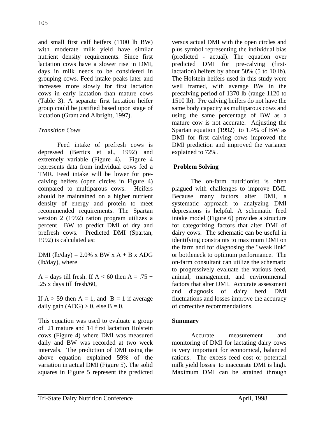and small first calf heifers (1100 lb BW) with moderate milk yield have similar nutrient density requirements. Since first lactation cows have a slower rise in DMI, days in milk needs to be considered in grouping cows. Feed intake peaks later and increases more slowly for first lactation cows in early lactation than mature cows (Table 3). A separate first lactation heifer group could be justified based upon stage of lactation (Grant and Albright, 1997).

# *Transition Cows*

Feed intake of prefresh cows is depressed (Bertics et al., 1992) and extremely variable (Figure 4). Figure 4 represents data from individual cows fed a TMR. Feed intake will be lower for precalving heifers (open circles in Figure 4) compared to multiparous cows. Heifers should be maintained on a higher nutrient density of energy and protein to meet recommended requirements. The Spartan version 2 (1992) ration program utilizes a percent BW to predict DMI of dry and prefresh cows. Predicted DMI (Spartan, 1992) is calculated as:

DMI (lb/day) =  $2.0\%$  x BW x A + B x ADG (lb/day), where

A = days till fresh. If  $A < 60$  then  $A = .75 +$ .25 x days till fresh/60,

If  $A > 59$  then  $A = 1$ , and  $B = 1$  if average daily gain  $(ADG) > 0$ , else  $B = 0$ .

This equation was used to evaluate a group of 21 mature and 14 first lactation Holstein cows (Figure 4) where DMI was measured daily and BW was recorded at two week intervals. The prediction of DMI using the above equation explained 59% of the variation in actual DMI (Figure 5). The solid squares in Figure 5 represent the predicted

versus actual DMI with the open circles and plus symbol representing the individual bias (predicted - actual). The equation over predicted DMI for pre-calving (firstlactation) heifers by about 50% (5 to 10 lb). The Holstein heifers used in this study were well framed, with average BW in the precalving period of 1370 lb (range 1120 to 1510 lb). Pre calving heifers do not have the same body capacity as multiparous cows and using the same percentage of BW as a mature cow is not accurate. Adjusting the Spartan equation (1992) to 1.4% of BW as DMI for first calving cows improved the DMI prediction and improved the variance explained to 72%.

# **Problem Solving**

The on-farm nutritionist is often plagued with challenges to improve DMI. Because many factors alter DMI, a systematic approach to analyzing DMI depressions is helpful. A schematic feed intake model (Figure 6) provides a structure for categorizing factors that alter DMI of dairy cows. The schematic can be useful in identifying constraints to maximum DMI on the farm and for diagnosing the "weak link" or bottleneck to optimum performance. The on-farm consultant can utilize the schematic to progressively evaluate the various feed, animal, management, and environmental factors that alter DMI. Accurate assessment and diagnosis of dairy herd DMI fluctuations and losses improve the accuracy of corrective recommendations.

# **Summary**

Accurate measurement and monitoring of DMI for lactating dairy cows is very important for economical, balanced rations. The excess feed cost or potential milk yield losses to inaccurate DMI is high. Maximum DMI can be attained through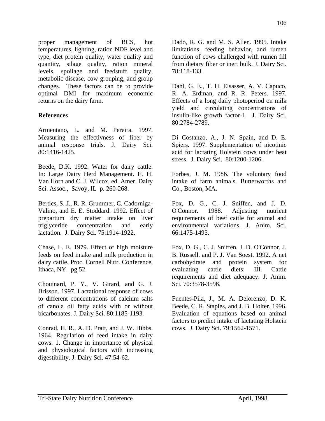proper management of BCS, hot temperatures, lighting, ration NDF level and type, diet protein quality, water quality and quantity, silage quality, ration mineral levels, spoilage and feedstuff quality, metabolic disease, cow grouping, and group changes. These factors can be to provide optimal DMI for maximum economic returns on the dairy farm.

# **References**

Armentano, L. and M. Pereira. 1997. Measuring the effectivness of fiber by animal response trials. J. Dairy Sci. 80:1416-1425.

Beede, D.K. 1992. Water for dairy cattle. In: Large Dairy Herd Management. H. H. Van Horn and C. J. Wilcox, ed. Amer. Dairy Sci. Assoc., Savoy, IL p. 260-268.

Bertics, S. J., R. R. Grummer, C. Cadorniga-Valino, and E. E. Stoddard. 1992. Effect of prepartum dry matter intake on liver triglyceride concentration and early lactation. J. Dairy Sci. 75:1914-1922.

Chase, L. E. 1979. Effect of high moisture feeds on feed intake and milk production in dairy cattle. Proc. Cornell Nutr. Conference, Ithaca, NY. pg 52.

Chouinard, P. Y., V. Girard, and G. J. Brisson. 1997. Lactational response of cows to different concentrations of calcium salts of canola oil fatty acids with or without bicarbonates. J. Dairy Sci. 80:1185-1193.

Conrad, H. R., A. D. Pratt, and J. W. Hibbs. 1964. Regulation of feed intake in dairy cows. 1. Change in importance of physical and physiological factors with increasing digestibility. J. Dairy Sci. 47:54-62.

Dado, R. G. and M. S. Allen. 1995. Intake limitations, feeding behavior, and rumen function of cows challenged with rumen fill from dietary fiber or inert bulk. J. Dairy Sci. 78:118-133.

Dahl, G. E., T. H. Elsasser, A. V. Capuco, R. A. Erdman, and R. R. Peters. 1997. Effects of a long daily photoperiod on milk yield and circulating concentrations of insulin-like growth factor-I. J. Dairy Sci. 80:2784-2789.

Di Costanzo, A., J. N. Spain, and D. E. Spiers. 1997. Supplementation of nicotinic acid for lactating Holstein cows under heat stress. J. Dairy Sci. 80:1200-1206.

Forbes, J. M. 1986. The voluntary food intake of farm animals. Butterworths and Co., Boston, MA.

Fox, D. G., C. J. Sniffen, and J. D. O'Connor. 1988. Adjusting nutrient requirements of beef cattle for animal and environmental variations. J. Anim. Sci. 66:1475-1495.

Fox, D. G., C. J. Sniffen, J. D. O'Connor, J. B. Russell, and P. J. Van Soest. 1992. A net carbohydrate and protein system for evaluating cattle diets: III. Cattle requirements and diet adequacy. J. Anim. Sci. 70:3578-3596.

Fuentes-Pila, J., M. A. Delorenzo, D. K. Beede, C. R. Staples, and J. B. Holter. 1996. Evaluation of equations based on animal factors to predict intake of lactating Holstein cows. J. Dairy Sci. 79:1562-1571.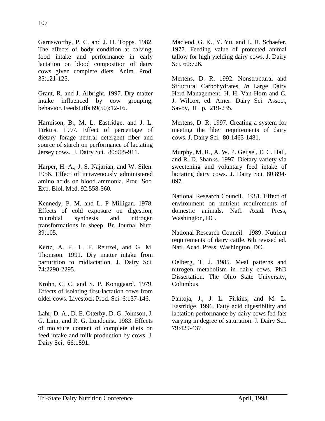107

Garnsworthy, P. C. and J. H. Topps. 1982. The effects of body condition at calving, food intake and performance in early lactation on blood composition of dairy cows given complete diets. Anim. Prod. 35:121-125.

Grant, R. and J. Albright. 1997. Dry matter intake influenced by cow grouping, behavior. Feedstuffs 69(50):12-16.

Harmison, B., M. L. Eastridge, and J. L. Firkins. 1997. Effect of percentage of dietary forage neutral detergent fiber and source of starch on performance of lactating Jersey cows. J. Dairy Sci. 80:905-911.

Harper, H. A., J. S. Najarian, and W. Silen. 1956. Effect of intravenously administered amino acids on blood ammonia. Proc. Soc. Exp. Biol. Med. 92:558-560.

Kennedy, P. M. and L. P Milligan. 1978. Effects of cold exposure on digestion, microbial synthesis and nitrogen transformations in sheep. Br. Journal Nutr. 39:105.

Kertz, A. F., L. F. Reutzel, and G. M. Thomson. 1991. Dry matter intake from parturition to midlactation. J. Dairy Sci. 74:2290-2295.

Krohn, C. C. and S. P. Konggaard. 1979. Effects of isolating first-lactation cows from older cows. Livestock Prod. Sci. 6:137-146.

Lahr, D. A., D. E. Otterby, D. G. Johnson, J. G. Linn, and R. G. Lundquist. 1983. Effects of moisture content of complete diets on feed intake and milk production by cows. J. Dairy Sci. 66:1891.

Macleod, G. K., Y. Yu, and L. R. Schaefer. 1977. Feeding value of protected animal tallow for high yielding dairy cows. J. Dairy Sci. 60:726.

Mertens, D. R. 1992. Nonstructural and Structural Carbohydrates. *In* Large Dairy Herd Management. H. H. Van Horn and C. J. Wilcox, ed. Amer. Dairy Sci. Assoc., Savoy, IL p. 219-235.

Mertens, D. R. 1997. Creating a system for meeting the fiber requirements of dairy cows. J. Dairy Sci. 80:1463-1481.

Murphy, M. R., A. W. P. Geijsel, E. C. Hall, and R. D. Shanks. 1997. Dietary variety via sweetening and voluntary feed intake of lactating dairy cows. J. Dairy Sci. 80:894- 897.

National Research Council. 1981. Effect of environment on nutrient requirements of domestic animals. Natl. Acad. Press, Washington, DC.

National Research Council. 1989. Nutrient requirements of dairy cattle. 6th revised ed. Natl. Acad. Press, Washington, DC.

Oelberg, T. J. 1985. Meal patterns and nitrogen metabolism in dairy cows. PhD Dissertation. The Ohio State University, Columbus.

Pantoja, J., J. L. Firkins, and M. L. Eastridge. 1996. Fatty acid digestibility and lactation performance by dairy cows fed fats varying in degree of saturation. J. Dairy Sci. 79:429-437.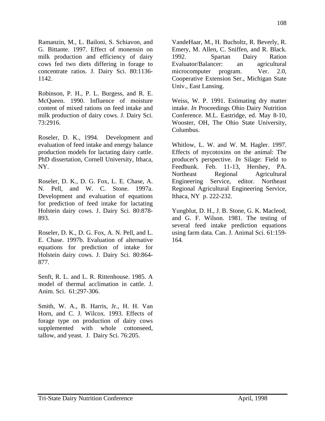Ramanzin, M., L. Bailoni, S. Schiavon, and G. Bittante. 1997. Effect of monensin on milk production and efficiency of dairy cows fed two diets differing in forage to concentrate ratios. J. Dairy Sci. 80:1136- 1142.

Robinson, P. H., P. L. Burgess, and R. E. McQueen. 1990. Influence of moisture content of mixed rations on feed intake and milk production of dairy cows. J. Dairy Sci. 73:2916.

Roseler, D. K., 1994. Development and evaluation of feed intake and energy balance production models for lactating dairy cattle. PhD dissertation, Cornell University, Ithaca, NY.

Roseler, D. K., D. G. Fox, L. E. Chase, A. N. Pell, and W. C. Stone. 1997a. Development and evaluation of equations for prediction of feed intake for lactating Holstein dairy cows. J. Dairy Sci. 80:878- 893.

Roseler, D. K., D. G. Fox, A. N. Pell, and L. E. Chase. 1997b. Evaluation of alternative equations for prediction of intake for Holstein dairy cows. J. Dairy Sci. 80:864- 877.

Senft, R. L. and L. R. Rittenhouse. 1985. A model of thermal acclimation in cattle. J. Anim. Sci. 61:297-306.

Smith, W. A., B. Harris, Jr., H. H. Van Horn, and C. J. Wilcox. 1993. Effects of forage type on production of dairy cows supplemented with whole cottonseed, tallow, and yeast. J. Dairy Sci. 76:205.

VandeHaar, M., H. Bucholtz, R. Beverly, R. Emery, M. Allen, C. Sniffen, and R. Black. 1992. Spartan Dairy Ration Evaluator/Balancer: an agricultural microcomputer program. Ver. 2.0, Cooperative Extension Ser., Michigan State Univ., East Lansing.

Weiss, W. P. 1991. Estimating dry matter intake. *In* Proceedings Ohio Dairy Nutrition Conference. M.L. Eastridge, ed. May 8-10, Wooster, OH, The Ohio State University, Columbus.

Whitlow, L. W. and W. M. Hagler. 1997. Effects of mycotoxins on the animal: The producer's perspective. *In* Silage: Field to Feedbunk. Feb. 11-13, Hershey, PA. Northeast Regional Agricultural Engineering Service, editor. Northeast Regional Agricultural Engineering Service, Ithaca, NY p. 222-232.

Yungblut, D. H., J. B. Stone, G. K. Macleod, and G. F. Wilson. 1981. The testing of several feed intake prediction equations using farm data. Can. J. Animal Sci. 61:159- 164.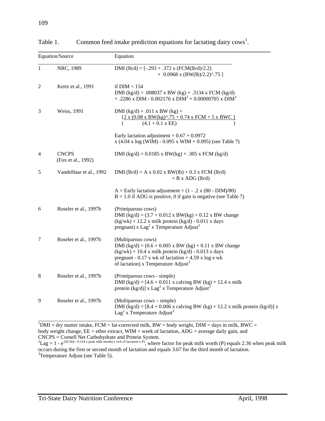| Equation/Source |                                    | Equation                                                                                                                                                                                                                                                   |  |  |  |  |
|-----------------|------------------------------------|------------------------------------------------------------------------------------------------------------------------------------------------------------------------------------------------------------------------------------------------------------|--|--|--|--|
| $\mathbf{1}$    | NRC, 1989                          | DMI (lb/d) = $[-.293 + .372 \times (FCM(lb/d)/2.2)]$<br>$+$ 0.0968 x (BW(lb)/2.2)^.75 ]                                                                                                                                                                    |  |  |  |  |
| 2               | Kertz et al., 1991                 | if $DIM < 154$<br>DMI (kg/d) = .008037 x BW (kg) + .3134 x FCM (kg/d)<br>+ .2286 x DIM - 0.002176 x DIM <sup>2</sup> + 0.00000705 x DIM <sup>3</sup>                                                                                                       |  |  |  |  |
| 3               | Weiss, 1991                        | DMI $(kg/d) = .011$ x BW $(kg)$ +<br>${2 x (0.08 x BW (kg)^2.75 + 0.74 x FCM + 5 x BWC}$<br>$(4.1 + 0.1 \times EE)$<br>$\{$                                                                                                                                |  |  |  |  |
|                 |                                    | Early lactation adjustment = $0.67 + 0.0972$<br>x (4.04 x log (WIM) - 0.095 x WIM + 0.095) (see Table 7)                                                                                                                                                   |  |  |  |  |
| 4               | <b>CNCPS</b><br>(Fox et al., 1992) | DMI (kg/d) = $0.0185$ x BW(kg) + .305 x FCM (kg/d)                                                                                                                                                                                                         |  |  |  |  |
| 5               | VandeHaar et al., 1992             | DMI $(lb/d) = A \times 0.02 \times BW(lb) + 0.3 \times FCM (lb/d)$<br>$+ B x ADG (lb/d)$                                                                                                                                                                   |  |  |  |  |
|                 |                                    | $A =$ Early lactation adjustment = $(1 - .2 \times (80 - DIM)/80)$<br>$B = 1.0$ if ADG is positive, 0 if gain is negative (see Table 7)                                                                                                                    |  |  |  |  |
| 6               | Roseler et al., 1997b              | (Primiparous cows)<br>DMI (kg/d) = $(3.7 + 0.012 \times BW(kg) + 0.12 \times BW$ change<br>$(kg/wk) + 12.2$ x milk protein $(kg/d)$ - 0.011 x days<br>pregnant) x Lag <sup>2</sup> x Temperature Adjust <sup>3</sup>                                       |  |  |  |  |
| 7               | Roseler et al., 1997b              | (Multiparous cows)<br>DMI (kg/d) = $(0.6 + 0.005 \times BW$ (kg) + 0.11 x BW change<br>$(kg/wk) + 10.4 x$ milk protein $(kg/d)$ - 0.013 x days<br>pregnant - $0.17$ x wk of lactation + 4.59 x log e wk<br>of lactation) x Temperature Adjust <sup>3</sup> |  |  |  |  |
| 8               | Roseler et al., 1997b              | (Primiparous cows - simple)<br>DMI (kg/d) = $[4.6 + 0.011$ x calving BW (kg) + 12.4 x milk<br>protein (kg/d)] x $\text{Lag}^2$ x Temperature Adjust <sup>3</sup>                                                                                           |  |  |  |  |
| 9               | Roseler et al., 1997b              | (Multiparous cows - simple)<br>DMI (kg/d) = $[8.4 + 0.006$ x calving BW (kg) + 12.2 x milk protein (kg/d)] x<br>Lag <sup>2</sup> x Temperature Adjust <sup>3</sup>                                                                                         |  |  |  |  |

Table 1. Common feed intake prediction equations for lactating dairy  ${\rm cows}^1$ .

 $1<sup>1</sup>$ DMI = dry matter intake, FCM = fat-corrected milk, BW = body weight, DIM = days in milk, BWC = body weight change,  $EE =$  ether extract,  $WIM =$  week of lactation,  $ADG =$  average daily gain, and CNCPS = Cornell Net Carbohydrate and Protein System.<br><sup>2</sup>Lag = 1 - e<sup>-[(0.564 - 0.124 x peak milk month) x (wk of lactation x P), where factor for peak milk worth (P) equals 2.36 when peak milk</sup>

occurs during the first or second month of lactation and equals 3.67 for the third month of lactation. <sup>3</sup>Temperature Adjust (see Table 5).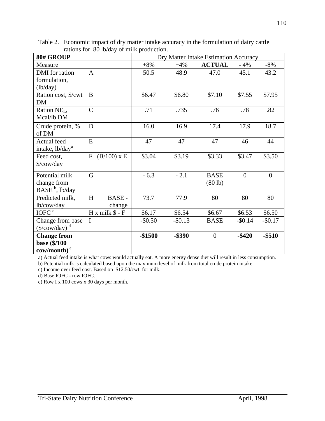| 80# GROUP                               |                               | Dry Matter Intake Estimation Accuracy |            |                |                |                |  |
|-----------------------------------------|-------------------------------|---------------------------------------|------------|----------------|----------------|----------------|--|
| Measure                                 |                               | $+8%$                                 | $+4%$      | <b>ACTUAL</b>  | $-4%$          | $-8%$          |  |
| DMI for ration                          | A                             | 50.5                                  | 48.9       | 47.0           | 45.1           | 43.2           |  |
| formulation,                            |                               |                                       |            |                |                |                |  |
| (lb/day)                                |                               |                                       |            |                |                |                |  |
| Ration cost, \$/cwt                     | B                             | \$6.47                                | \$6.80     | \$7.10         | \$7.55         | \$7.95         |  |
| <b>DM</b>                               |                               |                                       |            |                |                |                |  |
| Ration NE <sub>L</sub> ,                | $\overline{C}$                | .71                                   | .735       | .76            | .78            | .82            |  |
| Mcal/lb DM                              |                               |                                       |            |                |                |                |  |
| Crude protein, %                        | D                             | 16.0                                  | 16.9       | 17.4           | 17.9           | 18.7           |  |
| of DM                                   |                               |                                       |            |                |                |                |  |
| <b>Actual feed</b>                      | E                             | 47                                    | 47         | 47             | 46             | 44             |  |
| intake, lb/day <sup>a</sup>             |                               |                                       |            |                |                |                |  |
| Feed cost,                              | $(B/100)$ x E<br>$\mathbf{F}$ | \$3.04                                | \$3.19     | \$3.33         | \$3.47         | \$3.50         |  |
| $\sqrt{\frac{2}{\text{Cow}}}}$          |                               |                                       |            |                |                |                |  |
| Potential milk                          | G                             | $-6.3$                                | $-2.1$     | <b>BASE</b>    | $\overline{0}$ | $\overline{0}$ |  |
| change from                             |                               |                                       |            | (80 lb)        |                |                |  |
| BASE <sup>b</sup> , lb/day              |                               |                                       |            |                |                |                |  |
| Predicted milk,                         | H<br>BASE -                   | 73.7                                  | 77.9       | 80             | 80             | 80             |  |
| lb/cow/day                              | change                        |                                       |            |                |                |                |  |
| IOFC <sup>c</sup>                       | $H x$ milk $\$$ - $F$         | \$6.17                                | \$6.54     | \$6.67         | \$6.53         | \$6.50         |  |
| Change from base                        | $\mathbf I$                   | $-$ \$0.50                            | $-$ \$0.13 | <b>BASE</b>    | $-$ \$0.14     | $-$ \$0.17     |  |
| $(\frac{\csc(1)}{2})$ day) <sup>d</sup> |                               |                                       |            |                |                |                |  |
| <b>Change from</b>                      |                               | $-$1500$                              | $-$ \$390  | $\overline{0}$ | $-$ \$420      | $-$ \$510      |  |
| base (\$/100                            |                               |                                       |            |                |                |                |  |
| $\text{cow/month}$ <sup>e</sup>         |                               |                                       |            |                |                |                |  |

Table 2. Economic impact of dry matter intake accuracy in the formulation of dairy cattle rations for 80 lb/day of milk production.

a) Actual feed intake is what cows would actually eat. A more energy dense diet will result in less consumption.

b) Potential milk is calculated based upon the maximum level of milk from total crude protein intake.

c) Income over feed cost. Based on \$12.50/cwt for milk.

d) Base IOFC - row IOFC.

e) Row I x 100 cows x 30 days per month.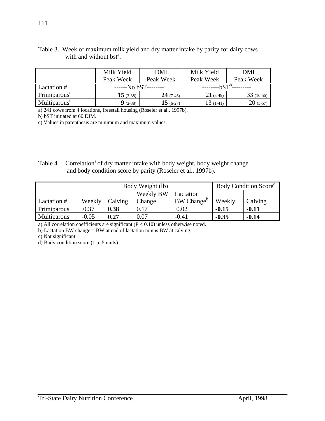|                          | Milk Yield<br>Peak Week | DMI<br>Peak Week | Milk Yield<br>Peak Week | DMI<br>Peak Week |  |
|--------------------------|-------------------------|------------------|-------------------------|------------------|--|
| Lactation #              | ------No bST            |                  | $\alpha$ ml             |                  |  |
| Primiparous <sup>c</sup> | $15$ (3-38)             | $24(7-46)$       | $21(3-49)$              | $33(10-55)$      |  |
| Multiparous <sup>c</sup> | <b>9</b> (2-38)         | $15(6-27)$       | $13(1-41)$              | $20(5-57)$       |  |

Table 3. Week of maximum milk yield and dry matter intake by parity for dairy cows with and without bst<sup>a</sup>.

a) 241 cows from 4 locations, freestall housing (Roseler et al., 1997b).

b) bST initiated at 60 DIM.

c) Values in parenthesis are minimum and maximum values.

Table 4. Correlation<sup>a</sup> of dry matter intake with body weight, body weight change and body condition score by parity (Roseler et al., 1997b).

|                    | Body Weight (lb) |         |           |                        | Body Condition Score <sup>a</sup> |         |
|--------------------|------------------|---------|-----------|------------------------|-----------------------------------|---------|
|                    |                  |         | Weekly BW | Lactation              |                                   |         |
| Lactation #        | Weekly           | Calving | Change    | BW Change <sup>b</sup> | Weekly                            | Calving |
| Primiparous        | 0.37             | 0.38    | 0.17      | $0.02^{\circ}$         | $-0.15$                           | $-0.11$ |
| <b>Multiparous</b> | $-0.05$          | 0.27    | 0.07      | $-0.41$                | $-0.35$                           | $-0.14$ |

a) All correlation coefficients are significant  $(P < 0.10)$  unless otherwise noted.

b) Lactation BW change = BW at end of lactation minus BW at calving.

c) Not significant

d) Body condition score (1 to 5 units)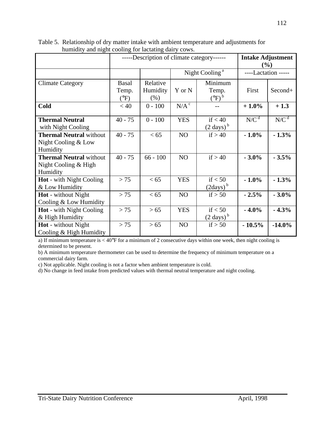|                                                                    | -----Description of climate category------ |                              |                  | <b>Intake Adjustment</b><br>$(\%)$    |                                 |                  |
|--------------------------------------------------------------------|--------------------------------------------|------------------------------|------------------|---------------------------------------|---------------------------------|------------------|
|                                                                    |                                            |                              |                  | Night Cooling <sup>a</sup>            | ----Lactation -----             |                  |
| <b>Climate Category</b>                                            | <b>Basal</b><br>Temp.<br>$(^{\circ}F)$     | Relative<br>Humidity<br>(% ) | Y or N           | Minimum<br>Temp.<br>$(^{\circ}F)^{b}$ | First                           | Second+          |
| Cold                                                               | < 40                                       | $0 - 100$                    | N/A <sup>c</sup> |                                       | $+1.0\%$                        | $+1.3$           |
| <b>Thermal Neutral</b><br>with Night Cooling                       | $40 - 75$                                  | $0 - 100$                    | <b>YES</b>       | if < 40<br>$(2 \text{ days})^b$       | $N/C$ <sup><math>d</math></sup> | N/C <sup>d</sup> |
| <b>Thermal Neutral without</b><br>Night Cooling & Low<br>Humidity  | $40 - 75$                                  | <65                          | NO               | if > 40                               | $-1.0%$                         | $-1.3%$          |
| <b>Thermal Neutral without</b><br>Night Cooling & High<br>Humidity | $40 - 75$                                  | $66 - 100$                   | NO               | if $>40$                              | $-3.0\%$                        | $-3.5%$          |
| Hot - with Night Cooling<br>& Low Humidity                         | > 75                                       | < 65                         | <b>YES</b>       | if < 50<br>$(2 \text{days})^b$        | $-1.0%$                         | $-1.3%$          |
| <b>Hot</b> - without Night<br>Cooling & Low Humidity               | > 75                                       | < 65                         | NO               | if $> 50$                             | $-2.5%$                         | $-3.0\%$         |
| <b>Hot</b> - with Night Cooling<br>& High Humidity                 | > 75                                       | > 65                         | <b>YES</b>       | if < 50<br>$(2 \text{ days})^b$       | $-4.0%$                         | $-4.3%$          |
| <b>Hot</b> - without Night<br>Cooling & High Humidity              | > 75                                       | > 65                         | NO               | if $> 50$                             | $-10.5%$                        | $-14.0\%$        |

Table 5. Relationship of dry matter intake with ambient temperature and adjustments for humidity and night cooling for lactating dairy cows.

a) If minimum temperature is < 40°F for a minimum of 2 consecutive days within one week, then night cooling is determined to be present.

b) A minimum temperature thermometer can be used to determine the frequency of minimum temperature on a commercial dairy farm.

c) Not applicable. Night cooling is not a factor when ambient temperature is cold.

d) No change in feed intake from predicted values with thermal neutral temperature and night cooling.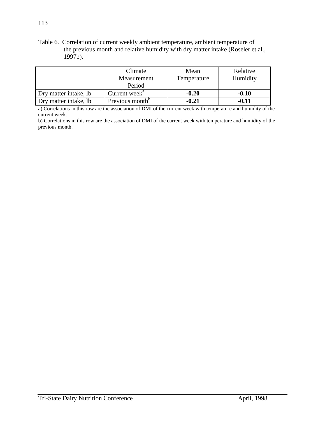Table 6. Correlation of current weekly ambient temperature, ambient temperature of the previous month and relative humidity with dry matter intake (Roseler et al., 1997b).

|                       | Climate<br>Measurement      | Mean<br>Temperature | Relative<br>Humidity |
|-----------------------|-----------------------------|---------------------|----------------------|
|                       | Period                      |                     |                      |
| Dry matter intake, lb | Current week <sup>a</sup>   | $-0.20$             | $-0.10$              |
| Dry matter intake, lb | Previous month <sup>o</sup> | $-0.21$             | -0.11                |

a) Correlations in this row are the association of DMI of the current week with temperature and humidity of the current week.

b) Correlations in this row are the association of DMI of the current week with temperature and humidity of the previous month.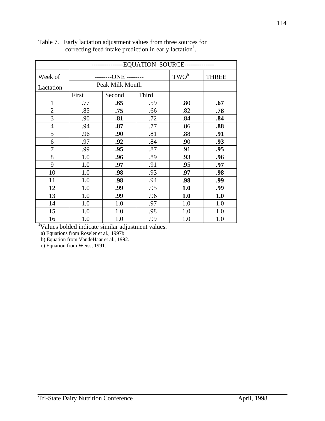|                | ------EQUATION SOURCE-------------- |                                   |         |                          |     |  |  |
|----------------|-------------------------------------|-----------------------------------|---------|--------------------------|-----|--|--|
| Week of        |                                     | --------ONE <sup>a</sup> -------- | $TWO^b$ | <b>THREE<sup>c</sup></b> |     |  |  |
| Lactation      |                                     | Peak Milk Month                   |         |                          |     |  |  |
|                | First                               | Second                            | Third   |                          |     |  |  |
| $\mathbf{1}$   | .77                                 | .65                               | .59     | .80                      | .67 |  |  |
| $\mathbf{2}$   | .85                                 | .75                               | .66     | .82                      | .78 |  |  |
| 3              | .90                                 | .81                               | .72     | .84                      | .84 |  |  |
| $\overline{4}$ | .94                                 | .87                               | .77     | .86                      | .88 |  |  |
| 5              | .96                                 | .90                               | .81     | .88                      | .91 |  |  |
| 6              | .97                                 | .92                               | .84     | .90                      | .93 |  |  |
| $\overline{7}$ | .99<br>.95                          |                                   | .87     | .91                      | .95 |  |  |
| 8              | 1.0                                 | .96                               | .89     | .93                      | .96 |  |  |
| 9              | 1.0                                 | .97                               | .91     | .95                      | .97 |  |  |
| 10             | 1.0                                 | .98                               | .93     | .97                      | .98 |  |  |
| 11             | 1.0                                 | .98                               | .94     | .98                      | .99 |  |  |
| 12             | 1.0                                 | .99                               | .95     | 1.0                      | .99 |  |  |
| 13             | 1.0                                 | .99                               | .96     | 1.0                      | 1.0 |  |  |
| 14             | 1.0                                 | 1.0                               | .97     | 1.0                      | 1.0 |  |  |
| 15             | 1.0<br>1.0                          |                                   | .98     | 1.0                      | 1.0 |  |  |
| 16             | 1.0                                 | 1.0                               | .99     | 1.0                      | 1.0 |  |  |

Table 7. Early lactation adjustment values from three sources for correcting feed intake prediction in early lactation<sup>1</sup>.

1 Values bolded indicate similar adjustment values.

a) Equations from Roseler et al., 1997b.

b) Equation from VandeHaar et al., 1992.

c) Equation from Weiss, 1991.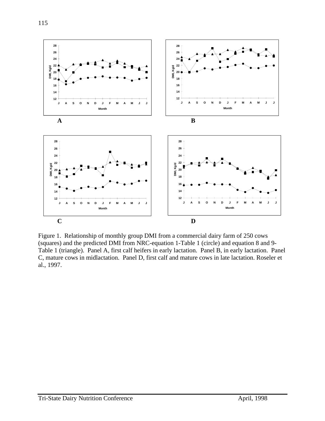

Figure 1. Relationship of monthly group DMI from a commercial dairy farm of 250 cows (squares) and the predicted DMI from NRC-equation 1-Table 1 (circle) and equation 8 and 9- Table 1 (triangle). Panel A, first calf heifers in early lactation. Panel B, in early lactation. Panel C, mature cows in midlactation. Panel D, first calf and mature cows in late lactation. Roseler et al., 1997.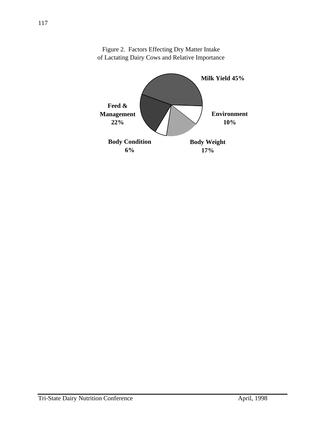

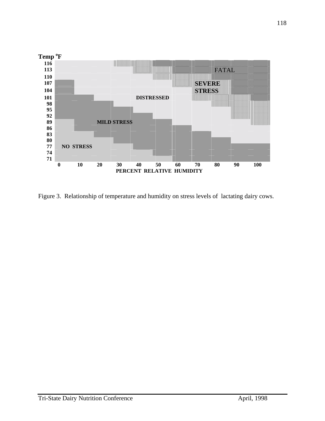

Figure 3. Relationship of temperature and humidity on stress levels of lactating dairy cows.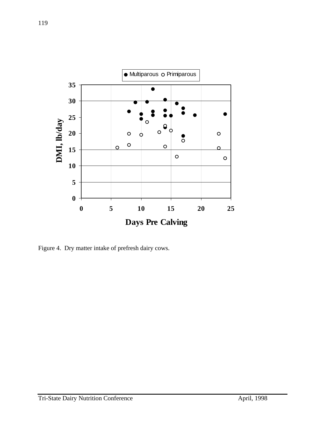

Figure 4. Dry matter intake of prefresh dairy cows.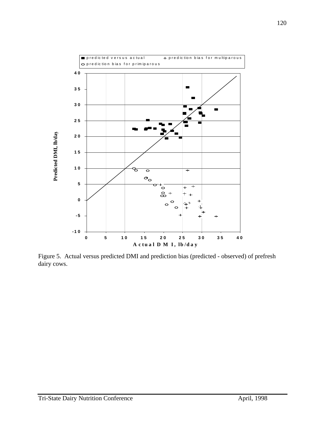

Figure 5. Actual versus predicted DMI and prediction bias (predicted - observed) of prefresh dairy cows.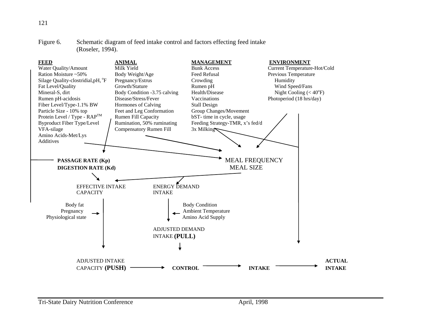Figure 6. Schematic diagram of feed intake control and factors effecting feed intake (Roseler, 1994).

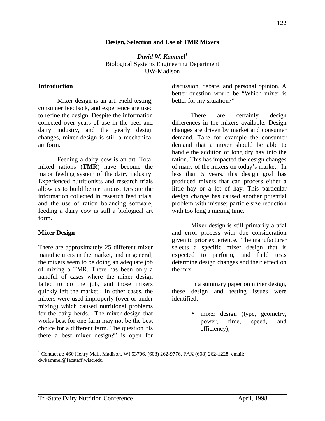#### **Design, Selection and Use of TMR Mixers**

*David W. Kammel<sup>1</sup>* Biological Systems Engineering Department UW-Madison

#### **Introduction**

Mixer design is an art. Field testing, consumer feedback, and experience are used to refine the design. Despite the information collected over years of use in the beef and dairy industry, and the yearly design changes, mixer design is still a mechanical art form.

Feeding a dairy cow is an art. Total mixed rations (**TMR**) have become the major feeding system of the dairy industry. Experienced nutritionists and research trials allow us to build better rations. Despite the information collected in research feed trials, and the use of ration balancing software, feeding a dairy cow is still a biological art form.

#### **Mixer Design**

 $\overline{a}$ 

There are approximately 25 different mixer manufacturers in the market, and in general, the mixers seem to be doing an adequate job of mixing a TMR. There has been only a handful of cases where the mixer design failed to do the job, and those mixers quickly left the market. In other cases, the mixers were used improperly (over or under mixing) which caused nutritional problems for the dairy herds. The mixer design that works best for one farm may not be the best choice for a different farm. The question "Is there a best mixer design?" is open for

discussion, debate, and personal opinion. A better question would be "Which mixer is better for my situation?"

There are certainly design differences in the mixers available. Design changes are driven by market and consumer demand. Take for example the consumer demand that a mixer should be able to handle the addition of long dry hay into the ration. This has impacted the design changes of many of the mixers on today's market. In less than 5 years, this design goal has produced mixers that can process either a little hay or a lot of hay. This particular design change has caused another potential problem with misuse; particle size reduction with too long a mixing time.

Mixer design is still primarily a trial and error process with due consideration given to prior experience. The manufacturer selects a specific mixer design that is expected to perform, and field tests determine design changes and their effect on the mix.

In a summary paper on mixer design, these design and testing issues were identified:

> • mixer design (type, geometry, power, time, speed, and efficiency),

<sup>&</sup>lt;sup>1</sup> Contact at: 460 Henry Mall, Madison, WI 53706, (608) 262-9776, FAX (608) 262-1228; email: dwkammel@facstaff.wisc.edu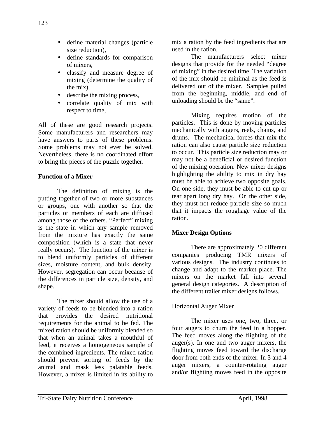- define material changes (particle size reduction),
- define standards for comparison of mixers,
- classify and measure degree of mixing (determine the quality of the mix),
- describe the mixing process,
- correlate quality of mix with respect to time,

All of these are good research projects. Some manufacturers and researchers may have answers to parts of these problems. Some problems may not ever be solved. Nevertheless, there is no coordinated effort to bring the pieces of the puzzle together.

# **Function of a Mixer**

The definition of mixing is the putting together of two or more substances or groups, one with another so that the particles or members of each are diffused among those of the others. "Perfect" mixing is the state in which any sample removed from the mixture has exactly the same composition (which is a state that never really occurs). The function of the mixer is to blend uniformly particles of different sizes, moisture content, and bulk density. However, segregation can occur because of the differences in particle size, density, and shape.

The mixer should allow the use of a variety of feeds to be blended into a ration that provides the desired nutritional requirements for the animal to be fed. The mixed ration should be uniformly blended so that when an animal takes a mouthful of feed, it receives a homogeneous sample of the combined ingredients. The mixed ration should prevent sorting of feeds by the animal and mask less palatable feeds. However, a mixer is limited in its ability to

mix a ration by the feed ingredients that are used in the ration.

The manufacturers select mixer designs that provide for the needed "degree of mixing" in the desired time. The variation of the mix should be minimal as the feed is delivered out of the mixer. Samples pulled from the beginning, middle, and end of unloading should be the "same".

Mixing requires motion of the particles. This is done by moving particles mechanically with augers, reels, chains, and drums. The mechanical forces that mix the ration can also cause particle size reduction to occur. This particle size reduction may or may not be a beneficial or desired function of the mixing operation. New mixer designs highlighting the ability to mix in dry hay must be able to achieve two opposite goals. On one side, they must be able to cut up or tear apart long dry hay. On the other side, they must not reduce particle size so much that it impacts the roughage value of the ration.

# **Mixer Design Options**

There are approximately 20 different companies producing TMR mixers of various designs. The industry continues to change and adapt to the market place. The mixers on the market fall into several general design categories. A description of the different trailer mixer designs follows.

# Horizontal Auger Mixer

 The mixer uses one, two, three, or four augers to churn the feed in a hopper. The feed moves along the flighting of the auger(s). In one and two auger mixers, the flighting moves feed toward the discharge door from both ends of the mixer. In 3 and 4 auger mixers, a counter-rotating auger and/or flighting moves feed in the opposite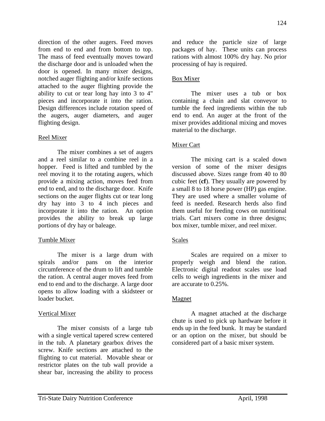direction of the other augers. Feed moves from end to end and from bottom to top. The mass of feed eventually moves toward the discharge door and is unloaded when the door is opened. In many mixer designs, notched auger flighting and/or knife sections attached to the auger flighting provide the ability to cut or tear long hay into 3 to 4" pieces and incorporate it into the ration. Design differences include rotation speed of the augers, auger diameters, and auger flighting design.

# Reel Mixer

 The mixer combines a set of augers and a reel similar to a combine reel in a hopper. Feed is lifted and tumbled by the reel moving it to the rotating augers, which provide a mixing action, moves feed from end to end, and to the discharge door. Knife sections on the auger flights cut or tear long dry hay into 3 to 4 inch pieces and incorporate it into the ration. An option provides the ability to break up large portions of dry hay or baleage.

### Tumble Mixer

 The mixer is a large drum with spirals and/or pans on the interior circumference of the drum to lift and tumble the ration. A central auger moves feed from end to end and to the discharge. A large door opens to allow loading with a skidsteer or loader bucket.

# Vertical Mixer

 The mixer consists of a large tub with a single vertical tapered screw centered in the tub. A planetary gearbox drives the screw. Knife sections are attached to the flighting to cut material. Movable shear or restrictor plates on the tub wall provide a shear bar, increasing the ability to process

and reduce the particle size of large packages of hay. These units can process rations with almost 100% dry hay. No prior processing of hay is required.

# Box Mixer

 The mixer uses a tub or box containing a chain and slat conveyor to tumble the feed ingredients within the tub end to end. An auger at the front of the mixer provides additional mixing and moves material to the discharge.

# Mixer Cart

 The mixing cart is a scaled down version of some of the mixer designs discussed above. Sizes range from 40 to 80 cubic feet (**cf**). They usually are powered by a small 8 to 18 horse power (HP) gas engine. They are used where a smaller volume of feed is needed. Research herds also find them useful for feeding cows on nutritional trials. Cart mixers come in three designs; box mixer, tumble mixer, and reel mixer.

### Scales

 Scales are required on a mixer to properly weigh and blend the ration. Electronic digital readout scales use load cells to weigh ingredients in the mixer and are accurate to 0.25%.

### Magnet

 A magnet attached at the discharge chute is used to pick up hardware before it ends up in the feed bunk. It may be standard or an option on the mixer, but should be considered part of a basic mixer system.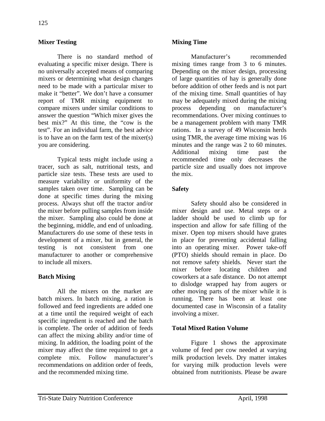# **Mixer Testing**

There is no standard method of evaluating a specific mixer design. There is no universally accepted means of comparing mixers or determining what design changes need to be made with a particular mixer to make it "better". We don't have a consumer report of TMR mixing equipment to compare mixers under similar conditions to answer the question "Which mixer gives the best mix?" At this time, the "cow is the test". For an individual farm, the best advice is to have an on the farm test of the mixer(s) you are considering.

 Typical tests might include using a tracer, such as salt, nutritional tests, and particle size tests. These tests are used to measure variability or uniformity of the samples taken over time. Sampling can be done at specific times during the mixing process. Always shut off the tractor and/or the mixer before pulling samples from inside the mixer. Sampling also could be done at the beginning, middle, and end of unloading. Manufacturers do use some of these tests in development of a mixer, but in general, the testing is not consistent from one manufacturer to another or comprehensive to include all mixers.

# **Batch Mixing**

 All the mixers on the market are batch mixers. In batch mixing, a ration is followed and feed ingredients are added one at a time until the required weight of each specific ingredient is reached and the batch is complete. The order of addition of feeds can affect the mixing ability and/or time of mixing. In addition, the loading point of the mixer may affect the time required to get a complete mix. Follow manufacturer's recommendations on addition order of feeds, and the recommended mixing time.

# **Mixing Time**

Manufacturer's recommended mixing times range from 3 to 6 minutes. Depending on the mixer design, processing of large quantities of hay is generally done before addition of other feeds and is not part of the mixing time. Small quantities of hay may be adequately mixed during the mixing process depending on manufacturer's recommendations. Over mixing continues to be a management problem with many TMR rations. In a survey of 49 Wisconsin herds using TMR, the average time mixing was 16 minutes and the range was 2 to 60 minutes. Additional mixing time past the recommended time only decreases the particle size and usually does not improve the mix.

# **Safety**

Safety should also be considered in mixer design and use. Metal steps or a ladder should be used to climb up for inspection and allow for safe filling of the mixer. Open top mixers should have grates in place for preventing accidental falling into an operating mixer. Power take-off (PTO) shields should remain in place. Do not remove safety shields. Never start the mixer before locating children and coworkers at a safe distance. Do not attempt to dislodge wrapped hay from augers or other moving parts of the mixer while it is running. There has been at least one documented case in Wisconsin of a fatality involving a mixer.

# **Total Mixed Ration Volume**

Figure 1 shows the approximate volume of feed per cow needed at varying milk production levels. Dry matter intakes for varying milk production levels were obtained from nutritionists. Please be aware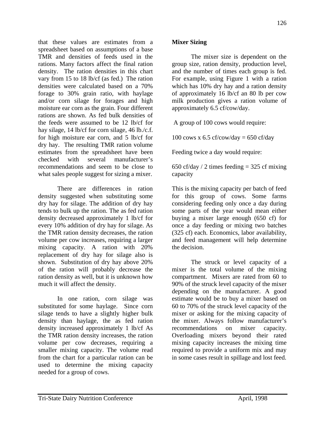that these values are estimates from a spreadsheet based on assumptions of a base TMR and densities of feeds used in the rations. Many factors affect the final ration density. The ration densities in this chart vary from 15 to 18 lb/cf (as fed.) The ration densities were calculated based on a 70% forage to 30% grain ratio, with haylage and/or corn silage for forages and high moisture ear corn as the grain. Four different rations are shown. As fed bulk densities of the feeds were assumed to be 12 lb/cf for hay silage, 14 lb/cf for corn silage, 46 lb./c.f. for high moisture ear corn, and 5 lb/cf for dry hay. The resulting TMR ration volume estimates from the spreadsheet have been checked with several manufacturer's recommendations and seem to be close to what sales people suggest for sizing a mixer.

There are differences in ration density suggested when substituting some dry hay for silage. The addition of dry hay tends to bulk up the ration. The as fed ration density decreased approximately 1 lb/cf for every 10% addition of dry hay for silage. As the TMR ration density decreases, the ration volume per cow increases, requiring a larger mixing capacity. A ration with 20% replacement of dry hay for silage also is shown. Substitution of dry hay above 20% of the ration will probably decrease the ration density as well, but it is unknown how much it will affect the density.

In one ration, corn silage was substituted for some haylage. Since corn silage tends to have a slightly higher bulk density than haylage, the as fed ration density increased approximately 1 lb/cf As the TMR ration density increases, the ration volume per cow decreases, requiring a smaller mixing capacity. The volume read from the chart for a particular ration can be used to determine the mixing capacity needed for a group of cows.

# **Mixer Sizing**

The mixer size is dependent on the group size, ration density, production level, and the number of times each group is fed. For example, using Figure 1 with a ration which has 10% dry hay and a ration density of approximately 16 lb/cf an 80 lb per cow milk production gives a ration volume of approximately 6.5 cf/cow/day.

A group of 100 cows would require:

100 cows x 6.5 cf/cow/day = 650 cf/day

Feeding twice a day would require:

650 cf/day / 2 times feeding  $=$  325 cf mixing capacity

This is the mixing capacity per batch of feed for this group of cows. Some farms considering feeding only once a day during some parts of the year would mean either buying a mixer large enough (650 cf) for once a day feeding or mixing two batches (325 cf) each. Economics, labor availability, and feed management will help determine the decision.

The struck or level capacity of a mixer is the total volume of the mixing compartment. Mixers are rated from 60 to 90% of the struck level capacity of the mixer depending on the manufacturer. A good estimate would be to buy a mixer based on 60 to 70% of the struck level capacity of the mixer or asking for the mixing capacity of the mixer. Always follow manufacturer's recommendations on mixer capacity. Overloading mixers beyond their rated mixing capacity increases the mixing time required to provide a uniform mix and may in some cases result in spillage and lost feed.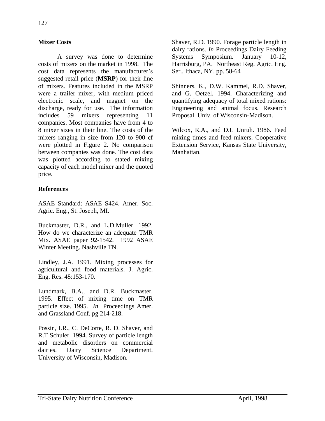# **Mixer Costs**

A survey was done to determine costs of mixers on the market in 1998. The cost data represents the manufacturer's suggested retail price (**MSRP**) for their line of mixers. Features included in the MSRP were a trailer mixer, with medium priced electronic scale, and magnet on the discharge, ready for use. The information includes 59 mixers representing 11 companies. Most companies have from 4 to 8 mixer sizes in their line. The costs of the mixers ranging in size from 120 to 900 cf were plotted in Figure 2. No comparison between companies was done. The cost data was plotted according to stated mixing capacity of each model mixer and the quoted price.

# **References**

ASAE Standard: ASAE S424. Amer. Soc. Agric. Eng., St. Joseph, MI.

Buckmaster, D.R., and L.D.Muller. 1992. How do we characterize an adequate TMR Mix. ASAE paper 92-1542. 1992 ASAE Winter Meeting. Nashville TN.

Lindley, J.A. 1991. Mixing processes for agricultural and food materials. J. Agric. Eng. Res. 48:153-170.

Lundmark, B.A., and D.R. Buckmaster. 1995. Effect of mixing time on TMR particle size. 1995. *In* Proceedings Amer. and Grassland Conf. pg 214-218.

Possin, I.R., C. DeCorte, R. D. Shaver, and R.T Schuler. 1994. Survey of particle length and metabolic disorders on commercial dairies. Dairy Science Department. University of Wisconsin, Madison.

Shaver, R.D. 1990. Forage particle length in dairy rations. *In* Proceedings Dairy Feeding Systems Symposium. January 10-12, Harrisburg, PA. Northeast Reg. Agric. Eng. Ser., Ithaca, NY. pp. 58-64

Shinners, K., D.W. Kammel, R.D. Shaver, and G. Oetzel. 1994. Characterizing and quantifying adequacy of total mixed rations: Engineering and animal focus. Research Proposal. Univ. of Wisconsin-Madison.

Wilcox, R.A., and D.L Unruh. 1986. Feed mixing times and feed mixers. Cooperative Extension Service, Kansas State University, Manhattan.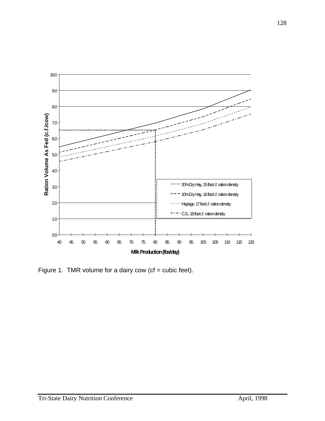

Figure 1. TMR volume for a dairy cow ( $cf = cubic$  feet).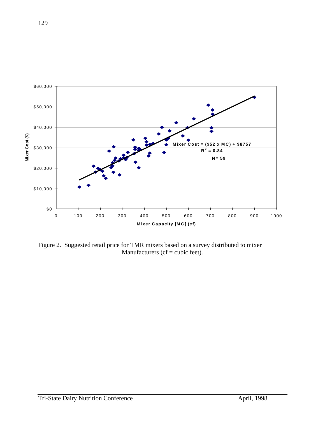

Figure 2. Suggested retail price for TMR mixers based on a survey distributed to mixer Manufacturers (cf = cubic feet).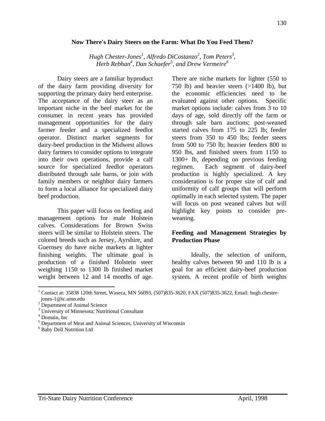#### **Now There's Dairy Steers on the Farm: What Do You Feed Them?**

*Hugh Chester-Jones<sup>1</sup>, Alfredo DiCostanzo<sup>2</sup>, Tom Peters<sup>3</sup>, Herb Rebhan<sup>4</sup> , Dan Schaefer<sup>5</sup> , and Drew Vermeire<sup>6</sup>*

Dairy steers are a familiar byproduct of the dairy farm providing diversity for supporting the primary dairy herd enterprise. The acceptance of the dairy steer as an important niche in the beef market for the consumer in recent years has provided management opportunities for the dairy farmer feeder and a specialized feedlot operator. Distinct market segments for dairy-beef production in the Midwest allows dairy farmers to consider options to integrate into their own operations, provide a calf source for specialized feedlot operators distributed through sale barns, or join with family members or neighbor dairy farmers to form a local alliance for specialized dairy beef production.

This paper will focus on feeding and management options for male Holstein calves. Considerations for Brown Swiss steers will be similar to Holstein steers. The colored breeds such as Jersey, Ayrshire, and Guernsey do have niche markets at lighter finishing weights. The ultimate goal is production of a finished Holstein steer weighing 1150 to 1300 lb finished market weight between 12 and 14 months of age.

There are niche markets for lighter (550 to 750 lb) and heavier steers (>1400 lb), but the economic efficiencies need to be evaluated against other options. Specific market options include: calves from 3 to 10 days of age, sold directly off the farm or through sale barn auctions; post-weaned started calves from 175 to 225 lb; feeder steers from 350 to 450 lbs; feeder steers from 500 to 750 lb; heavier feeders 800 to 950 lbs, and finished steers from 1150 to 1300+ lb, depending on previous feeding regimen. Each segment of dairy-beef production is highly specialized. A key consideration is for proper size of calf and uniformity of calf groups that will perform optimally in each selected system. The paper will focus on post weaned calves but will highlight key points to consider preweaning.

#### **Feeding and Management Strategies by Production Phase**

Ideally, the selection of uniform, healthy calves between 90 and 110 lb is a goal for an efficient dairy-beef production system. A recent profile of birth weights

 $\overline{a}$ 

 $1$  Contact at: 35838 120th Street, Waseca, MN 56093, (507)835-3620, FAX (507)835-3622, Email: hugh.chesterjones-1@tc.umn.edu

 $2^{2}$  Department of Animal Science

<sup>&</sup>lt;sup>3</sup> University of Minnesota; Nutritional Consultant

<sup>4</sup> Domain, Inc

 $^5$  Department of Meat and Animal Sciences, University of Wisconsin<br> $^6$  Beby Dell Nutrition I td

<sup>&</sup>lt;sup>6</sup> Baby Doll Nutrition Ltd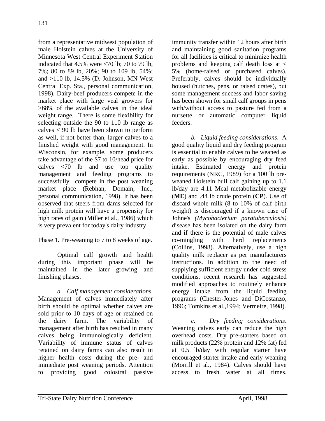from a representative midwest population of male Holstein calves at the University of Minnesota West Central Experiment Station indicated that  $4.5\%$  were  $\lt$  70 lb; 70 to 79 lb, 7%; 80 to 89 lb, 20%; 90 to 109 lb, 54%; and >110 lb, 14.5% (D. Johnson, MN West Central Exp. Sta., personal communication, 1998). Dairy-beef producers compete in the market place with large veal growers for >68% of the available calves in the ideal weight range. There is some flexibility for selecting outside the 90 to 110 lb range as calves < 90 lb have been shown to perform as well, if not better than, larger calves to a finished weight with good management. In Wisconsin, for example, some producers take advantage of the \$7 to 10/head price for calves <70 lb and use top quality management and feeding programs to successfully compete in the post weaning market place (Rebhan, Domain, Inc., personal communication, 1998). It has been observed that steers from dams selected for high milk protein will have a propensity for high rates of gain (Miller et al., 1986) which is very prevalent for today's dairy industry.

# Phase 1. Pre-weaning to 7 to 8 weeks of age.

Optimal calf growth and health during this important phase will be maintained in the later growing and finishing phases.

*a. Calf management considerations.* Management of calves immediately after birth should be optimal whether calves are sold prior to 10 days of age or retained on the dairy farm. The variability of management after birth has resulted in many calves being immunologically deficient. Variability of immune status of calves retained on dairy farms can also result in higher health costs during the pre- and immediate post weaning periods. Attention to providing good colostral passive

immunity transfer within 12 hours after birth and maintaining good sanitation programs for all facilities is critical to minimize health problems and keeping calf death loss at < 5% (home-raised or purchased calves). Preferably, calves should be individually housed (hutches, pens, or raised crates), but some management success and labor saving has been shown for small calf groups in pens with/without access to pasture fed from a nursette or automatic computer liquid feeders.

*b. Liquid feeding considerations*. A good quality liquid and dry feeding program is essential to enable calves to be weaned as early as possible by encouraging dry feed intake. Estimated energy and protein requirements (NRC, 1989) for a 100 lb preweaned Holstein bull calf gaining up to 1.1 lb/day are 4.11 Mcal metabolizable energy (**ME**) and .44 lb crude protein (**CP**). Use of discard whole milk (8 to 10% of calf birth weight) is discouraged if a known case of Johne's *(Mycobacterium paratuberculosis)* disease has been isolated on the dairy farm and if there is the potential of male calves co-mingling with herd replacements (Collins, 1998). Alternatively, use a high quality milk replacer as per manufacturers instructions. In addition to the need of supplying sufficient energy under cold stress conditions, recent research has suggested modified approaches to routinely enhance energy intake from the liquid feeding programs (Chester-Jones and DiCostanzo, 1996; Tomkins et al.,1994; Vermeire, 1998).

*c. Dry feeding considerations*. Weaning calves early can reduce the high overhead costs. Dry pre-starters based on milk products (22% protein and 12% fat) fed at 0.5 lb/day with regular starter have encouraged starter intake and early weaning (Morrill et al., 1984). Calves should have access to fresh water at all times.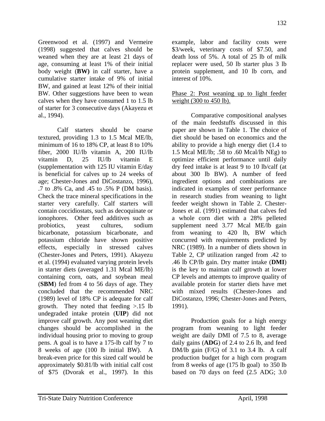Greenwood et al. (1997) and Vermeire (1998) suggested that calves should be weaned when they are at least 21 days of age, consuming at least 1% of their initial body weight (**BW)** in calf starter, have a cumulative starter intake of 9% of initial BW, and gained at least 12% of their initial BW. Other suggestions have been to wean calves when they have consumed 1 to 1.5 lb of starter for 3 consecutive days (Akayezu et al., 1994).

Calf starters should be coarse textured, providing 1.3 to 1.5 Mcal ME/lb, minimum of 16 to 18% CP, at least 8 to 10% fiber, 2000 IU/lb vitamin A, 200 IU/lb vitamin D, 25 IU/lb vitamin E (supplementation with 125 IU vitamin E/day is beneficial for calves up to 24 weeks of age; Chester-Jones and DiCostanzo, 1996), .7 to .8% Ca, and .45 to .5% P (DM basis). Check the trace mineral specifications in the starter very carefully. Calf starters will contain coccidiostats, such as decoquinate or ionophores. Other feed additives such as probiotics, yeast cultures, sodium bicarbonate, potassium bicarbonate, and potassium chloride have shown positive effects, especially in stressed calves (Chester-Jones and Peters, 1991). Akayezu et al. (1994) evaluated varying protein levels in starter diets (averaged 1.31 Mcal ME/lb) containing corn, oats, and soybean meal (**SBM**) fed from 4 to 56 days of age. They concluded that the recommended NRC (1989) level of 18% CP is adequate for calf growth. They noted that feeding >.15 lb undegraded intake protein (**UIP**) did not improve calf growth. Any post weaning diet changes should be accomplished in the individual housing prior to moving to group pens. A goal is to have a 175-lb calf by 7 to 8 weeks of age (100 lb initial BW). A break-even price for this sized calf would be approximately \$0.81/lb with initial calf cost of \$75 (Dvorak et al., 1997). In this

example, labor and facility costs were \$3/week, veterinary costs of \$7.50, and death loss of 5%. A total of 25 lb of milk replacer were used, 50 lb starter plus 3 lb protein supplement, and 10 lb corn, and interest of 10%.

### Phase 2: Post weaning up to light feeder weight (300 to 450 lb).

Comparative compositional analyses of the main feedstuffs discussed in this paper are shown in Table 1. The choice of diet should be based on economics and the ability to provide a high energy diet (1.4 to 1.5 Mcal ME/lb; .58 to .60 Mcal/lb NEg) to optimize efficient performance until daily dry feed intake is at least 9 to 10 lb/calf (at about 300 lb BW). A number of feed ingredient options and combinations are indicated in examples of steer performance in research studies from weaning to light feeder weight shown in Table 2. Chester-Jones et al. (1991) estimated that calves fed a whole corn diet with a 28% pelleted supplement need 3.77 Mcal ME/lb gain from weaning to 420 lb, BW which concurred with requirements predicted by NRC (1989). In a number of diets shown in Table 2, CP utilization ranged from .42 to .46 lb CP/lb gain. Dry matter intake (**DMI**) is the key to maintan calf growth at lower CP levels and attempts to improve quality of available protein for starter diets have met with mixed results (Chester-Jones and DiCostanzo, 1996; Chester-Jones and Peters, 1991).

Production goals for a high energy program from weaning to light feeder weight are daily DMI of 7.5 to 8, average daily gains (**ADG**) of 2.4 to 2.6 lb, and feed DM/lb gain (F/G) of 3.1 to 3.4 lb. A calf production budget for a high corn program from 8 weeks of age (175 lb goal) to 350 lb based on 70 days on feed (2.5 ADG; 3.0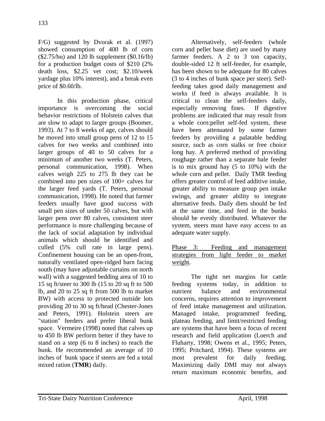F/G) suggested by Dvorak et al. (1997) showed consumption of 400 lb of corn (\$2.75/bu) and 120 lb supplement (\$0.16/lb) for a production budget costs of \$210 (2% death loss, \$2.25 vet cost; \$2.10/week yardage plus 10% interest), and a break even price of \$0.60/lb.

In this production phase, critical importance is overcoming the social behavior restrictions of Holstein calves that are slow to adapt to larger groups (Boomer, 1993). At 7 to 8 weeks of age, calves should be moved into small group pens of 12 to 15 calves for two weeks and combined into larger groups of 40 to 50 calves for a minimum of another two weeks (T. Peters, personal communication, 1998). When calves weigh 225 to 275 lb they can be combined into pen sizes of 100+ calves for the larger feed yards (T. Peters, personal communication, 1998). He noted that farmer feeders usually have good success with small pen sizes of under 50 calves, but with larger pens over 80 calves, consistent steer performance is more challenging because of the lack of social adaptation by individual animals which should be identified and culled (5% cull rate in large pens). Confinement housing can be an open-front, naturally ventilated open-ridged barn facing south (may have adjustable curtains on north wall) with a suggested bedding area of 10 to 15 sq ft/steer to 300 lb (15 to 20 sq ft to 500 lb, and 20 to 25 sq ft from 500 lb to market BW) with access to protected outside lots providing 20 to 30 sq ft/head (Chester-Jones and Peters, 1991). Holstein steers are "station" feeders and prefer liberal bunk space. Vermeire (1998) noted that calves up to 450 lb BW perform better if they have to stand on a step (6 to 8 inches) to reach the bunk. He recommended an average of 10 inches of bunk space if steers are fed a total mixed ration (**TMR**) daily.

Alternatively, self-feeders (whole corn and pellet base diet) are used by many farmer feeders. A 2 to 3 ton capacity, double-sided 12 ft self-feeder, for example, has been shown to be adequate for 80 calves (3 to 4 inches of bunk space per steer). Selffeeding takes good daily management and works if feed is always available. It is critical to clean the self-feeders daily, especially removing fines. If digestive problems are indicated that may result from a whole corn:pellet self-fed system, these have been attenuated by some farmer feeders by providing a palatable bedding source, such as corn stalks or free choice long hay. A preferred method of providing roughage rather than a separate bale feeder is to mix ground hay (5 to 10%) with the whole corn and pellet. Daily TMR feeding offers greater control of feed additive intake, greater ability to measure group pen intake swings, and greater ability to integrate alternative feeds. Daily diets should be fed at the same time, and feed in the bunks should be evenly distributed. Whatever the system, steers must have easy access to an adequate water supply.

# Phase 3: Feeding and management strategies from light feeder to market weight.

The tight net margins for cattle feeding systems today, in addition to nutrient balance and environmental concerns, requires attention to improvement of feed intake management and utilization. Managed intake, programmed feeding, plateau feeding, and limit/restricted feeding are systems that have been a focus of recent research and field application (Loerch and Fluharty, 1998; Owens et al., 1995; Peters, 1995; Pritchard, 1994). These systems are most prevalent for daily feeding. Maximizing daily DMI may not always return maximum economic benefits, and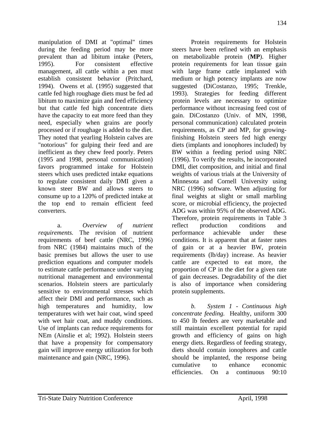manipulation of DMI at "optimal" times during the feeding period may be more prevalent than ad libitum intake (Peters, 1995). For consistent effective management, all cattle within a pen must establish consistent behavior (Pritchard, 1994). Owens et al. (1995) suggested that cattle fed high roughage diets must be fed ad libitum to maximize gain and feed efficiency but that cattle fed high concentrate diets have the capacity to eat more feed than they need, especially when grains are poorly processed or if roughage is added to the diet. They noted that yearling Holstein calves are "notorious" for gulping their feed and are inefficient as they chew feed poorly. Peters (1995 and 1998, personal communication) favors programmed intake for Holstein steers which uses predicted intake equations to regulate consistent daily DMI given a known steer BW and allows steers to consume up to a 120% of predicted intake at the top end to remain efficient feed converters.

a. *Overview of nutrient requirements.* The revision of nutrient requirements of beef cattle (NRC, 1996) from NRC (1984) maintains much of the basic premises but allows the user to use prediction equations and computer models to estimate cattle performance under varying nutritional management and environmental scenarios. Holstein steers are particularly sensitive to environmental stresses which affect their DMI and performance, such as high temperatures and humidity, low temperatures with wet hair coat, wind speed with wet hair coat, and muddy conditions. Use of implants can reduce requirements for NEm (Ainslie et al; 1992). Holstein steers that have a propensity for compensatory gain will improve energy utilization for both maintenance and gain (NRC, 1996).

Protein requirements for Holstein steers have been refined with an emphasis on metabolizable protein (**MP**). Higher protein requirements for lean tissue gain with large frame cattle implanted with medium or high potency implants are now suggested (DiCostanzo, 1995; Trenkle, 1993). Strategies for feeding different protein levels are necessary to optimize performance without increasing feed cost of gain. DiCostanzo (Univ. of MN, 1998, personal communication) calculated protein requirements, as CP and MP, for growingfinishing Holstein steers fed high energy diets (implants and ionophores included) by BW within a feeding period using NRC (1996). To verify the results, he incorporated DMI, diet composition, and initial and final weights of various trials at the University of Minnesota and Cornell University using NRC (1996) software. When adjusting for final weights at slight or small marbling score, or microbial efficiency, the projected ADG was within 95% of the observed ADG. Therefore, protein requirements in Table 3 reflect production conditions and performance achievable under these conditions. It is apparent that at faster rates of gain or at a heavier BW, protein requirements (lb/day) increase. As heavier cattle are expected to eat more, the proportion of CP in the diet for a given rate of gain decreases. Degradability of the diet is also of importance when considering protein supplements.

*b. System 1 - Continuous high concentrate feeding.* Healthy, uniform 300 to 450 lb feeders are very marketable and still maintain excellent potential for rapid growth and efficiency of gains on high energy diets. Regardless of feeding strategy, diets should contain ionophores and cattle should be implanted, the response being cumulative to enhance economic efficiencies. On a continuous 90:10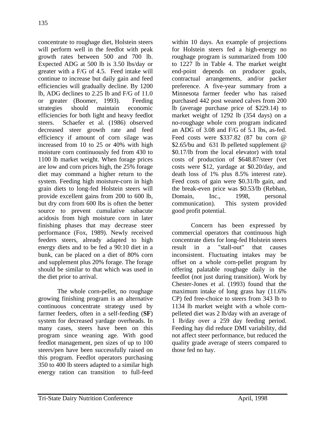concentrate to roughage diet, Holstein steers will perform well in the feedlot with peak growth rates between 500 and 700 lb. Expected ADG at 500 lb is 3.50 lbs/day or greater with a F/G of 4.5. Feed intake will continue to increase but daily gain and feed efficiencies will gradually decline. By 1200 lb, ADG declines to 2.25 lb and F/G of 11.0 or greater (Boomer, 1993). Feeding strategies should maintain economic efficiencies for both light and heavy feedlot steers. Schaefer et al. (1986) observed decreased steer growth rate and feed efficiency if amount of corn silage was increased from 10 to 25 or 40% with high moisture corn continuously fed from 430 to 1100 lb market weight. When forage prices are low and corn prices high, the 25% forage diet may command a higher return to the system. Feeding high moisture-corn in high grain diets to long-fed Holstein steers will provide excellent gains from 200 to 600 lb, but dry corn from 600 lbs is often the better source to prevent cumulative subacute acidosis from high moisture corn in later finishing phases that may decrease steer performance (Fox, 1989). Newly received feeders steers, already adapted to high energy diets and to be fed a 90:10 diet in a bunk, can be placed on a diet of 80% corn and supplement plus 20% forage. The forage should be similar to that which was used in the diet prior to arrival.

The whole corn-pellet, no roughage growing finishing program is an alternative continuous concentrate strategy used by farmer feeders, often in a self-feeding (**SF**) system for decreased yardage overheads. In many cases, steers have been on this program since weaning age. With good feedlot management, pen sizes of up to 100 steers/pen have been successfully raised on this program. Feedlot operators purchasing 350 to 400 lb steers adapted to a similar high energy ration can transition to full-feed

within 10 days. An example of projections for Holstein steers fed a high-energy no roughage program is summarized from 100 to 1227 lb in Table 4. The market weight end-point depends on producer goals, contractual arrangements, and/or packer preference. A five-year summary from a Minnesota farmer feeder who has raised purchased 442 post weaned calves from 200 lb (average purchase price of \$229.14) to market weight of 1292 lb (354 days) on a no-roughage whole corn program indicated an ADG of 3.08 and F/G of 5.1 lbs, as-fed. Feed costs were \$337.82 (87 bu corn @ \$2.65/bu and 631 lb pelleted supplement @ \$0.17/lb from the local elevator) with total costs of production of \$648.87/steer (vet costs were \$12, yardage at \$0.20/day, and death loss of 1% plus 8.5% interest rate). Feed costs of gain were \$0.31/lb gain, and the break-even price was \$0.53/lb (Rebhan, Domain, Inc., 1998, personal communication). This system provided good profit potential.

Concern has been expressed by commercial operators that continuous high concentrate diets for long-fed Holstein steers result in a "stall-out" that causes inconsistent. Fluctuating intakes may be offset on a whole corn-pellet program by offering palatable roughage daily in the feedlot (not just during transition). Work by Chester-Jones et al. (1993) found that the maximum intake of long grass hay (11.6% CP) fed free-choice to steers from 343 lb to 1134 lb market weight with a whole cornpelleted diet was 2 lb/day with an average of 1 lb/day over a 259 day feeding period. Feeding hay did reduce DMI variability, did not affect steer performance, but reduced the quality grade average of steers compared to those fed no hay.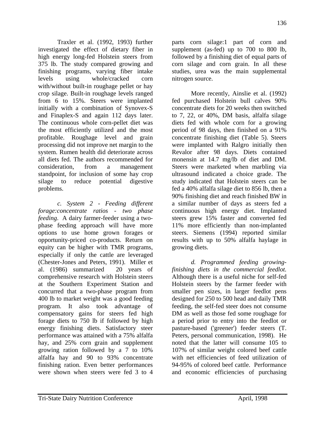Traxler et al. (1992, 1993) further investigated the effect of dietary fiber in high energy long-fed Holstein steers from 375 lb. The study compared growing and finishing programs, varying fiber intake levels using whole/cracked corn with/without built-in roughage pellet or hay crop silage. Built-in roughage levels ranged from 6 to 15%. Steers were implanted initially with a combination of Synovex-S and Finaplex-S and again 112 days later. The continuous whole corn-pellet diet was the most efficiently utilized and the most profitable. Roughage level and grain processing did not improve net margin to the system. Rumen health did deteriorate across all diets fed. The authors recommended for consideration, from a management standpoint, for inclusion of some hay crop silage to reduce potential digestive problems.

*c. System 2 - Feeding different forage:concentrate ratios - two phase feeding*. A dairy farmer-feeder using a twophase feeding approach will have more options to use home grown forages or opportunity-priced co-products. Return on equity can be higher with TMR programs, especially if only the cattle are leveraged (Chester-Jones and Peters, 1991). Miller et al. (1986) summarized 20 years of comprehensive research with Holstein steers at the Southern Experiment Station and concurred that a two-phase program from 400 lb to market weight was a good feeding program. It also took advantage of compensatory gains for steers fed high forage diets to 750 lb if followed by high energy finishing diets. Satisfactory steer performance was attained with a 75% alfalfa hay, and 25% corn grain and supplement growing ration followed by a 7 to 10% alfalfa hay and 90 to 93% concentrate finishing ration. Even better performances were shown when steers were fed 3 to 4

parts corn silage:1 part of corn and supplement (as-fed) up to 700 to 800 lb, followed by a finishing diet of equal parts of corn silage and corn grain. In all these studies, urea was the main supplemental nitrogen source.

More recently, Ainslie et al. (1992) fed purchased Holstein bull calves 90% concentrate diets for 20 weeks then switched to 7, 22, or 40%, DM basis, alfalfa silage diets fed with whole corn for a growing period of 98 days, then finished on a 91% concentrate finishing diet (Table 5). Steers were implanted with Ralgro initially then Revalor after 98 days. Diets contained monensin at 14.7 mg/lb of diet and DM. Steers were marketed when marbling via ultrasound indicated a choice grade. The study indicated that Holstein steers can be fed a 40% alfalfa silage diet to 856 lb, then a 90% finishing diet and reach finished BW in a similar number of days as steers fed a continuous high energy diet. Implanted steers grew 15% faster and converted fed 11% more efficiently than non-implanted steers. Siemens (1994) reported similar results with up to 50% alfalfa haylage in growing diets.

*d. Programmed feeding growingfinishing diets in the commercial feedlot.* Although there is a useful niche for self-fed Holstein steers by the farmer feeder with smaller pen sizes, in larger feedlot pens designed for 250 to 500 head and daily TMR feeding, the self-fed steer does not consume DM as well as those fed some roughage for a period prior to entry into the feedlot or pasture-based ('greener') feeder steers (T. Peters, personal communication, 1998). He noted that the latter will consume 105 to 107% of similar weight colored beef cattle with net efficiencies of feed utilization of 94-95% of colored beef cattle. Performance and economic efficiencies of purchasing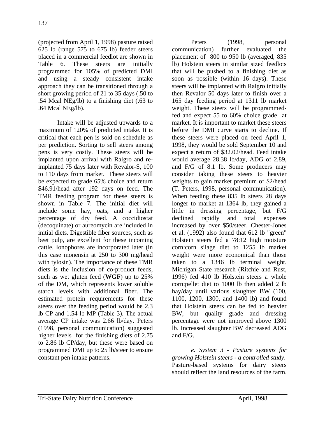(projected from April 1, 1998) pasture raised 625 lb (range 575 to 675 lb) feeder steers placed in a commercial feedlot are shown in Table 6. These steers are initially programmed for 105% of predicted DMI and using a steady consistent intake approach they can be transitioned through a short growing period of 21 to 35 days (.50 to .54 Mcal NEg/lb) to a finishing diet (.63 to .64 Mcal NEg/lb).

Intake will be adjusted upwards to a maximum of 120% of predicted intake. It is critical that each pen is sold on schedule as per prediction. Sorting to sell steers among pens is very costly. These steers will be implanted upon arrival with Ralgro and reimplanted 75 days later with Revalor-S, 100 to 110 days from market. These steers will be expected to grade 65% choice and return \$46.91/head after 192 days on feed. The TMR feeding program for these steers is shown in Table 7. The initial diet will include some hay, oats, and a higher percentage of dry feed. A coccidiostat (decoquinate) or aureomycin are included in initial diets. Digestible fiber sources, such as beet pulp, are excellent for these incoming cattle. Ionophores are incorporated later (in this case monensin at 250 to 300 mg/head with tylosin). The importance of these TMR diets is the inclusion of co-product feeds, such as wet gluten feed (**WGF**) up to 25% of the DM, which represents lower soluble starch levels with additional fiber. The estimated protein requirements for these steers over the feeding period would be 2.3 lb CP and 1.54 lb MP (Table 3). The actual average CP intake was 2.66 lb/day. Peters (1998, personal communication) suggested higher levels for the finishing diets of 2.75 to 2.86 lb CP/day, but these were based on programmed DMI up to 25 lb/steer to ensure constant pen intake patterns.

Peters (1998, personal communication) further evaluated the placement of 800 to 950 lb (averaged, 835 lb) Holstein steers in similar sized feedlots that will be pushed to a finishing diet as soon as possible (within 16 days). These steers will be implanted with Ralgro initially then Revalor 50 days later to finish over a 165 day feeding period at 1311 lb market weight. These steers will be programmedfed and expect 55 to 60% choice grade at market. It is important to market these steers before the DMI curve starts to decline. If these steers were placed on feed April 1, 1998, they would be sold September 10 and expect a return of \$32.02/head. Feed intake would average 28.38 lb/day, ADG of 2.89, and F/G of 8.1 lb. Some producers may consider taking these steers to heavier weights to gain market premium of \$2/head (T. Peters, 1998, personal communication). When feeding these 835 lb steers 28 days longer to market at 1364 lb, they gained a little in dressing percentage, but F/G declined rapidly and total expenses increased by over \$50/steer. Chester-Jones et al. (1992) also found that 612 lb "green" Holstein steers fed a 78:12 high moisture corn:corn silage diet to 1255 lb market weight were more economical than those taken to a 1346 lb terminal weight. Michigan State research (Ritchie and Rust, 1996) fed 410 lb Holstein steers a whole corn:pellet diet to 1000 lb then added 2 lb hay/day until various slaughter BW (100, 1100, 1200, 1300, and 1400 lb) and found that Holstein steers can be fed to heavier BW, but quality grade and dressing percentage were not improved above 1300 lb. Increased slaughter BW decreased ADG and F/G.

*e. System 3 - Pasture systems for growing Holstein steers - a controlled study*. Pasture-based systems for dairy steers should reflect the land resources of the farm.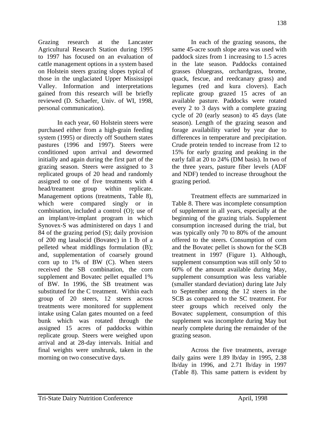Grazing research at the Lancaster Agricultural Research Station during 1995 to 1997 has focused on an evaluation of cattle management options in a system based on Holstein steers grazing slopes typical of those in the unglaciated Upper Mississippi Valley. Information and interpretations gained from this research will be briefly reviewed (D. Schaefer, Univ. of WI, 1998, personal communication).

In each year, 60 Holstein steers were purchased either from a high-grain feeding system (1995) or directly off Southern states pastures (1996 and 1997). Steers were conditioned upon arrival and dewormed initially and again during the first part of the grazing season. Steers were assigned to 3 replicated groups of 20 head and randomly assigned to one of five treatments with 4 head/treament group within replicate. Management options (treatments, Table 8), which were compared singly or in combination, included a control (O); use of an implant/re-implant program in which Synovex-S was administered on days 1 and 84 of the grazing period (S); daily provision of 200 mg lasalocid (Bovatec) in 1 lb of a pelleted wheat middlings formulation (B); and, supplementation of coarsely ground corn up to  $1\%$  of BW (C). When steers received the SB combination, the corn supplement and Bovatec pellet equalled 1% of BW. In 1996, the SB treatment was substituted for the C treatment. Within each group of 20 steers, 12 steers across treatments were monitored for supplement intake using Calan gates mounted on a feed bunk which was rotated through the assigned 15 acres of paddocks within replicate group. Steers were weighed upon arrival and at 28-day intervals. Initial and final weights were unshrunk, taken in the morning on two consecutive days.

In each of the grazing seasons, the same 45-acre south slope area was used with paddock sizes from 1 increasing to 1.5 acres in the late season. Paddocks contained grasses (bluegrass, orchardgrass, brome, quack, fescue, and reedcanary grass) and legumes (red and kura clovers). Each replicate group grazed 15 acres of an available pasture. Paddocks were rotated every 2 to 3 days with a complete grazing cycle of 20 (early season) to 45 days (late season). Length of the grazing season and forage availability varied by year due to differences in temperature and precipitation. Crude protein tended to increase from 12 to 15% for early grazing and peaking in the early fall at 20 to 24% (DM basis). In two of the three years, pasture fiber levels (ADF and NDF) tended to increase throughout the grazing period.

Treatment effects are summarized in Table 8. There was incomplete consumption of supplement in all years, especially at the beginning of the grazing trials. Supplement consumption increased during the trial, but was typically only 70 to 80% of the amount offered to the steers. Consumption of corn and the Bovatec pellet is shown for the SCB treatment in 1997 (Figure 1). Although, supplement consumption was still only 50 to 60% of the amount available during May, supplement consumption was less variable (smaller standard deviation) during late July to September among the 12 steers in the SCB as compared to the SC treatment. For steer groups which received only the Bovatec supplement, consumption of this supplement was incomplete during May but nearly complete during the remainder of the grazing season.

Across the five treatments, average daily gains were 1.89 lb/day in 1995, 2.38 lb/day in 1996, and 2.71 lb/day in 1997 (Table 8). This same pattern is evident by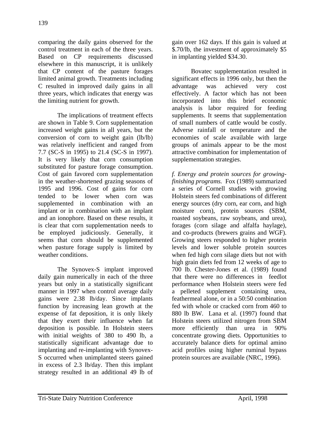comparing the daily gains observed for the control treatment in each of the three years. Based on CP requirements discussed elsewhere in this manuscript, it is unlikely that CP content of the pasture forages limited animal growth. Treatments including C resulted in improved daily gains in all three years, which indicates that energy was the limiting nutrient for growth.

The implications of treatment effects are shown in Table 9. Corn supplementation increased weight gains in all years, but the conversion of corn to weight gain (lb/lb) was relatively inefficient and ranged from 7.7 (SC-S in 1995) to 21.4 (SC-S in 1997). It is very likely that corn consumption substituted for pasture forage consumption. Cost of gain favored corn supplementation in the weather-shortened grazing seasons of 1995 and 1996. Cost of gains for corn tended to be lower when corn was supplemented in combination with an implant or in combination with an implant and an ionophore. Based on these results, it is clear that corn supplementation needs to be employed judiciously. Generally, it seems that corn should be supplemented when pasture forage supply is limited by weather conditions.

The Synovex-S implant improved daily gain numerically in each of the three years but only in a statistically significant manner in 1997 when control average daily gains were 2.38 lb/day. Since implants function by increasing lean growth at the expense of fat deposition, it is only likely that they exert their influence when fat deposition is possible. In Holstein steers with initial weights of 380 to 490 lb, a statistically significant advantage due to implanting and re-implanting with Synovex-S occurred when unimplanted steers gained in excess of 2.3 lb/day. Then this implant strategy resulted in an additional 49 lb of

gain over 162 days. If this gain is valued at \$.70/lb, the investment of approximately \$5 in implanting yielded \$34.30.

Bovatec supplementation resulted in significant effects in 1996 only, but then the advantage was achieved very cost effectively. A factor which has not been incorporated into this brief economic analysis is labor required for feeding supplements. It seems that supplementation of small numbers of cattle would be costly. Adverse rainfall or temperature and the economies of scale available with large groups of animals appear to be the most attractive combination for implementation of supplementation strategies.

*f. Energy and protein sources for growingfinishing programs.* Fox (1989) summarized a series of Cornell studies with growing Holstein steers fed combinations of different energy sources (dry corn, ear corn, and high moisture corn), protein sources (SBM, roasted soybeans, raw soybeans, and urea), forages (corn silage and alfalfa haylage), and co-products (brewers grains and WGF). Growing steers responded to higher protein levels and lower soluble protein sources when fed high corn silage diets but not with high grain diets fed from 12 weeks of age to 700 lb. Chester-Jones et al. (1989) found that there were no differences in feedlot performance when Holstein steers were fed a pelleted supplement containing urea, feathermeal alone, or in a 50:50 combination fed with whole or cracked corn from 460 to 880 lb BW. Lana et al. (1997) found that Holstein steers utilized nitrogen from SBM more efficiently than urea in 90% concentrate growing diets. Opportunities to accurately balance diets for optimal amino acid profiles using higher ruminal bypass protein sources are available (NRC, 1996).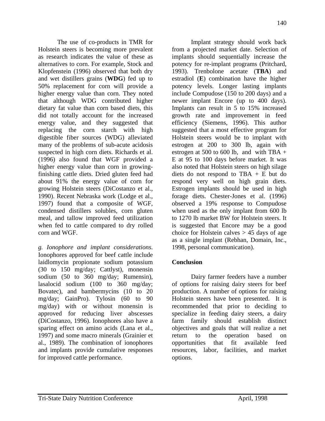The use of co-products in TMR for Holstein steers is becoming more prevalent as research indicates the value of these as alternatives to corn. For example, Stock and Klopfenstein (1996) observed that both dry and wet distillers grains (**WDG**) fed up to 50% replacement for corn will provide a higher energy value than corn. They noted that although WDG contributed higher dietary fat value than corn based diets, this did not totally account for the increased energy value, and they suggested that replacing the corn starch with high digestible fiber sources (WDG) alleviated many of the problems of sub-acute acidosis suspected in high corn diets. Richards et al. (1996) also found that WGF provided a higher energy value than corn in growingfinishing cattle diets. Dried gluten feed had about 91% the energy value of corn for growing Holstein steers (DiCostanzo et al., 1990). Recent Nebraska work (Lodge et al., 1997) found that a composite of WGF, condensed distillers solubles, corn gluten meal, and tallow improved feed utilization when fed to cattle compared to dry rolled corn and WGF.

*g. Ionophore and implant considerations*. Ionophores approved for beef cattle include laidlomycin propionate sodium potassium (30 to 150 mg/day; Cattlyst), monensin sodium (50 to 360 mg/day; Rumensin), lasalocid sodium (100 to 360 mg/day; Bovatec), and bambermycins (10 to 20 mg/day; GainPro). Tylosin (60 to 90 mg/day) with or without monensin is approved for reducing liver abscesses (DiCostanzo, 1996). Ionophores also have a sparing effect on amino acids (Lana et al., 1997) and some macro minerals (Grainier et al., 1989). The combination of ionophores and implants provide cumulative responses for improved cattle performance.

Implant strategy should work back from a projected market date. Selection of implants should sequentially increase the potency for re-implant programs (Pritchard, 1993). Trenbolone acetate (**TBA**) and estradiol (**E**) combination have the higher potency levels. Longer lasting implants include Compudose (150 to 200 days) and a newer implant Encore (up to 400 days). Implants can result in 5 to 15% increased growth rate and improvement in feed efficiency (Siemens, 1996). This author suggested that a most effective program for Holstein steers would be to implant with estrogen at 200 to 300 lb, again with estrogen at 500 to 600 lb, and with TBA  $+$ E at 95 to 100 days before market. It was also noted that Holstein steers on high silage diets do not respond to TBA + E but do respond very well on high grain diets. Estrogen implants should be used in high forage diets. Chester-Jones et al. (1996) observed a 19% response to Compudose when used as the only implant from 600 lb to 1270 lb market BW for Holstein steers. It is suggested that Encore may be a good choice for Holstein calves  $> 45$  days of age as a single implant (Rebhan, Domain, Inc., 1998, personal communication).

### **Conclusion**

Dairy farmer feeders have a number of options for raising dairy steers for beef production. A number of options for raising Holstein steers have been presented. It is recommended that prior to deciding to specialize in feeding dairy steers, a dairy farm family should establish distinct objectives and goals that will realize a net return to the operation based on opportunities that fit available feed resources, labor, facilities, and market options.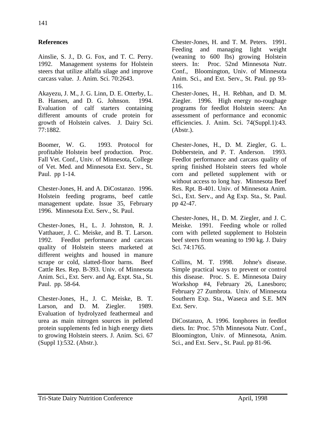## **References**

Ainslie, S. J., D. G. Fox, and T. C. Perry. 1992. Management systems for Holstein steers that utilize alfalfa silage and improve carcass value. J. Anim. Sci. 70:2643.

Akayezu, J. M., J. G. Linn, D. E. Otterby, L. B. Hansen, and D. G. Johnson. 1994. Evaluation of calf starters containing different amounts of crude protein for growth of Holstein calves. J. Dairy Sci. 77:1882.

Boomer, W. G. 1993. Protocol for profitable Holstein beef production. Proc. Fall Vet. Conf., Univ. of Minnesota, College of Vet. Med. and Minnesota Ext. Serv., St. Paul. pp 1-14.

Chester-Jones, H. and A. DiCostanzo. 1996. Holstein feeding programs, beef cattle management update. Issue 35, February 1996. Minnesota Ext. Serv., St. Paul.

Chester-Jones, H., L. J. Johnston, R. J. Vatthauer, J. C. Meiske, and B. T. Larson. 1992. Feedlot performance and carcass quality of Holstein steers marketed at different weights and housed in manure scrape or cold, slatted-floor barns. Beef Cattle Res. Rep. B-393. Univ. of Minnesota Anim. Sci., Ext. Serv. and Ag. Expt. Sta., St. Paul. pp. 58-64.

Chester-Jones, H., J. C. Meiske, B. T. Larson, and D. M. Ziegler. 1989. Evaluation of hydrolyzed feathermeal and urea as main nitrogen sources in pelleted protein supplements fed in high energy diets to growing Holstein steers. J. Anim. Sci. 67 (Suppl 1):532. (Abstr.).

Chester-Jones, H. and T. M. Peters. 1991. Feeding and managing light weight (weaning to 600 lbs) growing Holstein steers. In: Proc. 52nd Minnesota Nutr. Conf., Bloomington, Univ. of Minnesota Anim. Sci., and Ext. Serv., St. Paul. pp 93- 116.

Chester-Jones, H., H. Rebhan, and D. M. Ziegler. 1996. High energy no-roughage programs for feedlot Holstein steers: An assessment of performance and economic efficiencies. J. Anim. Sci. 74(Suppl.1):43. (Abstr.).

Chester-Jones, H., D. M. Ziegler, G. L. Dobberstein, and P. T. Anderson. 1993. Feedlot performance and carcass quality of spring finished Holstein steers fed whole corn and pelleted supplement with or without access to long hay. Minnesota Beef Res. Rpt. B-401. Univ. of Minnesota Anim. Sci., Ext. Serv., and Ag Exp. Sta., St. Paul. pp 42-47.

Chester-Jones, H., D. M. Ziegler, and J. C. Meiske. 1991. Feeding whole or rolled corn with pelleted supplement to Holstein beef steers from weaning to 190 kg. J. Dairy Sci. 74:1765.

Collins, M. T. 1998. Johne's disease. Simple practical ways to prevent or control this disease. Proc. S. E. Minnesota Dairy Workshop #4, February 26, Lanesboro; February 27 Zumbrota. Univ. of Minnesota Southern Exp. Sta., Waseca and S.E. MN Ext. Serv.

DiCostanzo, A. 1996. Ionphores in feedlot diets. In: Proc. 57th Minnesota Nutr. Conf., Bloomington, Univ. of Minnesota, Anim. Sci., and Ext. Serv., St. Paul. pp 81-96.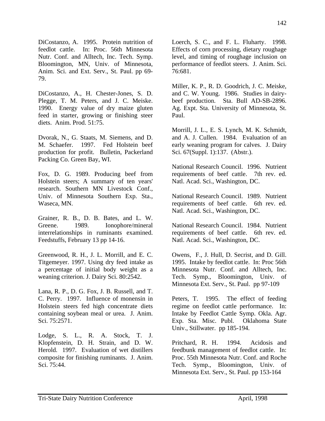DiCostanzo, A. 1995. Protein nutrition of feedlot cattle. In: Proc. 56th Minnesota Nutr. Conf. and Alltech, Inc. Tech. Symp. Bloomington, MN, Univ. of Minnesota, Anim. Sci. and Ext. Serv., St. Paul. pp 69- 79.

DiCostanzo, A., H. Chester-Jones, S. D. Plegge, T. M. Peters, and J. C. Meiske. 1990. Energy value of dry maize gluten feed in starter, growing or finishing steer diets. Anim. Prod. 51:75.

Dvorak, N., G. Staats, M. Siemens, and D. M. Schaefer. 1997. Fed Holstein beef production for profit. Bulletin, Packerland Packing Co. Green Bay, WI.

Fox, D. G. 1989. Producing beef from Holstein steers; A summary of ten years' research. Southern MN Livestock Conf., Univ. of Minnesota Southern Exp. Sta., Waseca, MN.

Grainer, R. B., D. B. Bates, and L. W. Greene. 1989. Ionophore/mineral interrelationships in ruminants examined. Feedstuffs, February 13 pp 14-16.

Greenwood, R. H., J. L. Morrill, and E. C. Titgemeyer. 1997. Using dry feed intake as a percentage of initial body weight as a weaning criterion. J. Dairy Sci. 80:2542.

Lana, R. P., D. G. Fox, J. B. Russell, and T. C. Perry. 1997. Influence of monensin in Holstein steers fed high concentrate diets containing soybean meal or urea. J. Anim. Sci. 75:2571.

Lodge, S. L., R. A. Stock, T. J. Klopfenstein, D. H. Strain, and D. W. Herold. 1997. Evaluation of wet distillers composite for finishing ruminants. J. Anim. Sci. 75:44.

Loerch, S. C., and F. L. Fluharty. 1998. Effects of corn processing, dietary roughage level, and timing of roughage inclusion on performance of feedlot steers. J. Anim. Sci. 76:681.

Miller, K. P., R. D. Goodrich, J. C. Meiske, and C. W. Young. 1986. Studies in dairybeef production. Sta. Bull AD-SB-2896. Ag. Expt. Sta. University of Minnesota, St. Paul.

Morrill, J. L., E. S. Lynch, M. K. Schmidt, and A. J. Cullen. 1984. Evaluation of an early weaning program for calves. J. Dairy Sci. 67(Suppl. 1):137. (Abstr.).

National Research Council. 1996. Nutrient requirements of beef cattle. 7th rev. ed. Natl. Acad. Sci., Washington, DC.

National Research Council. 1989. Nutrient requirements of beef cattle. 6th rev. ed. Natl. Acad. Sci., Washington, DC.

National Research Council. 1984. Nutrient requirements of beef cattle. 6th rev. ed. Natl. Acad. Sci., Washington, DC.

Owens, F., J. Hull, D. Secrist, and D. Gill. 1995. Intake by feedlot cattle. In: Proc 56th Minnesota Nutr. Conf. and Alltech, Inc. Tech. Symp., Bloomington, Univ. of Minnesota Ext. Serv., St. Paul. pp 97-109

Peters, T. 1995. The effect of feeding regime on feedlot cattle performance. In: Intake by Feedlot Cattle Symp. Okla. Agr. Exp. Sta. Misc. Publ. Oklahoma State Univ., Stillwater. pp 185-194.

Pritchard, R. H. 1994. Acidosis and feedbunk management of feedlot cattle. In: Proc. 55th Minnesota Nutr. Conf. and Roche Tech. Symp., Bloomington, Univ. of Minnesota Ext. Serv., St. Paul. pp 153-164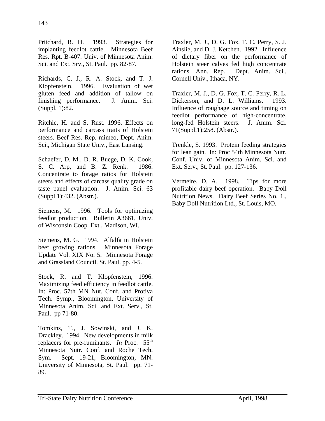Pritchard, R. H. 1993. Strategies for implanting feedlot cattle. Minnesota Beef Res. Rpt. B-407. Univ. of Minnesota Anim. Sci. and Ext. Srv., St. Paul. pp. 82-87.

Richards, C. J., R. A. Stock, and T. J. Klopfenstein. 1996. Evaluation of wet gluten feed and addition of tallow on finishing performance. J. Anim. Sci. (Suppl. 1):82.

Ritchie, H. and S. Rust. 1996. Effects on performance and carcass traits of Holstein steers. Beef Res. Rep. mimeo, Dept. Anim. Sci., Michigan State Univ., East Lansing.

Schaefer, D. M., D. R. Buege, D. K. Cook, S. C. Arp, and B. Z. Renk. 1986. Concentrate to forage ratios for Holstein steers and effects of carcass quality grade on taste panel evaluation. J. Anim. Sci. 63 (Suppl 1):432. (Abstr.).

Siemens, M. 1996. Tools for optimizing feedlot production. Bulletin A3661, Univ. of Wisconsin Coop. Ext., Madison, WI.

Siemens, M. G. 1994. Alfalfa in Holstein beef growing rations. Minnesota Forage Update Vol. XIX No. 5. Minnesota Forage and Grassland Council. St. Paul. pp. 4-5.

Stock, R. and T. Klopfenstein, 1996. Maximizing feed efficiency in feedlot cattle. In: Proc. 57th MN Nut. Conf. and Protiva Tech. Symp., Bloomington, University of Minnesota Anim. Sci. and Ext. Serv., St. Paul. pp 71-80.

Tomkins, T., J. Sowinski, and J. K. Drackley. 1994. New developments in milk replacers for pre-ruminants. *In* Proc. 55<sup>th</sup> Minnesota Nutr. Conf. and Roche Tech. Sym. Sept. 19-21, Bloomington, MN. University of Minnesota, St. Paul. pp. 71- 89.

Traxler, M. J., D. G. Fox, T. C. Perry, S. J. Ainslie, and D. J. Ketchen. 1992. Influence of dietary fiber on the performance of Holstein steer calves fed high concentrate rations. Ann. Rep. Dept. Anim. Sci., Cornell Univ., Ithaca, NY.

Traxler, M. J., D. G. Fox, T. C. Perry, R. L. Dickerson, and D. L. Williams. 1993. Influence of roughage source and timing on feedlot performance of high-concentrate, long-fed Holstein steers. J. Anim. Sci. 71(Suppl.1):258. (Abstr.).

Trenkle, S. 1993. Protein feeding strategies for lean gain. In: Proc 54th Minnesota Nutr. Conf. Univ. of Minnesota Anim. Sci. and Ext. Serv., St. Paul. pp. 127-136.

Vermeire, D. A. 1998. Tips for more profitable dairy beef operation. Baby Doll Nutrition News. Dairy Beef Series No. 1., Baby Doll Nutrition Ltd., St. Louis, MO.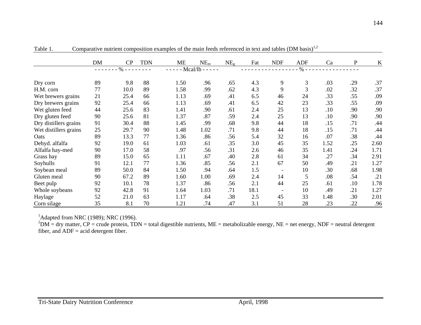|                       | DM | CP      | <b>TDN</b>    | ME        | $NE_{m}$      | $NE_{\varrho}$ | Fat  | <b>NDF</b>               | ADF   | Ca   | $\mathbf P$ | K    |
|-----------------------|----|---------|---------------|-----------|---------------|----------------|------|--------------------------|-------|------|-------------|------|
|                       |    | $-96 -$ | $\frac{1}{2}$ | - Mcal/lb | $\frac{1}{2}$ |                |      |                          | $% -$ |      |             |      |
| Dry corn              | 89 | 9.8     | 88            | 1.50      | .96           | .65            | 4.3  | 9                        | 3     | .03  | .29         | .37  |
| H.M. corn             | 77 | 10.0    | 89            | 1.58      | .99           | .62            | 4.3  | 9                        | 3     | .02  | .32         | .37  |
| Wet brewers grains    | 21 | 25.4    | 66            | 1.13      | .69           | .41            | 6.5  | 46                       | 24    | .33  | .55         | .09  |
| Dry brewers grains    | 92 | 25.4    | 66            | 1.13      | .69           | .41            | 6.5  | 42                       | 23    | .33  | .55         | .09  |
| Wet gluten feed       | 44 | 25.6    | 83            | 1.41      | .90           | .61            | 2.4  | 25                       | 13    | .10  | .90         | .90  |
| Dry gluten feed       | 90 | 25.6    | 81            | 1.37      | .87           | .59            | 2.4  | 25                       | 13    | .10  | .90         | .90  |
| Dry distillers grains | 91 | 30.4    | 88            | 1.45      | .99           | .68            | 9.8  | 44                       | 18    | .15  | .71         | .44  |
| Wet distillers grains | 25 | 29.7    | 90            | 1.48      | 1.02          | .71            | 9.8  | 44                       | 18    | .15  | .71         | .44  |
| Oats                  | 89 | 13.3    | 77            | 1.36      | .86           | .56            | 5.4  | 32                       | 16    | .07  | .38         | .44  |
| Dehyd. alfalfa        | 92 | 19.0    | 61            | 1.03      | .61           | .35            | 3.0  | 45                       | 35    | 1.52 | .25         | 2.60 |
| Alfalfa hay-med       | 90 | 17.0    | 58            | .97       | .56           | .31            | 2.6  | 46                       | 35    | 1.41 | .24         | 1.71 |
| Grass hay             | 89 | 15.0    | 65            | 1.11      | .67           | .40            | 2.8  | 61                       | 34    | .27  | .34         | 2.91 |
| Soyhulls              | 91 | 12.1    | 77            | 1.36      | .85           | .56            | 2.1  | 67                       | 50    | .49  | .21         | 1.27 |
| Soybean meal          | 89 | 50.0    | 84            | 1.50      | .94           | .64            | 1.5  | $\overline{\phantom{a}}$ | 10    | .30  | .68         | 1.98 |
| Gluten meal           | 90 | 67.2    | 89            | 1.60      | 1.00          | .69            | 2.4  | 14                       | 5     | .08  | .54         | .21  |
| Beet pulp             | 92 | 10.1    | 78            | 1.37      | .86           | .56            | 2.1  | 44                       | 25    | .61  | .10         | 1.78 |
| Whole soybeans        | 92 | 42.8    | 91            | 1.64      | 1.03          | .71            | 18.1 | $\overline{\phantom{a}}$ | 10    | .49  | .21         | 1.27 |
| Haylage               | 52 | 21.0    | 63            | 1.17      | .64           | .38            | 2.5  | 45                       | 33    | 1.48 | .30         | 2.01 |
| Corn silage           | 35 | 8.1     | 70            | 1.21      | .74           | .47            | 3.1  | 51                       | 28    | .23  | .22         | .96  |

Table 1. Comparative nutrient composition examples of the main feeds referenced in text and tables (DM basis)<sup>1,2</sup>

 $<sup>1</sup>$ Adapted from NRC (1989); NRC (1996).</sup>

 $2<sup>2</sup>DM = dry matter, CP = crude protein, TDN = total digestible nutrients, ME = metabolizable energy, NE = net energy, NDF = neutral detergent$ fiber, and  $ADF = acid$  detergent fiber.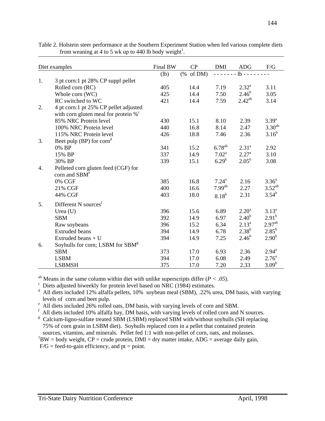|    | Diet examples                                | Final BW | CP                                                | <b>DMI</b>        | <b>ADG</b>          | F/G                |
|----|----------------------------------------------|----------|---------------------------------------------------|-------------------|---------------------|--------------------|
|    |                                              | (lb)     | $(% \mathcal{L}_{0} \cap \mathcal{L}_{1})$ of DM) |                   | ------- 1b -------- |                    |
| 1. | 3 pt corn:1 pt 28% CP suppl pellet           |          |                                                   |                   |                     |                    |
|    | Rolled corn (RC)                             | 405      | 14.4                                              | 7.19              | $2.32^{a}$          | 3.11               |
|    | Whole corn (WC)                              | 425      | 14.4                                              | 7.50              | $2.46^{b}$          | 3.05               |
|    | RC switched to WC                            | 421      | 14.4                                              | 7.59              | $2.42^{ab}$         | 3.14               |
| 2. | 4 pt corn:1 pt 25% CP pellet adjusted        |          |                                                   |                   |                     |                    |
|    | with corn gluten meal for protein $\%^c$     |          |                                                   |                   |                     |                    |
|    | 85% NRC Protein level                        | 430      | 15.1                                              | 8.10              | 2.39                | $3.39^{a}$         |
|    | 100% NRC Protein level                       | 440      | 16.8                                              | 8.14              | 2.47                | 3.30 <sup>ab</sup> |
|    | 115% NRC Protein level                       | 426      | 18.8                                              | 7.46              | 2.36                | $3.16^{b}$         |
| 3. | Beet pulp (BP) for $comd$                    |          |                                                   |                   |                     |                    |
|    | 0% BP                                        | 341      | 15.2                                              | $6.78^{ab}$       | $2.31^{a}$          | 2.92               |
|    | 15% BP                                       | 337      | 14.9                                              | $7.02^{\text{a}}$ | $2.27^{\rm a}$      | 3.10               |
|    | 30% BP                                       | 339      | 15.1                                              | $6.29^{b}$        | $2.05^{\rm b}$      | 3.08               |
| 4. | Pelleted corn gluten feed (CGF) for          |          |                                                   |                   |                     |                    |
|    | corn and SBM <sup>e</sup>                    |          |                                                   |                   |                     |                    |
|    | 0% CGF                                       | 385      | 16.8                                              | $7.24^{\rm a}$    | 2.16                | $3.36^{a}$         |
|    | 21% CGF                                      | 400      | 16.6                                              | $7.99^{ab}$       | 2.27                | $3.52^{ab}$        |
|    | 44% CGF                                      | 403      | 18.0                                              | $8.18^{b}$        | 2.31                | $3.54^{b}$         |
| 5. | Different N sources <sup>f</sup>             |          |                                                   |                   |                     |                    |
|    | Urea $(U)$                                   | 396      | 15.6                                              | 6.89              | $2.20^{\rm a}$      | $3.13^{a}$         |
|    | <b>SBM</b>                                   | 392      | 14.9                                              | 6.97              | $2.40^{b}$          | $2.91^{b}$         |
|    | Raw soybeans                                 | 396      | 15.2                                              | 6.34              | $2.13^{a}$          | 2.97 <sup>ab</sup> |
|    | <b>Extruded</b> beans                        | 394      | 14.9                                              | 6.78              | $2.38^{b}$          | $2.85^{b}$         |
|    | Extruded beans + U                           | 394      | 14.9                                              | 7.25              | $2.46^{b}$          | 2.90 <sup>b</sup>  |
| 6. | Soyhulls for corn; LSBM for SBM <sup>g</sup> |          |                                                   |                   |                     |                    |
|    | <b>SBM</b>                                   | 373      | 17.0                                              | 6.93              | 2.36                | $2.94^{\text{a}}$  |
|    | <b>LSBM</b>                                  | 394      | 17.0                                              | 6.08              | 2.49                | 2.76 <sup>a</sup>  |
|    | <b>LSBMSH</b>                                | 375      | 17.0                                              | 7.20              | 2.33                | 3.09 <sup>b</sup>  |

Table 2. Holstein steer performance at the Southern Experiment Station when fed various complete diets from weaning at 4 to 5 wk up to 440 lb body weight<sup>1</sup>.

<sup>ab</sup> Means in the same column within diet with unlike superscripts differ  $(P < .05)$ .

 $\degree$  Diets adjusted biweekly for protein level based on NRC (1984) estimates.

<sup>d</sup> All diets included 12% alfalfa pellets, 10% soybean meal (SBM), .22% urea, DM basis, with varying levels of corn and beet pulp.

e All diets included 26% rolled oats, DM basis, with varying levels of corn and SBM.

f All diets included 10% alfalfa hay, DM basis, with varying levels of rolled corn and N sources.

<sup>g</sup> Calcium-ligno-sulfate treated SBM (LSBM) replaced SBM with/without soyhulls (SH replacing 75% of corn grain in LSBM diet). Soyhulls replaced corn in a pellet that contained protein sources, vitamins, and minerals. Pellet fed 1:1 with non-pellet of corn, oats, and molasses.

 ${}^{1}$ BW = body weight, CP = crude protein, DMI = dry matter intake, ADG = average daily gain,

 $F/G = feed-to-gain efficiency$ , and  $pt = point$ .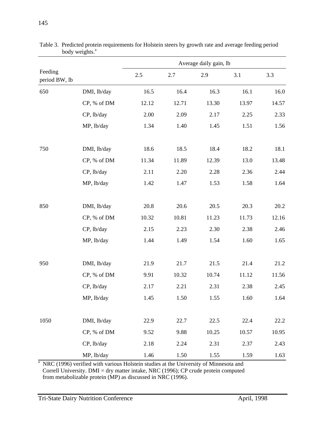|                          |             | Average daily gain, lb |       |       |       |       |  |  |
|--------------------------|-------------|------------------------|-------|-------|-------|-------|--|--|
| Feeding<br>period BW, lb |             | 2.5                    | 2.7   | 2.9   | 3.1   | 3.3   |  |  |
| 650                      | DMI, lb/day | 16.5                   | 16.4  | 16.3  | 16.1  | 16.0  |  |  |
|                          | CP, % of DM | 12.12                  | 12.71 | 13.30 | 13.97 | 14.57 |  |  |
|                          | CP, lb/day  | 2.00                   | 2.09  | 2.17  | 2.25  | 2.33  |  |  |
|                          | MP, lb/day  | 1.34                   | 1.40  | 1.45  | 1.51  | 1.56  |  |  |
| 750                      | DMI, lb/day | 18.6                   | 18.5  | 18.4  | 18.2  | 18.1  |  |  |
|                          | CP, % of DM | 11.34                  | 11.89 | 12.39 | 13.0  | 13.48 |  |  |
|                          | CP, lb/day  | 2.11                   | 2.20  | 2.28  | 2.36  | 2.44  |  |  |
|                          | MP, lb/day  | 1.42                   | 1.47  | 1.53  | 1.58  | 1.64  |  |  |
| 850                      | DMI, lb/day | 20.8                   | 20.6  | 20.5  | 20.3  | 20.2  |  |  |
|                          | CP, % of DM | 10.32                  | 10.81 | 11.23 | 11.73 | 12.16 |  |  |
|                          | CP, lb/day  | 2.15                   | 2.23  | 2.30  | 2.38  | 2.46  |  |  |
|                          | MP, lb/day  | 1.44                   | 1.49  | 1.54  | 1.60  | 1.65  |  |  |
| 950                      | DMI, lb/day | 21.9                   | 21.7  | 21.5  | 21.4  | 21.2  |  |  |
|                          | CP, % of DM | 9.91                   | 10.32 | 10.74 | 11.12 | 11.56 |  |  |
|                          | CP, lb/day  | 2.17                   | 2.21  | 2.31  | 2.38  | 2.45  |  |  |
|                          | MP, lb/day  | 1.45                   | 1.50  | 1.55  | 1.60  | 1.64  |  |  |
| 1050                     | DMI, lb/day | 22.9                   | 22.7  | 22.5  | 22.4  | 22.2  |  |  |
|                          | CP, % of DM | 9.52                   | 9.88  | 10.25 | 10.57 | 10.95 |  |  |
|                          | CP, lb/day  | 2.18                   | 2.24  | 2.31  | 2.37  | 2.43  |  |  |
|                          | MP, lb/day  | 1.46                   | 1.50  | 1.55  | 1.59  | 1.63  |  |  |

Table 3. Predicted protein requirements for Holstein steers by growth rate and average feeding period body weights.<sup>a</sup>

<sup>a</sup> NRC (1996) verified with various Holstein studies at the University of Minnesota and Correll University. DMI = dry matter intake, NRC (1996); CP crude protein computed from metabolizable protein (MP) as discussed in NRC (1996).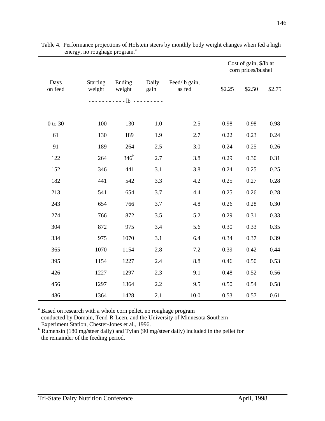|                 |                           |                          |               |                         |        | Cost of gain, \$/lb at<br>corn prices/bushel |        |
|-----------------|---------------------------|--------------------------|---------------|-------------------------|--------|----------------------------------------------|--------|
| Days<br>on feed | <b>Starting</b><br>weight | Ending<br>weight         | Daily<br>gain | Feed/lb gain,<br>as fed | \$2.25 | \$2.50                                       | \$2.75 |
|                 |                           | ----------- lb --------- |               |                         |        |                                              |        |
|                 |                           |                          |               |                         |        |                                              |        |
| 0 to 30         | 100                       | 130                      | 1.0           | 2.5                     | 0.98   | 0.98                                         | 0.98   |
| 61              | 130                       | 189                      | 1.9           | 2.7                     | 0.22   | 0.23                                         | 0.24   |
| 91              | 189                       | 264                      | 2.5           | 3.0                     | 0.24   | 0.25                                         | 0.26   |
| 122             | 264                       | $346^b$                  | 2.7           | 3.8                     | 0.29   | 0.30                                         | 0.31   |
| 152             | 346                       | 441                      | 3.1           | 3.8                     | 0.24   | 0.25                                         | 0.25   |
| 182             | 441                       | 542                      | 3.3           | 4.2                     | 0.25   | 0.27                                         | 0.28   |
| 213             | 541                       | 654                      | 3.7           | 4.4                     | 0.25   | 0.26                                         | 0.28   |
| 243             | 654                       | 766                      | 3.7           | 4.8                     | 0.26   | 0.28                                         | 0.30   |
| 274             | 766                       | 872                      | 3.5           | 5.2                     | 0.29   | 0.31                                         | 0.33   |
| 304             | 872                       | 975                      | 3.4           | 5.6                     | 0.30   | 0.33                                         | 0.35   |
| 334             | 975                       | 1070                     | 3.1           | 6.4                     | 0.34   | 0.37                                         | 0.39   |
| 365             | 1070                      | 1154                     | 2.8           | 7.2                     | 0.39   | 0.42                                         | 0.44   |
| 395             | 1154                      | 1227                     | 2.4           | 8.8                     | 0.46   | 0.50                                         | 0.53   |
| 426             | 1227                      | 1297                     | 2.3           | 9.1                     | 0.48   | 0.52                                         | 0.56   |
| 456             | 1297                      | 1364                     | 2.2           | 9.5                     | 0.50   | 0.54                                         | 0.58   |
| 486             | 1364                      | 1428                     | 2.1           | 10.0                    | 0.53   | 0.57                                         | 0.61   |

Table 4. Performance projections of Holstein steers by monthly body weight changes when fed a high energy, no roughage program.<sup>a</sup>

<sup>a</sup> Based on research with a whole corn pellet, no roughage program conducted by Domain, Tend-R-Leen, and the University of Minnesota Southern Experiment Station, Chester-Jones et al., 1996.

<sup>b</sup> Rumensin (180 mg/steer daily) and Tylan (90 mg/steer daily) included in the pellet for the remainder of the feeding period.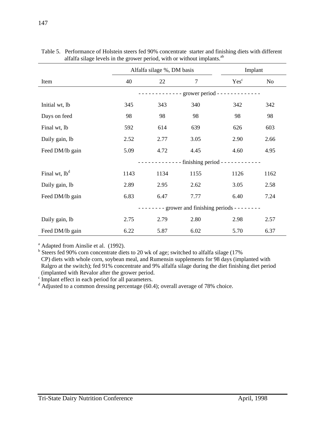|                           |      | Alfalfa silage %, DM basis | Implant |                                                          |      |
|---------------------------|------|----------------------------|---------|----------------------------------------------------------|------|
| Item                      | 40   | 22                         | 7       | Yes <sup>c</sup>                                         | No   |
|                           |      |                            |         | ------ grower period -------------                       |      |
| Initial wt, lb            | 345  | 343                        | 340     | 342                                                      | 342  |
| Days on feed              | 98   | 98                         | 98      | 98                                                       | 98   |
| Final wt, lb              | 592  | 614                        | 639     | 626                                                      | 603  |
| Daily gain, lb            | 2.52 | 2.77                       | 3.05    | 2.90                                                     | 2.66 |
| Feed DM/lb gain           | 5.09 | 4.72                       | 4.45    | 4.60                                                     | 4.95 |
|                           |      |                            |         | $------$ finishing period -----------                    |      |
| Final wt, lb <sup>d</sup> | 1143 | 1134                       | 1155    | 1126                                                     | 1162 |
| Daily gain, lb            | 2.89 | 2.95                       | 2.62    | 3.05                                                     | 2.58 |
| Feed DM/lb gain           | 6.83 | 6.47                       | 7.77    | 6.40                                                     | 7.24 |
|                           |      |                            |         | - - - - - - grower and finishing periods - - - - - - - - |      |
| Daily gain, lb            | 2.75 | 2.79                       | 2.80    | 2.98                                                     | 2.57 |
| Feed DM/lb gain           | 6.22 | 5.87                       | 6.02    | 5.70                                                     | 6.37 |

| Table 5. Performance of Holstein steers fed 90% concentrate starter and finishing diets with different |
|--------------------------------------------------------------------------------------------------------|
| alfalfa silage levels in the grower period, with or without implants. <sup>ab</sup>                    |

<sup>a</sup> Adapted from Ainslie et al. (1992).<br><sup>b</sup> Steers fed 90% corn concentrate diets to 20 wk of age; switched to alfalfa silage (17% CP) diets with whole corn, soybean meal, and Rumensin supplements for 98 days (implanted with Ralgro at the switch); fed 91% concentrate and 9% alfalfa silage during the diet finishing diet period (implanted with Revalor after the grower period.

<sup>c</sup> Implant effect in each period for all parameters.

<sup>d</sup> Adjusted to a common dressing percentage (60.4); overall average of 78% choice.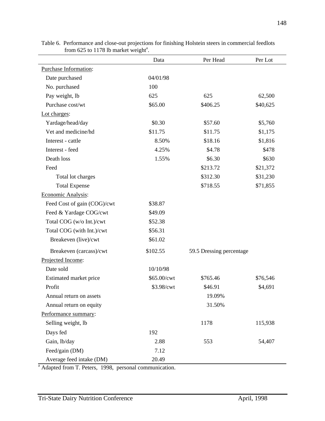|                                                                    | Data        | Per Head                 | Per Lot  |
|--------------------------------------------------------------------|-------------|--------------------------|----------|
| Purchase Information:                                              |             |                          |          |
| Date purchased                                                     | 04/01/98    |                          |          |
| No. purchased                                                      | 100         |                          |          |
| Pay weight, lb                                                     | 625         | 625                      | 62,500   |
| Purchase cost/wt                                                   | \$65.00     | \$406.25                 | \$40,625 |
| Lot charges:                                                       |             |                          |          |
| Yardage/head/day                                                   | \$0.30      | \$57.60                  | \$5,760  |
| Vet and medicine/hd                                                | \$11.75     | \$11.75                  | \$1,175  |
| Interest - cattle                                                  | 8.50%       | \$18.16                  | \$1,816  |
| Interest - feed                                                    | 4.25%       | \$4.78                   | \$478    |
| Death loss                                                         | 1.55%       | \$6.30                   | \$630    |
| Feed                                                               |             | \$213.72                 | \$21,372 |
| Total lot charges                                                  |             | \$312.30                 | \$31,230 |
| <b>Total Expense</b>                                               |             | \$718.55                 | \$71,855 |
| Economic Analysis:                                                 |             |                          |          |
| Feed Cost of gain (COG)/cwt                                        | \$38.87     |                          |          |
| Feed & Yardage COG/cwt                                             | \$49.09     |                          |          |
| Total COG (w/o Int.)/cwt                                           | \$52.38     |                          |          |
| Total COG (with Int.)/cwt                                          | \$56.31     |                          |          |
| Breakeven (live)/cwt                                               | \$61.02     |                          |          |
| Breakeven (carcass)/cwt                                            | \$102.55    | 59.5 Dressing percentage |          |
| Projected Income:                                                  |             |                          |          |
| Date sold                                                          | 10/10/98    |                          |          |
| Estimated market price                                             | \$65.00/cwt | \$765.46                 | \$76,546 |
| Profit                                                             | \$3.98/cwt  | \$46.91                  | \$4,691  |
| Annual return on assets                                            |             | 19.09%                   |          |
| Annual return on equity                                            |             | 31.50%                   |          |
| Performance summary:                                               |             |                          |          |
| Selling weight, lb                                                 |             | 1178                     | 115,938  |
| Days fed                                                           | 192         |                          |          |
| Gain, lb/day                                                       | 2.88        | 553                      | 54,407   |
| Feed/gain (DM)                                                     | 7.12        |                          |          |
| Average feed intake (DM)                                           | 20.49       |                          |          |
| <sup>a</sup> Adapted from T. Peters, 1998, personal communication. |             |                          |          |

Table 6. Performance and close-out projections for finishing Holstein steers in commercial feedlots from  $625$  to 1178 lb market weight<sup>a</sup>.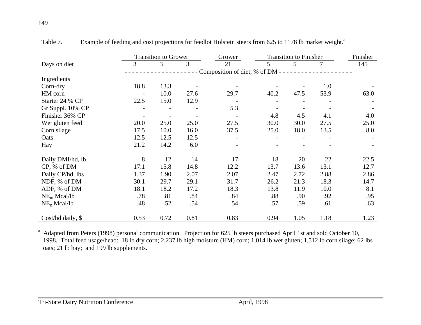|                   |      | <b>Transition to Grower</b> |      | Grower                         |      | <b>Transition to Finisher</b> |      | Finisher |
|-------------------|------|-----------------------------|------|--------------------------------|------|-------------------------------|------|----------|
| Days on diet      | 3    | 3                           | 3    | 21                             | 5    | 5                             |      | 145      |
|                   |      |                             |      | Composition of diet, % of DM - |      |                               |      |          |
| Ingredients       |      |                             |      |                                |      |                               |      |          |
| Corn-dry          | 18.8 | 13.3                        |      |                                |      |                               | 1.0  |          |
| HM corn           |      | 10.0                        | 27.6 | 29.7                           | 40.2 | 47.5                          | 53.9 | 63.0     |
| Starter 24 % CP   | 22.5 | 15.0                        | 12.9 |                                |      |                               |      |          |
| Gr Suppl. 10% CP  |      |                             |      | 5.3                            |      |                               |      |          |
| Finisher 36% CP   |      | $\overline{\phantom{a}}$    |      |                                | 4.8  | 4.5                           | 4.1  | 4.0      |
| Wet gluten feed   | 20.0 | 25.0                        | 25.0 | 27.5                           | 30.0 | 30.0                          | 27.5 | 25.0     |
| Corn silage       | 17.5 | 10.0                        | 16.0 | 37.5                           | 25.0 | 18.0                          | 13.5 | 8.0      |
| Oats              | 12.5 | 12.5                        | 12.5 |                                |      |                               |      |          |
| Hay               | 21.2 | 14.2                        | 6.0  |                                |      |                               |      |          |
|                   |      |                             |      |                                |      |                               |      |          |
| Daily DMI/hd, lb  | 8    | 12                          | 14   | 17                             | 18   | 20                            | 22   | 22.5     |
| CP, % of DM       | 17.1 | 15.8                        | 14.8 | 12.2                           | 13.7 | 13.6                          | 13.1 | 12.7     |
| Daily CP/hd, lbs  | 1.37 | 1.90                        | 2.07 | 2.07                           | 2.47 | 2.72                          | 2.88 | 2.86     |
| NDF, % of DM      | 30.1 | 29.7                        | 29.1 | 31.7                           | 26.2 | 21.3                          | 18.3 | 14.7     |
| ADF, % of DM      | 18.1 | 18.2                        | 17.2 | 18.3                           | 13.8 | 11.9                          | 10.0 | 8.1      |
| $NEm$ Mcal/lb     | .78  | .81                         | .84  | .84                            | .88  | .90                           | .92  | .95      |
| $NEg$ Mcal/lb     | .48  | .52                         | .54  | .54                            | .57  | .59                           | .61  | .63      |
|                   |      |                             |      |                                |      |                               |      |          |
| Cost/hd daily, \$ | 0.53 | 0.72                        | 0.81 | 0.83                           | 0.94 | 1.05                          | 1.18 | 1.23     |

Table 7. Example of feeding and cost projections for feedlot Holstein steers from 625 to 1178 lb market weight.<sup>a</sup>

<sup>a</sup> Adapted from Peters (1998) personal communication. Projection for 625 lb steers purchased April 1st and sold October 10, 1998. Total feed usage/head: 18 lb dry corn; 2,237 lb high moisture (HM) corn; 1,014 lb wet gluten; 1,512 lb corn silage; 62 lbs oats; 21 lb hay; and 199 lb supplements.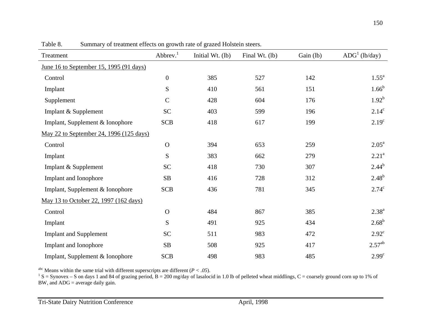| Treatment                               | Abbrev. $1$      | Initial Wt. (lb) | Final Wt. (lb) | Gain (lb) | $\text{ADG}^1$ (lb/day) |
|-----------------------------------------|------------------|------------------|----------------|-----------|-------------------------|
| June 16 to September 15, 1995 (91 days) |                  |                  |                |           |                         |
| Control                                 | $\boldsymbol{0}$ | 385              | 527            | 142       | $1.55^{\rm a}$          |
| Implant                                 | S                | 410              | 561            | 151       | $1.66^{b}$              |
| Supplement                              | $\mathbf C$      | 428              | 604            | 176       | $1.92^b$                |
| Implant & Supplement                    | <b>SC</b>        | 403              | 599            | 196       | $2.14^{\circ}$          |
| Implant, Supplement & Ionophore         | <b>SCB</b>       | 418              | 617            | 199       | 2.19 <sup>c</sup>       |
| May 22 to September 24, 1996 (125 days) |                  |                  |                |           |                         |
| Control                                 | $\mathbf O$      | 394              | 653            | 259       | $2.05^{\rm a}$          |
| Implant                                 | S                | 383              | 662            | 279       | $2.21^{\rm a}$          |
| Implant & Supplement                    | <b>SC</b>        | 418              | 730            | 307       | $2.44^{b}$              |
| Implant and Ionophore                   | SB               | 416              | 728            | 312       | $2.48^{b}$              |
| Implant, Supplement & Ionophore         | <b>SCB</b>       | 436              | 781            | 345       | 2.74 <sup>c</sup>       |
| May 13 to October 22, 1997 (162 days)   |                  |                  |                |           |                         |
| Control                                 | $\mathbf O$      | 484              | 867            | 385       | $2.38^{a}$              |
| Implant                                 | S                | 491              | 925            | 434       | $2.68^{b}$              |
| <b>Implant and Supplement</b>           | <b>SC</b>        | 511              | 983            | 472       | $2.92^{\circ}$          |
| Implant and Ionophore                   | SB               | 508              | 925            | 417       | 2.57 <sup>ab</sup>      |
| Implant, Supplement & Ionophore         | <b>SCB</b>       | 498              | 983            | 485       | 2.99 <sup>c</sup>       |

Table 8. Summary of treatment effects on growth rate of grazed Holstein steers.

<sup>abc</sup> Means within the same trial with different superscripts are different ( $P < .05$ ).<br><sup>1</sup> S = Synovex – S on days 1 and 84 of grazing period, B = 200 mg/day of lasalocid in 1.0 lb of pelleted wheat middlings, C = coarsel BW, and  $\angle$ ADG = average daily gain.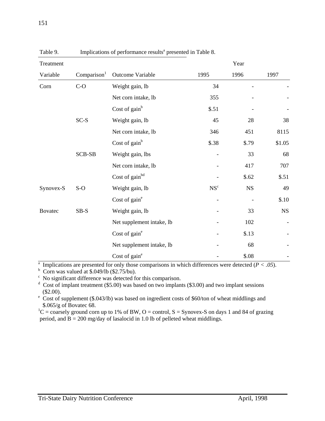| Treatment      |                         |                            |                          | Year      |           |
|----------------|-------------------------|----------------------------|--------------------------|-----------|-----------|
| Variable       | Comparison <sup>1</sup> | Outcome Variable           | 1995                     | 1996      | 1997      |
| Corn           | $C-O$                   | Weight gain, lb            | 34                       |           |           |
|                |                         | Net corn intake, lb        | 355                      |           |           |
|                |                         | Cost of $gainb$            | \$.51                    |           |           |
|                | $SC-S$                  | Weight gain, lb            | 45                       | 28        | 38        |
|                |                         | Net corn intake, lb        | 346                      | 451       | 8115      |
|                |                         | Cost of $gainb$            | \$.38                    | \$.79     | \$1.05    |
|                | SCB-SB                  | Weight gain, lbs           |                          | 33        | 68        |
|                |                         | Net corn intake, lb        |                          | 417       | 707       |
|                |                         | Cost of gain <sup>bd</sup> |                          | \$.62     | \$.51     |
| Synovex-S      | $S-O$                   | Weight gain, lb            | $\mathbf{NS}^\mathrm{c}$ | <b>NS</b> | 49        |
|                |                         | Cost of gain <sup>e</sup>  |                          |           | \$.10     |
| <b>Bovatec</b> | $SB-S$                  | Weight gain, lb            |                          | 33        | <b>NS</b> |
|                |                         | Net supplement intake, lb  |                          | 102       |           |
|                |                         | Cost of gain <sup>e</sup>  |                          | \$.13     |           |
|                |                         | Net supplement intake, lb  |                          | 68        |           |
|                |                         | Cost of gain <sup>e</sup>  |                          | \$.08     |           |

Table 9. Implications of performance results<sup>a</sup> presented in Table 8.

<sup>a</sup> Implications are presented for only those comparisons in which differences were detected ( $P < .05$ ).

 $<sup>b</sup>$  Corn was valued at \$.049/lb (\$2.75/bu).</sup>

<sup>c</sup> No significant difference was detected for this comparison.

<sup>d</sup> Cost of implant treatment (\$5.00) was based on two implants (\$3.00) and two implant sessions (\$2.00).

<sup>e</sup> Cost of supplement (\$.043/lb) was based on ingredient costs of \$60/ton of wheat middlings and \$.065/g of Bovatec 68.

<sup>1</sup>C = coarsely ground corn up to 1% of BW, O = control, S = Synovex-S on days 1 and 84 of grazing period, and  $B = 200$  mg/day of lasalocid in 1.0 lb of pelleted wheat middlings.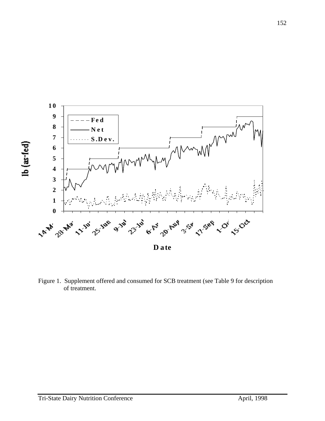

Figure 1. Supplement offered and consumed for SCB treatment (see Table 9 for description of treatment.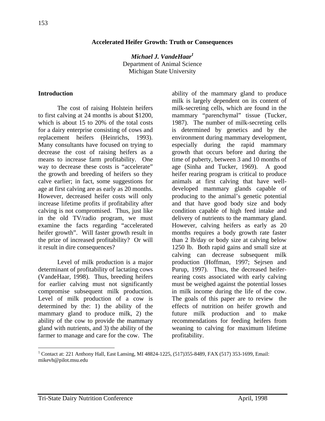#### **Accelerated Heifer Growth: Truth or Consequences**

*Michael J. VandeHaar<sup>1</sup>* Department of Animal Science Michigan State University

#### **Introduction**

 The cost of raising Holstein heifers to first calving at 24 months is about \$1200, which is about 15 to 20% of the total costs for a dairy enterprise consisting of cows and replacement heifers (Heinrichs, 1993). Many consultants have focused on trying to decrease the cost of raising heifers as a means to increase farm profitability. One way to decrease these costs is "accelerate" the growth and breeding of heifers so they calve earlier; in fact, some suggestions for age at first calving are as early as 20 months. However, decreased heifer costs will only increase lifetime profits if profitability after calving is not compromised. Thus, just like in the old TV/radio program, we must examine the facts regarding "accelerated heifer growth". Will faster growth result in the prize of increased profitability? Or will it result in dire consequences?

 Level of milk production is a major determinant of profitability of lactating cows (VandeHaar, 1998). Thus, breeding heifers for earlier calving must not significantly compromise subsequent milk production. Level of milk production of a cow is determined by the: 1) the ability of the mammary gland to produce milk, 2) the ability of the cow to provide the mammary gland with nutrients, and 3) the ability of the farmer to manage and care for the cow. The

ability of the mammary gland to produce milk is largely dependent on its content of milk-secreting cells, which are found in the mammary "parenchymal" tissue (Tucker, 1987). The number of milk-secreting cells is determined by genetics and by the environment during mammary development, especially during the rapid mammary growth that occurs before and during the time of puberty, between 3 and 10 months of age (Sinha and Tucker, 1969). A good heifer rearing program is critical to produce animals at first calving that have welldeveloped mammary glands capable of producing to the animal's genetic potential and that have good body size and body condition capable of high feed intake and delivery of nutrients to the mammary gland. However, calving heifers as early as 20 months requires a body growth rate faster than 2 lb/day or body size at calving below 1250 lb. Both rapid gains and small size at calving can decrease subsequent milk production (Hoffman, 1997; Sejrsen and Purup, 1997). Thus, the decreased heiferrearing costs associated with early calving must be weighed against the potential losses in milk income during the life of the cow. The goals of this paper are to review the effects of nutrition on heifer growth and future milk production and to make recommendations for feeding heifers from weaning to calving for maximum lifetime profitability.

1

<sup>&</sup>lt;sup>1</sup> Contact at: 221 Anthony Hall, East Lansing, MI 48824-1225, (517)355-8489, FAX (517) 353-1699, Email: mikevh@pilot.msu.edu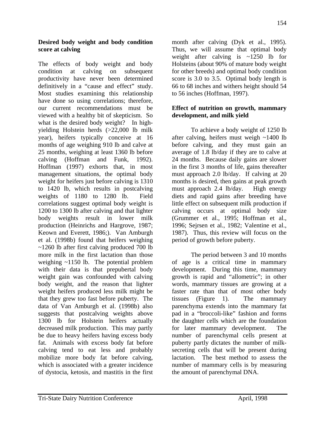#### **Desired body weight and body condition score at calving**

The effects of body weight and body condition at calving on subsequent productivity have never been determined definitively in a "cause and effect" study. Most studies examining this relationship have done so using correlations; therefore, our current recommendations must be viewed with a healthy bit of skepticism. So what is the desired body weight? In highyielding Holstein herds (>22,000 lb milk year), heifers typically conceive at 16 months of age weighing 910 lb and calve at 25 months, weighing at least 1360 lb before calving (Hoffman and Funk, 1992). Hoffman (1997) exhorts that, in most management situations, the optimal body weight for heifers just before calving is 1310 to 1420 lb, which results in postcalving weights of 1180 to 1280 lb. Field correlations suggest optimal body weight is 1200 to 1300 lb after calving and that lighter body weights result in lower milk production (Heinrichs and Hargrove, 1987; Keown and Everett, 1986;). Van Amburgh et al. (1998b) found that heifers weighing ~1260 lb after first calving produced 700 lb more milk in the first lactation than those weighing ~1150 lb. The potential problem with their data is that prepubertal body weight gain was confounded with calving body weight, and the reason that lighter weight heifers produced less milk might be that they grew too fast before puberty. The data of Van Amburgh et al. (1998b) also suggests that postcalving weights above 1300 lb for Holstein heifers actually decreased milk production. This may partly be due to heavy heifers having excess body fat. Animals with excess body fat before calving tend to eat less and probably mobilize more body fat before calving, which is associated with a greater incidence of dystocia, ketosis, and mastitis in the first

month after calving (Dyk et al., 1995). Thus, we will assume that optimal body weight after calving is  $\approx 1250$  lb for Holsteins (about 90% of mature body weight for other breeds) and optimal body condition score is 3.0 to 3.5. Optimal body length is 66 to 68 inches and withers height should 54 to 56 inches (Hoffman, 1997).

#### **Effect of nutrition on growth, mammary development, and milk yield**

 To achieve a body weight of 1250 lb after calving, heifers must weigh ~1400 lb before calving, and they must gain an average of 1.8 lb/day if they are to calve at 24 months. Because daily gains are slower in the first 3 months of life, gains thereafter must approach 2.0 lb/day. If calving at 20 months is desired, then gains at peak growth must approach 2.4 lb/day. High energy diets and rapid gains after breeding have little effect on subsequent milk production if calving occurs at optimal body size (Grummer et al., 1995; Hoffman et al., 1996; Sejrsen et al., 1982; Valentine et al., 1987). Thus, this review will focus on the period of growth before puberty.

 The period between 3 and 10 months of age is a critical time in mammary development. During this time, mammary growth is rapid and "allometric"; in other words, mammary tissues are growing at a faster rate than that of most other body tissues (Figure 1). The mammary parenchyma extends into the mammary fat pad in a "broccoli-like" fashion and forms the daughter cells which are the foundation for later mammary development. The number of parenchymal cells present at puberty partly dictates the number of milksecreting cells that will be present during lactation. The best method to assess the number of mammary cells is by measuring the amount of parenchymal DNA.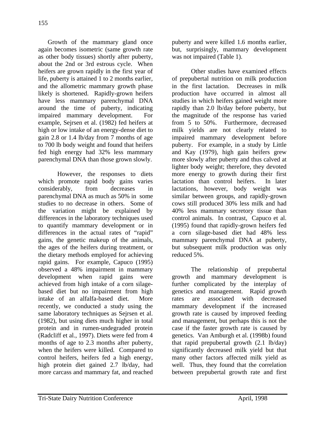Growth of the mammary gland once again becomes isometric (same growth rate as other body tissues) shortly after puberty, about the 2nd or 3rd estrous cycle. When heifers are grown rapidly in the first year of life, puberty is attained 1 to 2 months earlier, and the allometric mammary growth phase likely is shortened. Rapidly-grown heifers have less mammary parenchymal DNA around the time of puberty, indicating impaired mammary development. For example, Sejrsen et al. (1982) fed heifers at high or low intake of an energy-dense diet to gain 2.8 or 1.4 lb/day from 7 months of age to 700 lb body weight and found that heifers fed high energy had 32% less mammary parenchymal DNA than those grown slowly.

 However, the responses to diets which promote rapid body gains varies considerably, from decreases in parenchymal DNA as much as 50% in some studies to no decrease in others. Some of the variation might be explained by differences in the laboratory techniques used to quantify mammary development or in differences in the actual rates of "rapid" gains, the genetic makeup of the animals, the ages of the heifers during treatment, or the dietary methods employed for achieving rapid gains. For example, Capuco (1995) observed a 48% impairment in mammary development when rapid gains were achieved from high intake of a corn silagebased diet but no impairment from high intake of an alfalfa-based diet. More recently, we conducted a study using the same laboratory techniques as Sejrsen et al. (1982), but using diets much higher in total protein and in rumen-undegraded protein (Radcliff et al., 1997). Diets were fed from 4 months of age to 2.3 months after puberty, when the heifers were killed. Compared to control heifers, heifers fed a high energy, high protein diet gained 2.7 lb/day, had more carcass and mammary fat, and reached

puberty and were killed 1.6 months earlier, but, surprisingly, mammary development was not impaired (Table 1).

 Other studies have examined effects of prepubertal nutrition on milk production in the first lactation. Decreases in milk production have occurred in almost all studies in which heifers gained weight more rapidly than 2.0 lb/day before puberty, but the magnitude of the response has varied from 5 to 50%. Furthermore, decreased milk yields are not clearly related to impaired mammary development before puberty. For example, in a study by Little and Kay (1979), high gain heifers grew more slowly after puberty and thus calved at lighter body weight; therefore, they devoted more energy to growth during their first lactation than control heifers. In later lactations, however, body weight was similar between groups, and rapidly-grown cows still produced 30% less milk and had 40% less mammary secretory tissue than control animals. In contrast, Capuco et al. (1995) found that rapidly-grown heifers fed a corn silage-based diet had 48% less mammary parenchymal DNA at puberty, but subsequent milk production was only reduced 5%.

 The relationship of prepubertal growth and mammary development is further complicated by the interplay of genetics and management. Rapid growth rates are associated with decreased mammary development if the increased growth rate is caused by improved feeding and management, but perhaps this is not the case if the faster growth rate is caused by genetics. Van Amburgh et al. (1998b) found that rapid prepubertal growth  $(2.1 \text{ lb/day})$ significantly decreased milk yield but that many other factors affected milk yield as well. Thus, they found that the correlation between prepubertal growth rate and first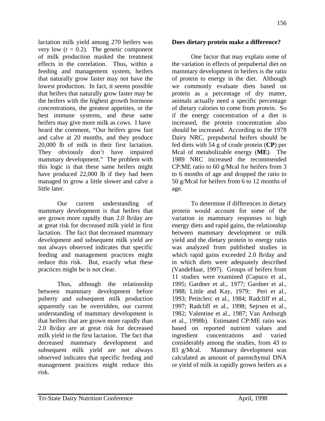lactation milk yield among 270 heifers was very low  $(r = 0.2)$ . The genetic component of milk production masked the treatment effects in the correlation. Thus, within a feeding and management system, heifers that naturally grow faster may not have the lowest production. In fact, it seems possible that heifers that naturally grow faster may be the heifers with the highest growth hormone concentrations, the greatest appetites, or the best immune systems, and these same heifers may give more milk as cows. I have heard the comment, "Our heifers grow fast and calve at 20 months, and they produce 20,000 lb of milk in their first lactation. They obviously don't have impaired mammary development." The problem with this logic is that these same heifers might have produced 22,000 lb if they had been managed to grow a little slower and calve a little later.

 Our current understanding of mammary development is that heifers that are grown more rapidly than 2.0 lb/day are at great risk for decreased milk yield in first lactation. The fact that decreased mammary development and subsequent milk yield are not always observed indicates that specific feeding and management practices might reduce this risk. But, exactly what these practices might be is not clear.

 Thus, although the relationship between mammary development before puberty and subsequent milk production apparently can be overridden, our current understanding of mammary development is that heifers that are grown more rapidly than 2.0 lb/day are at great risk for decreased milk yield in the first lactation. The fact that decreased mammary development and subsequent milk yield are not always observed indicates that specific feeding and management practices might reduce this risk.

#### **Does dietary protein make a difference?**

 One factor that may explain some of the variation in effects of prepubertal diet on mammary development in heifers is the ratio of protein to energy in the diet. Although we commonly evaluate diets based on protein as a percentage of dry matter, animals actually need a specific percentage of dietary calories to come from protein. So if the energy concentration of a diet is increased, the protein concentration also should be increased. According to the 1978 Dairy NRC, prepubertal heifers should be fed diets with 54 g of crude protein (**CP**) per Mcal of metabolizable energy (**ME**). The 1989 NRC increased the recommended CP:ME ratio to 60 g/Mcal for heifers from 3 to 6 months of age and dropped the ratio to 50 g/Mcal for heifers from 6 to 12 months of age.

 To determine if differences in dietary protein would account for some of the variation in mammary responses to high energy diets and rapid gains, the relationship between mammary development or milk yield and the dietary protein to energy ratio was analyzed from published studies in which rapid gains exceeded 2.0 lb/day and in which diets were adequately described (VandeHaar, 1997). Groups of heifers from 11 studies were examined (Capuco et al., 1995; Gardner et al., 1977; Gardner et al., 1988; Little and Kay, 1979; Peri et al., 1993; Petitclerc et al., 1984; Radcliff et al., 1997; Radcliff et al., 1998; Sejrsen et al., 1982; Valentine et al., 1987; Van Amburgh et al., 1998b). Estimated CP:ME ratio was based on reported nutrient values and ingredient concentrations and varied considerably among the studies, from 43 to 83 g/Mcal. Mammary development was calculated as amount of parenchymal DNA or yield of milk in rapidly grown heifers as a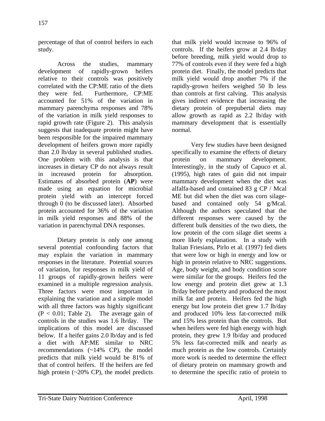percentage of that of control heifers in each study.

 Across the studies, mammary development of rapidly-grown heifers relative to their controls was positively correlated with the CP:ME ratio of the diets they were fed. Furthermore, CP:ME accounted for 51% of the variation in mammary parenchyma responses and 78% of the variation in milk yield responses to rapid growth rate (Figure 2). This analysis suggests that inadequate protein might have been responsible for the impaired mammary development of heifers grown more rapidly than 2.0 lb/day in several published studies. One problem with this analysis is that increases in dietary CP do not always result in increased protein for absorption. Estimates of absorbed protein (**AP**) were made using an equation for microbial protein yield with an intercept forced through 0 (to be discussed later). Absorbed protein accounted for 36% of the variation in milk yield responses and 88% of the variation in parenchymal DNA responses.

 Dietary protein is only one among several potential confounding factors that may explain the variation in mammary responses in the literature. Potential sources of variation, for responses in milk yield of 11 groups of rapidly-grown heifers were examined in a multiple regression analysis. Three factors were most important in explaining the variation and a simple model with all three factors was highly significant  $(P < 0.01$ ; Table 2). The average gain of controls in the studies was 1.6 lb/day. The implications of this model are discussed below. If a heifer gains 2.0 lb/day and is fed a diet with AP:ME similar to NRC recommendations (~14% CP), the model predicts that milk yield would be 81% of that of control heifers. If the heifers are fed high protein  $(\sim 20\%$  CP), the model predicts

that milk yield would increase to 96% of controls. If the heifers grow at 2.4 lb/day before breeding, milk yield would drop to 77% of controls even if they were fed a high protein diet. Finally, the model predicts that milk yield would drop another 7% if the rapidly-grown heifers weighed 50 lb less than controls at first calving. This analysis gives indirect evidence that increasing the dietary protein of prepubertal diets may allow growth as rapid as 2.2 lb/day with mammary development that is essentially normal.

 Very few studies have been designed specifically to examine the effects of dietary protein on mammary development. Interestingly, in the study of Capuco et al. (1995), high rates of gain did not impair mammary development when the diet was alfalfa-based and contained 83 g CP / Mcal ME but did when the diet was corn silagebased and contained only 54 g/Mcal. Although the authors speculated that the different responses were caused by the different bulk densities of the two diets, the low protein of the corn silage diet seems a more likely explanation. In a study with Italian Friesians, Pirlo et al. (1997) fed diets that were low or high in energy and low or high in protein relative to NRC suggestions. Age, body weight, and body condition score were similar for the groups. Heifers fed the low energy and protein diet grew at 1.3 lb/day before puberty and produced the most milk fat and protein. Heifers fed the high energy but low protein diet grew 1.7 lb/day and produced 10% less fat-corrected milk and 15% less protein than the controls. But when heifers were fed high energy with high protein, they grew 1.9 lb/day and produced 5% less fat-corrected milk and nearly as much protein as the low controls. Certainly more work is needed to determine the effect of dietary protein on mammary growth and to determine the specific ratio of protein to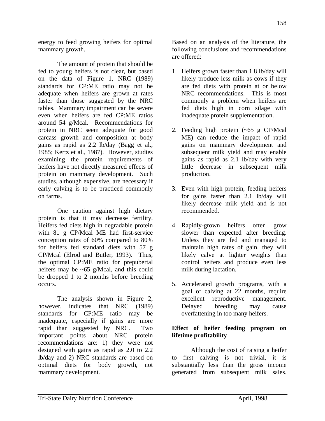energy to feed growing heifers for optimal mammary growth.

 The amount of protein that should be fed to young heifers is not clear, but based on the data of Figure 1, NRC (1989) standards for CP:ME ratio may not be adequate when heifers are grown at rates faster than those suggested by the NRC tables. Mammary impairment can be severe even when heifers are fed CP:ME ratios around 54 g/Mcal. Recommendations for protein in NRC seem adequate for good carcass growth and composition at body gains as rapid as 2.2 lb/day (Bagg et al., 1985; Kertz et al., 1987). However, studies examining the protein requirements of heifers have not directly measured effects of protein on mammary development. Such studies, although expensive, are necessary if early calving is to be practiced commonly on farms.

 One caution against high dietary protein is that it may decrease fertility. Heifers fed diets high in degradable protein with 81 g CP/Mcal ME had first-service conception rates of 60% compared to 80% for heifers fed standard diets with 57 g CP/Mcal (Elrod and Butler, 1993). Thus, the optimal CP:ME ratio for prepubertal heifers may be  $\sim 65$  g/Mcal, and this could be dropped 1 to 2 months before breeding occurs.

 The analysis shown in Figure 2, however, indicates that NRC (1989) standards for CP:ME ratio may be inadequate, especially if gains are more rapid than suggested by NRC. Two important points about NRC protein recommendations are: 1) they were not designed with gains as rapid as 2.0 to 2.2 lb/day and 2) NRC standards are based on optimal diets for body growth, not mammary development.

Based on an analysis of the literature, the following conclusions and recommendations are offered:

- 1. Heifers grown faster than 1.8 lb/day will likely produce less milk as cows if they are fed diets with protein at or below NRC recommendations. This is most commonly a problem when heifers are fed diets high in corn silage with inadequate protein supplementation.
- 2. Feeding high protein (~65 g CP/Mcal ME) can reduce the impact of rapid gains on mammary development and subsequent milk yield and may enable gains as rapid as 2.1 lb/day with very little decrease in subsequent milk production.
- 3. Even with high protein, feeding heifers for gains faster than 2.1 lb/day will likely decrease milk yield and is not recommended.
- 4. Rapidly-grown heifers often grow slower than expected after breeding. Unless they are fed and managed to maintain high rates of gain, they will likely calve at lighter weights than control heifers and produce even less milk during lactation.
- 5. Accelerated growth programs, with a goal of calving at 22 months, require excellent reproductive management. Delayed breeding may cause overfattening in too many heifers.

### **Effect of heifer feeding program on lifetime profitability**

 Although the cost of raising a heifer to first calving is not trivial, it is substantially less than the gross income generated from subsequent milk sales.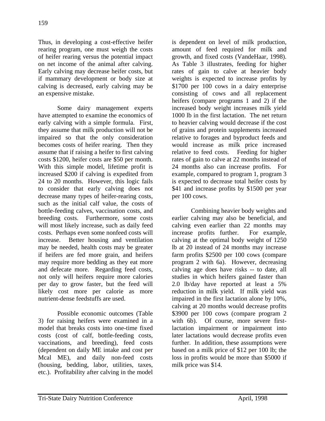Thus, in developing a cost-effective heifer rearing program, one must weigh the costs of heifer rearing versus the potential impact on net income of the animal after calving. Early calving may decrease heifer costs, but if mammary development or body size at calving is decreased, early calving may be an expensive mistake.

 Some dairy management experts have attempted to examine the economics of early calving with a simple formula. First, they assume that milk production will not be impaired so that the only consideration becomes costs of heifer rearing. Then they assume that if raising a heifer to first calving costs \$1200, heifer costs are \$50 per month. With this simple model, lifetime profit is increased \$200 if calving is expedited from 24 to 20 months. However, this logic fails to consider that early calving does not decrease many types of heifer-rearing costs, such as the initial calf value, the costs of bottle-feeding calves, vaccination costs, and breeding costs. Furthermore, some costs will most likely increase, such as daily feed costs. Perhaps even some nonfeed costs will increase. Better housing and ventilation may be needed, health costs may be greater if heifers are fed more grain, and heifers may require more bedding as they eat more and defecate more. Regarding feed costs, not only will heifers require more calories per day to grow faster, but the feed will likely cost more per calorie as more nutrient-dense feedstuffs are used.

 Possible economic outcomes (Table 3) for raising heifers were examined in a model that breaks costs into one-time fixed costs (cost of calf, bottle-feeding costs, vaccinations, and breeding), feed costs (dependent on daily ME intake and cost per Mcal ME), and daily non-feed costs (housing, bedding, labor, utilities, taxes, etc.). Profitability after calving in the model is dependent on level of milk production, amount of feed required for milk and growth, and fixed costs (VandeHaar, 1998). As Table 3 illustrates, feeding for higher rates of gain to calve at heavier body weights is expected to increase profits by \$1700 per 100 cows in a dairy enterprise consisting of cows and all replacement heifers (compare programs 1 and 2) if the increased body weight increases milk yield 1000 lb in the first lactation. The net return to heavier calving would decrease if the cost of grains and protein supplements increased relative to forages and byproduct feeds and would increase as milk price increased relative to feed costs. Feeding for higher rates of gain to calve at 22 months instead of 24 months also can increase profits. For example, compared to program 1, program 3 is expected to decrease total heifer costs by \$41 and increase profits by \$1500 per year per 100 cows.

 Combining heavier body weights and earlier calving may also be beneficial, and calving even earlier than 22 months may increase profits further. For example, calving at the optimal body weight of 1250 lb at 20 instead of 24 months may increase farm profits \$2500 per 100 cows (compare program 2 with 6a). However, decreasing calving age does have risks -- to date, all studies in which heifers gained faster than 2.0 lb/day have reported at least a 5% reduction in milk yield. If milk yield was impaired in the first lactation alone by 10%, calving at 20 months would decrease profits \$3900 per 100 cows (compare program 2 with 6b). Of course, more severe firstlactation impairment or impairment into later lactations would decrease profits even further. In addition, these assumptions were based on a milk price of \$12 per 100 lb; the loss in profits would be more than \$5000 if milk price was \$14.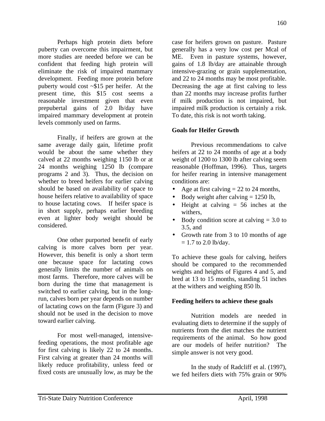Perhaps high protein diets before puberty can overcome this impairment, but more studies are needed before we can be confident that feeding high protein will eliminate the risk of impaired mammary development. Feeding more protein before puberty would cost ~\$15 per heifer. At the present time, this \$15 cost seems a reasonable investment given that even prepubertal gains of 2.0 lb/day have impaired mammary development at protein levels commonly used on farms.

 Finally, if heifers are grown at the same average daily gain, lifetime profit would be about the same whether they calved at 22 months weighing 1150 lb or at 24 months weighing 1250 lb (compare programs 2 and 3). Thus, the decision on whether to breed heifers for earlier calving should be based on availability of space to house heifers relative to availability of space to house lactating cows. If heifer space is in short supply, perhaps earlier breeding even at lighter body weight should be considered.

 One other purported benefit of early calving is more calves born per year. However, this benefit is only a short term one because space for lactating cows generally limits the number of animals on most farms. Therefore, more calves will be born during the time that management is switched to earlier calving, but in the longrun, calves born per year depends on number of lactating cows on the farm (Figure 3) and should not be used in the decision to move toward earlier calving.

 For most well-managed, intensivefeeding operations, the most profitable age for first calving is likely 22 to 24 months. First calving at greater than 24 months will likely reduce profitability, unless feed or fixed costs are unusually low, as may be the

case for heifers grown on pasture. Pasture generally has a very low cost per Mcal of ME. Even in pasture systems, however, gains of 1.8 lb/day are attainable through intensive-grazing or grain supplementation, and 22 to 24 months may be most profitable. Decreasing the age at first calving to less than 22 months may increase profits further if milk production is not impaired, but impaired milk production is certainly a risk. To date, this risk is not worth taking.

#### **Goals for Heifer Growth**

 Previous recommendations to calve heifers at 22 to 24 months of age at a body weight of 1200 to 1300 lb after calving seem reasonable (Hoffman, 1996). Thus, targets for heifer rearing in intensive management conditions are:

- Age at first calving  $= 22$  to 24 months,
- Body weight after calving  $= 1250$  lb,
- Height at calving  $= 56$  inches at the withers,
- Body condition score at calving  $= 3.0$  to 3.5, and
- Growth rate from 3 to 10 months of age  $= 1.7$  to 2.0 lb/day.

To achieve these goals for calving, heifers should be compared to the recommended weights and heights of Figures 4 and 5, and bred at 13 to 15 months, standing 51 inches at the withers and weighing 850 lb.

### **Feeding heifers to achieve these goals**

 Nutrition models are needed in evaluating diets to determine if the supply of nutrients from the diet matches the nutrient requirements of the animal. So how good are our models of heifer nutrition? The simple answer is not very good.

 In the study of Radcliff et al. (1997), we fed heifers diets with 75% grain or 90%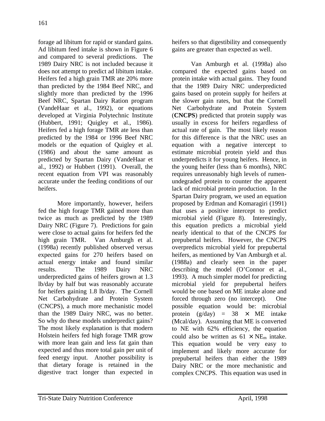forage ad libitum for rapid or standard gains. Ad libitum feed intake is shown in Figure 6 and compared to several predictions. The 1989 Dairy NRC is not included because it does not attempt to predict ad libitum intake. Heifers fed a high grain TMR ate 20% more than predicted by the 1984 Beef NRC, and slightly more than predicted by the 1996 Beef NRC, Spartan Dairy Ration program (VandeHaar et al., 1992), or equations developed at Virginia Polytechnic Institute (Hubbert, 1991; Quigley et al., 1986). Heifers fed a high forage TMR ate less than predicted by the 1984 or 1996 Beef NRC models or the equation of Quigley et al. (1986) and about the same amount as predicted by Spartan Dairy (VandeHaar et al., 1992) or Hubbert (1991). Overall, the recent equation from VPI was reasonably accurate under the feeding conditions of our heifers.

 More importantly, however, heifers fed the high forage TMR gained more than twice as much as predicted by the 1989 Dairy NRC (Figure 7). Predictions for gain were close to actual gains for heifers fed the high grain TMR. Van Amburgh et al. (1998a) recently published observed versus expected gains for 270 heifers based on actual energy intake and found similar results. The 1989 Dairy NRC underpredicted gains of heifers grown at 1.3 lb/day by half but was reasonably accurate for heifers gaining 1.8 lb/day. The Cornell Net Carbohydrate and Protein System (CNCPS), a much more mechanistic model than the 1989 Dairy NRC, was no better. So why do these models underpredict gains? The most likely explanation is that modern Holstein heifers fed high forage TMR grow with more lean gain and less fat gain than expected and thus more total gain per unit of feed energy input. Another possibility is that dietary forage is retained in the digestive tract longer than expected in

heifers so that digestibility and consequently gains are greater than expected as well.

 Van Amburgh et al. (1998a) also compared the expected gains based on protein intake with actual gains. They found that the 1989 Dairy NRC underpredicted gains based on protein supply for heifers at the slower gain rates, but that the Cornell Net Carbohydrate and Protein System (**CNCPS**) predicted that protein supply was usually in excess for heifers regardless of actual rate of gain. The most likely reason for this difference is that the NRC uses an equation with a negative intercept to estimate microbial protein yield and thus underpredicts it for young heifers. Hence, in the young heifer (less than 6 months), NRC requires unreasonably high levels of rumenundegraded protein to counter the apparent lack of microbial protein production. In the Spartan Dairy program, we used an equation proposed by Erdman and Komaragiri (1991) that uses a positive intercept to predict microbial yield (Figure 8). Interestingly, this equation predicts a microbial yield nearly identical to that of the CNCPS for prepubertal heifers. However, the CNCPS overpredicts microbial yield for prepubertal heifers, as mentioned by Van Amburgh et al. (1988a) and clearly seen in the paper describing the model (O'Connor et al., 1993). A much simpler model for predicting microbial yield for prepubertal heifers would be one based on ME intake alone and forced through zero (no intercept). One possible equation would be: microbial protein  $(g/day) = 38 \times ME$  intake (Mcal/day). Assuming that ME is converted to NE with 62% efficiency, the equation could also be written as  $61 \times NE_m$  intake. This equation would be very easy to implement and likely more accurate for prepubertal heifers than either the 1989 Dairy NRC or the more mechanistic and complex CNCPS. This equation was used in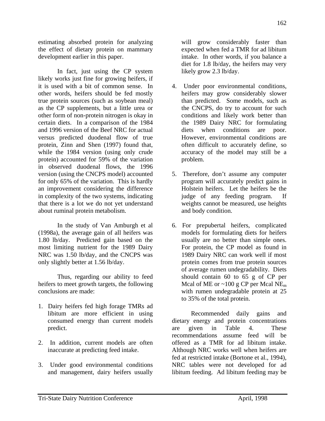estimating absorbed protein for analyzing the effect of dietary protein on mammary development earlier in this paper.

 In fact, just using the CP system likely works just fine for growing heifers, if it is used with a bit of common sense. In other words, heifers should be fed mostly true protein sources (such as soybean meal) as the CP supplements, but a little urea or other form of non-protein nitrogen is okay in certain diets. In a comparison of the 1984 and 1996 version of the Beef NRC for actual versus predicted duodenal flow of true protein, Zinn and Shen (1997) found that, while the 1984 version (using only crude protein) accounted for 59% of the variation in observed duodenal flows, the 1996 version (using the CNCPS model) accounted for only 65% of the variation. This is hardly an improvement considering the difference in complexity of the two systems, indicating that there is a lot we do not yet understand about ruminal protein metabolism.

 In the study of Van Amburgh et al (1998a), the average gain of all heifers was 1.80 lb/day. Predicted gain based on the most limiting nutrient for the 1989 Dairy NRC was 1.50 lb/day, and the CNCPS was only slightly better at 1.56 lb/day.

 Thus, regarding our ability to feed heifers to meet growth targets, the following conclusions are made:

- 1. Dairy heifers fed high forage TMRs ad libitum are more efficient in using consumed energy than current models predict.
- 2. In addition, current models are often inaccurate at predicting feed intake.
- 3. Under good environmental conditions and management, dairy heifers usually

will grow considerably faster than expected when fed a TMR for ad libitum intake. In other words, if you balance a diet for 1.8 lb/day, the heifers may very likely grow 2.3 lb/day.

- 4. Under poor environmental conditions, heifers may grow considerably slower than predicted. Some models, such as the CNCPS, do try to account for such conditions and likely work better than the 1989 Dairy NRC for formulating diets when conditions are poor. However, environmental conditions are often difficult to accurately define, so accuracy of the model may still be a problem.
- 5. Therefore, don't assume any computer program will accurately predict gains in Holstein heifers. Let the heifers be the judge of any feeding program. If weights cannot be measured, use heights and body condition.
- 6. For prepubertal heifers, complicated models for formulating diets for heifers usually are no better than simple ones. For protein, the CP model as found in 1989 Dairy NRC can work well if most protein comes from true protein sources of average rumen undegradability. Diets should contain 60 to 65 g of CP per Mcal of ME or  $\sim$ 100 g CP per Mcal NE<sub>m</sub> with rumen undegradable protein at 25 to 35% of the total protein.

 Recommended daily gains and dietary energy and protein concentrations are given in Table 4. These recommendations assume feed will be offered as a TMR for ad libitum intake. Although NRC works well when heifers are fed at restricted intake (Bortone et al., 1994), NRC tables were not developed for ad libitum feeding. Ad libitum feeding may be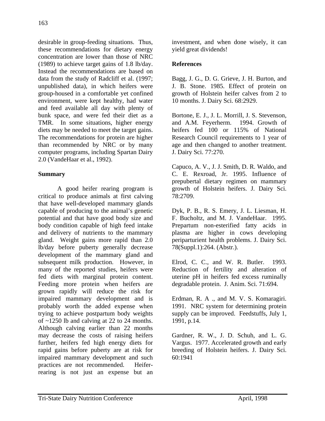desirable in group-feeding situations. Thus, these recommendations for dietary energy concentration are lower than those of NRC (1989) to achieve target gains of 1.8 lb/day. Instead the recommendations are based on data from the study of Radcliff et al. (1997; unpublished data), in which heifers were group-housed in a comfortable yet confined environment, were kept healthy, had water and feed available all day with plenty of bunk space, and were fed their diet as a TMR. In some situations, higher energy diets may be needed to meet the target gains. The recommendations for protein are higher than recommended by NRC or by many computer programs, including Spartan Dairy 2.0 (VandeHaar et al., 1992).

# **Summary**

 A good heifer rearing program is critical to produce animals at first calving that have well-developed mammary glands capable of producing to the animal's genetic potential and that have good body size and body condition capable of high feed intake and delivery of nutrients to the mammary gland. Weight gains more rapid than 2.0 lb/day before puberty generally decrease development of the mammary gland and subsequent milk production. However, in many of the reported studies, heifers were fed diets with marginal protein content. Feeding more protein when heifers are grown rapidly will reduce the risk for impaired mammary development and is probably worth the added expense when trying to achieve postpartum body weights of ~1250 lb and calving at 22 to 24 months. Although calving earlier than 22 months may decrease the costs of raising heifers further, heifers fed high energy diets for rapid gains before puberty are at risk for impaired mammary development and such practices are not recommended. Heiferrearing is not just an expense but an

investment, and when done wisely, it can yield great dividends!

## **References**

Bagg, J. G., D. G. Grieve, J. H. Burton, and J. B. Stone. 1985. Effect of protein on growth of Holstein heifer calves from 2 to 10 months. J. Dairy Sci. 68:2929.

Bortone, E. J., J. L. Morrill, J. S. Stevenson, and A.M. Feyerherm. 1994. Growth of heifers fed 100 or 115% of National Research Council requirements to 1 year of age and then changed to another treatment. J. Dairy Sci. 77:270.

Capuco, A. V., J. J. Smith, D. R. Waldo, and C. E. Rexroad, Jr. 1995. Influence of prepubertal dietary regimen on mammary growth of Holstein heifers. J. Dairy Sci. 78:2709.

Dyk, P. B., R. S. Emery, J. L. Liesman, H. F. Bucholtz, and M. J. VandeHaar. 1995. Prepartum non-esterified fatty acids in plasma are higher in cows developing periparturient health problems. J. Dairy Sci. 78(Suppl.1):264. (Abstr.).

Elrod, C. C., and W. R. Butler. 1993. Reduction of fertility and alteration of uterine pH in heifers fed excess ruminally degradable protein. J. Anim. Sci. 71:694.

Erdman, R. A ., and M. V. S. Komaragiri. 1991. NRC system for determining protein supply can be improved. Feedstuffs, July 1, 1991, p.14.

Gardner, R. W., J. D. Schuh, and L. G. Vargus. 1977. Accelerated growth and early breeding of Holstein heifers. J. Dairy Sci. 60:1941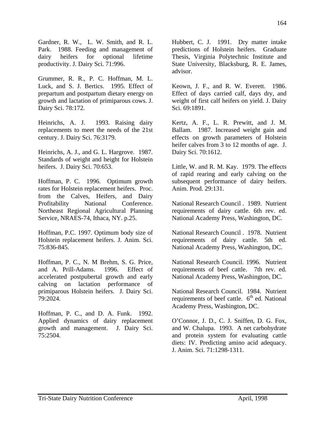Gardner, R. W., L. W. Smith, and R. L. Park. 1988. Feeding and management of dairy heifers for optional lifetime productivity. J. Dairy Sci. 71:996.

Grummer, R. R., P. C. Hoffman, M. L. Luck, and S. J. Bertics. 1995. Effect of prepartum and postpartum dietary energy on growth and lactation of primiparous cows. J. Dairy Sci. 78:172.

Heinrichs, A. J. 1993. Raising dairy replacements to meet the needs of the 21st century. J. Dairy Sci. 76:3179.

Heinrichs, A. J., and G. L. Hargrove. 1987. Standards of weight and height for Holstein heifers. J. Dairy Sci. 70:653.

Hoffman, P. C. 1996. Optimum growth rates for Holstein replacement heifers. Proc. from the Calves, Heifers, and Dairy Profitability National Conference. Northeast Regional Agricultural Planning Service, NRAES-74, Ithaca, NY. p.25.

Hoffman, P.C. 1997. Optimum body size of Holstein replacement heifers. J. Anim. Sci. 75:836-845.

Hoffman, P. C., N. M Brehm, S. G. Price, and A. Prill-Adams. 1996. Effect of accelerated postpubertal growth and early calving on lactation performance of primiparous Holstein heifers. J. Dairy Sci. 79:2024.

Hoffman, P. C., and D. A. Funk. 1992. Applied dynamics of dairy replacement growth and management. J. Dairy Sci. 75:2504.

Hubbert, C. J. 1991. Dry matter intake predictions of Holstein heifers. Graduate Thesis, Virginia Polytechnic Institute and State University, Blacksburg, R. E. James, advisor.

Keown, J. F., and R. W. Everett. 1986. Effect of days carried calf, days dry, and weight of first calf heifers on yield. J. Dairy Sci. 69:1891.

Kertz, A. F., L. R. Prewitt, and J. M. Ballam. 1987. Increased weight gain and effects on growth parameters of Holstein heifer calves from 3 to 12 months of age. J. Dairy Sci. 70:1612.

Little, W. and R. M. Kay. 1979. The effects of rapid rearing and early calving on the subsequent performance of dairy heifers. Anim. Prod. 29:131.

National Research Council . 1989. Nutrient requirements of dairy cattle. 6th rev. ed. National Academy Press, Washington, DC.

National Research Council . 1978. Nutrient requirements of dairy cattle. 5th ed. National Academy Press, Washington, DC.

National Research Council. 1996. Nutrient requirements of beef cattle. 7th rev. ed. National Academy Press, Washington, DC.

National Research Council. 1984. Nutrient requirements of beef cattle.  $6<sup>th</sup>$  ed. National Academy Press, Washington, DC.

O'Connor, J. D., C. J. Sniffen, D. G. Fox, and W. Chalupa. 1993. A net carbohydrate and protein system for evaluating cattle diets: IV. Predicting amino acid adequacy. J. Anim. Sci. 71:1298-1311.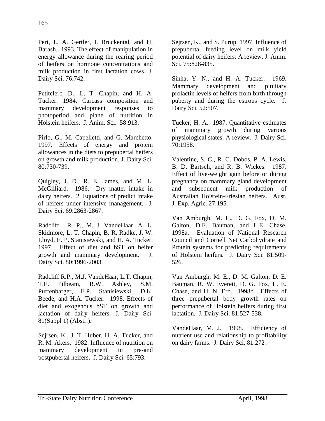Peri, I., A. Gertler, I. Bruckental, and H. Barash. 1993. The effect of manipulation in energy allowance during the rearing period of heifers on hormone concentrations and milk production in first lactation cows. J. Dairy Sci. 76:742.

Petitclerc, D., L. T. Chapin, and H. A. Tucker. 1984. Carcass composition and mammary development responses to photoperiod and plane of nutrition in Holstein heifers. J. Anim. Sci. 58:913.

Pirlo, G., M. Capelletti, and G. Marchetto. 1997. Effects of energy and protein allowances in the diets to prepubertal heifers on growth and milk production. J. Dairy Sci. 80:730-739.

Quigley, J. D., R. E. James, and M. L. McGilliard. 1986. Dry matter intake in dairy heifers. 2. Equations of predict intake of heifers under intensive management. J. Dairy Sci. 69:2863-2867.

Radcliff, R. P., M. J. VandeHaar, A. L. Skidmore, L. T. Chapin, B. R. Radke, J. W. Lloyd, E. P. Stanisiewski, and H. A. Tucker. 1997. Effect of diet and bST on heifer growth and mammary development. J. Dairy Sci. 80:1996-2003.

Radcliff R.P., M.J. VandeHaar, L.T. Chapin, T.E. Pilbeam, R.W. Ashley, S.M. Puffenbarger, E.P. Stanisiewski, D.K. Beede, and H.A. Tucker. 1998. Effects of diet and exogenous bST on growth and lactation of dairy heifers. J. Dairy Sci. 81(Suppl 1) (Abstr.).

Sejrsen, K., J. T. Huber, H. A. Tucker, and R. M. Akers. 1982. Influence of nutrition on mammary development in pre-and postpubertal heifers. J. Dairy Sci. 65:793.

Sejrsen, K., and S. Purup. 1997. Influence of prepubertal feeding level on milk yield potential of dairy heifers: A review. J. Anim. Sci. 75:828-835.

Sinha, Y. N., and H. A. Tucker. 1969. Mammary development and pituitary prolactin levels of heifers from birth through puberty and during the estrous cycle. J. Dairy Sci. 52:507.

Tucker, H. A. 1987. Quantitative estimates of mammary growth during various physiological states: A review. J. Dairy Sci. 70:1958.

Valentine, S. C., R. C. Dobos, P. A. Lewis, B. D. Bartsch, and R. B. Wickes. 1987. Effect of live-weight gain before or during pregnancy on mammary gland development and subsequent milk production of Australian Holstein-Friesian heifers. Aust. J. Exp. Agric. 27:195.

Van Amburgh, M. E., D. G. Fox, D. M. Galton, D.E. Bauman, and L.E. Chase. 1998a. Evaluation of National Research Council and Cornell Net Carbohydrate and Protein systems for predicting requirements of Holstein heifers. J. Dairy Sci. 81:509- 526.

Van Amburgh, M. E., D. M. Galton, D. E. Bauman, R. W. Everett, D. G. Fox, L. E. Chase, and H. N. Erb. 1998b. Effects of three prepubertal body growth rates on performance of Holstein heifers during first lactation. J. Dairy Sci. 81:527-538.

VandeHaar, M. J. 1998. Efficiency of nutrient use and relationship to profitability on dairy farms. J. Dairy Sci. 81:272 .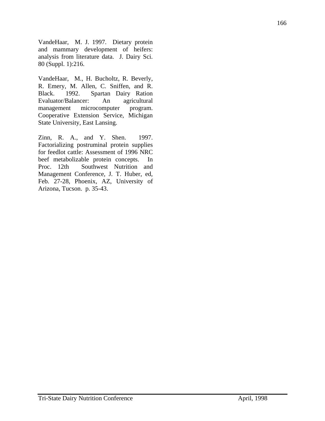VandeHaar, M. J. 1997. Dietary protein and mammary development of heifers: analysis from literature data. J. Dairy Sci. 80 (Suppl. 1):216.

VandeHaar, M., H. Bucholtz, R. Beverly, R. Emery, M. Allen, C. Sniffen, and R. Black. 1992. Spartan Dairy Ration Evaluator/Balancer: An agricultural management microcomputer program. Cooperative Extension Service, Michigan State University, East Lansing.

Zinn, R. A., and Y. Shen. 1997. Factorializing postruminal protein supplies for feedlot cattle: Assessment of 1996 NRC beef metabolizable protein concepts. In Proc. 12th Southwest Nutrition and Management Conference, J. T. Huber, ed, Feb. 27-28, Phoenix, AZ, University of Arizona, Tucson. p. 35-43.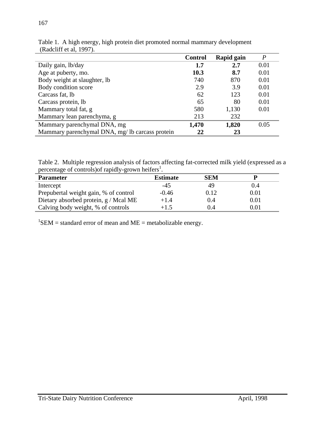|                                                | <b>Control</b> | Rapid gain | $\boldsymbol{P}$ |
|------------------------------------------------|----------------|------------|------------------|
| Daily gain, lb/day                             | 1.7            | 2.7        | 0.01             |
| Age at puberty, mo.                            | 10.3           | 8.7        | 0.01             |
| Body weight at slaughter, lb                   | 740            | 870        | 0.01             |
| Body condition score                           | 2.9            | 3.9        | 0.01             |
| Carcass fat, lb                                | 62             | 123        | 0.01             |
| Carcass protein, lb                            | 65             | 80         | 0.01             |
| Mammary total fat, g                           | 580            | 1,130      | 0.01             |
| Mammary lean parenchyma, g                     | 213            | 232        |                  |
| Mammary parenchymal DNA, mg                    | 1,470          | 1,820      | 0.05             |
| Mammary parenchymal DNA, mg/lb carcass protein | 22             | 23         |                  |

Table 1. A high energy, high protein diet promoted normal mammary development (Radcliff et al, 1997).

Table 2. Multiple regression analysis of factors affecting fat-corrected milk yield (expressed as a percentage of controls) of rapidly-grown heifers<sup>1</sup>.

| <b>Parameter</b>                      | <b>Estimate</b> | <b>SEM</b> |          |
|---------------------------------------|-----------------|------------|----------|
| Intercept                             | $-45$           | 49         | 0.4      |
| Prepubertal weight gain, % of control | $-0.46$         | 0.12       | 0.01     |
| Dietary absorbed protein, g / Mcal ME | $+1.4$          | 0.4        | 0.01     |
| Calving body weight, % of controls    | $+1.5$          | 0.4        | $0.01\,$ |

 ${}^{1}$ SEM = standard error of mean and ME = metabolizable energy.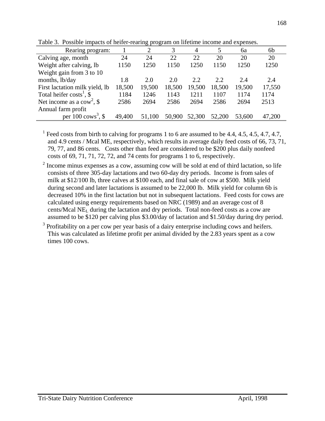|                                       |        | 70 r - 70 - |        |        |        |        |        |
|---------------------------------------|--------|-------------|--------|--------|--------|--------|--------|
| Rearing program:                      |        | 2           | 3      | 4      | 5      | 6a     | 6b     |
| Calving age, month                    | 24     | 24          | 22     | 22     | 20     | 20     | 20     |
| Weight after calving, lb              | 1150   | 1250        | 1150   | 1250   | 1150   | 1250   | 1250   |
| Weight gain from 3 to 10              |        |             |        |        |        |        |        |
| months, lb/day                        | 1.8    | 2.0         | 2.0    | 2.2    | 2.2    | 2.4    | 2.4    |
| First lactation milk yield, lb        | 18,500 | 19,500      | 18,500 | 19,500 | 18,500 | 19,500 | 17,550 |
| Total heifer costs <sup>1</sup> , \$  | 1184   | 1246        | 1143   | 1211   | 1107   | 1174   | 1174   |
| Net income as a cow <sup>2</sup> , \$ | 2586   | 2694        | 2586   | 2694   | 2586   | 2694   | 2513   |
| Annual farm profit                    |        |             |        |        |        |        |        |
| per $100 \text{ cows}^3$ , \$         | 49,400 | 51,100      | 50,900 | 52,300 | 52,200 | 53,600 | 47,200 |
|                                       |        |             |        |        |        |        |        |

Table 3. Possible impacts of heifer-rearing program on lifetime income and expenses.

<sup>1</sup> Feed costs from birth to calving for programs 1 to 6 are assumed to be 4.4, 4.5, 4.5, 4.7, 4.7, and 4.9 cents / Mcal ME, respectively, which results in average daily feed costs of 66, 73, 71, 79, 77, and 86 cents. Costs other than feed are considered to be \$200 plus daily nonfeed costs of 69, 71, 71, 72, 72, and 74 cents for programs 1 to 6, respectively.

 $2^{2}$  Income minus expenses as a cow, assuming cow will be sold at end of third lactation, so life consists of three 305-day lactations and two 60-day dry periods. Income is from sales of milk at \$12/100 lb, three calves at \$100 each, and final sale of cow at \$500. Milk yield during second and later lactations is assumed to be 22,000 lb. Milk yield for column 6b is decreased 10% in the first lactation but not in subsequent lactations. Feed costs for cows are calculated using energy requirements based on NRC (1989) and an average cost of 8 cents/Mcal NEL during the lactation and dry periods. Total non-feed costs as a cow are assumed to be \$120 per calving plus \$3.00/day of lactation and \$1.50/day during dry period.

 $3$  Profitability on a per cow per year basis of a dairy enterprise including cows and heifers. This was calculated as lifetime profit per animal divided by the 2.83 years spent as a cow times 100 cows.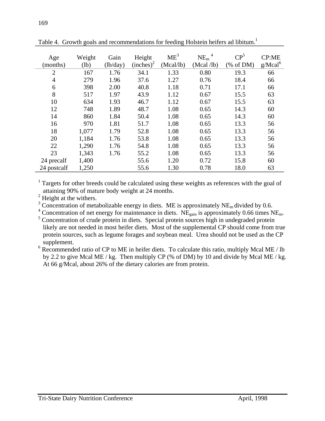| Age            | Weight | Gain     | Height       | ME <sup>3</sup> | $\overline{4}$<br>NE <sub>m</sub> | CP <sup>5</sup> | CP:ME                 |
|----------------|--------|----------|--------------|-----------------|-----------------------------------|-----------------|-----------------------|
| (months)       | (lb)   | (lb/day) | $(inches)^2$ | (Mcal/lb)       | (Mcal / lb)                       | % of DM         | $g/Mcal$ <sup>6</sup> |
| $\overline{2}$ | 167    | 1.76     | 34.1         | 1.33            | 0.80                              | 19.3            | 66                    |
| $\overline{4}$ | 279    | 1.96     | 37.6         | 1.27            | 0.76                              | 18.4            | 66                    |
| 6              | 398    | 2.00     | 40.8         | 1.18            | 0.71                              | 17.1            | 66                    |
| 8              | 517    | 1.97     | 43.9         | 1.12            | 0.67                              | 15.5            | 63                    |
| 10             | 634    | 1.93     | 46.7         | 1.12            | 0.67                              | 15.5            | 63                    |
| 12             | 748    | 1.89     | 48.7         | 1.08            | 0.65                              | 14.3            | 60                    |
| 14             | 860    | 1.84     | 50.4         | 1.08            | 0.65                              | 14.3            | 60                    |
| 16             | 970    | 1.81     | 51.7         | 1.08            | 0.65                              | 13.3            | 56                    |
| 18             | 1,077  | 1.79     | 52.8         | 1.08            | 0.65                              | 13.3            | 56                    |
| 20             | 1,184  | 1.76     | 53.8         | 1.08            | 0.65                              | 13.3            | 56                    |
| 22             | 1,290  | 1.76     | 54.8         | 1.08            | 0.65                              | 13.3            | 56                    |
| 23             | 1,343  | 1.76     | 55.2         | 1.08            | 0.65                              | 13.3            | 56                    |
| 24 precalf     | 1,400  |          | 55.6         | 1.20            | 0.72                              | 15.8            | 60                    |
| 24 postcalf    | 1,250  |          | 55.6         | 1.30            | 0.78                              | 18.0            | 63                    |

Table 4. Growth goals and recommendations for feeding Holstein heifers ad libitum.<sup>1</sup>

 $<sup>1</sup>$  Targets for other breeds could be calculated using these weights as references with the goal of</sup> attaining 90% of mature body weight at 24 months.

 $<sup>2</sup>$  Height at the withers.</sup>

<sup>3</sup> Concentration of metabolizable energy in diets. ME is approximately NE<sub>m</sub> divided by 0.6.

<sup>4</sup> Concentration of net energy for maintenance in diets. NE<sub>gain</sub> is approximately 0.66 times NE<sub>m</sub>.<br><sup>5</sup> Concentration of exidence in dieta. Special pretain courses high in undegraded pretain.

 $5$  Concentration of crude protein in diets. Special protein sources high in undegraded protein likely are not needed in most heifer diets. Most of the supplemental CP should come from true protein sources, such as legume forages and soybean meal. Urea should not be used as the CP supplement.

 $6$  Recommended ratio of CP to ME in heifer diets. To calculate this ratio, multiply Mcal ME / lb by 2.2 to give Mcal ME / kg. Then multiply CP (% of DM) by 10 and divide by Mcal ME / kg. At 66 g/Mcal, about 26% of the dietary calories are from protein.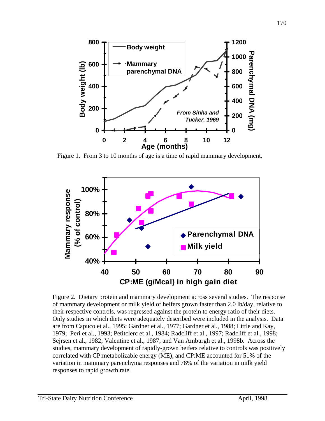

Figure 1. From 3 to 10 months of age is a time of rapid mammary development.



Figure 2. Dietary protein and mammary development across several studies.The response of mammary development or milk yield of heifers grown faster than 2.0 lb/day, relative to their respective controls, was regressed against the protein to energy ratio of their diets. Only studies in which diets were adequately described were included in the analysis. Data are from Capuco et al., 1995; Gardner et al., 1977; Gardner et al., 1988; Little and Kay, 1979; Peri et al., 1993; Petitclerc et al., 1984; Radcliff et al., 1997; Radcliff et al., 1998; Sejrsen et al., 1982; Valentine et al., 1987; and Van Amburgh et al., 1998b. Across the studies, mammary development of rapidly-grown heifers relative to controls was positively correlated with CP:metabolizable energy (ME), and CP:ME accounted for 51% of the variation in mammary parenchyma responses and 78% of the variation in milk yield responses to rapid growth rate.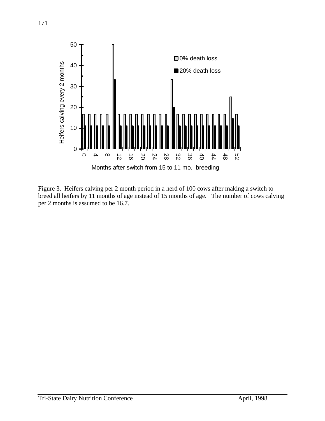

Figure 3. Heifers calving per 2 month period in a herd of 100 cows after making a switch to breed all heifers by 11 months of age instead of 15 months of age. The number of cows calving per 2 months is assumed to be 16.7.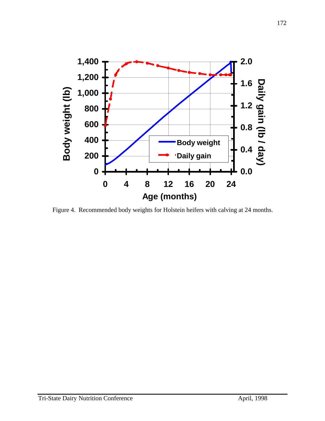

Figure 4. Recommended body weights for Holstein heifers with calving at 24 months.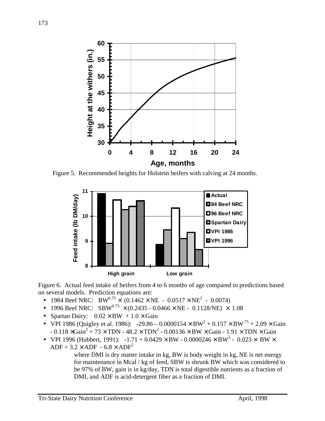

Figure 5. Recommended heights for Holstein heifers with calving at 24 months.



Figure 6. Actual feed intake of heifers from 4 to 6 months of age compared to predictions based on several models. Prediction equations are:

- 1984 Beef NRC:  $BW^{0.75} \times (0.1462 \times NE 0.0517 \times NE^2 0.0074)$
- 1996 Beef NRC:  $SBW^{0.75}$   $\times$  (0.2435 0.0466  $\times$  NE 0.1128/NE)  $\times$  1.08
- Spartan Dairy:  $0.02 \times BW + 1.0 \times Gain$
- VPI 1986 (Quigley et al. 1986):  $-29.86 0.0000154 \times BW^2 + 0.157 \times BW^{75} + 2.09 \times Gain$ - 0.118  $\times$ Gain<sup>2</sup> + 73  $\times$  TDN - 48.2  $\times$  TDN<sup>2</sup> - 0.00136  $\times$  BW  $\times$  Gain - 1.91  $\times$  TDN  $\times$  Gain
- VPI 1996 (Hubbert, 1991):  $-1.71 + 0.0429 \times BW 0.0000246 \times BW^2 0.023 \times BW \times$  $ADF + 3.2 \times ADF - 6.8 \times ADF<sup>2</sup>$

where DMI is dry matter intake in kg, BW is body weight in kg, NE is net energy for maintenance in Mcal / kg of feed, SBW is shrunk BW which was considered to be 97% of BW, gain is in kg/day, TDN is total digestible nutrients as a fraction of DMI, and ADF is acid-detergent fiber as a fraction of DMI.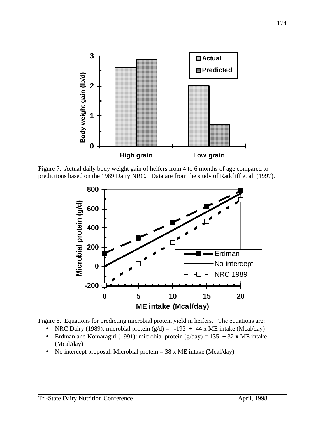

Figure 7. Actual daily body weight gain of heifers from 4 to 6 months of age compared to predictions based on the 1989 Dairy NRC.Data are from the study of Radcliff et al. (1997).



Figure 8. Equations for predicting microbial protein yield in heifers. The equations are:

- NRC Dairy (1989): microbial protein  $(g/d) = -193 + 44$  x ME intake (Mcal/day)
- Erdman and Komaragiri (1991): microbial protein (g/day) =  $135 + 32$  x ME intake (Mcal/day)
- No intercept proposal: Microbial protein  $= 38 \times ME$  intake (Mcal/day)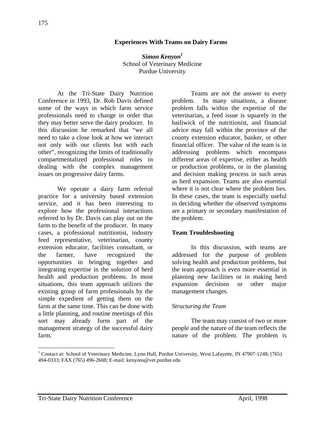#### **Experiences With Teams on Dairy Farms**

*Simon Kenyon1* School of Veterinary Medicine Purdue University

At the Tri-State Dairy Nutrition Conference in 1993, Dr. Rob Davis defined some of the ways in which farm service professionals need to change in order that they may better serve the dairy producer. In this discussion he remarked that "we all need to take a close look at how we interact not only with our clients but with each other", recognizing the limits of traditionally compartmentalized professional roles in dealing with the complex management issues on progressive dairy farms.

We operate a dairy farm referral practice for a university based extension service, and it has been interesting to explore how the professional interactions referred to by Dr. Davis can play out on the farm to the benefit of the producer. In many cases, a professional nutritionist, industry feed representative, veterinarian, county extension educator, facilities consultant, or the farmer, have recognized the opportunities in bringing together and integrating expertise in the solution of herd health and production problems. In most situations, this team approach utilizes the existing group of farm professionals by the simple expedient of getting them on the farm at the same time. This can be done with a little planning, and routine meetings of this sort may already form part of the management strategy of the successful dairy farm.

Teams are not the answer to every problem. In many situations, a disease problem falls within the expertise of the veterinarian, a feed issue is squarely in the bailiwick of the nutritionist, and financial advice may fall within the province of the county extension educator, banker, or other financial officer. The value of the team is in addressing problems which encompass different areas of expertise, either as health or production problems, or in the planning and decision making process in such areas as herd expansion. Teams are also essential where it is not clear where the problem lies. In these cases, the team is especially useful in deciding whether the observed symptoms are a primary or secondary manifestation of the problem.

#### **Team Troubleshooting**

In this discussion, with teams are addressed for the purpose of problem solving health and production problems, but the team approach is even more essential in planning new facilities or in making herd expansion decisions or other major management changes.

#### *Structuring the Team*

The team may consist of two or more people and the nature of the team reflects the nature of the problem. The problem is

 $\overline{a}$ 

<sup>&</sup>lt;sup>1</sup> Contact at: School of Veterinary Medicine, Lynn Hall, Purdue University, West Lafayette, IN 47907-1248; (765) 494-0333; FAX (765) 496-2608; E-mail: kenyons@vet.purdue.edu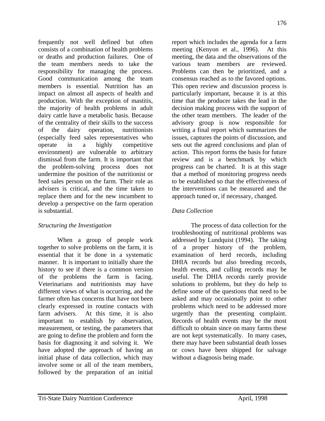frequently not well defined but often consists of a combination of health problems or deaths and production failures. One of the team members needs to take the responsibility for managing the process. Good communication among the team members is essential. Nutrition has an impact on almost all aspects of health and production. With the exception of mastitis, the majority of health problems in adult dairy cattle have a metabolic basis. Because of the centrality of their skills to the success of the dairy operation, nutritionists (especially feed sales representatives who operate in a highly competitive environment) are vulnerable to arbitrary dismissal from the farm. It is important that the problem-solving process does not undermine the position of the nutritionist or feed sales person on the farm. Their role as advisers is critical, and the time taken to replace them and for the new incumbent to develop a perspective on the farm operation is substantial.

# *Structuring the Investigation*

When a group of people work together to solve problems on the farm, it is essential that it be done in a systematic manner. It is important to initially share the history to see if there is a common version of the problems the farm is facing. Veterinarians and nutritionists may have different views of what is occurring, and the farmer often has concerns that have not been clearly expressed in routine contacts with farm advisers. At this time, it is also important to establish by observation, measurement, or testing, the parameters that are going to define the problem and form the basis for diagnosing it and solving it. We have adopted the approach of having an initial phase of data collection, which may involve some or all of the team members, followed by the preparation of an initial

report which includes the agenda for a farm meeting (Kenyon et al., 1996). At this meeting, the data and the observations of the various team members are reviewed. Problems can then be prioritized, and a consensus reached as to the favored options. This open review and discussion process is particularly important, because it is at this time that the producer takes the lead in the decision making process with the support of the other team members. The leader of the advisory group is now responsible for writing a final report which summarizes the issues, captures the points of discussion, and sets out the agreed conclusions and plan of action. This report forms the basis for future review and is a benchmark by which progress can be charted. It is at this stage that a method of monitoring progress needs to be established so that the effectiveness of the interventions can be measured and the approach tuned or, if necessary, changed.

# *Data Collection*

The process of data collection for the troubleshooting of nutritional problems was addressed by Lundquist (1994). The taking of a proper history of the problem, examination of herd records, including DHIA records but also breeding records, health events, and culling records may be useful. The DHIA records rarely provide solutions to problems, but they do help to define some of the questions that need to be asked and may occasionally point to other problems which need to be addressed more urgently than the presenting complaint. Records of health events may be the most difficult to obtain since on many farms these are not kept systematically. In many cases, there may have been substantial death losses or cows have been shipped for salvage without a diagnosis being made.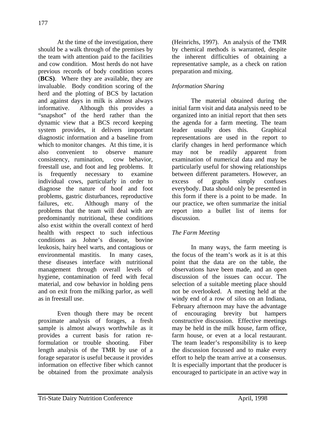At the time of the investigation, there should be a walk through of the premises by the team with attention paid to the facilities and cow condition. Most herds do not have previous records of body condition scores (**BCS)**. Where they are available, they are invaluable. Body condition scoring of the herd and the plotting of BCS by lactation and against days in milk is almost always informative. Although this provides a "snapshot" of the herd rather than the dynamic view that a BCS record keeping system provides, it delivers important diagnostic information and a baseline from which to monitor changes. At this time, it is also convenient to observe manure consistency, rumination, cow behavior, freestall use, and foot and leg problems. It is frequently necessary to examine individual cows, particularly in order to diagnose the nature of hoof and foot problems, gastric disturbances, reproductive failures, etc. Although many of the problems that the team will deal with are predominantly nutritional, these conditions also exist within the overall context of herd health with respect to such infectious conditions as Johne's disease, bovine leukosis, hairy heel warts, and contagious or environmental mastitis. In many cases, these diseases interface with nutritional management through overall levels of hygiene, contamination of feed with fecal material, and cow behavior in holding pens and on exit from the milking parlor, as well as in freestall use.

Even though there may be recent proximate analysis of forages, a fresh sample is almost always worthwhile as it provides a current basis for ration reformulation or trouble shooting. Fiber length analysis of the TMR by use of a forage separator is useful because it provides information on effective fiber which cannot be obtained from the proximate analysis

(Heinrichs, 1997). An analysis of the TMR by chemical methods is warranted, despite the inherent difficulties of obtaining a representative sample, as a check on ration preparation and mixing.

# *Information Sharing*

The material obtained during the initial farm visit and data analysis need to be organized into an initial report that then sets the agenda for a farm meeting. The team leader usually does this. Graphical representations are used in the report to clarify changes in herd performance which may not be readily apparent from examination of numerical data and may be particularly useful for showing relationships between different parameters. However, an excess of graphs simply confuses everybody. Data should only be presented in this form if there is a point to be made. In our practice, we often summarize the initial report into a bullet list of items for discussion.

## *The Farm Meeting*

In many ways, the farm meeting is the focus of the team's work as it is at this point that the data are on the table, the observations have been made, and an open discussion of the issues can occur. The selection of a suitable meeting place should not be overlooked. A meeting held at the windy end of a row of silos on an Indiana, February afternoon may have the advantage of encouraging brevity but hampers constructive discussion. Effective meetings may be held in the milk house, farm office, farm house, or even at a local restaurant. The team leader's responsibility is to keep the discussion focussed and to make every effort to help the team arrive at a consensus. It is especially important that the producer is encouraged to participate in an active way in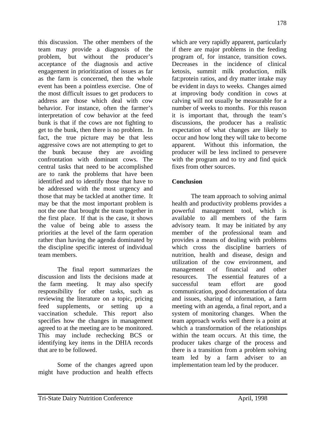this discussion. The other members of the team may provide a diagnosis of the problem, but without the producer's acceptance of the diagnosis and active engagement in prioritization of issues as far as the farm is concerned, then the whole event has been a pointless exercise. One of the most difficult issues to get producers to address are those which deal with cow behavior. For instance, often the farmer's interpretation of cow behavior at the feed bunk is that if the cows are not fighting to get to the bunk, then there is no problem. In fact, the true picture may be that less aggressive cows are not attempting to get to the bunk because they are avoiding confrontation with dominant cows. The central tasks that need to be accomplished are to rank the problems that have been identified and to identify those that have to be addressed with the most urgency and those that may be tackled at another time. It may be that the most important problem is not the one that brought the team together in the first place. If that is the case, it shows the value of being able to assess the priorities at the level of the farm operation rather than having the agenda dominated by the discipline specific interest of individual team members.

The final report summarizes the discussion and lists the decisions made at the farm meeting. It may also specify responsibility for other tasks, such as reviewing the literature on a topic, pricing feed supplements, or setting up a vaccination schedule. This report also specifies how the changes in management agreed to at the meeting are to be monitored. This may include rechecking BCS or identifying key items in the DHIA records that are to be followed.

Some of the changes agreed upon might have production and health effects

which are very rapidly apparent, particularly if there are major problems in the feeding program of, for instance, transition cows. Decreases in the incidence of clinical ketosis, summit milk production, milk fat:protein ratios, and dry matter intake may be evident in days to weeks. Changes aimed at improving body condition in cows at calving will not usually be measurable for a number of weeks to months. For this reason it is important that, through the team's discussions, the producer has a realistic expectation of what changes are likely to occur and how long they will take to become apparent. Without this information, the producer will be less inclined to persevere with the program and to try and find quick fixes from other sources.

# **Conclusion**

The team approach to solving animal health and productivity problems provides a powerful management tool, which is available to all members of the farm advisory team. It may be initiated by any member of the professional team and provides a means of dealing with problems which cross the discipline barriers of nutrition, health and disease, design and utilization of the cow environment, and management of financial and other resources. The essential features of a successful team effort are good communication, good documentation of data and issues, sharing of information, a farm meeting with an agenda, a final report, and a system of monitoring changes. When the team approach works well there is a point at which a transformation of the relationships within the team occurs. At this time, the producer takes charge of the process and there is a transition from a problem solving team led by a farm adviser to an implementation team led by the producer.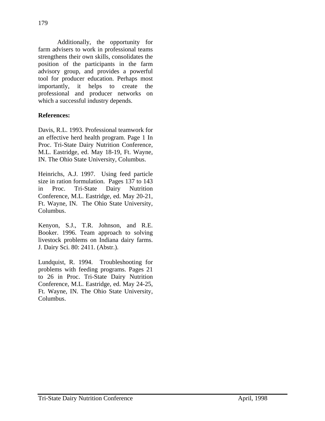Additionally, the opportunity for farm advisers to work in professional teams strengthens their own skills, consolidates the position of the participants in the farm advisory group, and provides a powerful tool for producer education. Perhaps most importantly, it helps to create the professional and producer networks on which a successful industry depends.

## **References:**

Davis, R.L. 1993. Professional teamwork for an effective herd health program. Page 1 In Proc. Tri-State Dairy Nutrition Conference, M.L. Eastridge, ed. May 18-19, Ft. Wayne, IN. The Ohio State University, Columbus.

Heinrichs, A.J. 1997. Using feed particle size in ration formulation. Pages 137 to 143 in Proc. Tri-State Dairy Nutrition Conference, M.L. Eastridge, ed. May 20-21, Ft. Wayne, IN. The Ohio State University, Columbus.

Kenyon, S.J., T.R. Johnson, and R.E. Booker. 1996. Team approach to solving livestock problems on Indiana dairy farms. J. Dairy Sci. 80: 2411. (Abstr.).

Lundquist, R. 1994. Troubleshooting for problems with feeding programs. Pages 21 to 26 in Proc. Tri-State Dairy Nutrition Conference, M.L. Eastridge, ed. May 24-25, Ft. Wayne, IN. The Ohio State University, Columbus.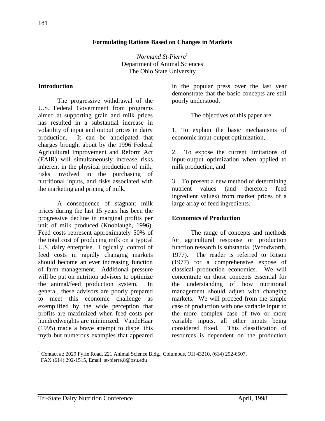181

### **Formulating Rations Based on Changes in Markets**

*Normand St-Pierre1* Department of Animal Sciences The Ohio State University

### **Introduction**

 The progressive withdrawal of the U.S. Federal Government from programs aimed at supporting grain and milk prices has resulted in a substantial increase in volatility of input and output prices in dairy production. It can be anticipated that charges brought about by the 1996 Federal Agricultural Improvement and Reform Act (FAIR) will simultaneously increase risks inherent in the physical production of milk, risks involved in the purchasing of nutritional inputs, and risks associated with the marketing and pricing of milk.

 A consequence of stagnant milk prices during the last 15 years has been the progressive decline in marginal profits per unit of milk produced (Knoblaugh, 1996). Feed costs represent approximately 50% of the total cost of producing milk on a typical U.S. dairy enterprise. Logically, control of feed costs in rapidly changing markets should become an ever increasing function of farm management. Additional pressure will be put on nutrition advisors to optimize the animal/feed production system. In general, these advisors are poorly prepared to meet this economic challenge as exemplified by the wide perception that profits are maximized when feed costs per hundredweights are minimized. VandeHaar (1995) made a brave attempt to dispel this myth but numerous examples that appeared

in the popular press over the last year demonstrate that the basic concepts are still poorly understood.

The objectives of this paper are:

1. To explain the basic mechanisms of economic input-output optimization,

2. To expose the current limitations of input-output optimization when applied to milk production, and

3. To present a new method of determining nutrient values (and therefore feed ingredient values) from market prices of a large array of feed ingredients.

### **Economics of Production**

 The range of concepts and methods for agricultural response or production function research is substantial (Woodworth, 1977). The reader is referred to Ritson (1977) for a comprehensive expose of classical production economics. We will concentrate on those concepts essential for the understanding of how nutritional management should adjust with changing markets. We will proceed from the simple case of production with one variable input to the more complex case of two or more variable inputs, all other inputs being considered fixed. This classification of resources is dependent on the production

 $\overline{a}$ 

<sup>&</sup>lt;sup>1</sup> Contact at: 2029 Fyffe Road, 221 Animal Science Bldg., Columbus, OH 43210, (614) 292-6507, FAX (614) 292-1515, Email: st-pierre.8@osu.edu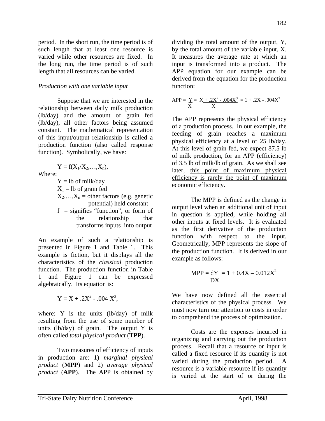182

period. In the short run, the time period is of such length that at least one resource is varied while other resources are fixed. In the long run, the time period is of such length that all resources can be varied.

# *Production with one variable input*

 Suppose that we are interested in the relationship between daily milk production (lb/day) and the amount of grain fed (lb/day), all other factors being assumed constant. The mathematical representation of this input/output relationship is called a production function (also called response function). Symbolically, we have:

$$
Y=f(X_1/X_2,\ldots\!,\!X_n),
$$

Where:

 $Y = lb$  of milk/day

 $X_1 =$  lb of grain fed

- $X_2,...,X_n$  = other factors (e.g. genetic potential) held constant  $f =$  signifies "function", or form of
	- the relationship that transforms inputs into output

An example of such a relationship is presented in Figure 1 and Table 1. This example is fiction, but it displays all the characteristics of the *classical* production function. The production function in Table 1 and Figure 1 can be expressed algebraically. Its equation is:

 $Y = X + .2X^2 - .004 X^3$ ,

where: Y is the units (lb/day) of milk resulting from the use of some number of units (lb/day) of grain. The output Y is often called *total physical product* (**TPP**).

 Two measures of efficiency of inputs in production are: 1) *marginal physical product* (**MPP**) and 2) *average physical product* (**APP**). The APP is obtained by

dividing the total amount of the output, Y, by the total amount of the variable input, X. It measures the average rate at which an input is transformed into a product. The APP equation for our example can be derived from the equation for the production function:

$$
APP = \frac{Y}{X} = \frac{X + .2X^2 - .004X^3}{X} = 1 + .2X - .004X^2
$$

The APP represents the physical efficiency of a production process. In our example, the feeding of grain reaches a maximum physical efficiency at a level of 25 lb/day. At this level of grain fed, we expect 87.5 lb of milk production, for an APP (efficiency) of 3.5 lb of milk/lb of grain. As we shall see later, this point of maximum physical efficiency is rarely the point of maximum economic efficiency.

The MPP is defined as the change in output level when an additional unit of input in question is applied, while holding all other inputs at fixed levels. It is evaluated as the first derivative of the production function with respect to the input. Geometrically, MPP represents the slope of the production function. It is derived in our example as follows:

$$
MPP = \frac{dY}{DX} = 1 + 0.4X - 0.012X^2
$$

We have now defined all the essential characteristics of the physical process. We must now turn our attention to costs in order to comprehend the process of optimization.

 Costs are the expenses incurred in organizing and carrying out the production process. Recall that a resource or input is called a fixed resource if its quantity is not varied during the production period. A resource is a variable resource if its quantity is varied at the start of or during the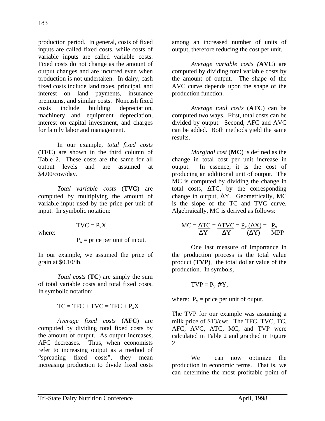production period. In general, costs of fixed inputs are called fixed costs, while costs of variable inputs are called variable costs. Fixed costs do not change as the amount of output changes and are incurred even when production is not undertaken. In dairy, cash fixed costs include land taxes, principal, and interest on land payments, insurance premiums, and similar costs. Noncash fixed costs include building depreciation, machinery and equipment depreciation, interest on capital investment, and charges for family labor and management.

 In our example, *total fixed costs*  (**TFC**) are shown in the third column of Table 2. These costs are the same for all output levels and are assumed at \$4.00/cow/day.

*Total variable costs* (**TVC**) are computed by multiplying the amount of variable input used by the price per unit of input. In symbolic notation:

 $TVC = P_{x}X$ ,

where:

$$
P_x
$$
 = price per unit of input.

In our example, we assumed the price of grain at \$0.10/lb.

*Total costs* (**TC**) are simply the sum of total variable costs and total fixed costs. In symbolic notation:

$$
TC = TFC + TVC = TFC + P_xX
$$

*Average fixed costs* (**AFC**) are computed by dividing total fixed costs by the amount of output. As output increases, AFC decreases. Thus, when economists refer to increasing output as a method of "spreading fixed costs", they mean increasing production to divide fixed costs

among an increased number of units of output, therefore reducing the cost per unit.

*Average variable costs (***AVC**) are computed by dividing total variable costs by the amount of output. The shape of the AVC curve depends upon the shape of the production function.

*Average total costs* (**ATC**) can be computed two ways. First, total costs can be divided by output. Second, AFC and AVC can be added. Both methods yield the same results.

*Marginal cost* (**MC**) is defined as the change in total cost per unit increase in output. In essence, it is the cost of producing an additional unit of output. The MC is computed by dividing the change in total costs,  $\Delta TC$ , by the corresponding change in output,  $\Delta Y$ . Geometrically, MC is the slope of the TC and TVC curve. Algebraically, MC is derived as follows:

$$
MC = \frac{\Delta TC}{\Delta Y} = \frac{\Delta TVC}{\Delta Y} = \frac{P_x(\Delta X)}{(\Delta Y)} = \frac{P_x}{MPP}
$$

 One last measure of importance in the production process is the total value product (**TVP**), the total dollar value of the production. In symbols,

$$
TVP = P_y \# Y,
$$

where:  $P_y$  = price per unit of ouput.

The TVP for our example was assuming a milk price of \$13/cwt. The TFC, TVC, TC, AFC, AVC, ATC, MC, and TVP were calculated in Table 2 and graphed in Figure 2.

 We can now optimize the production in economic terms. That is, we can determine the most profitable point of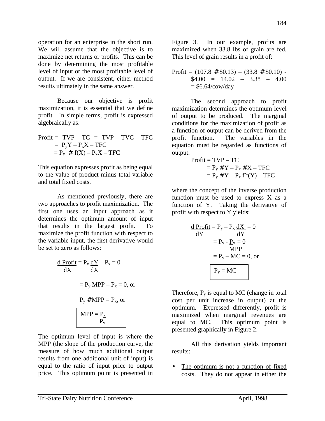operation for an enterprise in the short run. We will assume that the objective is to maximize net returns or profits. This can be done by determining the most profitable level of input or the most profitable level of output. If we are consistent, either method results ultimately in the same answer.

 Because our objective is profit maximization, it is essential that we define profit. In simple terms, profit is expressed algebraically as:

Profit = TVP – TC = TVP – TVC – TFC  
= 
$$
P_y Y - P_x X
$$
 – TFC  
=  $P_y$  # f(X) –  $P_x X$  – TFC

This equation expresses profit as being equal to the value of product minus total variable and total fixed costs.

 As mentioned previously, there are two approaches to profit maximization. The first one uses an input approach as it determines the optimum amount of input that results in the largest profit. To maximize the profit function with respect to the variable input, the first derivative would be set to zero as follows:

$$
\frac{d \text{ Profit}}{dX} = P_y \frac{dY}{dX} - P_x = 0
$$
  
= P\_y MPP - P\_x = 0, or  

$$
P_y \# MPP = P_x, \text{ or}
$$
  

$$
MPP = \frac{P_x}{P_y}
$$

The optimum level of input is where the MPP (the slope of the production curve, the measure of how much additional output results from one additional unit of input) is equal to the ratio of input price to output price. This optimum point is presented in Figure 3. In our example, profits are maximized when 33.8 lbs of grain are fed. This level of grain results in a profit of:

Profit = 
$$
(107.8 # $0.13) - (33.8 # $0.10) -
$$
  
\n $$4.00 = 14.02 - 3.38 - 4.00$   
\n= \$6.64/cow/day

 The second approach to profit maximization determines the optimum level of output to be produced. The marginal conditions for the maximization of profit as a function of output can be derived from the profit function. The variables in the equation must be regarded as functions of output.

$$
\begin{aligned} \text{Profit} &= \text{TVP} - \text{TC} \\ &= \text{P}_{\text{y}} \# \text{Y} - \text{P}_{\text{x}} \# \text{X} - \text{TFC} \\ &= \text{P}_{\text{y}} \# \text{Y} - \text{P}_{\text{x}} \text{f}^{\text{-1}}(\text{Y}) - \text{TFC} \end{aligned}
$$

where the concept of the inverse production function must be used to express  $X$  as a function of Y. Taking the derivative of profit with respect to Y yields:

$$
\frac{d \text{ Profit}}{dY} = P_y - P_x \frac{dX}{dY} = 0
$$
\n
$$
= P_y - \frac{P_x}{MPP}
$$
\n
$$
= P_y - MC = 0, \text{ or}
$$
\n
$$
P_y = MC
$$

Therefore,  $P_v$  is equal to MC (change in total cost per unit increase in output) at the optimum. Expressed differently, profit is maximized when marginal revenues are equal to MC. This optimum point is presented graphically in Figure 2.

 All this derivation yields important results:

The optimum is not a function of fixed costs. They do not appear in either the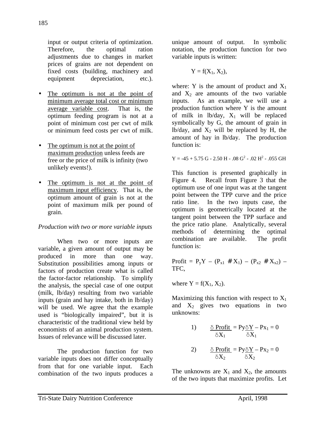input or output criteria of optimization. Therefore, the optimal ration adjustments due to changes in market prices of grains are not dependent on fixed costs (building, machinery and equipment depreciation, etc.).

- The optimum is not at the point of minimum average total cost or minimum average variable cost. That is, the optimum feeding program is not at a point of minimum cost per cwt of milk or minimum feed costs per cwt of milk.
- The optimum is not at the point of maximum production unless feeds are free or the price of milk is infinity (two unlikely events!).
- The optimum is not at the point of maximum input efficiency. That is, the optimum amount of grain is not at the point of maximum milk per pound of grain.

### *Production with two or more variable inputs*

 When two or more inputs are variable, a given amount of output may be produced in more than one way. Substitution possibilities among inputs or factors of production create what is called the factor-factor relationship. To simplify the analysis, the special case of one output (milk, lb/day) resulting from two variable inputs (grain and hay intake, both in lb/day) will be used. We agree that the example used is "biologically impaired", but it is characteristic of the traditional view held by economists of an animal production system. Issues of relevance will be discussed later.

 The production function for two variable inputs does not differ conceptually from that for one variable input. Each combination of the two inputs produces a

unique amount of output. In symbolic notation, the production function for two variable inputs is written:

$$
Y = f(X_1, X_2),
$$

where: Y is the amount of product and  $X_1$ and  $X_2$  are amounts of the two variable inputs. As an example, we will use a production function where Y is the amount of milk in lb/day,  $X_1$  will be replaced symbolically by G, the amount of grain in lb/day, and  $X_2$  will be replaced by H, the amount of hay in lb/day. The production function is:

 $Y = -45 + 5.75$  G - 2.50 H - .08 G<sup>2</sup> - .02 H<sup>2</sup> - .055 GH

This function is presented graphically in Figure 4. Recall from Figure 3 that the optimum use of one input was at the tangent point between the TPP curve and the price ratio line. In the two inputs case, the optimum is geometrically located at the tangent point between the TPP surface and the price ratio plane. Analytically, several methods of determining the optimal combination are available. The profit function is:

Profit =  $P_yY - (P_{x1} \# X_1) - (P_{x2} \# X_{x2}) -$ TFC,

where  $Y = f(X_1, X_2)$ .

Maximizing this function with respect to  $X_1$ and  $X_2$  gives two equations in two unknowns:

1) 
$$
\frac{\delta \text{ Profit}}{\delta X_1} = \frac{Py \delta Y}{\delta X_1} - Px_1 = 0
$$
  
2) 
$$
\frac{\delta \text{ Profit}}{\delta Y_1} = Py \delta Y - Px_2 = 0
$$

 $\delta X_2$   $\delta X_2$ 

The unknowns are  $X_1$  and  $X_2$ , the amounts of the two inputs that maximize profits. Let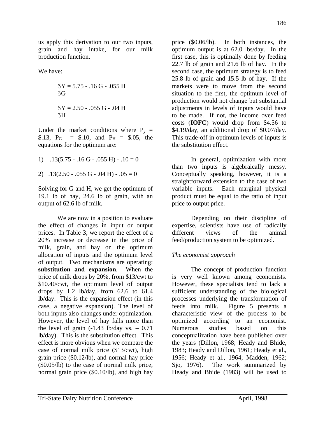us apply this derivation to our two inputs, grain and hay intake, for our milk

production function.

We have:

$$
\frac{\delta Y}{\delta G} = 5.75 - .16 \text{ G} - .055 \text{ H}
$$

$$
\frac{\delta Y}{\delta H} = 2.50 - .055 \text{ G} - .04 \text{ H}
$$

Under the market conditions where  $P_y$  = \$.13,  $P_G =$  \$.10, and  $P_H =$  \$.05, the equations for the optimum are:

1)  $.13(5.75 - .16 \text{ G} - .055 \text{ H}) - .10 = 0$ 

2)  $.13(2.50 - .055 \text{ G} - .04 \text{ H}) - .05 = 0$ 

Solving for G and H, we get the optimum of 19.1 lb of hay, 24.6 lb of grain, with an output of 62.6 lb of milk.

 We are now in a position to evaluate the effect of changes in input or output prices. In Table 3, we report the effect of a 20% increase or decrease in the price of milk, grain, and hay on the optimum allocation of inputs and the optimum level of output. Two mechanisms are operating: **substitution and expansion**. When the price of milk drops by 20%, from \$13/cwt to \$10.40/cwt, the optimum level of output drops by 1.2 lb/day, from 62.6 to 61.4 lb/day. This is the expansion effect (in this case, a negative expansion). The level of both inputs also changes under optimization. However, the level of hay falls more than the level of grain  $(-1.43 \text{ lb/day vs.} - 0.71)$ lb/day). This is the substitution effect. This effect is more obvious when we compare the case of normal milk price (\$13/cwt), high grain price (\$0.12/lb), and normal hay price (\$0.05/lb) to the case of normal milk price, normal grain price (\$0.10/lb), and high hay

price (\$0.06/lb). In both instances, the optimum output is at 62.0 lbs/day. In the first case, this is optimally done by feeding 22.7 lb of grain and 21.6 lb of hay. In the second case, the optimum strategy is to feed 25.8 lb of grain and 15.5 lb of hay. If the markets were to move from the second situation to the first, the optimum level of production would not change but substantial adjustments in levels of inputs would have to be made. If not, the income over feed costs (**IOFC**) would drop from \$4.56 to \$4.19/day, an additional drop of \$0.07/day. This trade-off in optimum levels of inputs is the substitution effect.

 In general, optimization with more than two inputs is algebraically messy. Conceptually speaking, however, it is a straightforward extension to the case of two variable inputs. Each marginal physical product must be equal to the ratio of input price to output price.

 Depending on their discipline of expertise, scientists have use of radically different views of the animal feed/production system to be optimized.

# *The economist approach*

 The concept of production function is very well known among economists. However, these specialists tend to lack a sufficient understanding of the biological processes underlying the transformation of feeds into milk. Figure 5 presents a characteristic view of the process to be optimized according to an economist. Numerous studies based on this conceptualization have been published over the years (Dillon, 1968; Heady and Bhide, 1983; Heady and Dillon, 1961; Heady et al., 1956; Heady et al., 1964; Madden, 1962; Sjo, 1976). The work summarized by Heady and Bhide (1983) will be used to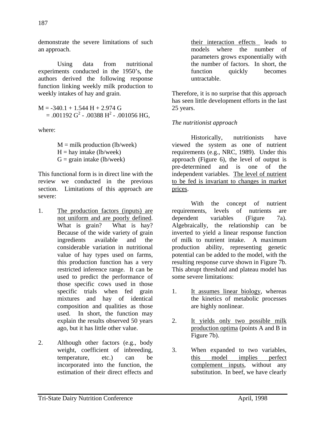demonstrate the severe limitations of such an approach.

 Using data from nutritional experiments conducted in the 1950's, the authors derived the following response function linking weekly milk production to weekly intakes of hay and grain.

 $M = -340.1 + 1.544 H + 2.974 G$  $= .001192 \text{ G}^2 - .00388 \text{ H}^2 - .001056 \text{ HG},$ 

where:

 $M =$  milk production (lb/week)  $H =$ hay intake (lb/week)  $G = \text{grain intake (lb/week)}$ 

This functional form is in direct line with the review we conducted in the previous section. Limitations of this approach are severe:

- 1. The production factors (inputs) are not uniform and are poorly defined. What is grain? What is hay? Because of the wide variety of grain ingredients available and the considerable variation in nutritional value of hay types used on farms, this production function has a very restricted inference range. It can be used to predict the performance of those specific cows used in those specific trials when fed grain mixtures and hay of identical composition and qualities as those used. In short, the function may explain the results observed 50 years ago, but it has little other value.
- 2. Although other factors (e.g., body weight, coefficient of inbreeding, temperature, etc.) can be incorporated into the function, the estimation of their direct effects and

their interaction effects leads to models where the number of parameters grows exponentially with the number of factors. In short, the function quickly becomes untractable.

Therefore, it is no surprise that this approach has seen little development efforts in the last 25 years.

## *The nutritionist approach*

 Historically, nutritionists have viewed the system as one of nutrient requirements (e.g., NRC, 1989). Under this approach (Figure 6), the level of output is pre-determined and is one of the independent variables. The level of nutrient to be fed is invariant to changes in market prices.

 With the concept of nutrient requirements, levels of nutrients are dependent variables (Figure 7a). Algebraically, the relationship can be inverted to yield a linear response function of milk to nutrient intake. A maximum production ability, representing genetic potential can be added to the model, with the resulting response curve shown in Figure 7b. This abrupt threshold and plateau model has some severe limitations:

- 1. It assumes linear biology, whereas the kinetics of metabolic processes are highly nonlinear.
- 2. It yields only two possible milk production optima (points A and B in Figure 7b).
- 3. When expanded to two variables, this model implies perfect complement inputs, without any substitution. In beef, we have clearly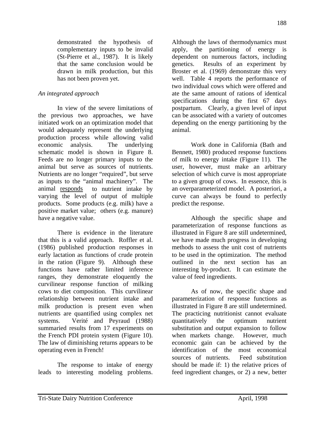demonstrated the hypothesis of complementary inputs to be invalid (St-Pierre et al., 1987). It is likely that the same conclusion would be drawn in milk production, but this has not been proven yet.

# *An integrated approach*

 In view of the severe limitations of the previous two approaches, we have initiated work on an optimization model that would adequately represent the underlying production process while allowing valid economic analysis. The underlying schematic model is shown in Figure 8. Feeds are no longer primary inputs to the animal but serve as sources of nutrients. Nutrients are no longer "required", but serve as inputs to the "animal machinery". The animal responds to nutrient intake by varying the level of output of multiple products. Some products (e.g. milk) have a positive market value; others (e.g. manure) have a negative value.

 There is evidence in the literature that this is a valid approach. Roffler et al. (1986) published production responses in early lactation as functions of crude protein in the ration (Figure 9). Although these functions have rather limited inference ranges, they demonstrate eloquently the curvilinear response function of milking cows to diet composition. This curvilinear relationship between nutrient intake and milk production is present even when nutrients are quantified using complex net systems. Verité and Peyraud (1988) summaried results from 17 experiments on the French PDI protein system (Figure 10). The law of diminishing returns appears to be operating even in French!

 The response to intake of energy leads to interesting modeling problems. Although the laws of thermodynamics must apply, the partitioning of energy is dependent on numerous factors, including genetics. Results of an experiment by Broster et al. (1969) demonstrate this very well. Table 4 reports the performance of two individual cows which were offered and ate the same amount of rations of identical specifications during the first 67 days postpartum. Clearly, a given level of input can be associated with a variety of outcomes depending on the energy partitioning by the animal.

 Work done in California (Bath and Bennett, 1980) produced response functions of milk to energy intake (Figure 11). The user, however, must make an arbitrary selection of which curve is most appropriate to a given group of cows. In essence, this is an overparameterized model. A posteriori, a curve can always be found to perfectly predict the response.

 Although the specific shape and parameterization of response functions as illustrated in Figure 8 are still undetermined, we have made much progress in developing methods to assess the unit cost of nutrients to be used in the optimization. The method outlined in the next section has an interesting by-product. It can estimate the value of feed ingredients.

 As of now, the specific shape and parameterization of response functions as illustrated in Figure 8 are still undetermined. The practicing nutritionist cannot evaluate quantitatively the optimum nutrient substitution and output expansion to follow when markets change. However, much economic gain can be achieved by the identification of the most economical sources of nutrients. Feed substitution should be made if: 1) the relative prices of feed ingredient changes, or 2) a new, better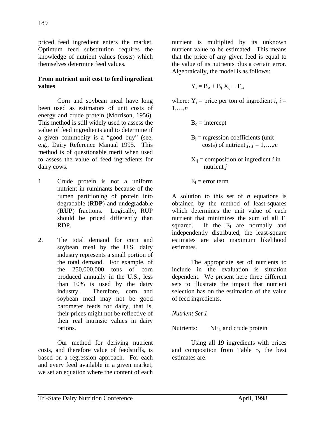priced feed ingredient enters the market. Optimum feed substitution requires the knowledge of nutrient values (costs) which themselves determine feed values.

### **From nutrient unit cost to feed ingredient values**

 Corn and soybean meal have long been used as estimators of unit costs of energy and crude protein (Morrison, 1956). This method is still widely used to assess the value of feed ingredients and to determine if a given commodity is a "good buy" (see, e.g., Dairy Reference Manual 1995. This method is of questionable merit when used to assess the value of feed ingredients for dairy cows.

- 1. Crude protein is not a uniform nutrient in ruminants because of the rumen partitioning of protein into degradable (**RDP**) and undegradable (**RUP**) fractions. Logically, RUP should be priced differently than RDP.
- 2. The total demand for corn and soybean meal by the U.S. dairy industry represents a small portion of the total demand. For example, of the 250,000,000 tons of corn produced annually in the U.S., less than 10% is used by the dairy industry. Therefore, corn and soybean meal may not be good barometer feeds for dairy, that is, their prices might not be reflective of their real intrinsic values in dairy rations.

 Our method for deriving nutrient costs, and therefore value of feedstuffs, is based on a regression approach. For each and every feed available in a given market, we set an equation where the content of each

nutrient is multiplied by its unknown nutrient value to be estimated. This means that the price of any given feed is equal to the value of its nutrients plus a certain error. Algebraically, the model is as follows:

$$
Y_i = B_o + B_j X_{ij} + E_I,
$$

where:  $Y_i$  = price per ton of ingredient *i*, *i* = 1,…,*n*

- $B<sub>o</sub>$  = intercept
- $B_i$  = regression coefficients (unit costs) of nutrient  $i, i = 1,...,m$
- $X_{ij}$  = composition of ingredient *i* in nutrient *j*

 $E_i$  = error term

A solution to this set of *n* equations is obtained by the method of least-squares which determines the unit value of each nutrient that minimizes the sum of all Ei squared. If the  $E_i$  are normally and independently distributed, the least-square estimates are also maximum likelihood estimates.

 The appropriate set of nutrients to include in the evaluation is situation dependent. We present here three different sets to illustrate the impact that nutrient selection has on the estimation of the value of feed ingredients.

### *Nutrient Set 1*

Nutrients: NE<sub>L</sub> and crude protein

 Using all 19 ingredients with prices and composition from Table 5, the best estimates are: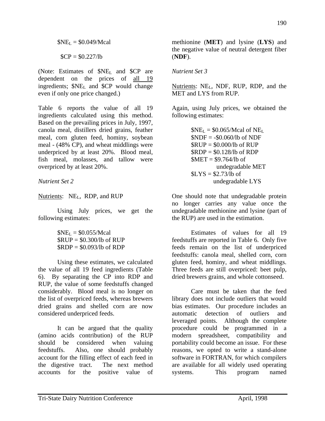$N_{\rm E} = $0.049/\text{Mcal}$ 

 $$CP = $0.227/lb$ 

(Note: Estimates of \$NEL and \$CP are dependent on the prices of all 19 ingredients; \$NEL and \$CP would change even if only one price changed.)

Table 6 reports the value of all 19 ingredients calculated using this method. Based on the prevailing prices in July, 1997, canola meal, distillers dried grains, feather meal, corn gluten feed, hominy, soybean meal - (48% CP), and wheat middlings were underpriced by at least 20%. Blood meal, fish meal, molasses, and tallow were overpriced by at least 20%.

*Nutrient Set 2* 

Nutrients: NE<sub>L</sub>, RDP, and RUP

 Using July prices, we get the following estimates:

> $$NE<sub>L</sub> = $0.055/Mcal$  $$RUP = $0.300/lb$  of  $RUP$  $$RDP = $0.093/lb$  of  $RDP$

Using these estimates, we calculated the value of all 19 feed ingredients (Table 6). By separating the CP into RDP and RUP, the value of some feedstuffs changed considerably. Blood meal is no longer on the list of overpriced feeds, whereas brewers dried grains and shelled corn are now considered underpriced feeds.

 It can be argued that the quality (amino acids contribution) of the RUP should be considered when valuing feedstuffs. Also, one should probably account for the filling effect of each feed in the digestive tract. The next method accounts for the positive value of

methionine (**MET**) and lysine (**LYS**) and the negative value of neutral detergent fiber (**NDF**).

## *Nutrient Set 3*

Nutrients: NEL, NDF, RUP, RDP, and the MET and LYS from RUP.

Again, using July prices, we obtained the following estimates:

> $SNE<sub>L</sub> = $0.065/Mcal of NE<sub>L</sub>$  $SNDF = -\$0.060/lb$  of NDF  $RUP = $0.000/h$  of RUP  $$RDP = $0.128/b$ of RDP$  $$MET = $9.764/lb$  of undegradable MET  $SLYS = $2.73/lb$  of undegradable LYS

One should note that undegradable protein no longer carries any value once the undegradable methionine and lysine (part of the RUP) are used in the estimation.

 Estimates of values for all 19 feedstuffs are reported in Table 6. Only five feeds remain on the list of underpriced feedstuffs: canola meal, shelled corn, corn gluten feed, hominy, and wheat middlings. Three feeds are still overpriced: beet pulp, dried brewers grains, and whole cottonseed.

 Care must be taken that the feed library does not include outliers that would bias estimates. Our procedure includes an automatic detection of outliers and leveraged points. Although the complete procedure could be programmed in a modern spreadsheet, compatibility and portability could become an issue. For these reasons, we opted to write a stand-alone software in FORTRAN, for which compilers are available for all widely used operating systems. This program named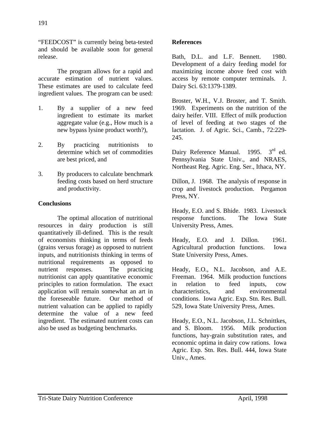"FEEDCOST" is currently being beta-tested and should be available soon for general release.

 The program allows for a rapid and accurate estimation of nutrient values. These estimates are used to calculate feed ingredient values. The program can be used:

- 1. By a supplier of a new feed ingredient to estimate its market aggregate value (e.g., How much is a new bypass lysine product worth?),
- 2. By practicing nutritionists to determine which set of commodities are best priced, and
- 3. By producers to calculate benchmark feeding costs based on herd structure and productivity.

### **Conclusions**

 The optimal allocation of nutritional resources in dairy production is still quantitatively ill-defined. This is the result of economists thinking in terms of feeds (grains versus forage) as opposed to nutrient inputs, and nutritionists thinking in terms of nutritional requirements as opposed to nutrient responses. The practicing nutritionist can apply quantitative economic principles to ration formulation. The exact application will remain somewhat an art in the foreseeable future. Our method of nutrient valuation can be applied to rapidly determine the value of a new feed ingredient. The estimated nutrient costs can also be used as budgeting benchmarks.

### **References**

Bath, D.L. and L.F. Bennett. 1980. Development of a dairy feeding model for maximizing income above feed cost with access by remote computer terminals. J. Dairy Sci. 63:1379-1389.

Broster, W.H., V.J. Broster, and T. Smith. 1969. Experiments on the nutrition of the dairy heifer. VIII. Effect of milk production of level of feeding at two stages of the lactation. J. of Agric. Sci., Camb., 72:229- 245.

Dairy Reference Manual. 1995. 3rd ed. Pennsylvania State Univ., and NRAES, Northeast Reg. Agric. Eng. Ser., Ithaca, NY.

Dillon, J. 1968. The analysis of response in crop and livestock production. Pergamon Press, NY.

Heady, E.O. and S. Bhide. 1983. Livestock response functions. The Iowa State University Press, Ames.

Heady, E.O. and J. Dillon. 1961. Agricultural production functions. Iowa State University Press, Ames.

Heady, E.O., N.L. Jacobson, and A.E. Freeman. 1964. Milk production functions in relation to feed inputs, cow characteristics, and environmental conditions. Iowa Agric. Exp. Stn. Res. Bull. 529, Iowa State University Press, Ames.

Heady, E.O., N.L. Jacobson, J.L. Schnittkes, and S. Bloom. 1956. Milk production functions, hay-grain substitution rates, and economic optima in dairy cow rations. Iowa Agric. Exp. Stn. Res. Bull. 444, Iowa State Univ., Ames.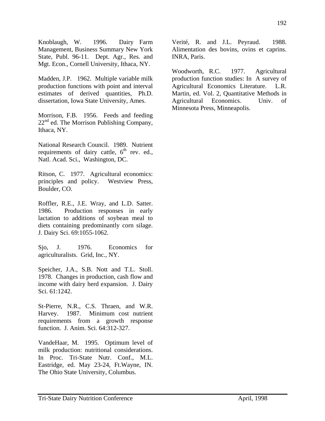Knoblaugh, W. 1996. Dairy Farm Management, Business Summary New York State, Publ. 96-11. Dept. Agr., Res. and Mgt. Econ., Cornell University, Ithaca, NY.

Madden, J.P. 1962. Multiple variable milk production functions with point and interval estimates of derived quantities, Ph.D. dissertation, Iowa State University, Ames.

Morrison, F.B. 1956. Feeds and feeding 22<sup>nd</sup> ed. The Morrison Publishing Company, Ithaca, NY.

National Research Council. 1989. Nutrient requirements of dairy cattle,  $6<sup>th</sup>$  rev. ed., Natl. Acad. Sci., Washington, DC.

Ritson, C. 1977. Agricultural economics: principles and policy. Westview Press, Boulder, CO.

Roffler, R.E., J.E. Wray, and L.D. Satter. 1986. Production responses in early lactation to additions of soybean meal to diets containing predominantly corn silage. J. Dairy Sci. 69:1055-1062.

Sjo, J. 1976. Economics for agriculturalists. Grid, Inc., NY.

Speicher, J.A., S.B. Nott and T.L. Stoll. 1978. Changes in production, cash flow and income with dairy herd expansion. J. Dairy Sci. 61:1242.

St-Pierre, N.R., C.S. Thraen, and W.R. Harvey. 1987. Minimum cost nutrient requirements from a growth response function. J. Anim. Sci. 64:312-327.

VandeHaar, M. 1995. Optimum level of milk production: nutritional considerations. In Proc. Tri-State Nutr. Conf., M.L. Eastridge, ed. May 23-24, Ft.Wayne, IN. The Ohio State University, Columbus.

Verité, R. and J.L. Peyraud. 1988. Alimentation des bovins, ovins et caprins. INRA, Paris.

Woodworth, R.C. 1977. Agricultural production function studies: In A survey of Agricultural Economics Literature. L.R. Martin, ed. Vol. 2, Quantitative Methods in Agricultural Economics. Univ. of Minnesota Press, Minneapolis.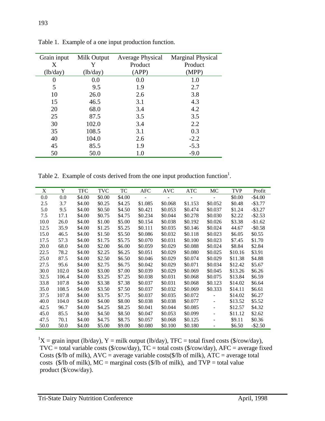| Grain input    | Milk Output | <b>Average Physical</b> | <b>Marginal Physical</b> |
|----------------|-------------|-------------------------|--------------------------|
| X              |             | Product                 | Product                  |
| (lb/day)       | (lb/day)    | (APP)                   | (MPP)                    |
| $\overline{0}$ | 0.0         | 0.0                     | 1.0                      |
| 5              | 9.5         | 1.9                     | 2.7                      |
| 10             | 26.0        | 2.6                     | 3.8                      |
| 15             | 46.5        | 3.1                     | 4.3                      |
| 20             | 68.0        | 3.4                     | 4.2                      |
| 25             | 87.5        | 3.5                     | 3.5                      |
| 30             | 102.0       | 3.4                     | 2.2                      |
| 35             | 108.5       | 3.1                     | 0.3                      |
| 40             | 104.0       | 2.6                     | $-2.2$                   |
| 45             | 85.5        | 1.9                     | $-5.3$                   |
| 50             | 50.0        | 1.0                     | $-9.0$                   |

Table 1. Example of a one input production function.

Table 2. Example of costs derived from the one input production function<sup>1</sup>.

| X    | Y     | TFC    | TVC    | TC     | AFC     | <b>AVC</b> | <b>ATC</b> | МC                       | <b>TVP</b> | Profit     |
|------|-------|--------|--------|--------|---------|------------|------------|--------------------------|------------|------------|
| 0.0  | 0.0   | \$4.00 | \$0.00 | \$4.00 |         |            |            |                          | \$0.00     | $-$ \$4.00 |
| 2.5  | 3.7   | \$4.00 | \$0.25 | \$4.25 | \$1.085 | \$0.068    | \$1.153    | \$0.052                  | \$0.48     | $-$ \$3.77 |
| 5.0  | 9.5   | \$4.00 | \$0.50 | \$4.50 | \$0.421 | \$0.053    | \$0.474    | \$0.037                  | \$1.24     | $-$ \$3.27 |
| 7.5  | 17.1  | \$4.00 | \$0.75 | \$4.75 | \$0.234 | \$0.044    | \$0.278    | \$0.030                  | \$2.22     | $-$ \$2.53 |
| 10.0 | 26.0  | \$4.00 | \$1.00 | \$5.00 | \$0.154 | \$0.038    | \$0.192    | \$0.026                  | \$3.38     | $-\$1.62$  |
| 12.5 | 35.9  | \$4.00 | \$1.25 | \$5.25 | \$0.111 | \$0.035    | \$0.146    | \$0.024                  | 44.67      | $-$0.58$   |
| 15.0 | 46.5  | \$4.00 | \$1.50 | \$5.50 | \$0.086 | \$0.032    | \$0.118    | \$0.023                  | \$6.05     | \$0.55     |
| 17.5 | 57.3  | \$4.00 | \$1.75 | \$5.75 | \$0.070 | \$0.031    | \$0.100    | \$0.023                  | \$7.45     | \$1.70     |
| 20.0 | 68.0  | \$4.00 | \$2.00 | \$6.00 | \$0.059 | \$0.029    | \$0.088    | \$0.024                  | \$8.84     | \$2.84     |
| 22.5 | 78.2  | \$4.00 | \$2.25 | \$6.25 | \$0.051 | \$0.029    | \$0.080    | \$0.025                  | \$10.16    | \$3.91     |
| 25.0 | 87.5  | \$4.00 | \$2.50 | \$6.50 | \$0.046 | \$0.029    | \$0.074    | \$0.029                  | \$11.38    | \$4.88     |
| 27.5 | 95.6  | \$4.00 | \$2.75 | \$6.75 | \$0.042 | \$0.029    | \$0.071    | \$0.034                  | \$12.42    | \$5.67     |
| 30.0 | 102.0 | \$4.00 | \$3.00 | \$7.00 | \$0.039 | \$0.029    | \$0.069    | \$0.045                  | \$13.26    | \$6.26     |
| 32.5 | 106.4 | \$4.00 | \$3.25 | \$7.25 | \$0.038 | \$0.031    | \$0.068    | \$0.075                  | \$13.84    | \$6.59     |
| 33.8 | 107.8 | \$4.00 | \$3.38 | \$7.38 | \$0.037 | \$0.031    | \$0.068    | \$0.123                  | \$14.02    | \$6.64     |
| 35.0 | 108.5 | \$4.00 | \$3.50 | \$7.50 | \$0.037 | \$0.032    | \$0.069    | \$0.333                  | \$14.11    | \$6.61     |
| 37.5 | 107.8 | \$4.00 | \$3.75 | \$7.75 | \$0.037 | \$0.035    | \$0.072    |                          | \$14.02    | \$6.27     |
| 40.0 | 104.0 | \$4.00 | \$4.00 | \$8.00 | \$0.038 | \$0.038    | \$0.077    | $\overline{\phantom{a}}$ | \$13.52    | \$5.52     |
| 42.5 | 96.7  | \$4.00 | \$4.25 | \$8.25 | \$0.041 | \$0.044    | \$0.085    |                          | \$12.57    | \$4.32     |
| 45.0 | 85.5  | \$4.00 | \$4.50 | \$8.50 | \$0.047 | \$0.053    | \$0.099    |                          | \$11.12    | \$2.62     |
| 47.5 | 70.1  | \$4.00 | \$4.75 | \$8.75 | \$0.057 | \$0.068    | \$0.125    |                          | \$9.11     | \$0.36     |
| 50.0 | 50.0  | \$4.00 | \$5.00 | \$9.00 | \$0.080 | \$0.100    | \$0.180    |                          | \$6.50     | $-$ \$2.50 |

<sup>1</sup>X = grain input (lb/day), Y = milk output (lb/day), TFC = total fixed costs (\$/cow/day),  $TVC = total variable costs$  ( $\frac{\sqrt{2}}{2}$ ,  $TC = total costs$  ( $\frac{\sqrt{2}}{2}$ ,  $TC = total cost$  ( $\frac{\sqrt{2}}{2}$ ),  $AFC = average fixed$ Costs (\$/lb of milk),  $AVC = average variable costs$  (\$/lb of milk),  $ATC = average total$ costs (\$/lb of milk),  $MC =$  marginal costs (\$/lb of milk), and  $TVP =$  total value product (\$/cow/day).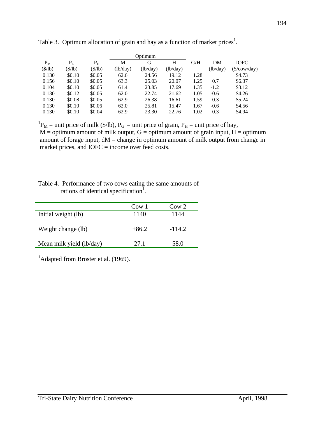| Optimum          |                  |                  |          |          |          |      |          |                               |
|------------------|------------------|------------------|----------|----------|----------|------|----------|-------------------------------|
| $P_M$            | $P_G$            | $P_{H}$          | М        | G        | H        | G/H  | DM       | <b>IOFC</b>                   |
| $(\frac{$}{lb})$ | $(\frac{$}{lb})$ | $(\frac{$}{lb})$ | (lb/day) | (lb/day) | (lb/day) |      | (lb/day) | $(\frac{\sqrt{2}}{\sqrt{2}})$ |
| 0.130            | \$0.10           | \$0.05           | 62.6     | 24.56    | 19.12    | 1.28 |          | \$4.73                        |
| 0.156            | \$0.10           | \$0.05           | 63.3     | 25.03    | 20.07    | 1.25 | 0.7      | \$6.37                        |
| 0.104            | \$0.10           | \$0.05           | 61.4     | 23.85    | 17.69    | 1.35 | $-1.2$   | \$3.12                        |
| 0.130            | \$0.12           | \$0.05           | 62.0     | 22.74    | 21.62    | 1.05 | $-0.6$   | \$4.26                        |
| 0.130            | \$0.08           | \$0.05           | 62.9     | 26.38    | 16.61    | 1.59 | 0.3      | \$5.24                        |
| 0.130            | \$0.10           | \$0.06           | 62.0     | 25.81    | 15.47    | 1.67 | $-0.6$   | \$4.56                        |
| 0.130            | \$0.10           | \$0.04           | 62.9     | 23.30    | 22.76    | 1.02 | 0.3      | \$4.94                        |

Table 3. Optimum allocation of grain and hay as a function of market prices<sup>1</sup>.

<sup>1</sup> $P_M$  = unit price of milk (\$/lb),  $P_G$  = unit price of grain,  $P_H$  = unit price of hay,

 $M =$  optimum amount of milk output,  $G =$  optimum amount of grain input,  $H =$  optimum amount of forage input, dM = change in optimum amount of milk output from change in market prices, and IOFC = income over feed costs.

| Table 4. Performance of two cows eating the same amounts of |  |
|-------------------------------------------------------------|--|
| rations of identical specification <sup>1</sup> .           |  |

|                          | $\text{Cow} 1$ | $\cos 2$ |
|--------------------------|----------------|----------|
| Initial weight (lb)      | 1140           | 1144     |
| Weight change (lb)       | $+86.2$        | $-114.2$ |
| Mean milk yield (lb/day) | 27.1           | 58.0     |
|                          |                |          |

<sup>1</sup>Adapted from Broster et al. (1969).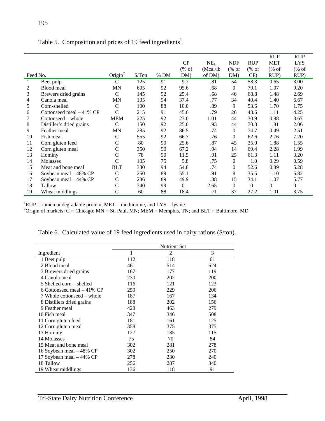|          |                            |                        |                 |         |          |                 |                  |                | <b>RUP</b>     | <b>RUP</b> |
|----------|----------------------------|------------------------|-----------------|---------|----------|-----------------|------------------|----------------|----------------|------------|
|          |                            |                        |                 |         | CP       | NE <sub>L</sub> | <b>NDF</b>       | <b>RUP</b>     | <b>MET</b>     | <b>LYS</b> |
|          |                            |                        |                 |         | (% of    | (Mcal/lb)       | $%$ of           | $%$ of         | (% of          | % of       |
| Feed No. |                            | $O$ rigin <sup>2</sup> | $\sqrt{\pi}$ on | $\%$ DM | DM)      | of DM)          | DM)              | CP             | RUP)           | RUP)       |
| 1        | Beet pulp                  | С                      | 125             | 91      | 9.7      | .81             | 54               | 58.3           | 0.65           | 3.00       |
| 2        | Blood meal                 | <b>MN</b>              | 605             | 92      | 95.6     | .68             | $\mathbf{0}$     | 79.1           | 1.07           | 9.20       |
| 3        | Brewers dried grains       | $\mathsf{C}$           | 145             | 92      | 25.4     | .68             | 46               | 68.8           | 1.48           | 2.69       |
| 4        | Canola meal                | MN                     | 135             | 94      | 37.4     | .77             | 34               | 40.4           | 1.40           | 6.67       |
| 5        | Corn-shelled               | $\mathcal{C}$          | 100             | 88      | 10.0     | .89             | 9                | 53.6           | 1.70           | 1.75       |
| 6        | Cottonseed meal $-41\%$ CP | $\mathsf{C}$           | 215             | 91      | 45.6     | .79             | 26               | 43.6           | 1.11           | 4.25       |
|          | Cottonseed – whole         | <b>MEM</b>             | 225             | 92      | 23.0     | 1.01            | 44               | 30.9           | 0.88           | 3.67       |
| 8        | Distiller's dried grains   | $\mathsf{C}$           | 150             | 92      | 25.0     | .93             | 44               | 70.3           | 1.81           | 2.06       |
| 9        | Feather meal               | MN                     | 285             | 92      | 86.5     | .74             | $\theta$         | 74.7           | 0.49           | 2.51       |
| 10       | Fish meal                  | C                      | 555             | 92      | 66.7     | .76             | $\Omega$         | 62.6           | 2.76           | 7.20       |
| 11       | Corn gluten feed           | $\mathcal{C}$          | 80              | 90      | 25.6     | .87             | 45               | 35.0           | 1.88           | 1.55       |
| 12       | Corn gluten meal           | $\mathsf{C}$           | 350             | 90      | 67.2     | .94             | 14               | 69.4           | 2.28           | 1.99       |
| 13       | Hominy                     | $\mathsf{C}$           | 78              | 90      | 11.5     | .91             | 25               | 61.3           | 1.11           | 3.20       |
| 14       | <b>Molasses</b>            | $\mathcal{C}$          | 105             | 75      | 5.8      | .75             | $\overline{0}$   | 1.0            | 0.29           | 0.59       |
| 15       | Meat and bone meal         | <b>BLT</b>             | 330             | 94      | 54.8     | .74             | $\theta$         | 52.6           | 0.89           | 5.28       |
| 16       | Soybean meal $-48%$ CP     | C                      | 250             | 89      | 55.1     | .91             | 8                | 35.5           | 1.10           | 5.82       |
| 17       | Soybean meal - 44% CP      | $\mathsf{C}$           | 236             | 89      | 49.9     | .88             | 15               | 34.1           | 1.07           | 5.77       |
| 18       | Tallow                     | C                      | 340             | 99      | $\Omega$ | 2.65            | $\boldsymbol{0}$ | $\overline{0}$ | $\overline{0}$ | 0          |
| 19       | Wheat middlings            | $\mathsf{C}$           | 60              | 88      | 18.4     | .71             | 37               | 27.2           | 1.01           | 3.75       |

Table 5. Composition and prices of 19 feed ingredients<sup>1</sup>.

<sup>1</sup>RUP = rumen undegradable protein, MET = methionine, and LYS = lysine.<br><sup>2</sup>Origin of markets: C = Chicago; MN = St. Paul, MN; MEM = Memphis, TN; and BLT = Baltimore, MD

|                              |     | <b>Nutrient Set</b> |     |
|------------------------------|-----|---------------------|-----|
| Ingredient                   |     | $\overline{2}$      | 3   |
| 1 Beet pulp                  | 112 | 118                 | 61  |
| 2 Blood meal                 | 461 | 514                 | 624 |
| 3 Brewers dried grains       | 167 | 177                 | 119 |
| 4 Canola meal                | 230 | 202                 | 200 |
| 5 Shelled corn - shelled     | 116 | 121                 | 123 |
| 6 Cottonseed meal $-41\%$ CP | 259 | 229                 | 206 |
| 7 Whole cottonseed – whole   | 187 | 167                 | 134 |
| 8 Distillers dried grains    | 188 | 202                 | 156 |
| 9 Feather meal               | 428 | 463                 | 279 |
| 10 Fish meal                 | 347 | 346                 | 508 |
| 11 Corn gluten feed          | 181 | 161                 | 125 |
| 12 Corn gluten meal          | 358 | 375                 | 375 |
| 13 Hominy                    | 127 | 135                 | 115 |
| 14 Molasses                  | 75  | 70                  | 84  |
| 15 Meat and bone meal        | 302 | 281                 | 278 |
| 16 Soybean meal – 48% CP     | 302 | 250                 | 270 |
| 17 Soybean meal – 44% CP     | 278 | 230                 | 240 |
| 18 Tallow                    | 256 | 287                 | 340 |
| 19 Wheat middlings           | 136 | 118                 | 91  |

Table 6. Calculated value of 19 feed ingredients used in dairy rations (\$/ton).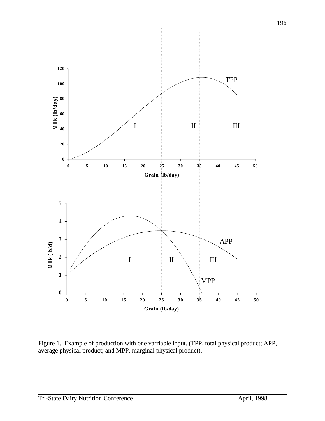

Figure 1. Example of production with one varriable input. (TPP, total physical product; APP, average physical product; and MPP, marginal physical product).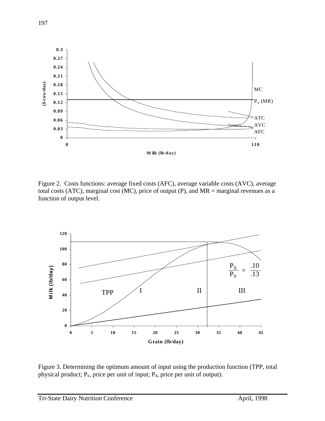

Figure 2. Costs functions: average fixed costs (AFC), average variable costs (AVC), average total costs (ATC), marginal cost (MC), price of output (P), and  $MR =$  marginal revenues as a function of output level.



Figure 3. Determining the optimum amount of input using the production function (TPP, total physical product;  $P_x$ , price per unit of input;  $P_4$ , price per unit of output).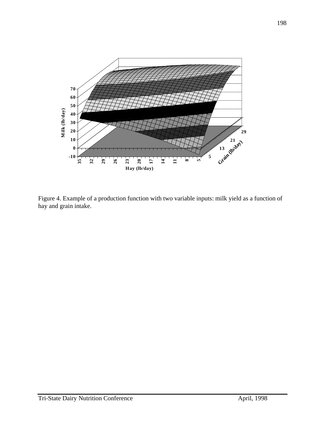

Figure 4. Example of a production function with two variable inputs: milk yield as a function of hay and grain intake.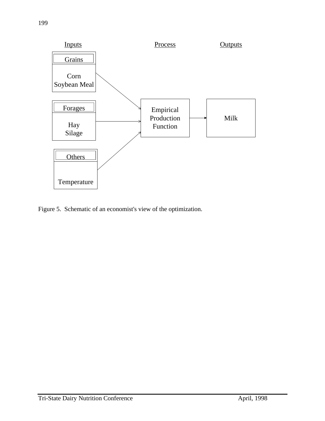

Figure 5. Schematic of an economist's view of the optimization.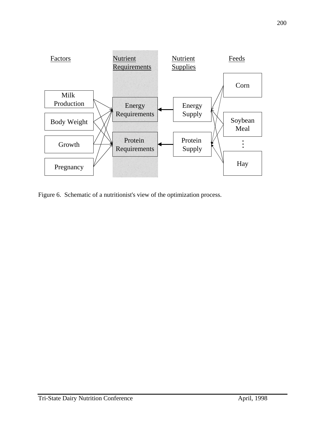

Figure 6. Schematic of a nutritionist's view of the optimization process.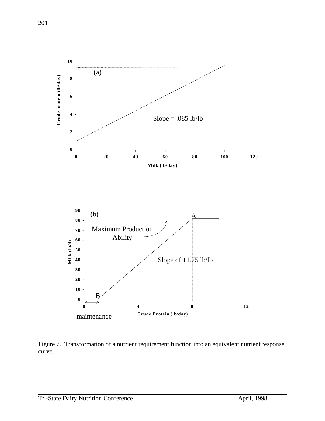

Figure 7. Transformation of a nutrient requirement function into an equivalent nutrient response curve.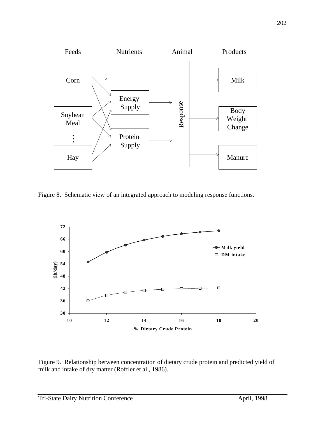

Figure 8. Schematic view of an integrated approach to modeling response functions.



Figure 9. Relationship between concentration of dietary crude protein and predicted yield of milk and intake of dry matter (Roffler et al., 1986).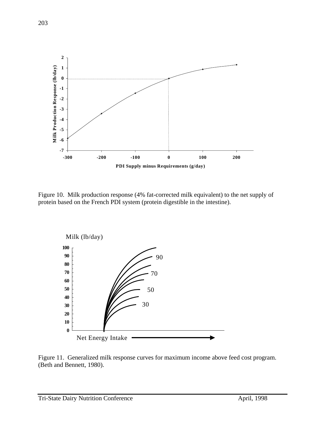

Figure 10. Milk production response (4% fat-corrected milk equivalent) to the net supply of protein based on the French PDI system (protein digestible in the intestine).



Figure 11. Generalized milk response curves for maximum income above feed cost program. (Beth and Bennett, 1980).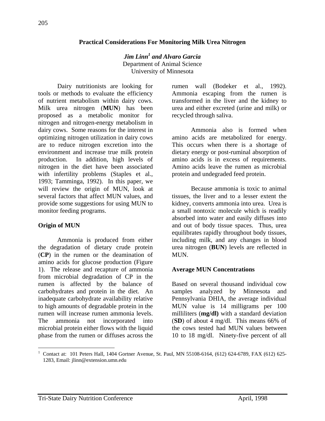### **Practical Considerations For Monitoring Milk Urea Nitrogen**

*Jim Linn1 and Alvaro Garcia*  Department of Animal Science University of Minnesota

Dairy nutritionists are looking for tools or methods to evaluate the efficiency of nutrient metabolism within dairy cows. Milk urea nitrogen (**MUN**) has been proposed as a metabolic monitor for nitrogen and nitrogen-energy metabolism in dairy cows. Some reasons for the interest in optimizing nitrogen utilization in dairy cows are to reduce nitrogen excretion into the environment and increase true milk protein production. In addition, high levels of nitrogen in the diet have been associated with infertility problems (Staples et al., 1993; Tamminga, 1992). In this paper, we will review the origin of MUN, look at several factors that affect MUN values, and provide some suggestions for using MUN to monitor feeding programs.

#### **Origin of MUN**

Ammonia is produced from either the degradation of dietary crude protein (**CP**) in the rumen or the deamination of amino acids for glucose production (Figure 1). The release and recapture of ammonia from microbial degradation of CP in the rumen is affected by the balance of carbohydrates and protein in the diet. An inadequate carbohydrate availability relative to high amounts of degradable protein in the rumen will increase rumen ammonia levels. The ammonia not incorporated into microbial protein either flows with the liquid phase from the rumen or diffuses across the

rumen wall (Bodeker et al., 1992). Ammonia escaping from the rumen is transformed in the liver and the kidney to urea and either excreted (urine and milk) or recycled through saliva.

Ammonia also is formed when amino acids are metabolized for energy. This occurs when there is a shortage of dietary energy or post-ruminal absorption of amino acids is in excess of requirements. Amino acids leave the rumen as microbial protein and undegraded feed protein.

Because ammonia is toxic to animal tissues, the liver and to a lesser extent the kidney, converts ammonia into urea. Urea is a small nontoxic molecule which is readily absorbed into water and easily diffuses into and out of body tissue spaces. Thus, urea equilibrates rapidly throughout body tissues, including milk, and any changes in blood urea nitrogen (**BUN**) levels are reflected in MUN.

#### **Average MUN Concentrations**

Based on several thousand individual cow samples analyzed by Minnesota and Pennsylvania DHIA, the average individual MUN value is 14 milligrams per 100 milliliters (**mg/dl)** with a standard deviation (**SD**) of about 4 mg/dl. This means 66% of the cows tested had MUN values between 10 to 18 mg/dl. Ninety-five percent of all

 1 Contact at: 101 Peters Hall, 1404 Gortner Avenue, St. Paul, MN 55108-6164, (612) 624-6789, FAX (612) 625- 1283, Email: jlinn@extension.umn.edu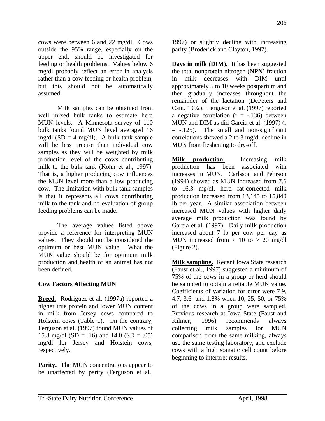cows were between 6 and 22 mg/dl. Cows outside the 95% range, especially on the upper end, should be investigated for feeding or health problems. Values below 6 mg/dl probably reflect an error in analysis rather than a cow feeding or health problem, but this should not be automatically assumed.

Milk samples can be obtained from well mixed bulk tanks to estimate herd MUN levels. A Minnesota survey of 110 bulk tanks found MUN level averaged 16 mg/dl  $(SD = 4 mg/dl)$ . A bulk tank sample will be less precise than individual cow samples as they will be weighted by milk production level of the cows contributing milk to the bulk tank (Kohn et al., 1997). That is, a higher producing cow influences the MUN level more than a low producing cow. The limitation with bulk tank samples is that it represents all cows contributing milk to the tank and no evaluation of group feeding problems can be made.

The average values listed above provide a reference for interpreting MUN values. They should not be considered the optimum or best MUN value. What the MUN value should be for optimum milk production and health of an animal has not been defined.

# **Cow Factors Affecting MUN**

**Breed.** Rodriguez et al. (1997a) reported a higher true protein and lower MUN content in milk from Jersey cows compared to Holstein cows (Table 1). On the contrary, Ferguson et al. (1997) found MUN values of 15.8 mg/dl  $(SD = .16)$  and 14.0  $(SD = .05)$ mg/dl for Jersey and Holstein cows, respectively.

**Parity.** The MUN concentrations appear to be unaffected by parity (Ferguson et al., 1997) or slightly decline with increasing parity (Broderick and Clayton, 1997).

**Days in milk (DIM).** It has been suggested the total nonprotein nitrogen (**NPN**) fraction in milk decreases with DIM until approximately 5 to 10 weeks postpartum and then gradually increases throughout the remainder of the lactation (DePeters and Cant, 1992). Ferguson et al. (1997) reported a negative correlation  $(r = -.136)$  between MUN and DIM as did Garcia et al. (1997) (r  $=$  -.125). The small and non-significant correlations showed a 2 to 3 mg/dl decline in MUN from freshening to dry-off.

**Milk production.** Increasing milk production has been associated with increases in MUN. Carlsson and Pehrson (1994) showed as MUN increased from 7.6 to 16.3 mg/dl, herd fat-corrected milk production increased from 13,145 to 15,840 lb per year. A similar association between increased MUN values with higher daily average milk production was found by Garcia et al. (1997). Daily milk production increased about 7 lb per cow per day as MUN increased from  $< 10$  to  $> 20$  mg/dl (Figure 2).

**Milk sampling.** Recent Iowa State research (Faust et al., 1997) suggested a minimum of 75% of the cows in a group or herd should be sampled to obtain a reliable MUN value. Coefficients of variation for error were 7.9, 4.7, 3.6 and 1.8% when 10, 25, 50, or 75% of the cows in a group were sampled. Previous research at Iowa State (Faust and Kilmer, 1996) recommends always collecting milk samples for MUN comparison from the same milking, always use the same testing laboratory, and exclude cows with a high somatic cell count before beginning to interpret results.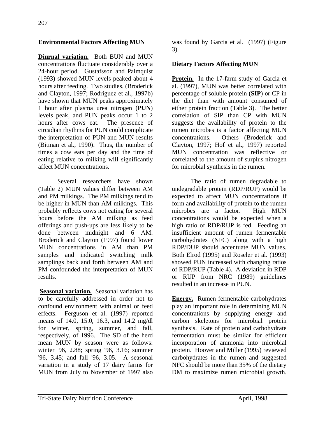## **Environmental Factors Affecting MUN**

**Diurnal variation.** Both BUN and MUN concentrations fluctuate considerably over a 24-hour period. Gustafsson and Palmquist (1993) showed MUN levels peaked about 4 hours after feeding. Two studies, (Broderick and Clayton, 1997; Rodriguez et al., 1997b) have shown that MUN peaks approximately 1 hour after plasma urea nitrogen (**PUN**) levels peak, and PUN peaks occur 1 to 2 hours after cows eat. The presence of circadian rhythms for PUN could complicate the interpretation of PUN and MUN results (Bitman et al., 1990). Thus, the number of times a cow eats per day and the time of eating relative to milking will significantly affect MUN concentrations.

Several researchers have shown (Table 2) MUN values differ between AM and PM milkings. The PM milkings tend to be higher in MUN than AM milkings. This probably reflects cows not eating for several hours before the AM milking as feed offerings and push-ups are less likely to be done between midnight and 6 AM. Broderick and Clayton (1997) found lower MUN concentrations in AM than PM samples and indicated switching milk samplings back and forth between AM and PM confounded the interpretation of MUN results.

**Seasonal variation.** Seasonal variation has to be carefully addressed in order not to confound environment with animal or feed effects. Ferguson et al. (1997) reported means of 14.0, 15.0, 16.3, and 14.2 mg/dl for winter, spring, summer, and fall, respectively, of 1996. The SD of the herd mean MUN by season were as follows: winter '96, 2.88; spring '96, 3.16; summer '96, 3.45; and fall '96, 3.05. A seasonal variation in a study of 17 dairy farms for MUN from July to November of 1997 also

was found by Garcia et al. (1997) (Figure 3).

### **Dietary Factors Affecting MUN**

**Protein.** In the 17-farm study of Garcia et al. (1997), MUN was better correlated with percentage of soluble protein (**SIP**) or CP in the diet than with amount consumed of either protein fraction (Table 3). The better correlation of SIP than CP with MUN suggests the availability of protein to the rumen microbes is a factor affecting MUN concentrations. Others (Broderick and Clayton, 1997; Hof et al., 1997) reported MUN concentration was reflective or correlated to the amount of surplus nitrogen for microbial synthesis in the rumen.

The ratio of rumen degradable to undegradable protein (RDP/RUP) would be expected to affect MUN concentrations if form and availability of protein to the rumen microbes are a factor. High MUN concentrations would be expected when a high ratio of RDP/RUP is fed. Feeding an insufficient amount of rumen fermentable carbohydrates (NFC) along with a high RDP/DUP should accentuate MUN values. Both Elrod (1995) and Roseler et al. (1993) showed PUN increased with changing ratios of RDP/RUP (Table 4). A deviation in RDP or RUP from NRC (1989) guidelines resulted in an increase in PUN.

**Energy.** Rumen fermentable carbohydrates play an important role in determining MUN concentrations by supplying energy and carbon skeletons for microbial protein synthesis. Rate of protein and carbohydrate fermentation must be similar for efficient incorporation of ammonia into microbial protein. Hoover and Miller (1995) reviewed carbohydrates in the rumen and suggested NFC should be more than 35% of the dietary DM to maximize rumen microbial growth.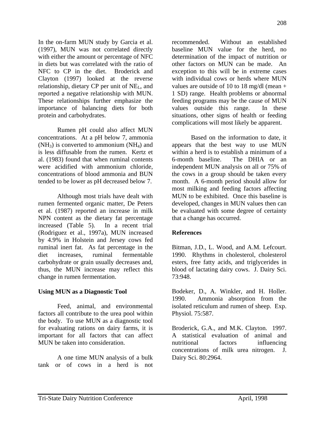In the on-farm MUN study by Garcia et al. (1997), MUN was not correlated directly with either the amount or percentage of NFC in diets but was correlated with the ratio of NFC to CP in the diet. Broderick and Clayton (1997) looked at the reverse relationship, dietary CP per unit of NEL, and reported a negative relationship with MUN. These relationships further emphasize the importance of balancing diets for both protein and carbohydrates.

Rumen pH could also affect MUN concentrations. At a pH below 7, ammonia  $(NH_3)$  is converted to ammonium  $(NH_4)$  and is less diffusable from the rumen. Kertz et al. (1983) found that when ruminal contents were acidified with ammonium chloride, concentrations of blood ammonia and BUN tended to be lower as pH decreased below 7.

Although most trials have dealt with rumen fermented organic matter, De Peters et al. (1987) reported an increase in milk NPN content as the dietary fat percentage increased (Table 5). In a recent trial (Rodriguez et al., 1997a), MUN increased by 4.9% in Holstein and Jersey cows fed ruminal inert fat. As fat percentage in the diet increases, ruminal fermentable carbohydrate or grain usually decreases and, thus, the MUN increase may reflect this change in rumen fermentation.

## **Using MUN as a Diagnostic Tool**

Feed, animal, and environmental factors all contribute to the urea pool within the body. To use MUN as a diagnostic tool for evaluating rations on dairy farms, it is important for all factors that can affect MUN be taken into consideration.

A one time MUN analysis of a bulk tank or of cows in a herd is not recommended. Without an established baseline MUN value for the herd, no determination of the impact of nutrition or other factors on MUN can be made. An exception to this will be in extreme cases with individual cows or herds where MUN values are outside of 10 to 18 mg/dl (mean  $+$ 1 SD) range. Health problems or abnormal feeding programs may be the cause of MUN values outside this range. In these situations, other signs of health or feeding complications will most likely be apparent.

Based on the information to date, it appears that the best way to use MUN within a herd is to establish a minimum of a 6-month baseline. The DHIA or an independent MUN analysis on all or 75% of the cows in a group should be taken every month. A 6-month period should allow for most milking and feeding factors affecting MUN to be exhibited. Once this baseline is developed, changes in MUN values then can be evaluated with some degree of certainty that a change has occurred.

## **References**

Bitman, J.D., L. Wood, and A.M. Lefcourt. 1990. Rhythms in cholesterol, cholesterol esters, free fatty acids, and triglycerides in blood of lactating dairy cows. J. Dairy Sci. 73:948.

Bodeker, D., A. Winkler, and H. Holler. 1990. Ammonia absorption from the isolated reticulum and rumen of sheep. Exp. Physiol. 75:587.

Broderick, G.A., and M.K. Clayton. 1997. A statistical evaluation of animal and nutritional factors influencing concentrations of milk urea nitrogen. J. Dairy Sci. 80:2964.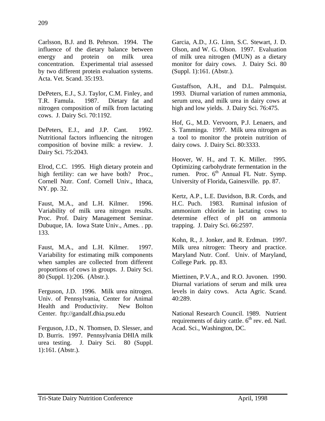Carlsson, B.J. and B. Pehrson. 1994. The influence of the dietary balance between energy and protein on milk urea concentration. Experimental trial assessed by two different protein evaluation systems. Acta. Vet. Scand. 35:193.

DePeters, E.J., S.J. Taylor, C.M. Finley, and T.R. Famula. 1987. Dietary fat and nitrogen composition of milk from lactating cows. J. Dairy Sci. 70:1192.

DePeters, E.J., and J.P. Cant. 1992. Nutritional factors influencing the nitrogen composition of bovine milk: a review. J. Dairy Sci. 75:2043.

Elrod, C.C. 1995. High dietary protein and high fertility: can we have both? Proc., Cornell Nutr. Conf. Cornell Univ., Ithaca, NY. pp. 32.

Faust, M.A., and L.H. Kilmer. 1996. Variability of milk urea nitrogen results. Proc. Prof. Dairy Management Seminar. Dubuque, IA. Iowa State Univ., Ames. . pp. 133.

Faust, M.A., and L.H. Kilmer. 1997. Variability for estimating milk components when samples are collected from different proportions of cows in groups. J. Dairy Sci. 80 (Suppl. 1):206. (Abstr.).

Ferguson, J.D. 1996. Milk urea nitrogen. Univ. of Pennsylvania, Center for Animal Health and Productivity. New Bolton Center. ftp://gandalf.dhia.psu.edu

Ferguson, J.D., N. Thomsen, D. Slesser, and D. Burris. 1997. Pennsylvania DHIA milk urea testing. J. Dairy Sci. 80 (Suppl. 1):161. (Abstr.).

Garcia, A.D., J.G. Linn, S.C. Stewart, J. D. Olson, and W. G. Olson. 1997. Evaluation of milk urea nitrogen (MUN) as a dietary monitor for dairy cows. J. Dairy Sci. 80 (Suppl. 1):161. (Abstr.).

Gustaffson, A.H., and D.L. Palmquist. 1993. Diurnal variation of rumen ammonia, serum urea, and milk urea in dairy cows at high and low yields. J. Dairy Sci. 76:475.

Hof, G., M.D. Vervoorn, P.J. Lenaers, and S. Tamminga. 1997. Milk urea nitrogen as a tool to monitor the protein nutrition of dairy cows. J. Dairy Sci. 80:3333.

Hoover, W. H., and T. K. Miller. !995. Optimizing carbohydrate fermentation in the rumen. Proc. 6<sup>th</sup> Annual FL Nutr. Symp. University of Florida, Gainesville. pp. 87.

Kertz, A.P., L.E. Davidson, B.R. Cords, and H.C. Puch. 1983. Ruminal infusion of ammonium chloride in lactating cows to determine effect of pH on ammonia trapping. J. Dairy Sci. 66:2597.

Kohn, R., J. Jonker, and R. Erdman. 1997. Milk urea nitrogen: Theory and practice. Maryland Nutr. Conf. Univ. of Maryland, College Park. pp. 83.

Miettinen, P.V.A., and R.O. Juvonen. 1990. Diurnal variations of serum and milk urea levels in dairy cows. Acta Agric. Scand. 40:289.

National Research Council. 1989. Nutrient requirements of dairy cattle.  $6<sup>th</sup>$  rev. ed. Natl. Acad. Sci., Washington, DC.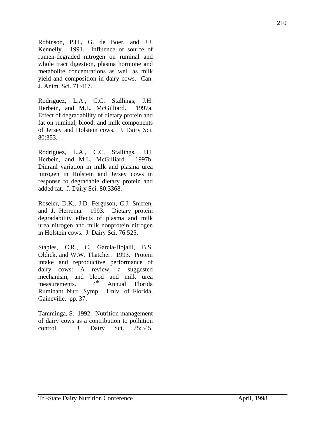Robinson, P.H., G. de Boer, and J.J. Kennelly. 1991. Influence of source of rumen-degraded nitrogen on ruminal and whole tract digestion, plasma hormone and metabolite concentrations as well as milk yield and composition in dairy cows. Can. J. Anim. Sci. 71:417.

Rodriguez, L.A., C.C. Stallings, J.H. Herbein, and M.L. McGilliard. 1997a. Effect of degradability of dietary protein and fat on ruminal, blood, and milk components of Jersey and Holstein cows. J. Dairy Sci. 80:353.

Rodriguez, L.A., C.C. Stallings, J.H. Herbein, and M.L. McGilliard. 1997b. Diuranl variation in milk and plasma urea nitrogen in Holstein and Jersey cows in response to degradable dietary protein and added fat. J. Dairy Sci. 80:3368.

Roseler, D.K., J.D. Ferguson, C.J. Sniffen, and J. Herrema. 1993. Dietary protein degradability effects of plasma and milk urea nitrogen and milk nonprotein nitrogen in Holstein cows. J. Dairy Sci. 76:525.

Staples, C.R., C. Garcia-Bojalil, B.S. Oldick, and W.W. Thatcher. 1993. Protein intake and reproductive performance of dairy cows: A review, a suggested mechanism, and blood and milk urea<br>measurements  $4<sup>th</sup>$  Annual Florida measurements.  $4<sup>th</sup>$  Annual Florida Ruminant Nutr. Symp. Univ. of Florida, Gaineville. pp. 37.

Tamminga, S. 1992. Nutrition management of dairy cows as a contribution to pollution control. J. Dairy Sci. 75:345.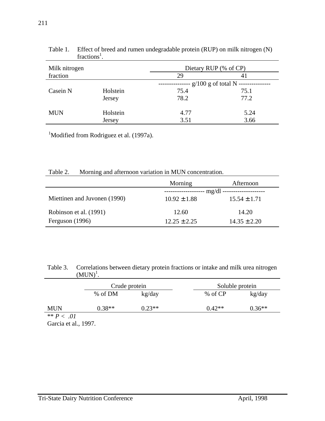| Milk nitrogen |          | Dietary RUP (% of CP) |                             |  |
|---------------|----------|-----------------------|-----------------------------|--|
| fraction      |          | 29                    | 41                          |  |
|               |          |                       | $g/100$ g of total N ------ |  |
| Casein N      | Holstein | 75.4                  | 75.1                        |  |
|               | Jersey   | 78.2                  | 77.2                        |  |
| <b>MUN</b>    | Holstein | 4.77                  | 5.24                        |  |
|               | Jersey   | 3.51                  | 3.66                        |  |

Table 1. Effect of breed and rumen undegradable protein (RUP) on milk nitrogen (N) fractions<sup>1</sup>.

<sup>1</sup>Modified from Rodriguez et al. (1997a).

#### Table 2. Morning and afternoon variation in MUN concentration.

|                              | Morning                    | Afternoon        |  |
|------------------------------|----------------------------|------------------|--|
|                              | mg/dl -------------------- |                  |  |
| Miettinen and Juvonen (1990) | $10.92 \pm 1.88$           | $15.54 \pm 1.71$ |  |
| Robinson et al. (1991)       | 12.60                      | 14.20            |  |
| Ferguson (1996)              | $12.25 \pm 2.25$           | $14.35 \pm 2.20$ |  |

#### Table 3. Correlations between dietary protein fractions or intake and milk urea nitrogen  $(MUN)^1$ .

|                      | Crude protein |          | Soluble protein |          |
|----------------------|---------------|----------|-----------------|----------|
|                      | % of DM       | kg/day   | % of CP         | kg/day   |
| <b>MUN</b>           | $0.38**$      | $0.23**$ | $0.42**$        | $0.36**$ |
| ** $P < .01$         |               |          |                 |          |
| Garcia et al., 1997. |               |          |                 |          |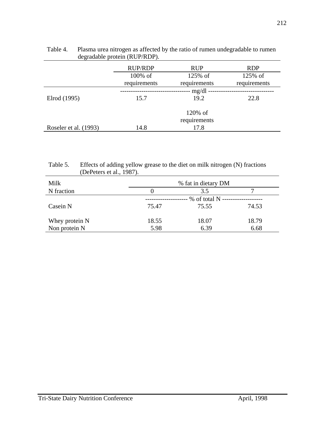| ac                    |                |                         |              |
|-----------------------|----------------|-------------------------|--------------|
|                       | <b>RUP/RDP</b> | <b>RUP</b>              | <b>RDP</b>   |
|                       | 100% of        | 125% of                 | $125\%$ of   |
|                       | requirements   | requirements            | requirements |
|                       |                | mg/dl                   |              |
| Elrod (1995)          | 15.7           | 19.2                    | 22.8         |
|                       |                | 120% of<br>requirements |              |
| Roseler et al. (1993) | 14.8           | 17.8                    |              |

| Table 4. | Plasma urea nitrogen as affected by the ratio of rumen undegradable to rumen |
|----------|------------------------------------------------------------------------------|
|          | degradable protein (RUP/RDP).                                                |

Table 5. Effects of adding yellow grease to the diet on milk nitrogen (N) fractions (DePeters et al., 1987).

| Milk           | % fat in dietary DM |       |       |
|----------------|---------------------|-------|-------|
| N fraction     |                     | 3.5   |       |
|                | % of total N        |       |       |
| Casein N       | 75.47               | 75.55 | 74.53 |
|                |                     |       |       |
| Whey protein N | 18.55               | 18.07 | 18.79 |
| Non protein N  | 5.98                | 6.39  | 6.68  |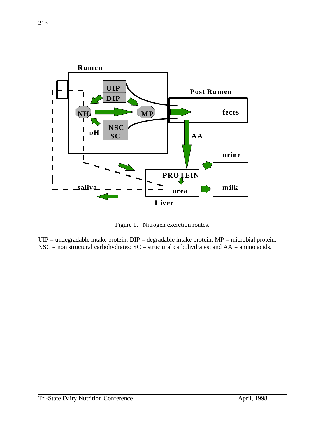

Figure 1. Nitrogen excretion routes.

 $UIP =$  undegradable intake protein;  $DIP =$  degradable intake protein;  $MP =$  microbial protein;  $NSC =$  non structural carbohydrates;  $SC =$  structural carbohydrates; and  $AA =$  amino acids.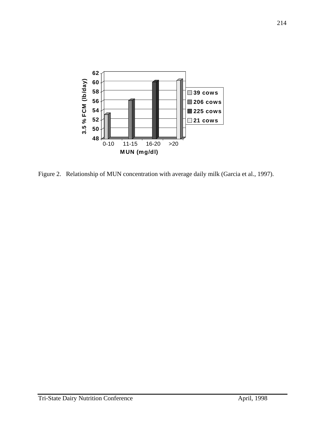

Figure 2.Relationship of MUN concentration with average daily milk (Garcia et al., 1997).

214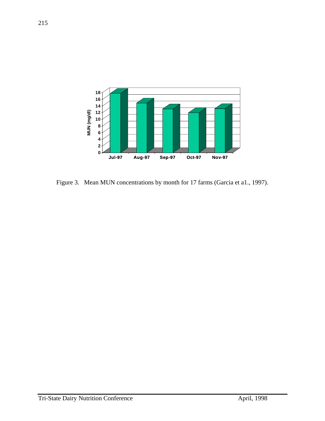

Figure 3. Mean MUN concentrations by month for 17 farms (Garcia et a1., 1997).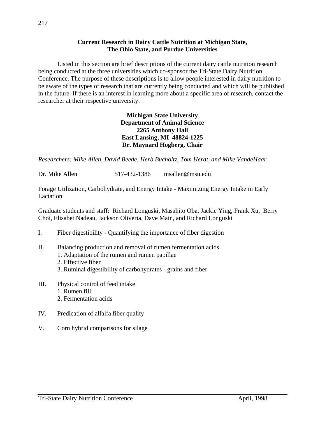#### **Current Research in Dairy Cattle Nutrition at Michigan State, The Ohio State, and Purdue Universities**

 Listed in this section are brief descriptions of the current dairy cattle nutrition research being conducted at the three universities which co-sponsor the Tri-State Dairy Nutrition Conference. The purpose of these descriptions is to allow people interested in dairy nutrition to be aware of the types of research that are currently being conducted and which will be published in the future. If there is an interest in learning more about a specific area of research, contact the researcher at their respective university.

> **Michigan State University Department of Animal Science 2265 Anthony Hall East Lansing, MI 48824-1225 Dr. Maynard Hogberg, Chair**

*Researchers: Mike Allen, David Beede, Herb Bucholtz, Tom Herdt, and Mike VandeHaar* 

Dr. Mike Allen 517-432-1386 msallen@msu.edu

Forage Utilization, Carbohydrate, and Energy Intake - Maximizing Energy Intake in Early Lactation

Graduate students and staff: Richard Longuski, Masahito Oba, Jackie Ying, Frank Xu, Berry Choi, Elisabet Nadeau, Jackson Oliveria, Dave Main, and Richard Longuski

- I. Fiber digestibility Quantifying the importance of fiber digestion
- II. Balancing production and removal of rumen fermentation acids
	- 1. Adaptation of the rumen and rumen papillae
	- 2. Effective fiber
	- 3. Ruminal digestibility of carbohydrates grains and fiber
- III. Physical control of feed intake 1. Rumen fill 2. Fermentation acids
- IV. Predication of alfalfa fiber quality
- V. Corn hybrid comparisons for silage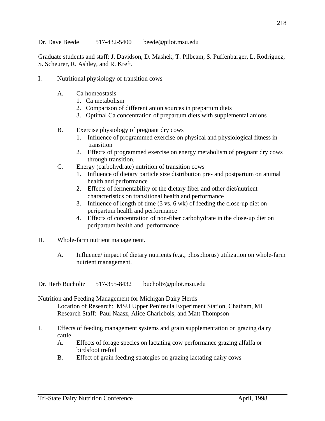Graduate students and staff: J. Davidson, D. Mashek, T. Pilbeam, S. Puffenbarger, L. Rodriguez, S. Scheurer, R. Ashley, and R. Kreft.

- I. Nutritional physiology of transition cows
	- A. Ca homeostasis
		- 1. Ca metabolism
		- 2. Comparison of different anion sources in prepartum diets
		- 3. Optimal Ca concentration of prepartum diets with supplemental anions
	- B. Exercise physiology of pregnant dry cows
		- 1. Influence of programmed exercise on physical and physiological fitness in transition
		- 2. Effects of programmed exercise on energy metabolism of pregnant dry cows through transition.
	- C. Energy (carbohydrate) nutrition of transition cows
		- 1. Influence of dietary particle size distribution pre- and postpartum on animal health and performance
		- 2. Effects of fermentability of the dietary fiber and other diet/nutrient characteristics on transitional health and performance
		- 3. Influence of length of time (3 vs. 6 wk) of feeding the close-up diet on peripartum health and performance
		- 4. Effects of concentration of non-fiber carbohydrate in the close-up diet on peripartum health and performance
- II. Whole-farm nutrient management.
	- A. Influence/ impact of dietary nutrients (e.g., phosphorus) utilization on whole-farm nutrient management.

### Dr. Herb Bucholtz 517-355-8432 bucholtz@pilot.msu.edu

Nutrition and Feeding Management for Michigan Dairy Herds Location of Research: MSU Upper Peninsula Experiment Station, Chatham, MI Research Staff: Paul Naasz, Alice Charlebois, and Matt Thompson

- I. Effects of feeding management systems and grain supplementation on grazing dairy cattle.
	- A. Effects of forage species on lactating cow performance grazing alfalfa or birdsfoot trefoil
	- B. Effect of grain feeding strategies on grazing lactating dairy cows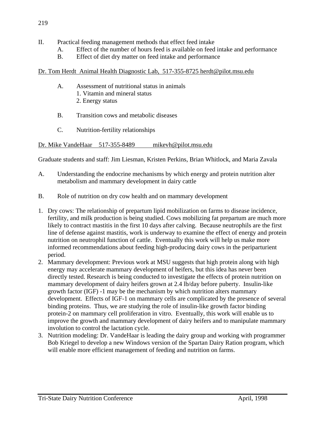- II. Practical feeding management methods that effect feed intake
	- A. Effect of the number of hours feed is available on feed intake and performance
		- B. Effect of diet dry matter on feed intake and performance

## Dr. Tom Herdt Animal Health Diagnostic Lab, 517-355-8725 herdt@pilot.msu.edu

- A. Assessment of nutritional status in animals
	- 1. Vitamin and mineral status
		- 2. Energy status
- B. Transition cows and metabolic diseases
- C. Nutrition-fertility relationships

## Dr. Mike VandeHaar 517-355-8489 mikevh@pilot.msu.edu

Graduate students and staff: Jim Liesman, Kristen Perkins, Brian Whitlock, and Maria Zavala

- A. Understanding the endocrine mechanisms by which energy and protein nutrition alter metabolism and mammary development in dairy cattle
- B. Role of nutrition on dry cow health and on mammary development
- 1. Dry cows: The relationship of prepartum lipid mobilization on farms to disease incidence, fertility, and milk production is being studied. Cows mobilizing fat prepartum are much more likely to contract mastitis in the first 10 days after calving. Because neutrophils are the first line of defense against mastitis, work is underway to examine the effect of energy and protein nutrition on neutrophil function of cattle. Eventually this work will help us make more informed recommendations about feeding high-producing dairy cows in the periparturient period.
- 2. Mammary development: Previous work at MSU suggests that high protein along with high energy may accelerate mammary development of heifers, but this idea has never been directly tested. Research is being conducted to investigate the effects of protein nutrition on mammary development of dairy heifers grown at 2.4 lb/day before puberty. Insulin-like growth factor (IGF) -1 may be the mechanism by which nutrition alters mammary development. Effects of IGF-1 on mammary cells are complicated by the presence of several binding proteins. Thus, we are studying the role of insulin-like growth factor binding protein-2 on mammary cell proliferation in vitro. Eventually, this work will enable us to improve the growth and mammary development of dairy heifers and to manipulate mammary involution to control the lactation cycle.
- 3. Nutrition modeling: Dr. VandeHaar is leading the dairy group and working with programmer Bob Kriegel to develop a new Windows version of the Spartan Dairy Ration program, which will enable more efficient management of feeding and nutrition on farms.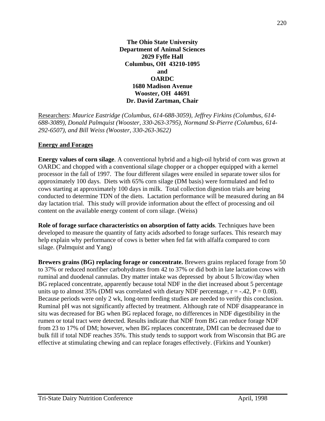**The Ohio State University Department of Animal Sciences 2029 Fyffe Hall Columbus, OH 43210-1095 and OARDC 1680 Madison Avenue Wooster, OH 44691 Dr. David Zartman, Chair** 

Researchers: *Maurice Eastridge (Columbus, 614-688-3059), Jeffrey Firkins (Columbus, 614- 688-3089), Donald Palmquist (Wooster, 330-263-3795), Normand St-Pierre (Columbus, 614- 292-6507), and Bill Weiss (Wooster, 330-263-3622)* 

### **Energy and Forages**

**Energy values of corn silage**. A conventional hybrid and a high-oil hybrid of corn was grown at OARDC and chopped with a conventional silage chopper or a chopper equipped with a kernel processor in the fall of 1997. The four different silages were ensiled in separate tower silos for approximately 100 days. Diets with 65% corn silage (DM basis) were formulated and fed to cows starting at approximately 100 days in milk. Total collection digestion trials are being conducted to determine TDN of the diets. Lactation performance will be measured during an 84 day lactation trial. This study will provide information about the effect of processing and oil content on the available energy content of corn silage. (Weiss)

**Role of forage surface characteristics on absorption of fatty acids**. Techniques have been developed to measure the quantity of fatty acids adsorbed to forage surfaces. This research may help explain why performance of cows is better when fed fat with alfalfa compared to corn silage. (Palmquist and Yang)

**Brewers grains (BG) replacing forage or concentrate.** Brewers grains replaced forage from 50 to 37% or reduced nonfiber carbohydrates from 42 to 37% or did both in late lactation cows with ruminal and duodenal cannulas. Dry matter intake was depressed by about 5 lb/cow/day when BG replaced concentrate, apparently because total NDF in the diet increased about 5 percentage units up to almost 35% (DMI was correlated with dietary NDF percentage,  $r = -.42$ ,  $P = 0.08$ ). Because periods were only 2 wk, long-term feeding studies are needed to verify this conclusion. Ruminal pH was not significantly affected by treatment. Although rate of NDF disappearance in situ was decreased for BG when BG replaced forage, no differences in NDF digestibility in the rumen or total tract were detected. Results indicate that NDF from BG can reduce forage NDF from 23 to 17% of DM; however, when BG replaces concentrate, DMI can be decreased due to bulk fill if total NDF reaches 35%. This study tends to support work from Wisconsin that BG are effective at stimulating chewing and can replace forages effectively. (Firkins and Younker)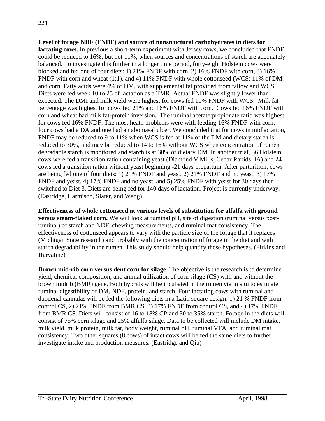**Level of forage NDF (FNDF) and source of nonstructural carbohydrates in diets for lactating cows.** In previous a short-term experiment with Jersey cows, we concluded that FNDF could be reduced to 16%, but not 11%, when sources and concentrations of starch are adequately balanced. To investigate this further in a longer time period, forty-eight Holstein cows were blocked and fed one of four diets: 1) 21% FNDF with corn, 2) 16% FNDF with corn, 3) 16% FNDF with corn and wheat (1:1), and 4) 11% FNDF with whole cottonseed (WCS; 11% of DM) and corn. Fatty acids were 4% of DM, with supplemental fat provided from tallow and WCS. Diets were fed week 10 to 25 of lactation as a TMR. Actual FNDF was slightly lower than expected. The DMI and milk yield were highest for cows fed 11% FNDF with WCS. Milk fat percentage was highest for cows fed 21% and 16% FNDF with corn. Cows fed 16% FNDF with corn and wheat had milk fat-protein inversion. The ruminal acetate:propionate ratio was highest for cows fed 16% FNDF. The most heath problems were with feeding 16% FNDF with corn; four cows had a DA and one had an abomasal ulcer. We concluded that for cows in midlactation, FNDF may be reduced to 9 to 11% when WCS is fed at 11% of the DM and dietary starch is reduced to 30%, and may be reduced to 14 to 16% without WCS when concentration of rumen degradable starch is monitored and starch is at 30% of dietary DM. In another trial, 36 Holstein cows were fed a transition ration containing yeast (Diamond V Mills, Cedar Rapids, IA) and 24 cows fed a transition ration without yeast beginning -21 days prepartum. After parturition, cows are being fed one of four diets: 1) 21% FNDF and yeast, 2) 21% FNDF and no yeast, 3) 17% FNDF and yeast, 4) 17% FNDF and no yeast, and 5) 25% FNDF with yeast for 30 days then switched to Diet 3. Diets are being fed for 140 days of lactation. Project is currently underway. (Eastridge, Harmison, Slater, and Wang)

**Effectiveness of whole cottonseed at various levels of substitution for alfalfa with ground versus steam-flaked corn.** We will look at ruminal pH, site of digestion (ruminal versus postruminal) of starch and NDF, chewing measurements, and ruminal mat consistency. The effectiveness of cottonseed appears to vary with the particle size of the forage that it replaces (Michigan State research) and probably with the concentration of forage in the diet and with starch degradability in the rumen. This study should help quantify these hypotheses. (Firkins and Harvatine)

**Brown mid-rib corn versus dent corn for silage**. The objective is the research is to determine yield, chemical composition, and animal utilization of corn silage (CS) with and without the brown midrib (BMR) gene. Both hybrids will be incubated in the rumen via in situ to estimate ruminal digestibility of DM, NDF, protein, and starch. Four lactating cows with ruminal and duodenal cannulas will be fed the following diets in a Latin square design: 1) 21 % FNDF from control CS, 2) 21% FNDF from BMR CS, 3) 17% FNDF from control CS, and 4) 17% FNDF from BMR CS. Diets will consist of 16 to 18% CP and 30 to 35% starch. Forage in the diets will consist of 75% corn silage and 25% alfalfa silage. Data to be collected will include DM intake, milk yield, milk protein, milk fat, body weight, ruminal pH, ruminal VFA, and ruminal mat consistency. Two other squares (8 cows) of intact cows will be fed the same diets to further investigate intake and production measures. (Eastridge and Qiu)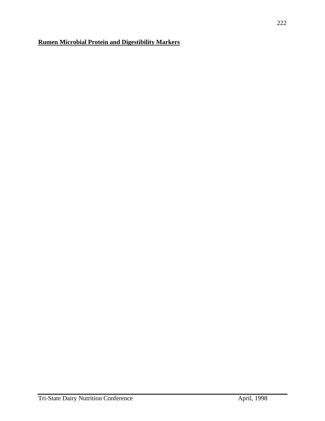# **Rumen Microbial Protein and Digestibility Markers**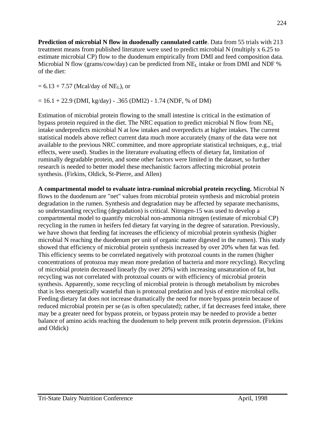**Prediction of microbial N flow in duodenally cannulated cattle.** Data from 55 trials with 213 treatment means from published literature were used to predict microbial N (multiply x 6.25 to estimate microbial CP) flow to the duodenum empirically from DMI and feed composition data. Microbial N flow (grams/cow/day) can be predicted from  $NE<sub>L</sub>$  intake or from DMI and NDF % of the diet:

 $= 6.13 + 7.57$  (Mcal/day of NE<sub>L</sub>), or

 $= 16.1 + 22.9$  (DMI, kg/day) - .365 (DMI2) - 1.74 (NDF, % of DM)

Estimation of microbial protein flowing to the small intestine is critical in the estimation of bypass protein required in the diet. The NRC equation to predict microbial N flow from NEL intake underpredicts microbial N at low intakes and overpredicts at higher intakes. The current statistical models above reflect current data much more accurately (many of the data were not available to the previous NRC committee, and more appropriate statistical techniques, e.g., trial effects, were used). Studies in the literature evaluating effects of dietary fat, limitation of ruminally degradable protein, and some other factors were limited in the dataset, so further research is needed to better model these mechanistic factors affecting microbial protein synthesis. (Firkins, Oldick, St-Pierre, and Allen)

**A compartmental model to evaluate intra-ruminal microbial protein recycling.** Microbial N flows to the duodenum are "net" values from microbial protein synthesis and microbial protein degradation in the rumen. Synthesis and degradation may be affected by separate mechanisms, so understanding recycling (degradation) is critical. Nitrogen-15 was used to develop a compartmental model to quantify microbial non-ammonia nitrogen (estimate of microbial CP) recycling in the rumen in heifers fed dietary fat varying in the degree of saturation. Previously, we have shown that feeding fat increases the efficiency of microbial protein synthesis (higher microbial N reaching the duodenum per unit of organic matter digested in the rumen). This study showed that efficiency of microbial protein synthesis increased by over 20% when fat was fed. This efficiency seems to be correlated negatively with protozoal counts in the rumen (higher concentrations of protozoa may mean more predation of bacteria and more recycling). Recycling of microbial protein decreased linearly (by over 20%) with increasing unsaturation of fat, but recycling was not correlated with protozoal counts or with efficiency of microbial protein synthesis. Apparently, some recycling of microbial protein is through metabolism by microbes that is less energetically wasteful than is protozoal predation and lysis of entire microbial cells. Feeding dietary fat does not increase dramatically the need for more bypass protein because of reduced microbial protein per se (as is often speculated); rather, if fat decreases feed intake, there may be a greater need for bypass protein, or bypass protein may be needed to provide a better balance of amino acids reaching the duodenum to help prevent milk protein depression. (Firkins and Oldick)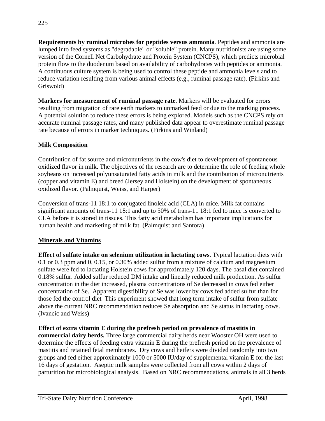**Requirements by ruminal microbes for peptides versus ammonia**. Peptides and ammonia are lumped into feed systems as "degradable" or "soluble" protein. Many nutritionists are using some version of the Cornell Net Carbohydrate and Protein System (CNCPS), which predicts microbial protein flow to the duodenum based on availability of carbohydrates with peptides or ammonia. A continuous culture system is being used to control these peptide and ammonia levels and to reduce variation resulting from various animal effects (e.g., ruminal passage rate). (Firkins and Griswold)

**Markers for measurement of ruminal passage rate**. Markers will be evaluated for errors resulting from migration of rare earth markers to unmarked feed or due to the marking process. A potential solution to reduce these errors is being explored. Models such as the CNCPS rely on accurate ruminal passage rates, and many published data appear to overestimate ruminal passage rate because of errors in marker techniques. (Firkins and Winland)

## **Milk Composition**

Contribution of fat source and micronutrients in the cow's diet to development of spontaneous oxidized flavor in milk. The objectives of the research are to determine the role of feeding whole soybeans on increased polyunsaturated fatty acids in milk and the contribution of micronutrients (copper and vitamin E) and breed (Jersey and Holstein) on the development of spontaneous oxidized flavor. (Palmquist, Weiss, and Harper)

Conversion of trans-11 18:1 to conjugated linoleic acid (CLA) in mice. Milk fat contains significant amounts of trans-11 18:1 and up to 50% of trans-11 18:1 fed to mice is converted to CLA before it is stored in tissues. This fatty acid metabolism has important implications for human health and marketing of milk fat. (Palmquist and Santora)

## **Minerals and Vitamins**

**Effect of sulfate intake on selenium utilization in lactating cows**. Typical lactation diets with 0.1 or 0.3 ppm and 0, 0.15, or 0.30% added sulfur from a mixture of calcium and magnesium sulfate were fed to lactating Holstein cows for approximately 120 days. The basal diet contained 0.18% sulfur. Added sulfur reduced DM intake and linearly reduced milk production. As sulfur concentration in the diet increased, plasma concentrations of Se decreased in cows fed either concentration of Se. Apparent digestibility of Se was lower by cows fed added sulfur than for those fed the control diet This experiment showed that long term intake of sulfur from sulfate above the current NRC recommendation reduces Se absorption and Se status in lactating cows. (Ivancic and Weiss)

**Effect of extra vitamin E during the prefresh period on prevalence of mastitis in commercial dairy herds.** Three large commercial dairy herds near Wooster OH were used to determine the effects of feeding extra vitamin E during the prefresh period on the prevalence of mastitis and retained fetal membranes. Dry cows and heifers were divided randomly into two groups and fed either approximately 1000 or 5000 IU/day of supplemental vitamin E for the last 16 days of gestation. Aseptic milk samples were collected from all cows within 2 days of parturition for microbiological analysis. Based on NRC recommendations, animals in all 3 herds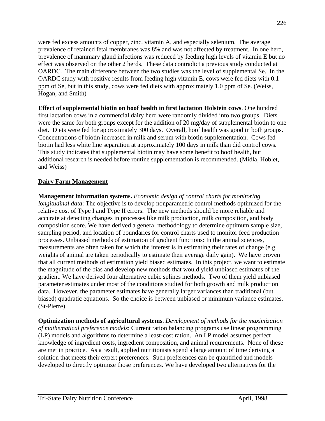were fed excess amounts of copper, zinc, vitamin A, and especially selenium. The average prevalence of retained fetal membranes was 8% and was not affected by treatment. In one herd, prevalence of mammary gland infections was reduced by feeding high levels of vitamin E but no effect was observed on the other 2 herds. These data contradict a previous study conducted at OARDC. The main difference between the two studies was the level of supplemental Se. In the OARDC study with positive results from feeding high vitamin E, cows were fed diets with 0.1 ppm of Se, but in this study, cows were fed diets with approximately 1.0 ppm of Se. (Weiss, Hogan, and Smith)

**Effect of supplemental biotin on hoof health in first lactation Holstein cows**. One hundred first lactation cows in a commercial dairy herd were randomly divided into two groups. Diets were the same for both groups except for the addition of 20 mg/day of supplemental biotin to one diet. Diets were fed for approximately 300 days. Overall, hoof health was good in both groups. Concentrations of biotin increased in milk and serum with biotin supplementation. Cows fed biotin had less white line separation at approximately 100 days in milk than did control cows. This study indicates that supplemental biotin may have some benefit to hoof health, but additional research is needed before routine supplementation is recommended. (Midla, Hoblet, and Weiss)

## **Dairy Farm Management**

**Management information systems.** *Economic design of control charts for monitoring longitudinal data*: The objective is to develop nonparametric control methods optimized for the relative cost of Type I and Type II errors. The new methods should be more reliable and accurate at detecting changes in processes like milk production, milk composition, and body composition score. We have derived a general methodology to determine optimum sample size, sampling period, and location of boundaries for control charts used to monitor feed production processes. Unbiased methods of estimation of gradient functions: In the animal sciences, measurements are often taken for which the interest is in estimating their rates of change (e.g. weights of animal are taken periodically to estimate their average daily gain). We have proven that all current methods of estimation yield biased estimates. In this project, we want to estimate the magnitude of the bias and develop new methods that would yield unbiased estimates of the gradient. We have derived four alternative cubic splines methods. Two of them yield unbiased parameter estimates under most of the conditions studied for both growth and milk production data. However, the parameter estimates have generally larger variances than traditional (but biased) quadratic equations. So the choice is between unbiased or minimum variance estimates. (St-Pierre)

**Optimization methods of agricultural systems**. *Development of methods for the maximization of mathematical preference models*: Current ration balancing programs use linear programming (LP) models and algorithms to determine a least-cost ration. An LP model assumes perfect knowledge of ingredient costs, ingredient composition, and animal requirements. None of these are met in practice. As a result, applied nutritionists spend a large amount of time deriving a solution that meets their expert preferences. Such preferences can be quantified and models developed to directly optimize those preferences. We have developed two alternatives for the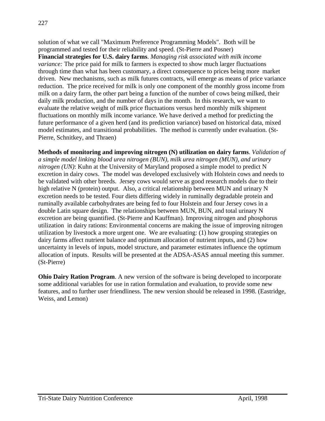solution of what we call "Maximum Preference Programming Models". Both will be programmed and tested for their reliability and speed. (St-Pierre and Posner) **Financial strategies for U.S. dairy farms**. *Managing risk associated with milk income variance:* The price paid for milk to farmers is expected to show much larger fluctuations through time than what has been customary, a direct consequence to prices being more market driven. New mechanisms, such as milk futures contracts, will emerge as means of price variance reduction. The price received for milk is only one component of the monthly gross income from milk on a dairy farm, the other part being a function of the number of cows being milked, their daily milk production, and the number of days in the month. In this research, we want to evaluate the relative weight of milk price fluctuations versus herd monthly milk shipment fluctuations on monthly milk income variance. We have derived a method for predicting the future performance of a given herd (and its prediction variance) based on historical data, mixed model estimates, and transitional probabilities. The method is currently under evaluation. (St-Pierre, Schnitkey, and Thraen)

**Methods of monitoring and improving nitrogen (N) utilization on dairy farms**. *Validation of a simple model linking blood urea nitrogen (BUN), milk urea nitrogen (MUN), and urinary nitrogen (UN)*: Kuhn at the University of Maryland proposed a simple model to predict N excretion in dairy cows. The model was developed exclusively with Holstein cows and needs to be validated with other breeds. Jersey cows would serve as good research models due to their high relative N (protein) output. Also, a critical relationship between MUN and urinary N excretion needs to be tested. Four diets differing widely in ruminally degradable protein and ruminally available carbohydrates are being fed to four Holstein and four Jersey cows in a double Latin square design. The relationships between MUN, BUN, and total urinary N excretion are being quantified. (St-Pierre and Kauffman). Improving nitrogen and phosphorus utilization in dairy rations: Environmental concerns are making the issue of improving nitrogen utilization by livestock a more urgent one. We are evaluating: (1) how grouping strategies on dairy farms affect nutrient balance and optimum allocation of nutrient inputs, and (2) how uncertainty in levels of inputs, model structure, and parameter estimates influence the optimum allocation of inputs. Results will be presented at the ADSA-ASAS annual meeting this summer. (St-Pierre)

**Ohio Dairy Ration Program.** A new version of the software is being developed to incorporate some additional variables for use in ration formulation and evaluation, to provide some new features, and to further user friendliness. The new version should be released in 1998. (Eastridge, Weiss, and Lemon)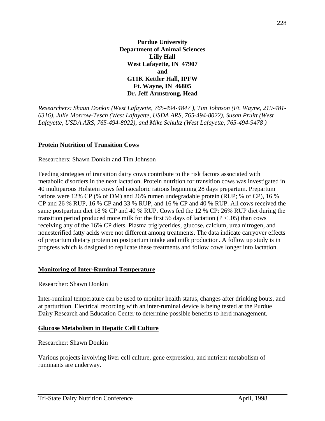**Purdue University Department of Animal Sciences Lilly Hall West Lafayette, IN 47907 and G11K Kettler Hall, IPFW Ft. Wayne, IN 46805 Dr. Jeff Armstrong, Head** 

*Researchers: Shaun Donkin (West Lafayette, 765-494-4847 ), Tim Johnson (Ft. Wayne, 219-481- 6316), Julie Morrow-Tesch (West Lafayette, USDA ARS, 765-494-8022), Susan Pruitt (West Lafayette, USDA ARS, 765-494-8022), and Mike Schultz (West Lafayette, 765-494-9478 )* 

## **Protein Nutrition of Transition Cows**

Researchers: Shawn Donkin and Tim Johnson

Feeding strategies of transition dairy cows contribute to the risk factors associated with metabolic disorders in the next lactation. Protein nutrition for transition cows was investigated in 40 multiparous Holstein cows fed isocaloric rations beginning 28 days prepartum. Prepartum rations were 12% CP (% of DM) and 26% rumen undegradable protein (RUP; % of CP), 16 % CP and 26 % RUP, 16 % CP and 33 % RUP, and 16 % CP and 40 % RUP. All cows received the same postpartum diet 18 % CP and 40 % RUP. Cows fed the 12 % CP: 26% RUP diet during the transition period produced more milk for the first 56 days of lactation ( $P < .05$ ) than cows receiving any of the 16% CP diets. Plasma triglycerides, glucose, calcium, urea nitrogen, and nonesterified fatty acids were not different among treatments. The data indicate carryover effects of prepartum dietary protein on postpartum intake and milk production. A follow up study is in progress which is designed to replicate these treatments and follow cows longer into lactation.

### **Monitoring of Inter-Ruminal Temperature**

### Researcher: Shawn Donkin

Inter-ruminal temperature can be used to monitor health status, changes after drinking bouts, and at parturition. Electrical recording with an inter-ruminal device is being tested at the Purdue Dairy Research and Education Center to determine possible benefits to herd management.

### **Glucose Metabolism in Hepatic Cell Culture**

Researcher: Shawn Donkin

Various projects involving liver cell culture, gene expression, and nutrient metabolism of ruminants are underway.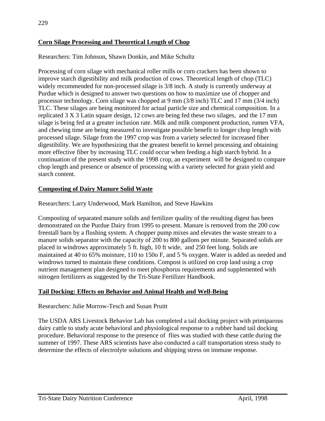## **Corn Silage Processing and Theoretical Length of Chop**

Researchers: Tim Johnson, Shawn Donkin, and Mike Schultz

Processing of corn silage with mechanical roller mills or corn crackers has been shown to improve starch digestibility and milk production of cows. Theoretical length of chop (TLC) widely recommended for non-processed silage is 3/8 inch. A study is currently underway at Purdue which is designed to answer two questions on how to maximize use of chopper and processor technology. Corn silage was chopped at 9 mm (3/8 inch) TLC and 17 mm (3/4 inch) TLC. These silages are being monitored for actual particle size and chemical composition. In a replicated 3 X 3 Latin square design, 12 cows are being fed these two silages, and the 17 mm silage is being fed at a greater inclusion rate. Milk and milk component production, rumen VFA, and chewing time are being measured to investigate possible benefit to longer chop length with processed silage. Silage from the 1997 crop was from a variety selected for increased fiber digestibility. We are hypothesizing that the greatest benefit to kernel processing and obtaining more effective fiber by increasing TLC could occur when feeding a high starch hybrid. In a continuation of the present study with the 1998 crop, an experiment will be designed to compare chop length and presence or absence of processing with a variety selected for grain yield and starch content.

## **Composting of Dairy Manure Solid Waste**

Researchers: Larry Underwood, Mark Hamilton, and Steve Hawkins

Composting of separated manure solids and fertilizer quality of the resulting digest has been demonstrated on the Purdue Dairy from 1995 to present. Manure is removed from the 200 cow freestall barn by a flushing system. A chopper pump mixes and elevates the waste stream to a manure solids separator with the capacity of 200 to 800 gallons per minute. Separated solids are placed in windrows approximately 5 ft. high, 10 ft wide, and 250 feet long. Solids are maintained at 40 to 65% moisture, 110 to 150o F, and 5 % oxygen. Water is added as needed and windrows turned to maintain these conditions. Compost is utilized on crop land using a crop nutrient management plan designed to meet phosphorus requirements and supplemented with nitrogen fertilizers as suggested by the Tri-State Fertilizer Handbook.

## **Tail Docking: Effects on Behavior and Animal Health and Well-Being**

Researchers: Julie Morrow-Tesch and Susan Pruitt

The USDA ARS Livestock Behavior Lab has completed a tail docking project with primiparous dairy cattle to study acute behavioral and physiological response to a rubber band tail docking procedure. Behavioral response to the presence of flies was studied with these cattle during the summer of 1997. These ARS scientists have also conducted a calf transportation stress study to determine the effects of electrolyte solutions and shipping stress on immune response.